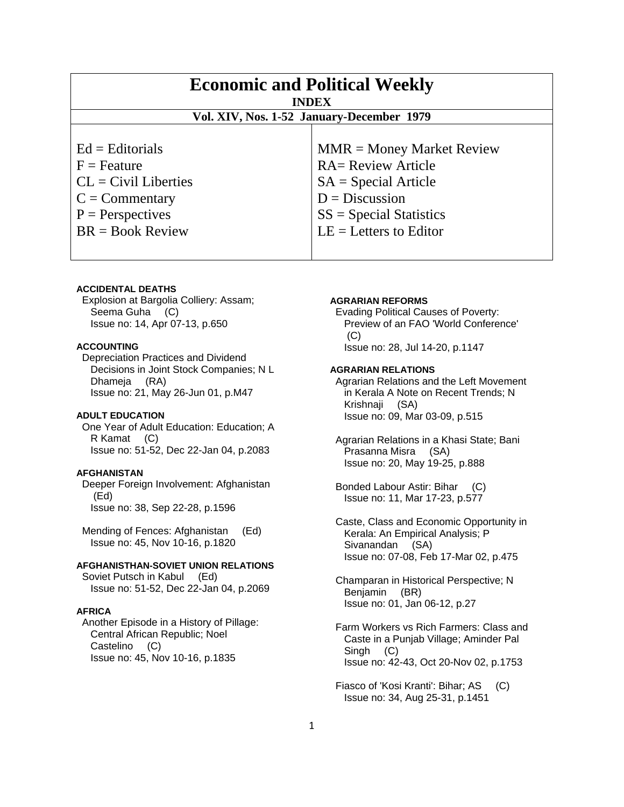| <b>Economic and Political Weekly</b><br><b>INDEX</b> |                             |
|------------------------------------------------------|-----------------------------|
| Vol. XIV, Nos. 1-52 January-December 1979            |                             |
|                                                      |                             |
| $Ed =$ Editorials                                    | $MMR = Money Market Review$ |
| $F =$ Feature                                        | <b>RA= Review Article</b>   |
| $CL = Civil\:$ Liberties                             | $SA = Special Article$      |
| $C = \text{Commentary}$                              | $D = Discussion$            |
| $P =$ Perspectives                                   | $SS = Special Statistics$   |
| $BR = Book Review$                                   | $LE = Letters to Editor$    |
|                                                      |                             |

# **ACCIDENTAL DEATHS**

 Explosion at Bargolia Colliery: Assam; Seema Guha (C) Issue no: 14, Apr 07-13, p.650

#### **ACCOUNTING**

 Depreciation Practices and Dividend Decisions in Joint Stock Companies; N L Dhameja (RA) Issue no: 21, May 26-Jun 01, p.M47

# **ADULT EDUCATION**

 One Year of Adult Education: Education; A R Kamat (C) Issue no: 51-52, Dec 22-Jan 04, p.2083

## **AFGHANISTAN**

 Deeper Foreign Involvement: Afghanistan (Ed) Issue no: 38, Sep 22-28, p.1596

 Mending of Fences: Afghanistan (Ed) Issue no: 45, Nov 10-16, p.1820

#### **AFGHANISTHAN-SOVIET UNION RELATIONS**

 Soviet Putsch in Kabul (Ed) Issue no: 51-52, Dec 22-Jan 04, p.2069

## **AFRICA**

 Another Episode in a History of Pillage: Central African Republic; Noel Castelino (C) Issue no: 45, Nov 10-16, p.1835

#### **AGRARIAN REFORMS**

 Evading Political Causes of Poverty: Preview of an FAO 'World Conference' (C) Issue no: 28, Jul 14-20, p.1147

## **AGRARIAN RELATIONS**

 Agrarian Relations and the Left Movement in Kerala A Note on Recent Trends; N Krishnaji (SA) Issue no: 09, Mar 03-09, p.515

 Agrarian Relations in a Khasi State; Bani Prasanna Misra (SA) Issue no: 20, May 19-25, p.888

 Bonded Labour Astir: Bihar (C) Issue no: 11, Mar 17-23, p.577

 Caste, Class and Economic Opportunity in Kerala: An Empirical Analysis; P Sivanandan (SA) Issue no: 07-08, Feb 17-Mar 02, p.475

 Champaran in Historical Perspective; N Benjamin (BR) Issue no: 01, Jan 06-12, p.27

 Farm Workers vs Rich Farmers: Class and Caste in a Punjab Village; Aminder Pal Singh (C) Issue no: 42-43, Oct 20-Nov 02, p.1753

 Fiasco of 'Kosi Kranti': Bihar; AS (C) Issue no: 34, Aug 25-31, p.1451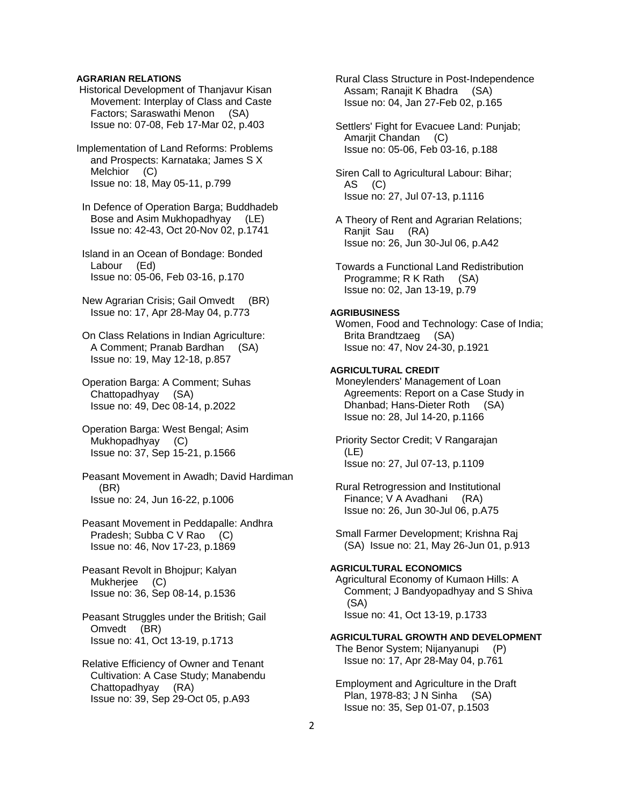## **AGRARIAN RELATIONS**

- Historical Development of Thanjavur Kisan Movement: Interplay of Class and Caste Factors; Saraswathi Menon (SA) Issue no: 07-08, Feb 17-Mar 02, p.403
- Implementation of Land Reforms: Problems and Prospects: Karnataka; James S X Melchior (C) Issue no: 18, May 05-11, p.799
- In Defence of Operation Barga; Buddhadeb Bose and Asim Mukhopadhyay (LE) Issue no: 42-43, Oct 20-Nov 02, p.1741
- Island in an Ocean of Bondage: Bonded Labour (Ed) Issue no: 05-06, Feb 03-16, p.170
- New Agrarian Crisis; Gail Omvedt (BR) Issue no: 17, Apr 28-May 04, p.773
- On Class Relations in Indian Agriculture: A Comment; Pranab Bardhan (SA) Issue no: 19, May 12-18, p.857
- Operation Barga: A Comment; Suhas Chattopadhyay (SA) Issue no: 49, Dec 08-14, p.2022
- Operation Barga: West Bengal; Asim Mukhopadhyay (C) Issue no: 37, Sep 15-21, p.1566
- Peasant Movement in Awadh; David Hardiman (BR) Issue no: 24, Jun 16-22, p.1006
- Peasant Movement in Peddapalle: Andhra Pradesh; Subba C V Rao (C) Issue no: 46, Nov 17-23, p.1869
- Peasant Revolt in Bhojpur; Kalyan Mukherjee (C) Issue no: 36, Sep 08-14, p.1536
- Peasant Struggles under the British; Gail Omvedt (BR) Issue no: 41, Oct 13-19, p.1713
- Relative Efficiency of Owner and Tenant Cultivation: A Case Study; Manabendu Chattopadhyay (RA) Issue no: 39, Sep 29-Oct 05, p.A93

 Rural Class Structure in Post-Independence Assam; Ranajit K Bhadra (SA) Issue no: 04, Jan 27-Feb 02, p.165

 Settlers' Fight for Evacuee Land: Punjab; Amarjit Chandan (C) Issue no: 05-06, Feb 03-16, p.188

 Siren Call to Agricultural Labour: Bihar; AS (C) Issue no: 27, Jul 07-13, p.1116

 A Theory of Rent and Agrarian Relations; Ranjit Sau (RA) Issue no: 26, Jun 30-Jul 06, p.A42

 Towards a Functional Land Redistribution Programme; R K Rath (SA) Issue no: 02, Jan 13-19, p.79

## **AGRIBUSINESS**

 Women, Food and Technology: Case of India; Brita Brandtzaeg (SA) Issue no: 47, Nov 24-30, p.1921

## **AGRICULTURAL CREDIT**

 Moneylenders' Management of Loan Agreements: Report on a Case Study in Dhanbad; Hans-Dieter Roth (SA) Issue no: 28, Jul 14-20, p.1166

 Priority Sector Credit; V Rangarajan (LE) Issue no: 27, Jul 07-13, p.1109

 Rural Retrogression and Institutional Finance; V A Avadhani (RA) Issue no: 26, Jun 30-Jul 06, p.A75

 Small Farmer Development; Krishna Raj (SA) Issue no: 21, May 26-Jun 01, p.913

## **AGRICULTURAL ECONOMICS**

 Agricultural Economy of Kumaon Hills: A Comment; J Bandyopadhyay and S Shiva (SA) Issue no: 41, Oct 13-19, p.1733

**AGRICULTURAL GROWTH AND DEVELOPMENT**  The Benor System; Nijanyanupi (P) Issue no: 17, Apr 28-May 04, p.761

 Employment and Agriculture in the Draft Plan, 1978-83; J N Sinha (SA) Issue no: 35, Sep 01-07, p.1503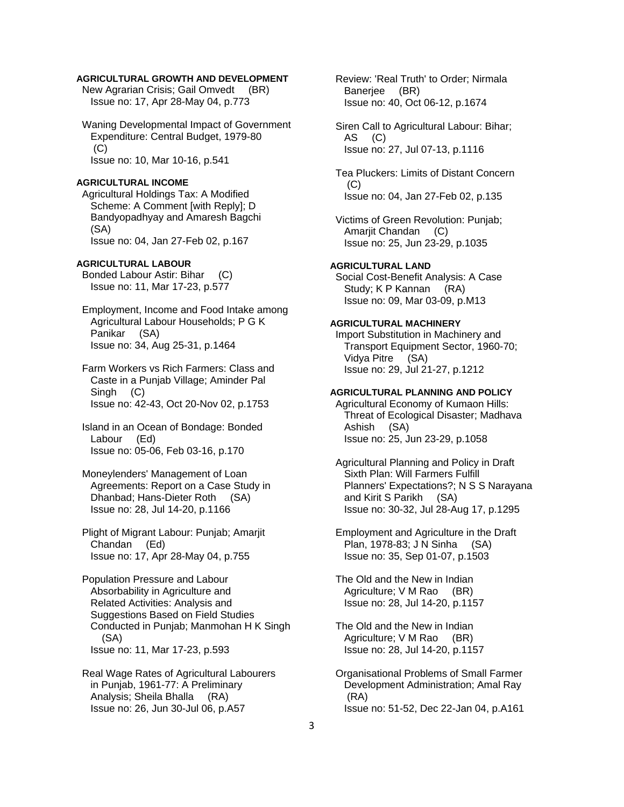## **AGRICULTURAL GROWTH AND DEVELOPMENT**

 New Agrarian Crisis; Gail Omvedt (BR) Issue no: 17, Apr 28-May 04, p.773

 Waning Developmental Impact of Government Expenditure: Central Budget, 1979-80 (C) Issue no: 10, Mar 10-16, p.541

#### **AGRICULTURAL INCOME**

 Agricultural Holdings Tax: A Modified Scheme: A Comment [with Reply]; D Bandyopadhyay and Amaresh Bagchi (SA) Issue no: 04, Jan 27-Feb 02, p.167

## **AGRICULTURAL LABOUR**

 Bonded Labour Astir: Bihar (C) Issue no: 11, Mar 17-23, p.577

 Employment, Income and Food Intake among Agricultural Labour Households; P G K Panikar (SA) Issue no: 34, Aug 25-31, p.1464

 Farm Workers vs Rich Farmers: Class and Caste in a Punjab Village; Aminder Pal Singh (C) Issue no: 42-43, Oct 20-Nov 02, p.1753

 Island in an Ocean of Bondage: Bonded Labour (Ed) Issue no: 05-06, Feb 03-16, p.170

 Moneylenders' Management of Loan Agreements: Report on a Case Study in Dhanbad; Hans-Dieter Roth (SA) Issue no: 28, Jul 14-20, p.1166

 Plight of Migrant Labour: Punjab; Amarjit Chandan (Ed) Issue no: 17, Apr 28-May 04, p.755

 Population Pressure and Labour Absorbability in Agriculture and Related Activities: Analysis and Suggestions Based on Field Studies Conducted in Punjab; Manmohan H K Singh (SA) Issue no: 11, Mar 17-23, p.593

 Real Wage Rates of Agricultural Labourers in Punjab, 1961-77: A Preliminary Analysis; Sheila Bhalla (RA) Issue no: 26, Jun 30-Jul 06, p.A57

 Review: 'Real Truth' to Order; Nirmala Banerjee (BR) Issue no: 40, Oct 06-12, p.1674

 Siren Call to Agricultural Labour: Bihar; AS (C) Issue no: 27, Jul 07-13, p.1116

 Tea Pluckers: Limits of Distant Concern  $(C)$ Issue no: 04, Jan 27-Feb 02, p.135

 Victims of Green Revolution: Punjab; Amarjit Chandan (C) Issue no: 25, Jun 23-29, p.1035

#### **AGRICULTURAL LAND**

 Social Cost-Benefit Analysis: A Case Study; K P Kannan (RA) Issue no: 09, Mar 03-09, p.M13

## **AGRICULTURAL MACHINERY**

 Import Substitution in Machinery and Transport Equipment Sector, 1960-70; Vidya Pitre (SA) Issue no: 29, Jul 21-27, p.1212

## **AGRICULTURAL PLANNING AND POLICY**

 Agricultural Economy of Kumaon Hills: Threat of Ecological Disaster; Madhava Ashish (SA) Issue no: 25, Jun 23-29, p.1058

 Agricultural Planning and Policy in Draft Sixth Plan: Will Farmers Fulfill Planners' Expectations?; N S S Narayana and Kirit S Parikh (SA) Issue no: 30-32, Jul 28-Aug 17, p.1295

 Employment and Agriculture in the Draft Plan, 1978-83; J N Sinha (SA) Issue no: 35, Sep 01-07, p.1503

 The Old and the New in Indian Agriculture; V M Rao (BR) Issue no: 28, Jul 14-20, p.1157

 The Old and the New in Indian Agriculture; V M Rao (BR) Issue no: 28, Jul 14-20, p.1157

 Organisational Problems of Small Farmer Development Administration; Amal Ray (RA) Issue no: 51-52, Dec 22-Jan 04, p.A161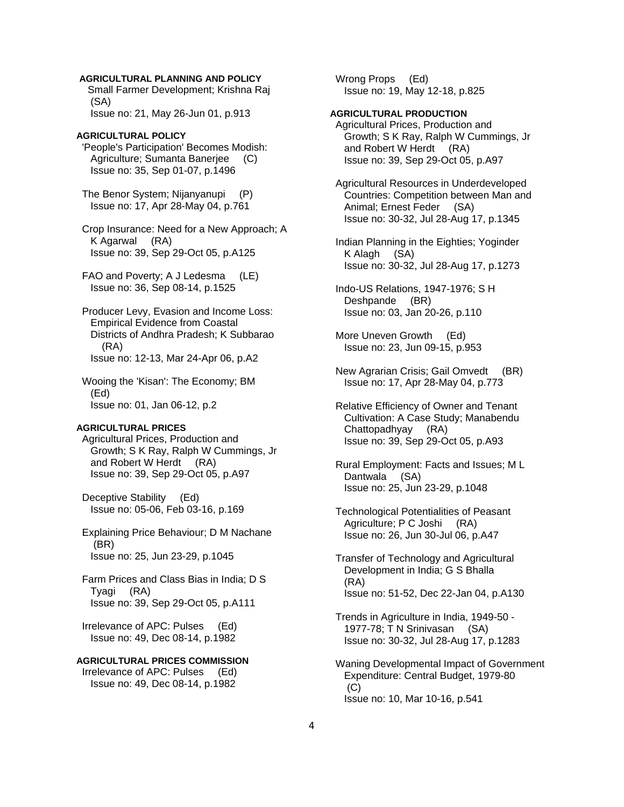## **AGRICULTURAL PLANNING AND POLICY**

 Small Farmer Development; Krishna Raj (SA) Issue no: 21, May 26-Jun 01, p.913

## **AGRICULTURAL POLICY**

 'People's Participation' Becomes Modish: Agriculture; Sumanta Banerjee (C) Issue no: 35, Sep 01-07, p.1496

 The Benor System; Nijanyanupi (P) Issue no: 17, Apr 28-May 04, p.761

 Crop Insurance: Need for a New Approach; A K Agarwal (RA) Issue no: 39, Sep 29-Oct 05, p.A125

 FAO and Poverty; A J Ledesma (LE) Issue no: 36, Sep 08-14, p.1525

 Producer Levy, Evasion and Income Loss: Empirical Evidence from Coastal Districts of Andhra Pradesh; K Subbarao (RA) Issue no: 12-13, Mar 24-Apr 06, p.A2

 Wooing the 'Kisan': The Economy; BM (Ed) Issue no: 01, Jan 06-12, p.2

#### **AGRICULTURAL PRICES**

 Agricultural Prices, Production and Growth; S K Ray, Ralph W Cummings, Jr and Robert W Herdt (RA) Issue no: 39, Sep 29-Oct 05, p.A97

 Deceptive Stability (Ed) Issue no: 05-06, Feb 03-16, p.169

 Explaining Price Behaviour; D M Nachane (BR) Issue no: 25, Jun 23-29, p.1045

 Farm Prices and Class Bias in India; D S Tyagi (RA) Issue no: 39, Sep 29-Oct 05, p.A111

 Irrelevance of APC: Pulses (Ed) Issue no: 49, Dec 08-14, p.1982

## **AGRICULTURAL PRICES COMMISSION**

 Irrelevance of APC: Pulses (Ed) Issue no: 49, Dec 08-14, p.1982  Wrong Props (Ed) Issue no: 19, May 12-18, p.825

## **AGRICULTURAL PRODUCTION**

 Agricultural Prices, Production and Growth; S K Ray, Ralph W Cummings, Jr and Robert W Herdt (RA) Issue no: 39, Sep 29-Oct 05, p.A97

 Agricultural Resources in Underdeveloped Countries: Competition between Man and Animal; Ernest Feder (SA) Issue no: 30-32, Jul 28-Aug 17, p.1345

 Indian Planning in the Eighties; Yoginder K Alagh (SA) Issue no: 30-32, Jul 28-Aug 17, p.1273

 Indo-US Relations, 1947-1976; S H Deshpande (BR) Issue no: 03, Jan 20-26, p.110

 More Uneven Growth (Ed) Issue no: 23, Jun 09-15, p.953

 New Agrarian Crisis; Gail Omvedt (BR) Issue no: 17, Apr 28-May 04, p.773

 Relative Efficiency of Owner and Tenant Cultivation: A Case Study; Manabendu Chattopadhyay (RA) Issue no: 39, Sep 29-Oct 05, p.A93

 Rural Employment: Facts and Issues; M L Dantwala (SA) Issue no: 25, Jun 23-29, p.1048

 Technological Potentialities of Peasant Agriculture; P C Joshi (RA) Issue no: 26, Jun 30-Jul 06, p.A47

 Transfer of Technology and Agricultural Development in India; G S Bhalla (RA) Issue no: 51-52, Dec 22-Jan 04, p.A130

 Trends in Agriculture in India, 1949-50 - 1977-78; T N Srinivasan (SA) Issue no: 30-32, Jul 28-Aug 17, p.1283

 Waning Developmental Impact of Government Expenditure: Central Budget, 1979-80  $(C)$ Issue no: 10, Mar 10-16, p.541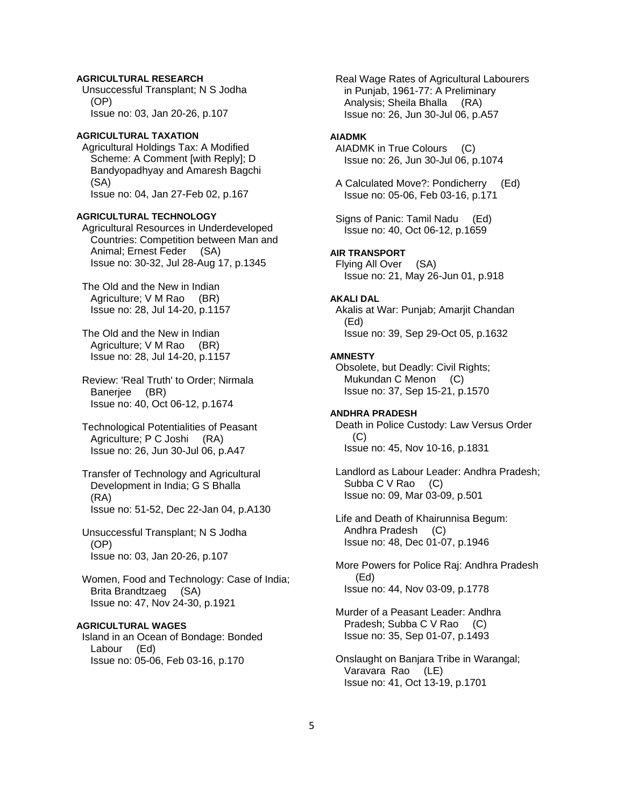# **AGRICULTURAL RESEARCH**

 Unsuccessful Transplant; N S Jodha (OP) Issue no: 03, Jan 20-26, p.107

# **AGRICULTURAL TAXATION**

 Agricultural Holdings Tax: A Modified Scheme: A Comment [with Reply]; D Bandyopadhyay and Amaresh Bagchi (SA) Issue no: 04, Jan 27-Feb 02, p.167

#### **AGRICULTURAL TECHNOLOGY**

 Agricultural Resources in Underdeveloped Countries: Competition between Man and Animal; Ernest Feder (SA) Issue no: 30-32, Jul 28-Aug 17, p.1345

 The Old and the New in Indian Agriculture; V M Rao (BR) Issue no: 28, Jul 14-20, p.1157

 The Old and the New in Indian Agriculture; V M Rao (BR) Issue no: 28, Jul 14-20, p.1157

 Review: 'Real Truth' to Order; Nirmala Banerjee (BR) Issue no: 40, Oct 06-12, p.1674

 Technological Potentialities of Peasant Agriculture; P C Joshi (RA) Issue no: 26, Jun 30-Jul 06, p.A47

 Transfer of Technology and Agricultural Development in India; G S Bhalla (RA) Issue no: 51-52, Dec 22-Jan 04, p.A130

 Unsuccessful Transplant; N S Jodha (OP) Issue no: 03, Jan 20-26, p.107

 Women, Food and Technology: Case of India; Brita Brandtzaeg (SA) Issue no: 47, Nov 24-30, p.1921

## **AGRICULTURAL WAGES**

 Island in an Ocean of Bondage: Bonded Labour (Ed) Issue no: 05-06, Feb 03-16, p.170

 Real Wage Rates of Agricultural Labourers in Punjab, 1961-77: A Preliminary Analysis; Sheila Bhalla (RA) Issue no: 26, Jun 30-Jul 06, p.A57

## **AIADMK**

 AIADMK in True Colours (C) Issue no: 26, Jun 30-Jul 06, p.1074

 A Calculated Move?: Pondicherry (Ed) Issue no: 05-06, Feb 03-16, p.171

 Signs of Panic: Tamil Nadu (Ed) Issue no: 40, Oct 06-12, p.1659

# **AIR TRANSPORT**

 Flying All Over (SA) Issue no: 21, May 26-Jun 01, p.918

#### **AKALI DAL**

 Akalis at War: Punjab; Amarjit Chandan (Ed) Issue no: 39, Sep 29-Oct 05, p.1632

# **AMNESTY**

 Obsolete, but Deadly: Civil Rights; Mukundan C Menon (C) Issue no: 37, Sep 15-21, p.1570

## **ANDHRA PRADESH**

 Death in Police Custody: Law Versus Order (C) Issue no: 45, Nov 10-16, p.1831

 Landlord as Labour Leader: Andhra Pradesh; Subba C V Rao (C) Issue no: 09, Mar 03-09, p.501

 Life and Death of Khairunnisa Begum: Andhra Pradesh (C) Issue no: 48, Dec 01-07, p.1946

 More Powers for Police Raj: Andhra Pradesh (Ed) Issue no: 44, Nov 03-09, p.1778

 Murder of a Peasant Leader: Andhra Pradesh; Subba C V Rao (C) Issue no: 35, Sep 01-07, p.1493

 Onslaught on Banjara Tribe in Warangal; Varavara Rao (LE) Issue no: 41, Oct 13-19, p.1701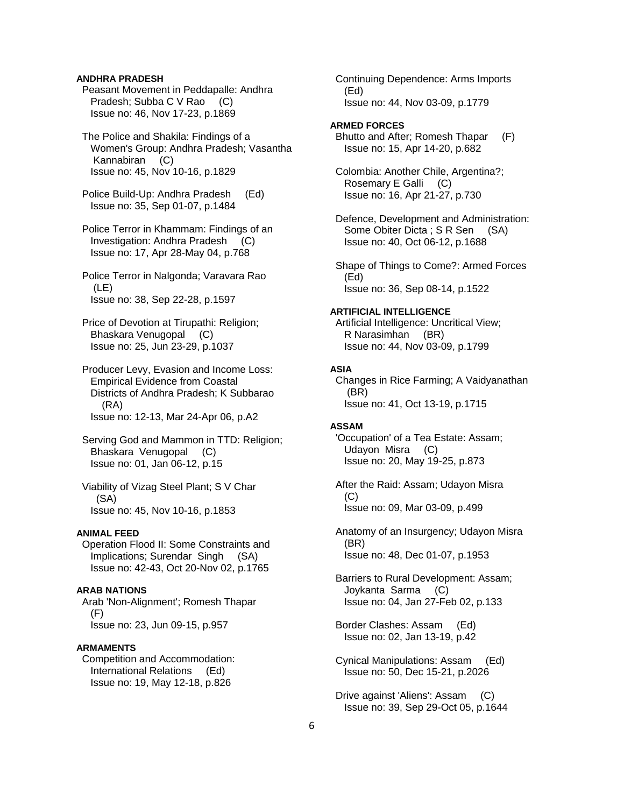## **ANDHRA PRADESH**

 Peasant Movement in Peddapalle: Andhra Pradesh; Subba C V Rao (C) Issue no: 46, Nov 17-23, p.1869

 The Police and Shakila: Findings of a Women's Group: Andhra Pradesh; Vasantha Kannabiran (C) Issue no: 45, Nov 10-16, p.1829

 Police Build-Up: Andhra Pradesh (Ed) Issue no: 35, Sep 01-07, p.1484

 Police Terror in Khammam: Findings of an Investigation: Andhra Pradesh (C) Issue no: 17, Apr 28-May 04, p.768

 Police Terror in Nalgonda; Varavara Rao (LE) Issue no: 38, Sep 22-28, p.1597

 Price of Devotion at Tirupathi: Religion; Bhaskara Venugopal (C) Issue no: 25, Jun 23-29, p.1037

 Producer Levy, Evasion and Income Loss: Empirical Evidence from Coastal Districts of Andhra Pradesh; K Subbarao (RA) Issue no: 12-13, Mar 24-Apr 06, p.A2

 Serving God and Mammon in TTD: Religion; Bhaskara Venugopal (C) Issue no: 01, Jan 06-12, p.15

 Viability of Vizag Steel Plant; S V Char (SA) Issue no: 45, Nov 10-16, p.1853

#### **ANIMAL FEED**

 Operation Flood II: Some Constraints and Implications; Surendar Singh (SA) Issue no: 42-43, Oct 20-Nov 02, p.1765

# **ARAB NATIONS**

 Arab 'Non-Alignment'; Romesh Thapar (F) Issue no: 23, Jun 09-15, p.957

## **ARMAMENTS**

 Competition and Accommodation: International Relations (Ed) Issue no: 19, May 12-18, p.826

 Continuing Dependence: Arms Imports (Ed) Issue no: 44, Nov 03-09, p.1779

#### **ARMED FORCES**

 Bhutto and After; Romesh Thapar (F) Issue no: 15, Apr 14-20, p.682

 Colombia: Another Chile, Argentina?; Rosemary E Galli (C) Issue no: 16, Apr 21-27, p.730

 Defence, Development and Administration: Some Obiter Dicta ; S R Sen (SA) Issue no: 40, Oct 06-12, p.1688

 Shape of Things to Come?: Armed Forces (Ed) Issue no: 36, Sep 08-14, p.1522

## **ARTIFICIAL INTELLIGENCE**

 Artificial Intelligence: Uncritical View; R Narasimhan (BR) Issue no: 44, Nov 03-09, p.1799

#### **ASIA**

 Changes in Rice Farming; A Vaidyanathan (BR) Issue no: 41, Oct 13-19, p.1715

## **ASSAM**

 'Occupation' of a Tea Estate: Assam; Udayon Misra (C) Issue no: 20, May 19-25, p.873

 After the Raid: Assam; Udayon Misra (C) Issue no: 09, Mar 03-09, p.499

 Anatomy of an Insurgency; Udayon Misra (BR) Issue no: 48, Dec 01-07, p.1953

 Barriers to Rural Development: Assam; Joykanta Sarma (C) Issue no: 04, Jan 27-Feb 02, p.133

 Border Clashes: Assam (Ed) Issue no: 02, Jan 13-19, p.42

 Cynical Manipulations: Assam (Ed) Issue no: 50, Dec 15-21, p.2026

 Drive against 'Aliens': Assam (C) Issue no: 39, Sep 29-Oct 05, p.1644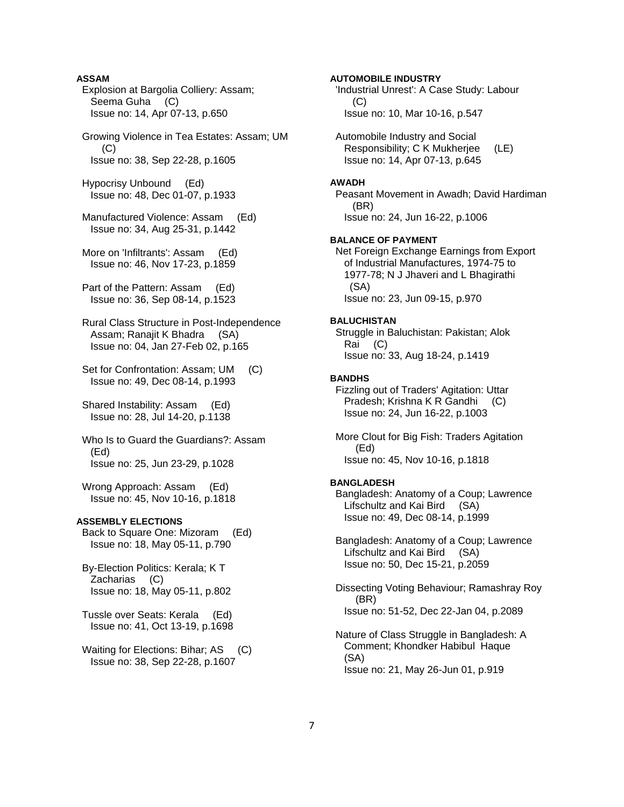## **ASSAM**

 Explosion at Bargolia Colliery: Assam; Seema Guha (C) Issue no: 14, Apr 07-13, p.650

 Growing Violence in Tea Estates: Assam; UM  $(C)$ Issue no: 38, Sep 22-28, p.1605

 Hypocrisy Unbound (Ed) Issue no: 48, Dec 01-07, p.1933

 Manufactured Violence: Assam (Ed) Issue no: 34, Aug 25-31, p.1442

 More on 'Infiltrants': Assam (Ed) Issue no: 46, Nov 17-23, p.1859

 Part of the Pattern: Assam (Ed) Issue no: 36, Sep 08-14, p.1523

 Rural Class Structure in Post-Independence Assam; Ranajit K Bhadra (SA) Issue no: 04, Jan 27-Feb 02, p.165

 Set for Confrontation: Assam; UM (C) Issue no: 49, Dec 08-14, p.1993

 Shared Instability: Assam (Ed) Issue no: 28, Jul 14-20, p.1138

 Who Is to Guard the Guardians?: Assam (Ed) Issue no: 25, Jun 23-29, p.1028

 Wrong Approach: Assam (Ed) Issue no: 45, Nov 10-16, p.1818

#### **ASSEMBLY ELECTIONS**

 Back to Square One: Mizoram (Ed) Issue no: 18, May 05-11, p.790

 By-Election Politics: Kerala; K T Zacharias (C) Issue no: 18, May 05-11, p.802

 Tussle over Seats: Kerala (Ed) Issue no: 41, Oct 13-19, p.1698

Waiting for Elections: Bihar; AS (C) Issue no: 38, Sep 22-28, p.1607

**AUTOMOBILE INDUSTRY**  'Industrial Unrest': A Case Study: Labour (C) Issue no: 10, Mar 10-16, p.547 Automobile Industry and Social Responsibility; C K Mukherjee (LE) Issue no: 14, Apr 07-13, p.645 **AWADH**  Peasant Movement in Awadh; David Hardiman (BR) Issue no: 24, Jun 16-22, p.1006 **BALANCE OF PAYMENT**  Net Foreign Exchange Earnings from Export of Industrial Manufactures, 1974-75 to 1977-78; N J Jhaveri and L Bhagirathi (SA) Issue no: 23, Jun 09-15, p.970 **BALUCHISTAN**  Struggle in Baluchistan: Pakistan; Alok Rai (C) Issue no: 33, Aug 18-24, p.1419 **BANDHS**  Fizzling out of Traders' Agitation: Uttar Pradesh; Krishna K R Gandhi (C) Issue no: 24, Jun 16-22, p.1003 More Clout for Big Fish: Traders Agitation (Ed) Issue no: 45, Nov 10-16, p.1818 **BANGLADESH**  Bangladesh: Anatomy of a Coup; Lawrence Lifschultz and Kai Bird (SA) Issue no: 49, Dec 08-14, p.1999 Bangladesh: Anatomy of a Coup; Lawrence Lifschultz and Kai Bird (SA) Issue no: 50, Dec 15-21, p.2059 Dissecting Voting Behaviour; Ramashray Roy (BR) Issue no: 51-52, Dec 22-Jan 04, p.2089 Nature of Class Struggle in Bangladesh: A Comment; Khondker Habibul Haque (SA)

Issue no: 21, May 26-Jun 01, p.919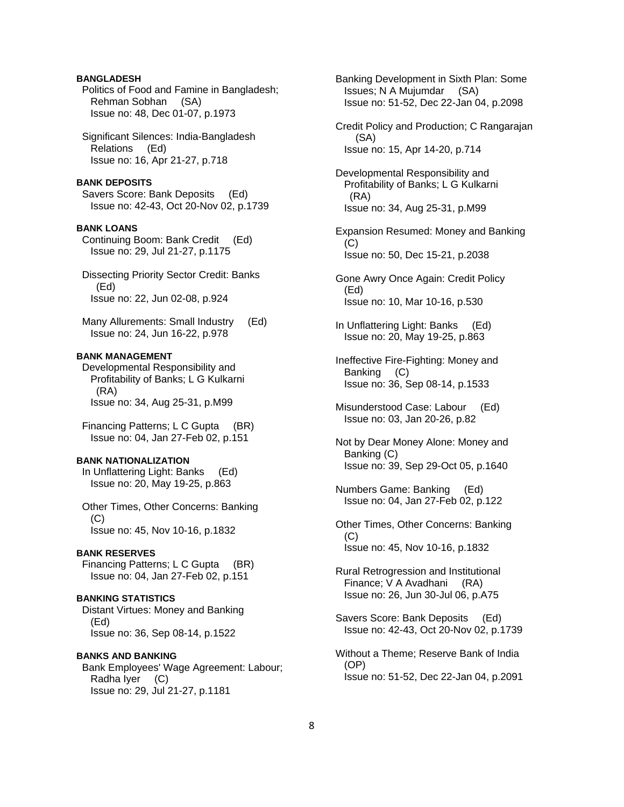# **BANGLADESH**

 Politics of Food and Famine in Bangladesh; Rehman Sobhan (SA) Issue no: 48, Dec 01-07, p.1973

 Significant Silences: India-Bangladesh Relations (Ed) Issue no: 16, Apr 21-27, p.718

#### **BANK DEPOSITS**

 Savers Score: Bank Deposits (Ed) Issue no: 42-43, Oct 20-Nov 02, p.1739

## **BANK LOANS**

 Continuing Boom: Bank Credit (Ed) Issue no: 29, Jul 21-27, p.1175

 Dissecting Priority Sector Credit: Banks (Ed) Issue no: 22, Jun 02-08, p.924

 Many Allurements: Small Industry (Ed) Issue no: 24, Jun 16-22, p.978

#### **BANK MANAGEMENT**

 Developmental Responsibility and Profitability of Banks; L G Kulkarni (RA) Issue no: 34, Aug 25-31, p.M99

 Financing Patterns; L C Gupta (BR) Issue no: 04, Jan 27-Feb 02, p.151

## **BANK NATIONALIZATION**

 In Unflattering Light: Banks (Ed) Issue no: 20, May 19-25, p.863

 Other Times, Other Concerns: Banking (C) Issue no: 45, Nov 10-16, p.1832

#### **BANK RESERVES**

 Financing Patterns; L C Gupta (BR) Issue no: 04, Jan 27-Feb 02, p.151

#### **BANKING STATISTICS**

 Distant Virtues: Money and Banking (Ed) Issue no: 36, Sep 08-14, p.1522

**BANKS AND BANKING**  Bank Employees' Wage Agreement: Labour; Radha Iyer (C) Issue no: 29, Jul 21-27, p.1181

 Banking Development in Sixth Plan: Some Issues; N A Mujumdar (SA) Issue no: 51-52, Dec 22-Jan 04, p.2098 Credit Policy and Production; C Rangarajan (SA) Issue no: 15, Apr 14-20, p.714 Developmental Responsibility and Profitability of Banks; L G Kulkarni (RA) Issue no: 34, Aug 25-31, p.M99 Expansion Resumed: Money and Banking  $(C)$  Issue no: 50, Dec 15-21, p.2038 Gone Awry Once Again: Credit Policy (Ed) Issue no: 10, Mar 10-16, p.530 In Unflattering Light: Banks (Ed) Issue no: 20, May 19-25, p.863 Ineffective Fire-Fighting: Money and Banking (C) Issue no: 36, Sep 08-14, p.1533 Misunderstood Case: Labour (Ed) Issue no: 03, Jan 20-26, p.82 Not by Dear Money Alone: Money and Banking (C) Issue no: 39, Sep 29-Oct 05, p.1640 Numbers Game: Banking (Ed) Issue no: 04, Jan 27-Feb 02, p.122 Other Times, Other Concerns: Banking (C) Issue no: 45, Nov 10-16, p.1832 Rural Retrogression and Institutional Finance; V A Avadhani (RA) Issue no: 26, Jun 30-Jul 06, p.A75 Savers Score: Bank Deposits (Ed)

 Without a Theme; Reserve Bank of India (OP) Issue no: 51-52, Dec 22-Jan 04, p.2091

Issue no: 42-43, Oct 20-Nov 02, p.1739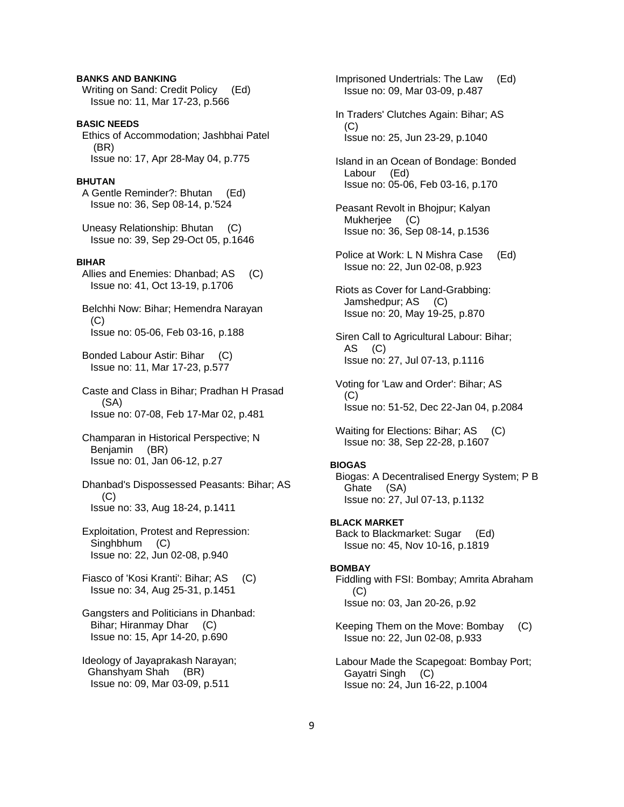# **BANKS AND BANKING**

 Writing on Sand: Credit Policy (Ed) Issue no: 11, Mar 17-23, p.566

# **BASIC NEEDS**

 Ethics of Accommodation; Jashbhai Patel (BR) Issue no: 17, Apr 28-May 04, p.775

# **BHUTAN**

 A Gentle Reminder?: Bhutan (Ed) Issue no: 36, Sep 08-14, p.'524

 Uneasy Relationship: Bhutan (C) Issue no: 39, Sep 29-Oct 05, p.1646

## **BIHAR**

 Allies and Enemies: Dhanbad; AS (C) Issue no: 41, Oct 13-19, p.1706

 Belchhi Now: Bihar; Hemendra Narayan (C) Issue no: 05-06, Feb 03-16, p.188

 Bonded Labour Astir: Bihar (C) Issue no: 11, Mar 17-23, p.577

 Caste and Class in Bihar; Pradhan H Prasad (SA) Issue no: 07-08, Feb 17-Mar 02, p.481

 Champaran in Historical Perspective; N Benjamin (BR) Issue no: 01, Jan 06-12, p.27

 Dhanbad's Dispossessed Peasants: Bihar; AS (C) Issue no: 33, Aug 18-24, p.1411

 Exploitation, Protest and Repression: Singhbhum (C) Issue no: 22, Jun 02-08, p.940

 Fiasco of 'Kosi Kranti': Bihar; AS (C) Issue no: 34, Aug 25-31, p.1451

 Gangsters and Politicians in Dhanbad: Bihar; Hiranmay Dhar (C) Issue no: 15, Apr 14-20, p.690

 Ideology of Jayaprakash Narayan; Ghanshyam Shah (BR) Issue no: 09, Mar 03-09, p.511

 Imprisoned Undertrials: The Law (Ed) Issue no: 09, Mar 03-09, p.487

 In Traders' Clutches Again: Bihar; AS (C) Issue no: 25, Jun 23-29, p.1040

 Island in an Ocean of Bondage: Bonded Labour (Ed) Issue no: 05-06, Feb 03-16, p.170

 Peasant Revolt in Bhojpur; Kalyan Mukherjee (C) Issue no: 36, Sep 08-14, p.1536

 Police at Work: L N Mishra Case (Ed) Issue no: 22, Jun 02-08, p.923

 Riots as Cover for Land-Grabbing: Jamshedpur; AS (C) Issue no: 20, May 19-25, p.870

 Siren Call to Agricultural Labour: Bihar; AS (C) Issue no: 27, Jul 07-13, p.1116

 Voting for 'Law and Order': Bihar; AS  $(C)$ Issue no: 51-52, Dec 22-Jan 04, p.2084

Waiting for Elections: Bihar; AS (C) Issue no: 38, Sep 22-28, p.1607

#### **BIOGAS**

 Biogas: A Decentralised Energy System; P B Ghate (SA) Issue no: 27, Jul 07-13, p.1132

# **BLACK MARKET**

 Back to Blackmarket: Sugar (Ed) Issue no: 45, Nov 10-16, p.1819

## **BOMBAY**

 Fiddling with FSI: Bombay; Amrita Abraham  $(C)$ Issue no: 03, Jan 20-26, p.92

 Keeping Them on the Move: Bombay (C) Issue no: 22, Jun 02-08, p.933

 Labour Made the Scapegoat: Bombay Port; Gayatri Singh (C) Issue no: 24, Jun 16-22, p.1004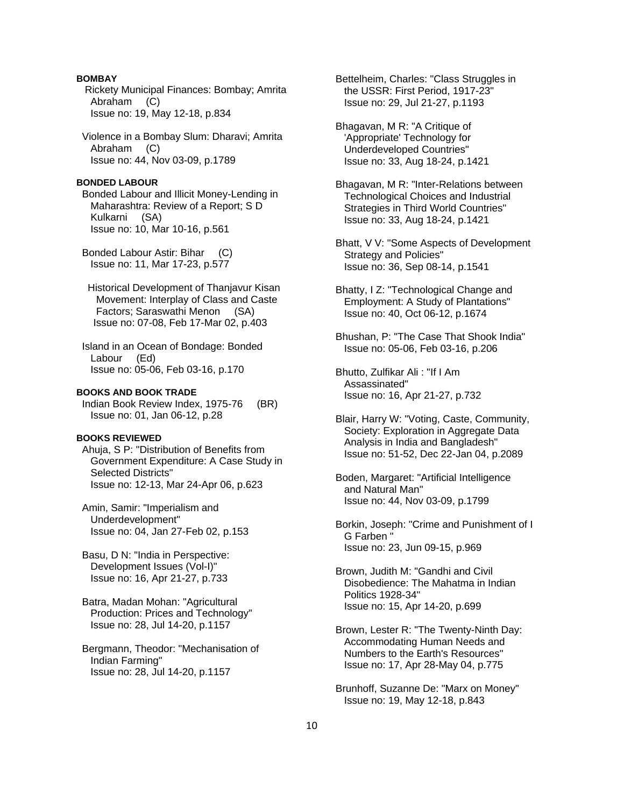## **BOMBAY**

 Rickety Municipal Finances: Bombay; Amrita Abraham (C) Issue no: 19, May 12-18, p.834

 Violence in a Bombay Slum: Dharavi; Amrita Abraham (C) Issue no: 44, Nov 03-09, p.1789

#### **BONDED LABOUR**

 Bonded Labour and Illicit Money-Lending in Maharashtra: Review of a Report; S D Kulkarni (SA) Issue no: 10, Mar 10-16, p.561

 Bonded Labour Astir: Bihar (C) Issue no: 11, Mar 17-23, p.577

 Historical Development of Thanjavur Kisan Movement: Interplay of Class and Caste Factors; Saraswathi Menon (SA) Issue no: 07-08, Feb 17-Mar 02, p.403

 Island in an Ocean of Bondage: Bonded Labour (Ed) Issue no: 05-06, Feb 03-16, p.170

## **BOOKS AND BOOK TRADE**

 Indian Book Review Index, 1975-76 (BR) Issue no: 01, Jan 06-12, p.28

## **BOOKS REVIEWED**

 Ahuja, S P: "Distribution of Benefits from Government Expenditure: A Case Study in Selected Districts" Issue no: 12-13, Mar 24-Apr 06, p.623

 Amin, Samir: "Imperialism and Underdevelopment" Issue no: 04, Jan 27-Feb 02, p.153

 Basu, D N: "India in Perspective: Development Issues (Vol-I)" Issue no: 16, Apr 21-27, p.733

 Batra, Madan Mohan: "Agricultural Production: Prices and Technology" Issue no: 28, Jul 14-20, p.1157

 Bergmann, Theodor: "Mechanisation of Indian Farming" Issue no: 28, Jul 14-20, p.1157

 Bettelheim, Charles: "Class Struggles in the USSR: First Period, 1917-23" Issue no: 29, Jul 21-27, p.1193

 Bhagavan, M R: "A Critique of 'Appropriate' Technology for Underdeveloped Countries" Issue no: 33, Aug 18-24, p.1421

 Bhagavan, M R: "Inter-Relations between Technological Choices and Industrial Strategies in Third World Countries" Issue no: 33, Aug 18-24, p.1421

 Bhatt, V V: "Some Aspects of Development Strategy and Policies" Issue no: 36, Sep 08-14, p.1541

 Bhatty, I Z: "Technological Change and Employment: A Study of Plantations" Issue no: 40, Oct 06-12, p.1674

 Bhushan, P: "The Case That Shook India" Issue no: 05-06, Feb 03-16, p.206

 Bhutto, Zulfikar Ali : "If I Am Assassinated" Issue no: 16, Apr 21-27, p.732

 Blair, Harry W: "Voting, Caste, Community, Society: Exploration in Aggregate Data Analysis in India and Bangladesh" Issue no: 51-52, Dec 22-Jan 04, p.2089

 Boden, Margaret: "Artificial Intelligence and Natural Man" Issue no: 44, Nov 03-09, p.1799

 Borkin, Joseph: "Crime and Punishment of I G Farben " Issue no: 23, Jun 09-15, p.969

 Brown, Judith M: "Gandhi and Civil Disobedience: The Mahatma in Indian Politics 1928-34" Issue no: 15, Apr 14-20, p.699

 Brown, Lester R: "The Twenty-Ninth Day: Accommodating Human Needs and Numbers to the Earth's Resources" Issue no: 17, Apr 28-May 04, p.775

 Brunhoff, Suzanne De: "Marx on Money" Issue no: 19, May 12-18, p.843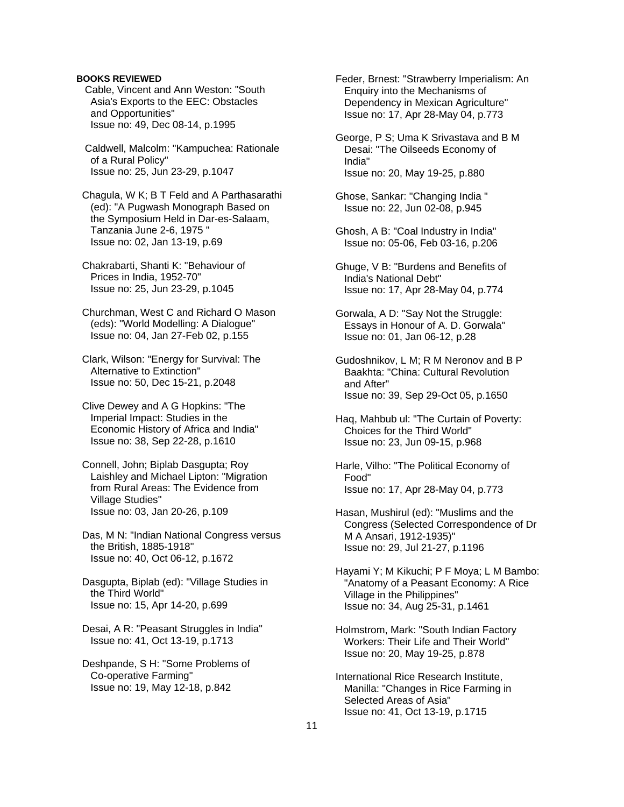Cable, Vincent and Ann Weston: "South Asia's Exports to the EEC: Obstacles and Opportunities" Issue no: 49, Dec 08-14, p.1995

 Caldwell, Malcolm: "Kampuchea: Rationale of a Rural Policy" Issue no: 25, Jun 23-29, p.1047

 Chagula, W K; B T Feld and A Parthasarathi (ed): "A Pugwash Monograph Based on the Symposium Held in Dar-es-Salaam, Tanzania June 2-6, 1975 " Issue no: 02, Jan 13-19, p.69

 Chakrabarti, Shanti K: "Behaviour of Prices in India, 1952-70" Issue no: 25, Jun 23-29, p.1045

 Churchman, West C and Richard O Mason (eds): "World Modelling: A Dialogue" Issue no: 04, Jan 27-Feb 02, p.155

 Clark, Wilson: "Energy for Survival: The Alternative to Extinction" Issue no: 50, Dec 15-21, p.2048

 Clive Dewey and A G Hopkins: "The Imperial Impact: Studies in the Economic History of Africa and India" Issue no: 38, Sep 22-28, p.1610

 Connell, John; Biplab Dasgupta; Roy Laishley and Michael Lipton: "Migration from Rural Areas: The Evidence from Village Studies" Issue no: 03, Jan 20-26, p.109

 Das, M N: "Indian National Congress versus the British, 1885-1918" Issue no: 40, Oct 06-12, p.1672

 Dasgupta, Biplab (ed): "Village Studies in the Third World" Issue no: 15, Apr 14-20, p.699

 Desai, A R: "Peasant Struggles in India" Issue no: 41, Oct 13-19, p.1713

 Deshpande, S H: "Some Problems of Co-operative Farming" Issue no: 19, May 12-18, p.842

 Feder, Brnest: "Strawberry Imperialism: An Enquiry into the Mechanisms of Dependency in Mexican Agriculture" Issue no: 17, Apr 28-May 04, p.773

 George, P S; Uma K Srivastava and B M Desai: "The Oilseeds Economy of India" Issue no: 20, May 19-25, p.880

 Ghose, Sankar: "Changing India " Issue no: 22, Jun 02-08, p.945

 Ghosh, A B: "Coal Industry in India" Issue no: 05-06, Feb 03-16, p.206

 Ghuge, V B: "Burdens and Benefits of India's National Debt" Issue no: 17, Apr 28-May 04, p.774

 Gorwala, A D: "Say Not the Struggle: Essays in Honour of A. D. Gorwala" Issue no: 01, Jan 06-12, p.28

 Gudoshnikov, L M; R M Neronov and B P Baakhta: "China: Cultural Revolution and After" Issue no: 39, Sep 29-Oct 05, p.1650

 Haq, Mahbub ul: "The Curtain of Poverty: Choices for the Third World" Issue no: 23, Jun 09-15, p.968

 Harle, Vilho: "The Political Economy of Food" Issue no: 17, Apr 28-May 04, p.773

 Hasan, Mushirul (ed): "Muslims and the Congress (Selected Correspondence of Dr M A Ansari, 1912-1935)" Issue no: 29, Jul 21-27, p.1196

 Hayami Y; M Kikuchi; P F Moya; L M Bambo: "Anatomy of a Peasant Economy: A Rice Village in the Philippines" Issue no: 34, Aug 25-31, p.1461

 Holmstrom, Mark: "South Indian Factory Workers: Their Life and Their World" Issue no: 20, May 19-25, p.878

 International Rice Research Institute, Manilla: "Changes in Rice Farming in Selected Areas of Asia" Issue no: 41, Oct 13-19, p.1715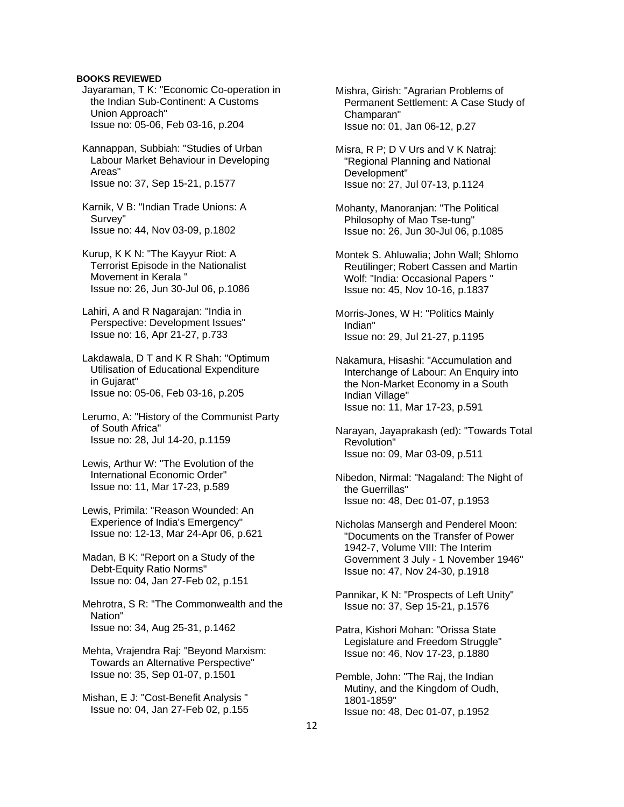- Jayaraman, T K: "Economic Co-operation in the Indian Sub-Continent: A Customs Union Approach" Issue no: 05-06, Feb 03-16, p.204
- Kannappan, Subbiah: "Studies of Urban Labour Market Behaviour in Developing Areas" Issue no: 37, Sep 15-21, p.1577
- Karnik, V B: "Indian Trade Unions: A Survey" Issue no: 44, Nov 03-09, p.1802
- Kurup, K K N: "The Kayyur Riot: A Terrorist Episode in the Nationalist Movement in Kerala " Issue no: 26, Jun 30-Jul 06, p.1086
- Lahiri, A and R Nagarajan: "India in Perspective: Development Issues" Issue no: 16, Apr 21-27, p.733
- Lakdawala, D T and K R Shah: "Optimum Utilisation of Educational Expenditure in Gujarat" Issue no: 05-06, Feb 03-16, p.205
- Lerumo, A: "History of the Communist Party of South Africa" Issue no: 28, Jul 14-20, p.1159
- Lewis, Arthur W: "The Evolution of the International Economic Order" Issue no: 11, Mar 17-23, p.589
- Lewis, Primila: "Reason Wounded: An Experience of India's Emergency" Issue no: 12-13, Mar 24-Apr 06, p.621
- Madan, B K: "Report on a Study of the Debt-Equity Ratio Norms" Issue no: 04, Jan 27-Feb 02, p.151
- Mehrotra, S R: "The Commonwealth and the Nation" Issue no: 34, Aug 25-31, p.1462
- Mehta, Vrajendra Raj: "Beyond Marxism: Towards an Alternative Perspective" Issue no: 35, Sep 01-07, p.1501
- Mishan, E J: "Cost-Benefit Analysis " Issue no: 04, Jan 27-Feb 02, p.155

 Mishra, Girish: "Agrarian Problems of Permanent Settlement: A Case Study of Champaran" Issue no: 01, Jan 06-12, p.27

- Misra, R P; D V Urs and V K Natraj: "Regional Planning and National Development" Issue no: 27, Jul 07-13, p.1124
- Mohanty, Manoranjan: "The Political Philosophy of Mao Tse-tung" Issue no: 26, Jun 30-Jul 06, p.1085
- Montek S. Ahluwalia; John Wall; Shlomo Reutilinger; Robert Cassen and Martin Wolf: "India: Occasional Papers " Issue no: 45, Nov 10-16, p.1837
- Morris-Jones, W H: "Politics Mainly Indian" Issue no: 29, Jul 21-27, p.1195
- Nakamura, Hisashi: "Accumulation and Interchange of Labour: An Enquiry into the Non-Market Economy in a South Indian Village" Issue no: 11, Mar 17-23, p.591
- Narayan, Jayaprakash (ed): "Towards Total Revolution" Issue no: 09, Mar 03-09, p.511
- Nibedon, Nirmal: "Nagaland: The Night of the Guerrillas" Issue no: 48, Dec 01-07, p.1953
- Nicholas Mansergh and Penderel Moon: "Documents on the Transfer of Power 1942-7, Volume VIII: The Interim Government 3 July - 1 November 1946" Issue no: 47, Nov 24-30, p.1918
- Pannikar, K N: "Prospects of Left Unity" Issue no: 37, Sep 15-21, p.1576
- Patra, Kishori Mohan: "Orissa State Legislature and Freedom Struggle" Issue no: 46, Nov 17-23, p.1880
- Pemble, John: "The Raj, the Indian Mutiny, and the Kingdom of Oudh, 1801-1859" Issue no: 48, Dec 01-07, p.1952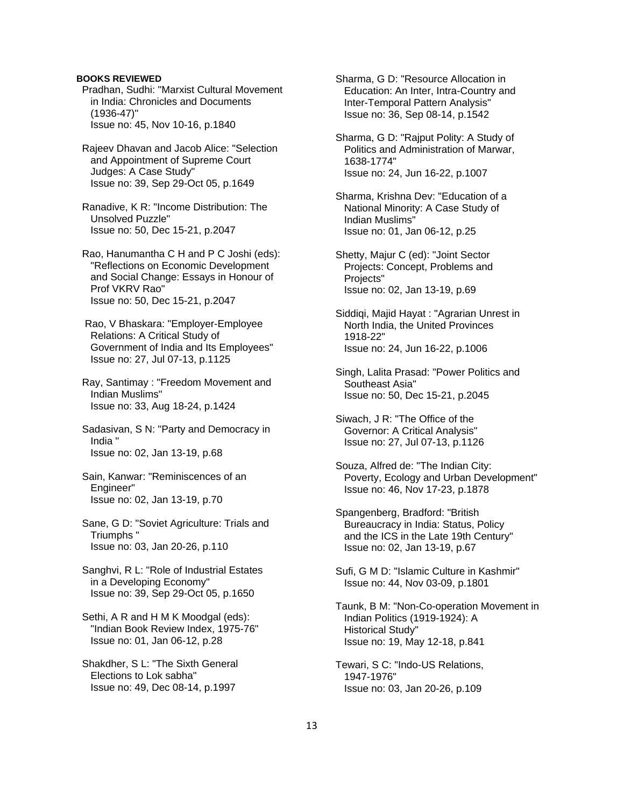- Pradhan, Sudhi: "Marxist Cultural Movement in India: Chronicles and Documents (1936-47)" Issue no: 45, Nov 10-16, p.1840
- Rajeev Dhavan and Jacob Alice: "Selection and Appointment of Supreme Court Judges: A Case Study" Issue no: 39, Sep 29-Oct 05, p.1649
- Ranadive, K R: "Income Distribution: The Unsolved Puzzle" Issue no: 50, Dec 15-21, p.2047
- Rao, Hanumantha C H and P C Joshi (eds): "Reflections on Economic Development and Social Change: Essays in Honour of Prof VKRV Rao" Issue no: 50, Dec 15-21, p.2047
- Rao, V Bhaskara: "Employer-Employee Relations: A Critical Study of Government of India and Its Employees" Issue no: 27, Jul 07-13, p.1125
- Ray, Santimay : "Freedom Movement and Indian Muslims" Issue no: 33, Aug 18-24, p.1424
- Sadasivan, S N: "Party and Democracy in India " Issue no: 02, Jan 13-19, p.68
- Sain, Kanwar: "Reminiscences of an Engineer" Issue no: 02, Jan 13-19, p.70
- Sane, G D: "Soviet Agriculture: Trials and Triumphs " Issue no: 03, Jan 20-26, p.110
- Sanghvi, R L: "Role of Industrial Estates in a Developing Economy" Issue no: 39, Sep 29-Oct 05, p.1650
- Sethi, A R and H M K Moodgal (eds): "Indian Book Review Index, 1975-76" Issue no: 01, Jan 06-12, p.28
- Shakdher, S L: "The Sixth General Elections to Lok sabha" Issue no: 49, Dec 08-14, p.1997

 Sharma, G D: "Resource Allocation in Education: An Inter, Intra-Country and Inter-Temporal Pattern Analysis" Issue no: 36, Sep 08-14, p.1542

- Sharma, G D: "Rajput Polity: A Study of Politics and Administration of Marwar, 1638-1774" Issue no: 24, Jun 16-22, p.1007
- Sharma, Krishna Dev: "Education of a National Minority: A Case Study of Indian Muslims" Issue no: 01, Jan 06-12, p.25
- Shetty, Majur C (ed): "Joint Sector Projects: Concept, Problems and Projects" Issue no: 02, Jan 13-19, p.69
- Siddiqi, Majid Hayat : "Agrarian Unrest in North India, the United Provinces 1918-22" Issue no: 24, Jun 16-22, p.1006
- Singh, Lalita Prasad: "Power Politics and Southeast Asia" Issue no: 50, Dec 15-21, p.2045
- Siwach, J R: "The Office of the Governor: A Critical Analysis" Issue no: 27, Jul 07-13, p.1126
- Souza, Alfred de: "The Indian City: Poverty, Ecology and Urban Development" Issue no: 46, Nov 17-23, p.1878
- Spangenberg, Bradford: "British Bureaucracy in India: Status, Policy and the ICS in the Late 19th Century" Issue no: 02, Jan 13-19, p.67
- Sufi, G M D: "Islamic Culture in Kashmir" Issue no: 44, Nov 03-09, p.1801
- Taunk, B M: "Non-Co-operation Movement in Indian Politics (1919-1924): A Historical Study" Issue no: 19, May 12-18, p.841
- Tewari, S C: "Indo-US Relations, 1947-1976" Issue no: 03, Jan 20-26, p.109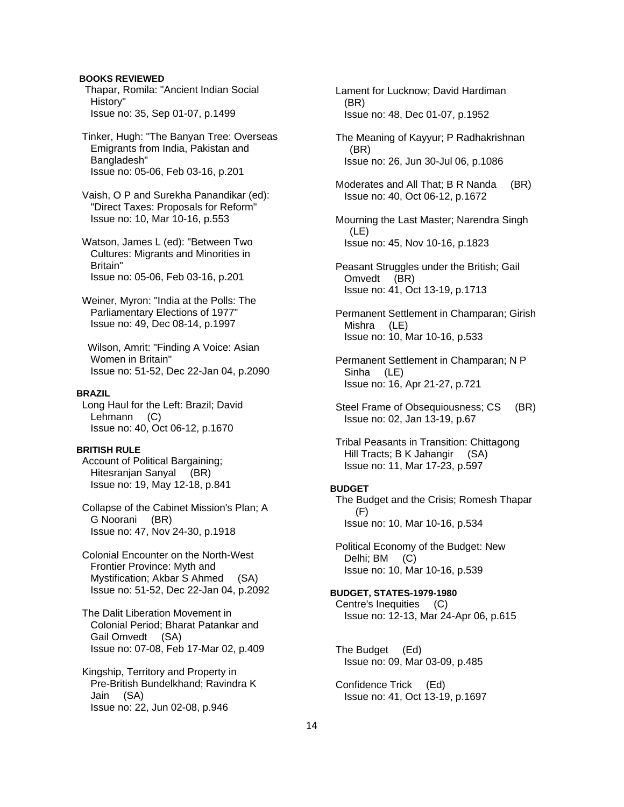Thapar, Romila: "Ancient Indian Social History" Issue no: 35, Sep 01-07, p.1499

 Tinker, Hugh: "The Banyan Tree: Overseas Emigrants from India, Pakistan and Bangladesh" Issue no: 05-06, Feb 03-16, p.201

 Vaish, O P and Surekha Panandikar (ed): "Direct Taxes: Proposals for Reform" Issue no: 10, Mar 10-16, p.553

 Watson, James L (ed): "Between Two Cultures: Migrants and Minorities in Britain" Issue no: 05-06, Feb 03-16, p.201

 Weiner, Myron: "India at the Polls: The Parliamentary Elections of 1977" Issue no: 49, Dec 08-14, p.1997

 Wilson, Amrit: "Finding A Voice: Asian Women in Britain" Issue no: 51-52, Dec 22-Jan 04, p.2090

# **BRAZIL**

 Long Haul for the Left: Brazil; David Lehmann (C) Issue no: 40, Oct 06-12, p.1670

#### **BRITISH RULE**

 Account of Political Bargaining; Hitesranjan Sanyal (BR) Issue no: 19, May 12-18, p.841

 Collapse of the Cabinet Mission's Plan; A G Noorani (BR) Issue no: 47, Nov 24-30, p.1918

 Colonial Encounter on the North-West Frontier Province: Myth and Mystification; Akbar S Ahmed (SA) Issue no: 51-52, Dec 22-Jan 04, p.2092

 The Dalit Liberation Movement in Colonial Period; Bharat Patankar and Gail Omvedt (SA) Issue no: 07-08, Feb 17-Mar 02, p.409

 Kingship, Territory and Property in Pre-British Bundelkhand; Ravindra K Jain (SA) Issue no: 22, Jun 02-08, p.946

 Lament for Lucknow; David Hardiman (BR) Issue no: 48, Dec 01-07, p.1952

 The Meaning of Kayyur; P Radhakrishnan (BR) Issue no: 26, Jun 30-Jul 06, p.1086

Moderates and All That; B R Nanda (BR) Issue no: 40, Oct 06-12, p.1672

 Mourning the Last Master; Narendra Singh (LE) Issue no: 45, Nov 10-16, p.1823

 Peasant Struggles under the British; Gail Omvedt (BR) Issue no: 41, Oct 13-19, p.1713

 Permanent Settlement in Champaran; Girish Mishra (LE) Issue no: 10, Mar 10-16, p.533

 Permanent Settlement in Champaran; N P Sinha (LE) Issue no: 16, Apr 21-27, p.721

 Tribal Peasants in Transition: Chittagong Hill Tracts; B K Jahangir (SA) Issue no: 11, Mar 17-23, p.597

#### **BUDGET**

 The Budget and the Crisis; Romesh Thapar (F) Issue no: 10, Mar 10-16, p.534

 Political Economy of the Budget: New Delhi; BM (C) Issue no: 10, Mar 10-16, p.539

**BUDGET, STATES-1979-1980**  Centre's Inequities (C) Issue no: 12-13, Mar 24-Apr 06, p.615

 The Budget (Ed) Issue no: 09, Mar 03-09, p.485

 Confidence Trick (Ed) Issue no: 41, Oct 13-19, p.1697

Steel Frame of Obsequiousness; CS (BR) Issue no: 02, Jan 13-19, p.67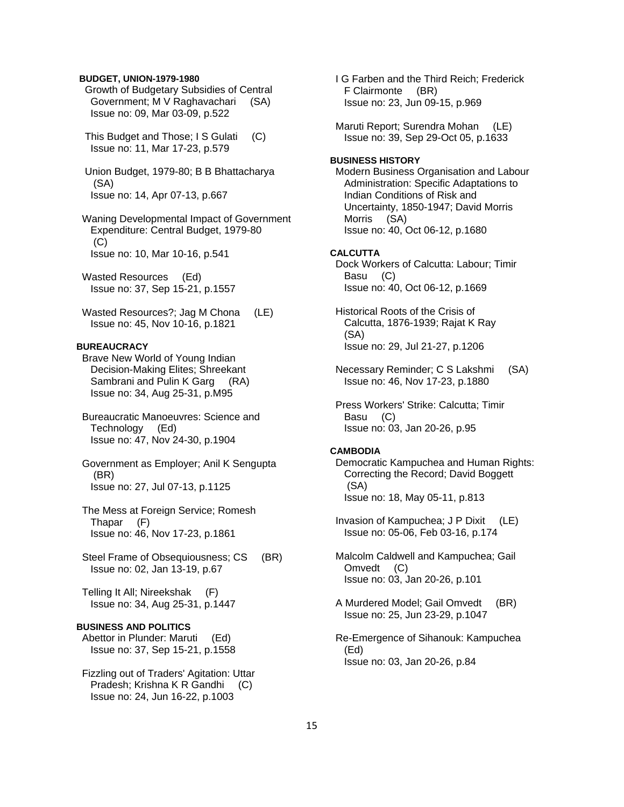## **BUDGET, UNION-1979-1980**

 Growth of Budgetary Subsidies of Central Government; M V Raghavachari (SA) Issue no: 09, Mar 03-09, p.522

 This Budget and Those; I S Gulati (C) Issue no: 11, Mar 17-23, p.579

 Union Budget, 1979-80; B B Bhattacharya (SA) Issue no: 14, Apr 07-13, p.667

 Waning Developmental Impact of Government Expenditure: Central Budget, 1979-80  $(C)$ Issue no: 10, Mar 10-16, p.541

 Wasted Resources (Ed) Issue no: 37, Sep 15-21, p.1557

Wasted Resources?; Jag M Chona (LE) Issue no: 45, Nov 10-16, p.1821

## **BUREAUCRACY**

 Brave New World of Young Indian Decision-Making Elites; Shreekant Sambrani and Pulin K Garg (RA) Issue no: 34, Aug 25-31, p.M95

 Bureaucratic Manoeuvres: Science and Technology (Ed) Issue no: 47, Nov 24-30, p.1904

 Government as Employer; Anil K Sengupta (BR) Issue no: 27, Jul 07-13, p.1125

 The Mess at Foreign Service; Romesh Thapar (F) Issue no: 46, Nov 17-23, p.1861

Steel Frame of Obsequiousness; CS (BR) Issue no: 02, Jan 13-19, p.67

 Telling It All; Nireekshak (F) Issue no: 34, Aug 25-31, p.1447

## **BUSINESS AND POLITICS**

Abettor in Plunder: Maruti (Ed) Issue no: 37, Sep 15-21, p.1558

 Fizzling out of Traders' Agitation: Uttar Pradesh; Krishna K R Gandhi (C) Issue no: 24, Jun 16-22, p.1003

 I G Farben and the Third Reich; Frederick F Clairmonte (BR) Issue no: 23, Jun 09-15, p.969

 Maruti Report; Surendra Mohan (LE) Issue no: 39, Sep 29-Oct 05, p.1633

# **BUSINESS HISTORY**

 Modern Business Organisation and Labour Administration: Specific Adaptations to Indian Conditions of Risk and Uncertainty, 1850-1947; David Morris Morris (SA) Issue no: 40, Oct 06-12, p.1680

## **CALCUTTA**

 Dock Workers of Calcutta: Labour; Timir Basu (C) Issue no: 40, Oct 06-12, p.1669

 Historical Roots of the Crisis of Calcutta, 1876-1939; Rajat K Ray (SA) Issue no: 29, Jul 21-27, p.1206

 Necessary Reminder; C S Lakshmi (SA) Issue no: 46, Nov 17-23, p.1880

 Press Workers' Strike: Calcutta; Timir Basu (C) Issue no: 03, Jan 20-26, p.95

#### **CAMBODIA**

 Democratic Kampuchea and Human Rights: Correcting the Record; David Boggett (SA) Issue no: 18, May 05-11, p.813

 Invasion of Kampuchea; J P Dixit (LE) Issue no: 05-06, Feb 03-16, p.174

 Malcolm Caldwell and Kampuchea; Gail Omvedt (C) Issue no: 03, Jan 20-26, p.101

- A Murdered Model; Gail Omvedt (BR) Issue no: 25, Jun 23-29, p.1047
- Re-Emergence of Sihanouk: Kampuchea (Ed) Issue no: 03, Jan 20-26, p.84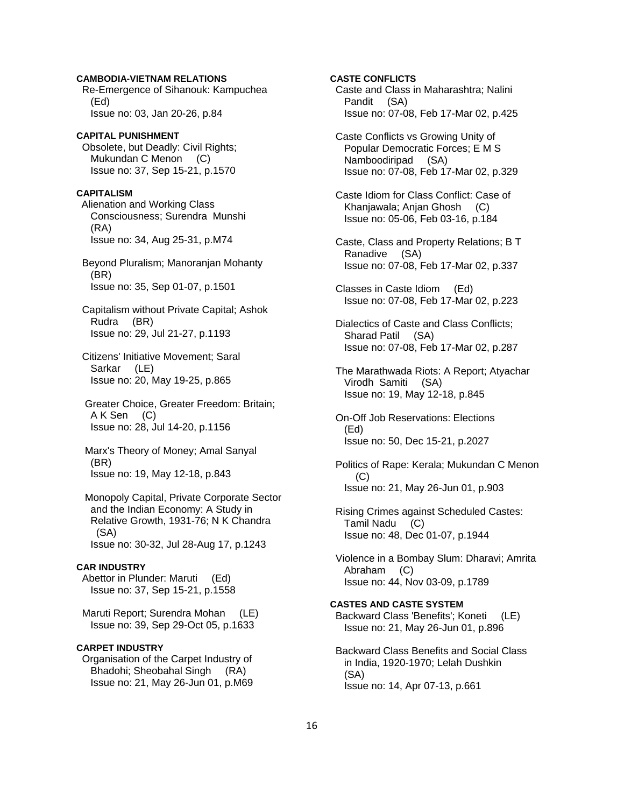## **CAMBODIA-VIETNAM RELATIONS**

 Re-Emergence of Sihanouk: Kampuchea (Ed) Issue no: 03, Jan 20-26, p.84

# **CAPITAL PUNISHMENT**

 Obsolete, but Deadly: Civil Rights; Mukundan C Menon (C) Issue no: 37, Sep 15-21, p.1570

#### **CAPITALISM**

Alienation and Working Class Consciousness; Surendra Munshi (RA) Issue no: 34, Aug 25-31, p.M74

 Beyond Pluralism; Manoranjan Mohanty (BR) Issue no: 35, Sep 01-07, p.1501

 Capitalism without Private Capital; Ashok Rudra (BR) Issue no: 29, Jul 21-27, p.1193

 Citizens' Initiative Movement; Saral Sarkar (LE) Issue no: 20, May 19-25, p.865

 Greater Choice, Greater Freedom: Britain; A K Sen (C) Issue no: 28, Jul 14-20, p.1156

 Marx's Theory of Money; Amal Sanyal (BR) Issue no: 19, May 12-18, p.843

 Monopoly Capital, Private Corporate Sector and the Indian Economy: A Study in Relative Growth, 1931-76; N K Chandra (SA) Issue no: 30-32, Jul 28-Aug 17, p.1243

## **CAR INDUSTRY**

 Abettor in Plunder: Maruti (Ed) Issue no: 37, Sep 15-21, p.1558

 Maruti Report; Surendra Mohan (LE) Issue no: 39, Sep 29-Oct 05, p.1633

## **CARPET INDUSTRY**

 Organisation of the Carpet Industry of Bhadohi; Sheobahal Singh (RA) Issue no: 21, May 26-Jun 01, p.M69

# **CASTE CONFLICTS**

 Caste and Class in Maharashtra; Nalini Pandit (SA) Issue no: 07-08, Feb 17-Mar 02, p.425

 Caste Conflicts vs Growing Unity of Popular Democratic Forces; E M S Namboodiripad (SA) Issue no: 07-08, Feb 17-Mar 02, p.329

 Caste Idiom for Class Conflict: Case of Khanjawala; Anjan Ghosh (C) Issue no: 05-06, Feb 03-16, p.184

 Caste, Class and Property Relations; B T Ranadive (SA) Issue no: 07-08, Feb 17-Mar 02, p.337

 Classes in Caste Idiom (Ed) Issue no: 07-08, Feb 17-Mar 02, p.223

 Dialectics of Caste and Class Conflicts; Sharad Patil (SA) Issue no: 07-08, Feb 17-Mar 02, p.287

 The Marathwada Riots: A Report; Atyachar Virodh Samiti (SA) Issue no: 19, May 12-18, p.845

 On-Off Job Reservations: Elections (Ed) Issue no: 50, Dec 15-21, p.2027

 Politics of Rape: Kerala; Mukundan C Menon (C) Issue no: 21, May 26-Jun 01, p.903

 Rising Crimes against Scheduled Castes: Tamil Nadu (C) Issue no: 48, Dec 01-07, p.1944

 Violence in a Bombay Slum: Dharavi; Amrita Abraham (C) Issue no: 44, Nov 03-09, p.1789

#### **CASTES AND CASTE SYSTEM**

 Backward Class 'Benefits'; Koneti (LE) Issue no: 21, May 26-Jun 01, p.896

 Backward Class Benefits and Social Class in India, 1920-1970; Lelah Dushkin (SA) Issue no: 14, Apr 07-13, p.661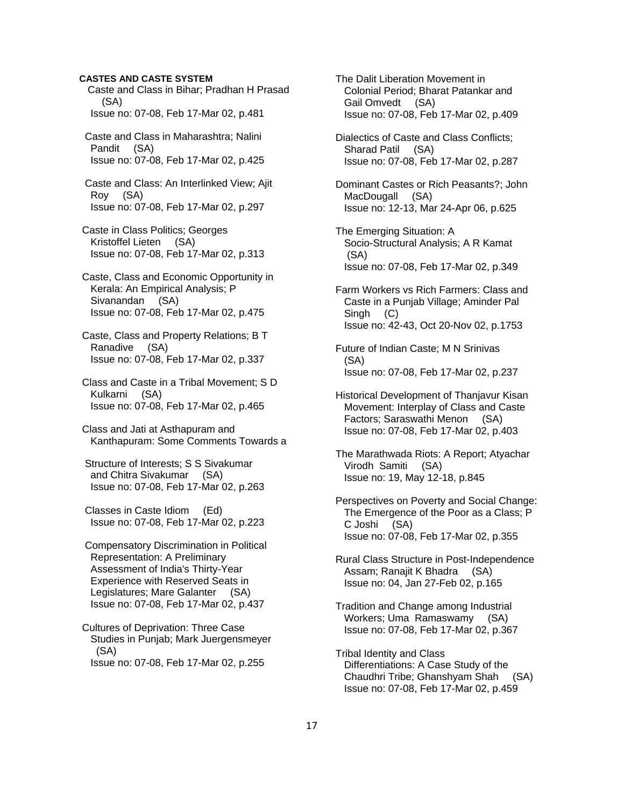## **CASTES AND CASTE SYSTEM**

 Caste and Class in Bihar; Pradhan H Prasad (SA) Issue no: 07-08, Feb 17-Mar 02, p.481 Caste and Class in Maharashtra; Nalini Pandit (SA) Issue no: 07-08, Feb 17-Mar 02, p.425 Caste and Class: An Interlinked View; Ajit Roy (SA) Issue no: 07-08, Feb 17-Mar 02, p.297 Caste in Class Politics; Georges Kristoffel Lieten (SA) Issue no: 07-08, Feb 17-Mar 02, p.313 Caste, Class and Economic Opportunity in Kerala: An Empirical Analysis; P Sivanandan (SA) Issue no: 07-08, Feb 17-Mar 02, p.475 Caste, Class and Property Relations; B T Ranadive (SA) Issue no: 07-08, Feb 17-Mar 02, p.337 Class and Caste in a Tribal Movement; S D Kulkarni (SA) Issue no: 07-08, Feb 17-Mar 02, p.465 Class and Jati at Asthapuram and Kanthapuram: Some Comments Towards a Structure of Interests; S S Sivakumar and Chitra Sivakumar (SA) Issue no: 07-08, Feb 17-Mar 02, p.263 Classes in Caste Idiom (Ed) Issue no: 07-08, Feb 17-Mar 02, p.223 Compensatory Discrimination in Political Representation: A Preliminary Assessment of India's Thirty-Year Experience with Reserved Seats in Legislatures; Mare Galanter (SA) Issue no: 07-08, Feb 17-Mar 02, p.437 Cultures of Deprivation: Three Case Studies in Punjab; Mark Juergensmeyer

(SA)

Issue no: 07-08, Feb 17-Mar 02, p.255

 The Dalit Liberation Movement in Colonial Period; Bharat Patankar and Gail Omvedt (SA) Issue no: 07-08, Feb 17-Mar 02, p.409

 Dialectics of Caste and Class Conflicts; Sharad Patil (SA) Issue no: 07-08, Feb 17-Mar 02, p.287

 Dominant Castes or Rich Peasants?; John MacDougall (SA) Issue no: 12-13, Mar 24-Apr 06, p.625

 The Emerging Situation: A Socio-Structural Analysis; A R Kamat (SA) Issue no: 07-08, Feb 17-Mar 02, p.349

 Farm Workers vs Rich Farmers: Class and Caste in a Punjab Village; Aminder Pal Singh (C) Issue no: 42-43, Oct 20-Nov 02, p.1753

 Future of Indian Caste; M N Srinivas (SA) Issue no: 07-08, Feb 17-Mar 02, p.237

 Historical Development of Thanjavur Kisan Movement: Interplay of Class and Caste Factors; Saraswathi Menon (SA) Issue no: 07-08, Feb 17-Mar 02, p.403

 The Marathwada Riots: A Report; Atyachar Virodh Samiti (SA) Issue no: 19, May 12-18, p.845

 Perspectives on Poverty and Social Change: The Emergence of the Poor as a Class; P C Joshi (SA) Issue no: 07-08, Feb 17-Mar 02, p.355

 Rural Class Structure in Post-Independence Assam; Ranajit K Bhadra (SA) Issue no: 04, Jan 27-Feb 02, p.165

 Tradition and Change among Industrial Workers; Uma Ramaswamy (SA) Issue no: 07-08, Feb 17-Mar 02, p.367

 Tribal Identity and Class Differentiations: A Case Study of the Chaudhri Tribe; Ghanshyam Shah (SA) Issue no: 07-08, Feb 17-Mar 02, p.459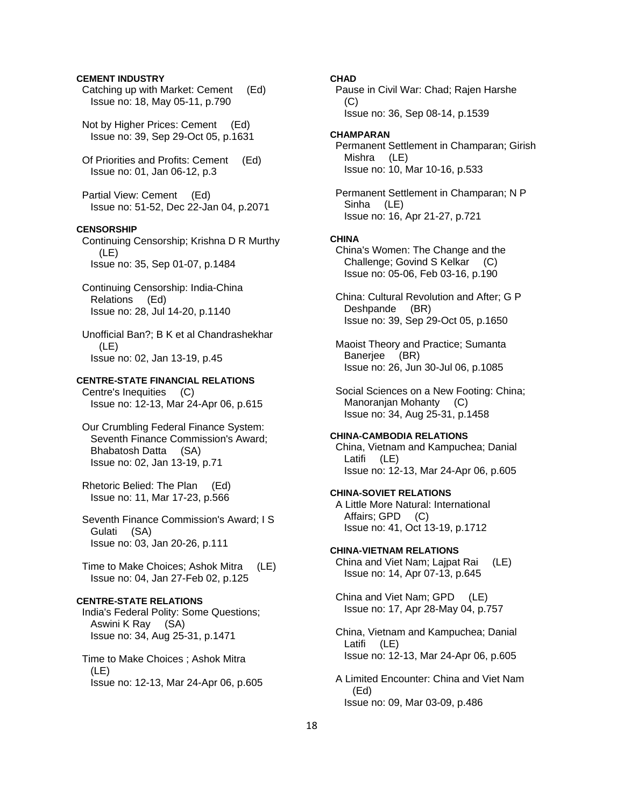## **CEMENT INDUSTRY**

 Catching up with Market: Cement (Ed) Issue no: 18, May 05-11, p.790

 Not by Higher Prices: Cement (Ed) Issue no: 39, Sep 29-Oct 05, p.1631

 Of Priorities and Profits: Cement (Ed) Issue no: 01, Jan 06-12, p.3

 Partial View: Cement (Ed) Issue no: 51-52, Dec 22-Jan 04, p.2071

# **CENSORSHIP**

 Continuing Censorship; Krishna D R Murthy (LE) Issue no: 35, Sep 01-07, p.1484

 Continuing Censorship: India-China Relations (Ed) Issue no: 28, Jul 14-20, p.1140

 Unofficial Ban?; B K et al Chandrashekhar (LE) Issue no: 02, Jan 13-19, p.45

## **CENTRE-STATE FINANCIAL RELATIONS**

 Centre's Inequities (C) Issue no: 12-13, Mar 24-Apr 06, p.615

 Our Crumbling Federal Finance System: Seventh Finance Commission's Award; Bhabatosh Datta (SA) Issue no: 02, Jan 13-19, p.71

 Rhetoric Belied: The Plan (Ed) Issue no: 11, Mar 17-23, p.566

 Seventh Finance Commission's Award; I S Gulati (SA) Issue no: 03, Jan 20-26, p.111

 Time to Make Choices; Ashok Mitra (LE) Issue no: 04, Jan 27-Feb 02, p.125

# **CENTRE-STATE RELATIONS**

 India's Federal Polity: Some Questions; Aswini K Ray (SA) Issue no: 34, Aug 25-31, p.1471

 Time to Make Choices ; Ashok Mitra (LE) Issue no: 12-13, Mar 24-Apr 06, p.605

# **CHAD**

 Pause in Civil War: Chad; Rajen Harshe  $(C)$ Issue no: 36, Sep 08-14, p.1539

## **CHAMPARAN**

 Permanent Settlement in Champaran; Girish Mishra (LE) Issue no: 10, Mar 10-16, p.533

 Permanent Settlement in Champaran; N P Sinha (LE) Issue no: 16, Apr 21-27, p.721

#### **CHINA**

 China's Women: The Change and the Challenge; Govind S Kelkar (C) Issue no: 05-06, Feb 03-16, p.190

 China: Cultural Revolution and After; G P Deshpande (BR) Issue no: 39, Sep 29-Oct 05, p.1650

 Maoist Theory and Practice; Sumanta Banerjee (BR) Issue no: 26, Jun 30-Jul 06, p.1085

 Social Sciences on a New Footing: China; Manoranjan Mohanty (C) Issue no: 34, Aug 25-31, p.1458

## **CHINA-CAMBODIA RELATIONS**

 China, Vietnam and Kampuchea; Danial Latifi (LE) Issue no: 12-13, Mar 24-Apr 06, p.605

## **CHINA-SOVIET RELATIONS**

 A Little More Natural: International Affairs; GPD (C) Issue no: 41, Oct 13-19, p.1712

#### **CHINA-VIETNAM RELATIONS**

China and Viet Nam: Laipat Rai (LE) Issue no: 14, Apr 07-13, p.645

 China and Viet Nam; GPD (LE) Issue no: 17, Apr 28-May 04, p.757

 China, Vietnam and Kampuchea; Danial Latifi (LE) Issue no: 12-13, Mar 24-Apr 06, p.605

 A Limited Encounter: China and Viet Nam (Ed) Issue no: 09, Mar 03-09, p.486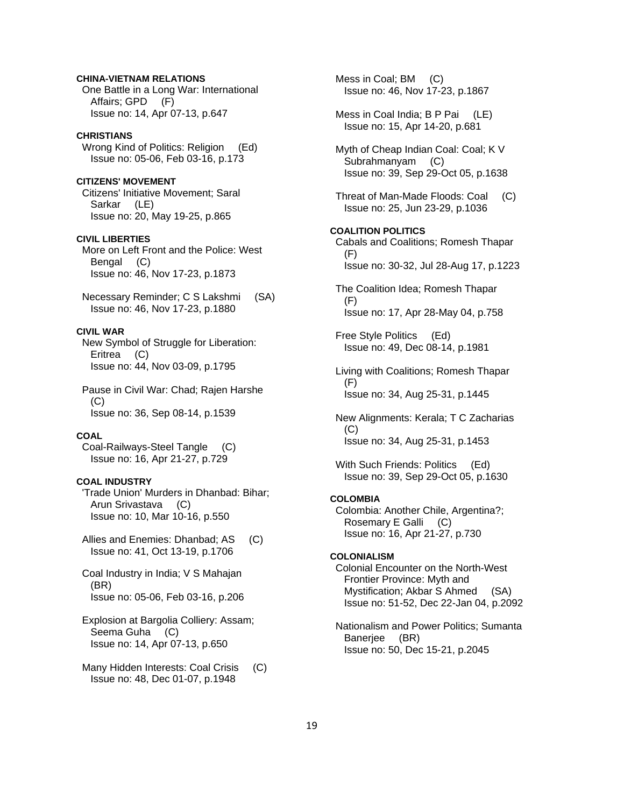# **CHINA-VIETNAM RELATIONS**

 One Battle in a Long War: International Affairs; GPD (F) Issue no: 14, Apr 07-13, p.647

## **CHRISTIANS**

Wrong Kind of Politics: Religion (Ed) Issue no: 05-06, Feb 03-16, p.173

# **CITIZENS' MOVEMENT**

 Citizens' Initiative Movement; Saral Sarkar (LE) Issue no: 20, May 19-25, p.865

## **CIVIL LIBERTIES**

 More on Left Front and the Police: West Bengal (C) Issue no: 46, Nov 17-23, p.1873

 Necessary Reminder; C S Lakshmi (SA) Issue no: 46, Nov 17-23, p.1880

# **CIVIL WAR**

 New Symbol of Struggle for Liberation: Eritrea (C) Issue no: 44, Nov 03-09, p.1795

 Pause in Civil War: Chad; Rajen Harshe (C) Issue no: 36, Sep 08-14, p.1539

# **COAL**

 Coal-Railways-Steel Tangle (C) Issue no: 16, Apr 21-27, p.729

# **COAL INDUSTRY**

 'Trade Union' Murders in Dhanbad: Bihar; Arun Srivastava (C) Issue no: 10, Mar 10-16, p.550

- Allies and Enemies: Dhanbad; AS (C) Issue no: 41, Oct 13-19, p.1706
- Coal Industry in India; V S Mahajan (BR) Issue no: 05-06, Feb 03-16, p.206
- Explosion at Bargolia Colliery: Assam; Seema Guha (C) Issue no: 14, Apr 07-13, p.650
- Many Hidden Interests: Coal Crisis (C) Issue no: 48, Dec 01-07, p.1948

 Mess in Coal; BM (C) Issue no: 46, Nov 17-23, p.1867 Mess in Coal India; B P Pai (LE) Issue no: 15, Apr 14-20, p.681 Myth of Cheap Indian Coal: Coal; K V Subrahmanyam (C) Issue no: 39, Sep 29-Oct 05, p.1638 Threat of Man-Made Floods: Coal (C) Issue no: 25, Jun 23-29, p.1036 **COALITION POLITICS**  Cabals and Coalitions; Romesh Thapar (F) Issue no: 30-32, Jul 28-Aug 17, p.1223 The Coalition Idea; Romesh Thapar (F) Issue no: 17, Apr 28-May 04, p.758 Free Style Politics (Ed) Issue no: 49, Dec 08-14, p.1981 Living with Coalitions; Romesh Thapar (F) Issue no: 34, Aug 25-31, p.1445 New Alignments: Kerala; T C Zacharias (C) Issue no: 34, Aug 25-31, p.1453

With Such Friends: Politics (Ed) Issue no: 39, Sep 29-Oct 05, p.1630

# **COLOMBIA**

 Colombia: Another Chile, Argentina?; Rosemary E Galli (C) Issue no: 16, Apr 21-27, p.730

## **COLONIALISM**

 Colonial Encounter on the North-West Frontier Province: Myth and Mystification; Akbar S Ahmed (SA) Issue no: 51-52, Dec 22-Jan 04, p.2092

 Nationalism and Power Politics; Sumanta Banerjee (BR) Issue no: 50, Dec 15-21, p.2045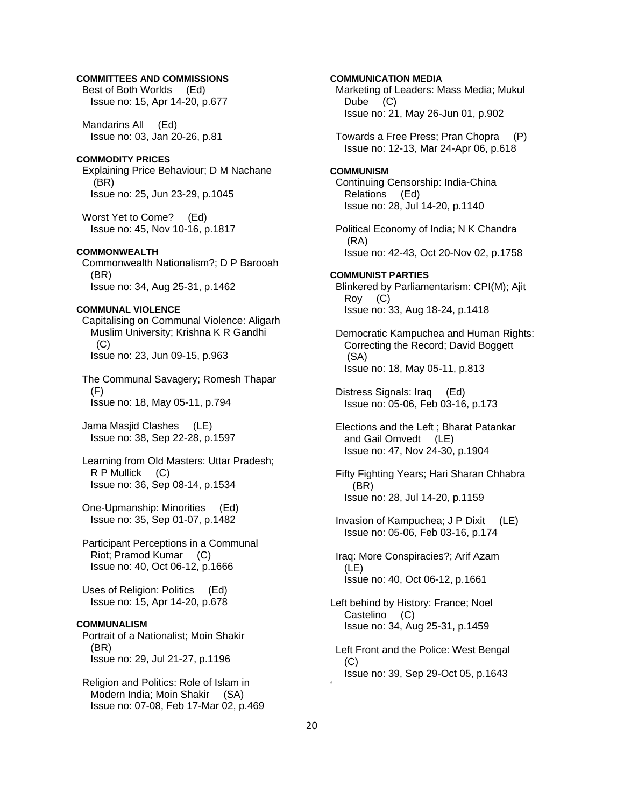## **COMMITTEES AND COMMISSIONS**

 Best of Both Worlds (Ed) Issue no: 15, Apr 14-20, p.677

 Mandarins All (Ed) Issue no: 03, Jan 20-26, p.81

## **COMMODITY PRICES**

 Explaining Price Behaviour; D M Nachane (BR) Issue no: 25, Jun 23-29, p.1045

 Worst Yet to Come? (Ed) Issue no: 45, Nov 10-16, p.1817

## **COMMONWEALTH**

 Commonwealth Nationalism?; D P Barooah (BR) Issue no: 34, Aug 25-31, p.1462

## **COMMUNAL VIOLENCE**

 Capitalising on Communal Violence: Aligarh Muslim University; Krishna K R Gandhi  $(C)$ Issue no: 23, Jun 09-15, p.963

 The Communal Savagery; Romesh Thapar (F) Issue no: 18, May 05-11, p.794

 Jama Masjid Clashes (LE) Issue no: 38, Sep 22-28, p.1597

 Learning from Old Masters: Uttar Pradesh; R P Mullick (C) Issue no: 36, Sep 08-14, p.1534

 One-Upmanship: Minorities (Ed) Issue no: 35, Sep 01-07, p.1482

 Participant Perceptions in a Communal Riot; Pramod Kumar (C) Issue no: 40, Oct 06-12, p.1666

 Uses of Religion: Politics (Ed) Issue no: 15, Apr 14-20, p.678

#### **COMMUNALISM**

 Portrait of a Nationalist; Moin Shakir (BR) Issue no: 29, Jul 21-27, p.1196

 Religion and Politics: Role of Islam in Modern India; Moin Shakir (SA) Issue no: 07-08, Feb 17-Mar 02, p.469

## **COMMUNICATION MEDIA**

 Marketing of Leaders: Mass Media; Mukul Dube (C) Issue no: 21, May 26-Jun 01, p.902

 Towards a Free Press; Pran Chopra (P) Issue no: 12-13, Mar 24-Apr 06, p.618

#### **COMMUNISM**

 Continuing Censorship: India-China Relations (Ed) Issue no: 28, Jul 14-20, p.1140

 Political Economy of India; N K Chandra (RA) Issue no: 42-43, Oct 20-Nov 02, p.1758

**COMMUNIST PARTIES**  Blinkered by Parliamentarism: CPI(M); Ajit Roy (C) Issue no: 33, Aug 18-24, p.1418

 Democratic Kampuchea and Human Rights: Correcting the Record; David Boggett (SA) Issue no: 18, May 05-11, p.813

 Distress Signals: Iraq (Ed) Issue no: 05-06, Feb 03-16, p.173

 Elections and the Left ; Bharat Patankar and Gail Omvedt (LE) Issue no: 47, Nov 24-30, p.1904

 Fifty Fighting Years; Hari Sharan Chhabra (BR) Issue no: 28, Jul 14-20, p.1159

 Invasion of Kampuchea; J P Dixit (LE) Issue no: 05-06, Feb 03-16, p.174

 Iraq: More Conspiracies?; Arif Azam (LE) Issue no: 40, Oct 06-12, p.1661

Left behind by History: France; Noel Castelino (C) Issue no: 34, Aug 25-31, p.1459

 Left Front and the Police: West Bengal  $(C)$ Issue no: 39, Sep 29-Oct 05, p.1643

'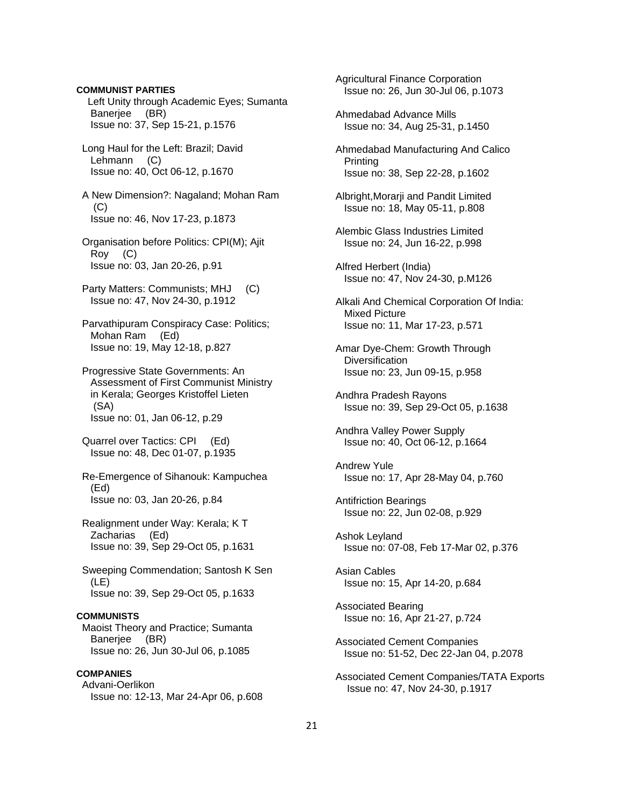**COMMUNIST PARTIES** Left Unity through Academic Eyes; Sumanta Banerjee (BR) Issue no: 37, Sep 15-21, p.1576 Long Haul for the Left: Brazil; David Lehmann (C) Issue no: 40, Oct 06-12, p.1670 A New Dimension?: Nagaland; Mohan Ram (C) Issue no: 46, Nov 17-23, p.1873 Organisation before Politics: CPI(M); Ajit Roy (C) Issue no: 03, Jan 20-26, p.91 Party Matters: Communists; MHJ (C) Issue no: 47, Nov 24-30, p.1912 Parvathipuram Conspiracy Case: Politics; Mohan Ram (Ed) Issue no: 19, May 12-18, p.827 Progressive State Governments: An Assessment of First Communist Ministry in Kerala; Georges Kristoffel Lieten (SA) Issue no: 01, Jan 06-12, p.29 Quarrel over Tactics: CPI (Ed) Issue no: 48, Dec 01-07, p.1935 Re-Emergence of Sihanouk: Kampuchea (Ed) Issue no: 03, Jan 20-26, p.84 Realignment under Way: Kerala; K T Zacharias (Ed) Issue no: 39, Sep 29-Oct 05, p.1631 Sweeping Commendation; Santosh K Sen (LE) Issue no: 39, Sep 29-Oct 05, p.1633 **COMMUNISTS**  Maoist Theory and Practice; Sumanta Banerjee (BR) Issue no: 26, Jun 30-Jul 06, p.1085 **COMPANIES**  Advani-Oerlikon Issue no: 12-13, Mar 24-Apr 06, p.608

21 Ahmedabad Advance Mills Issue no: 34, Aug 25-31, p.1450 Ahmedabad Manufacturing And Calico Printing Issue no: 38, Sep 22-28, p.1602 Albright,Morarji and Pandit Limited Issue no: 18, May 05-11, p.808 Alembic Glass Industries Limited Issue no: 24, Jun 16-22, p.998 Alfred Herbert (India) Issue no: 47, Nov 24-30, p.M126 Alkali And Chemical Corporation Of India: Mixed Picture Issue no: 11, Mar 17-23, p.571 Amar Dye-Chem: Growth Through **Diversification**  Issue no: 23, Jun 09-15, p.958 Andhra Pradesh Rayons Issue no: 39, Sep 29-Oct 05, p.1638 Andhra Valley Power Supply Issue no: 40, Oct 06-12, p.1664 Andrew Yule Issue no: 17, Apr 28-May 04, p.760 Antifriction Bearings Issue no: 22, Jun 02-08, p.929 Ashok Leyland Issue no: 07-08, Feb 17-Mar 02, p.376 Asian Cables Issue no: 15, Apr 14-20, p.684 Associated Bearing Issue no: 16, Apr 21-27, p.724 Associated Cement Companies Issue no: 51-52, Dec 22-Jan 04, p.2078 Associated Cement Companies/TATA Exports Issue no: 47, Nov 24-30, p.1917

 Agricultural Finance Corporation Issue no: 26, Jun 30-Jul 06, p.1073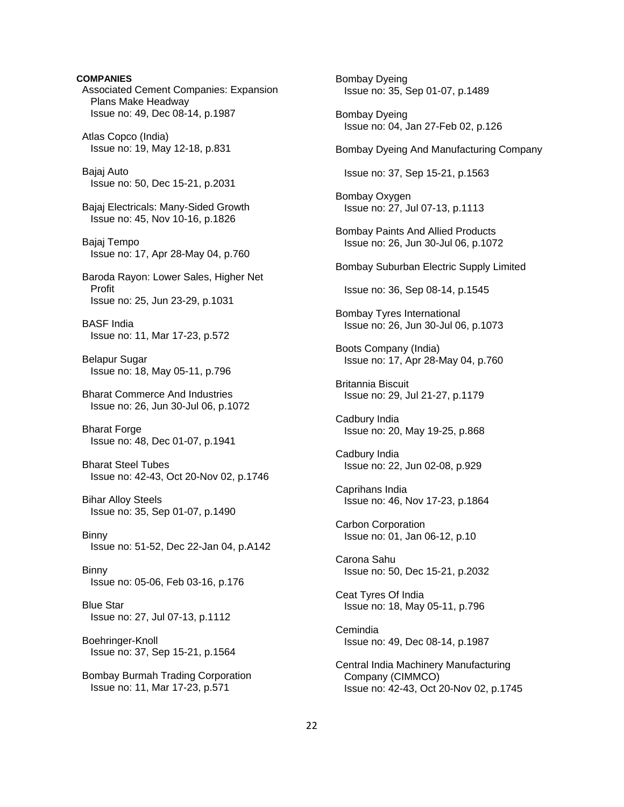**COMPANIES**  Associated Cement Companies: Expansion Plans Make Headway Issue no: 49, Dec 08-14, p.1987 Atlas Copco (India) Issue no: 19, May 12-18, p.831 Bajaj Auto Issue no: 50, Dec 15-21, p.2031 Bajaj Electricals: Many-Sided Growth Issue no: 45, Nov 10-16, p.1826 Bajaj Tempo Issue no: 17, Apr 28-May 04, p.760 Baroda Rayon: Lower Sales, Higher Net Profit Issue no: 25, Jun 23-29, p.1031 BASF India Issue no: 11, Mar 17-23, p.572 Belapur Sugar Issue no: 18, May 05-11, p.796 Bharat Commerce And Industries Issue no: 26, Jun 30-Jul 06, p.1072 Bharat Forge Issue no: 48, Dec 01-07, p.1941 Bharat Steel Tubes Issue no: 42-43, Oct 20-Nov 02, p.1746 Bihar Alloy Steels Issue no: 35, Sep 01-07, p.1490 Binny Issue no: 51-52, Dec 22-Jan 04, p.A142 Binny Issue no: 05-06, Feb 03-16, p.176 Blue Star Issue no: 27, Jul 07-13, p.1112 Boehringer-Knoll Issue no: 37, Sep 15-21, p.1564 Bombay Burmah Trading Corporation Issue no: 11, Mar 17-23, p.571

 Bombay Dyeing Issue no: 35, Sep 01-07, p.1489 Bombay Dyeing Issue no: 04, Jan 27-Feb 02, p.126 Bombay Dyeing And Manufacturing Company Issue no: 37, Sep 15-21, p.1563 Bombay Oxygen Issue no: 27, Jul 07-13, p.1113 Bombay Paints And Allied Products Issue no: 26, Jun 30-Jul 06, p.1072 Bombay Suburban Electric Supply Limited Issue no: 36, Sep 08-14, p.1545 Bombay Tyres International Issue no: 26, Jun 30-Jul 06, p.1073 Boots Company (India) Issue no: 17, Apr 28-May 04, p.760 Britannia Biscuit Issue no: 29, Jul 21-27, p.1179 Cadbury India Issue no: 20, May 19-25, p.868 Cadbury India Issue no: 22, Jun 02-08, p.929 Caprihans India Issue no: 46, Nov 17-23, p.1864 Carbon Corporation Issue no: 01, Jan 06-12, p.10 Carona Sahu Issue no: 50, Dec 15-21, p.2032 Ceat Tyres Of India Issue no: 18, May 05-11, p.796 Cemindia Issue no: 49, Dec 08-14, p.1987 Central India Machinery Manufacturing Company (CIMMCO) Issue no: 42-43, Oct 20-Nov 02, p.1745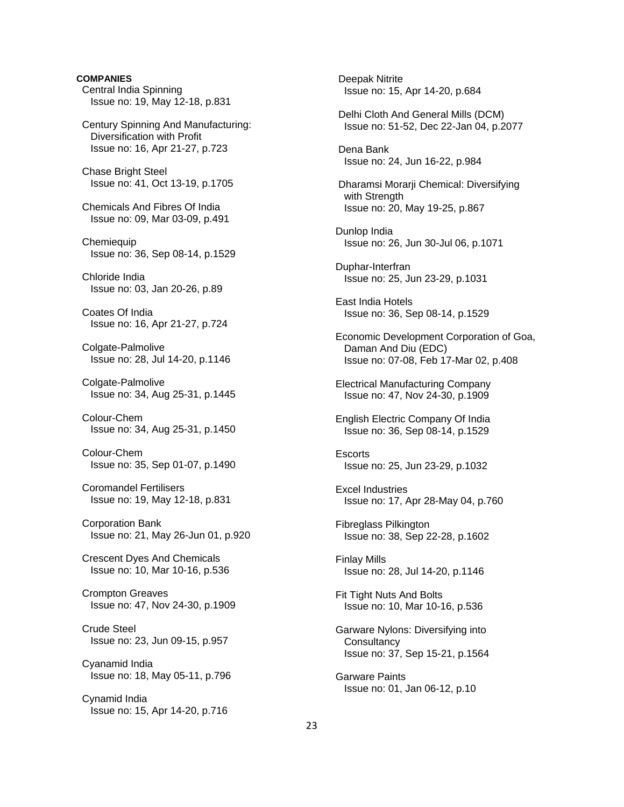**COMPANIES**  Central India Spinning Issue no: 19, May 12-18, p.831 Century Spinning And Manufacturing: Diversification with Profit Issue no: 16, Apr 21-27, p.723 Chase Bright Steel Issue no: 41, Oct 13-19, p.1705 Chemicals And Fibres Of India Issue no: 09, Mar 03-09, p.491 **Chemiequip**  Issue no: 36, Sep 08-14, p.1529 Chloride India Issue no: 03, Jan 20-26, p.89 Coates Of India Issue no: 16, Apr 21-27, p.724 Colgate-Palmolive Issue no: 28, Jul 14-20, p.1146 Colgate-Palmolive Issue no: 34, Aug 25-31, p.1445 Colour-Chem Issue no: 34, Aug 25-31, p.1450 Colour-Chem Issue no: 35, Sep 01-07, p.1490 Coromandel Fertilisers Issue no: 19, May 12-18, p.831 Corporation Bank Issue no: 21, May 26-Jun 01, p.920 Crescent Dyes And Chemicals Issue no: 10, Mar 10-16, p.536 Crompton Greaves Issue no: 47, Nov 24-30, p.1909 Crude Steel Issue no: 23, Jun 09-15, p.957 Cyanamid India Issue no: 18, May 05-11, p.796 Cynamid India Issue no: 15, Apr 14-20, p.716

 Deepak Nitrite Issue no: 15, Apr 14-20, p.684 Delhi Cloth And General Mills (DCM) Issue no: 51-52, Dec 22-Jan 04, p.2077 Dena Bank Issue no: 24, Jun 16-22, p.984 Dharamsi Morarji Chemical: Diversifying with Strength Issue no: 20, May 19-25, p.867 Dunlop India Issue no: 26, Jun 30-Jul 06, p.1071 Duphar-Interfran Issue no: 25, Jun 23-29, p.1031 East India Hotels Issue no: 36, Sep 08-14, p.1529 Economic Development Corporation of Goa, Daman And Diu (EDC) Issue no: 07-08, Feb 17-Mar 02, p.408 Electrical Manufacturing Company Issue no: 47, Nov 24-30, p.1909 English Electric Company Of India Issue no: 36, Sep 08-14, p.1529 **Escorts**  Issue no: 25, Jun 23-29, p.1032 Excel Industries Issue no: 17, Apr 28-May 04, p.760 Fibreglass Pilkington Issue no: 38, Sep 22-28, p.1602 Finlay Mills Issue no: 28, Jul 14-20, p.1146 Fit Tight Nuts And Bolts Issue no: 10, Mar 10-16, p.536 Garware Nylons: Diversifying into **Consultancy**  Issue no: 37, Sep 15-21, p.1564 Garware Paints Issue no: 01, Jan 06-12, p.10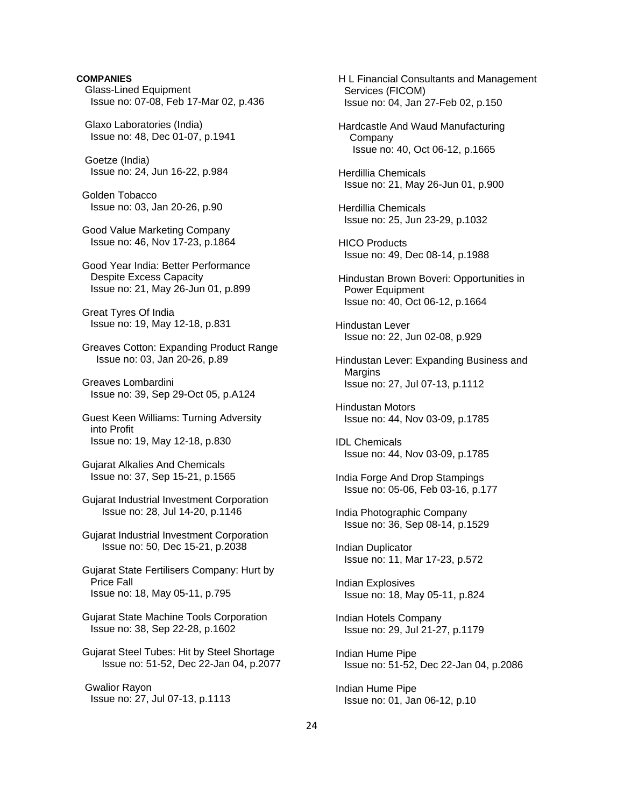# Glass-Lined Equipment Issue no: 07-08, Feb 17-Mar 02, p.436 Glaxo Laboratories (India) Issue no: 48, Dec 01-07, p.1941 Goetze (India) Issue no: 24, Jun 16-22, p.984 Golden Tobacco Issue no: 03, Jan 20-26, p.90 Good Value Marketing Company Issue no: 46, Nov 17-23, p.1864 Good Year India: Better Performance Despite Excess Capacity Issue no: 21, May 26-Jun 01, p.899 Great Tyres Of India Issue no: 19, May 12-18, p.831 Greaves Cotton: Expanding Product Range Issue no: 03, Jan 20-26, p.89 Greaves Lombardini Issue no: 39, Sep 29-Oct 05, p.A124 Guest Keen Williams: Turning Adversity into Profit Issue no: 19, May 12-18, p.830 Gujarat Alkalies And Chemicals Issue no: 37, Sep 15-21, p.1565 Gujarat Industrial Investment Corporation Issue no: 28, Jul 14-20, p.1146 Gujarat Industrial Investment Corporation Issue no: 50, Dec 15-21, p.2038 Gujarat State Fertilisers Company: Hurt by Price Fall Issue no: 18, May 05-11, p.795 Gujarat State Machine Tools Corporation Issue no: 38, Sep 22-28, p.1602 Gujarat Steel Tubes: Hit by Steel Shortage Issue no: 51-52, Dec 22-Jan 04, p.2077

**COMPANIES**

 Gwalior Rayon Issue no: 27, Jul 07-13, p.1113  H L Financial Consultants and Management Services (FICOM) Issue no: 04, Jan 27-Feb 02, p.150

 Hardcastle And Waud Manufacturing **Company** Issue no: 40, Oct 06-12, p.1665

 Herdillia Chemicals Issue no: 21, May 26-Jun 01, p.900

 Herdillia Chemicals Issue no: 25, Jun 23-29, p.1032

 HICO Products Issue no: 49, Dec 08-14, p.1988

 Hindustan Brown Boveri: Opportunities in Power Equipment Issue no: 40, Oct 06-12, p.1664

 Hindustan Lever Issue no: 22, Jun 02-08, p.929

 Hindustan Lever: Expanding Business and Margins Issue no: 27, Jul 07-13, p.1112

 Hindustan Motors Issue no: 44, Nov 03-09, p.1785

 IDL Chemicals Issue no: 44, Nov 03-09, p.1785

 India Forge And Drop Stampings Issue no: 05-06, Feb 03-16, p.177

 India Photographic Company Issue no: 36, Sep 08-14, p.1529

 Indian Duplicator Issue no: 11, Mar 17-23, p.572

 Indian Explosives Issue no: 18, May 05-11, p.824

 Indian Hotels Company Issue no: 29, Jul 21-27, p.1179

 Indian Hume Pipe Issue no: 51-52, Dec 22-Jan 04, p.2086

 Indian Hume Pipe Issue no: 01, Jan 06-12, p.10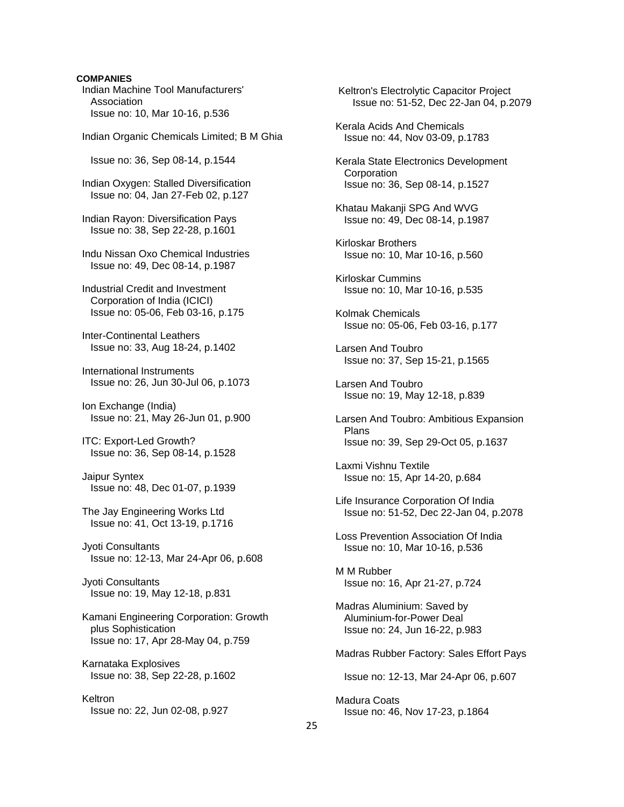## **COMPANIES**

 Indian Machine Tool Manufacturers' Association Issue no: 10, Mar 10-16, p.536

Indian Organic Chemicals Limited; B M Ghia

Issue no: 36, Sep 08-14, p.1544

 Indian Oxygen: Stalled Diversification Issue no: 04, Jan 27-Feb 02, p.127

 Indian Rayon: Diversification Pays Issue no: 38, Sep 22-28, p.1601

 Indu Nissan Oxo Chemical Industries Issue no: 49, Dec 08-14, p.1987

 Industrial Credit and Investment Corporation of India (ICICI) Issue no: 05-06, Feb 03-16, p.175

 Inter-Continental Leathers Issue no: 33, Aug 18-24, p.1402

 International Instruments Issue no: 26, Jun 30-Jul 06, p.1073

 Ion Exchange (India) Issue no: 21, May 26-Jun 01, p.900

 ITC: Export-Led Growth? Issue no: 36, Sep 08-14, p.1528

 Jaipur Syntex Issue no: 48, Dec 01-07, p.1939

 The Jay Engineering Works Ltd Issue no: 41, Oct 13-19, p.1716

 Jyoti Consultants Issue no: 12-13, Mar 24-Apr 06, p.608

 Jyoti Consultants Issue no: 19, May 12-18, p.831

 Kamani Engineering Corporation: Growth plus Sophistication Issue no: 17, Apr 28-May 04, p.759

 Karnataka Explosives Issue no: 38, Sep 22-28, p.1602

 Keltron Issue no: 22, Jun 02-08, p.927  Keltron's Electrolytic Capacitor Project Issue no: 51-52, Dec 22-Jan 04, p.2079

 Kerala Acids And Chemicals Issue no: 44, Nov 03-09, p.1783

 Kerala State Electronics Development **Corporation** Issue no: 36, Sep 08-14, p.1527

 Khatau Makanji SPG And WVG Issue no: 49, Dec 08-14, p.1987

 Kirloskar Brothers Issue no: 10, Mar 10-16, p.560

 Kirloskar Cummins Issue no: 10, Mar 10-16, p.535

 Kolmak Chemicals Issue no: 05-06, Feb 03-16, p.177

 Larsen And Toubro Issue no: 37, Sep 15-21, p.1565

 Larsen And Toubro Issue no: 19, May 12-18, p.839

 Larsen And Toubro: Ambitious Expansion Plans Issue no: 39, Sep 29-Oct 05, p.1637

 Laxmi Vishnu Textile Issue no: 15, Apr 14-20, p.684

 Life Insurance Corporation Of India Issue no: 51-52, Dec 22-Jan 04, p.2078

 Loss Prevention Association Of India Issue no: 10, Mar 10-16, p.536

 M M Rubber Issue no: 16, Apr 21-27, p.724

 Madras Aluminium: Saved by Aluminium-for-Power Deal Issue no: 24, Jun 16-22, p.983

Madras Rubber Factory: Sales Effort Pays

Issue no: 12-13, Mar 24-Apr 06, p.607

 Madura Coats Issue no: 46, Nov 17-23, p.1864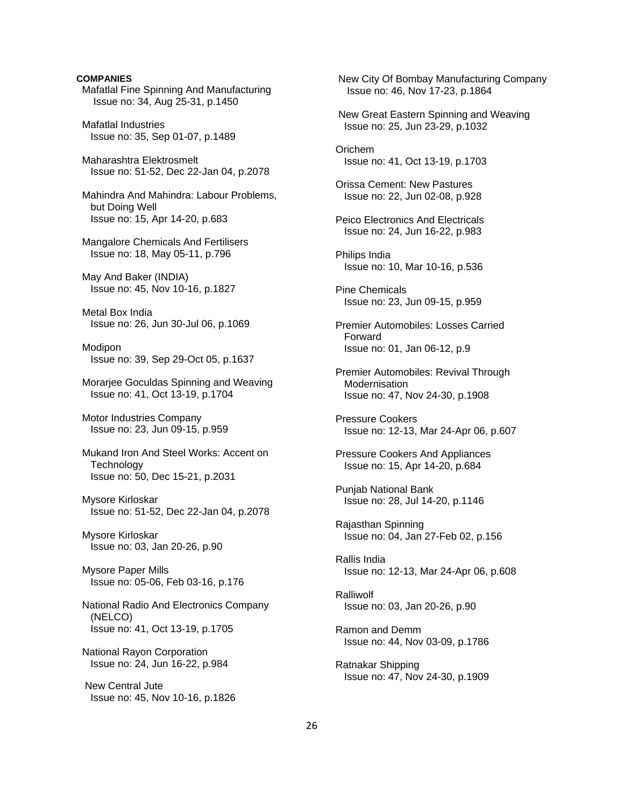## **COMPANIES**

 Mafatlal Fine Spinning And Manufacturing Issue no: 34, Aug 25-31, p.1450

 Mafatlal Industries Issue no: 35, Sep 01-07, p.1489

 Maharashtra Elektrosmelt Issue no: 51-52, Dec 22-Jan 04, p.2078

 Mahindra And Mahindra: Labour Problems, but Doing Well Issue no: 15, Apr 14-20, p.683

 Mangalore Chemicals And Fertilisers Issue no: 18, May 05-11, p.796

 May And Baker (INDIA) Issue no: 45, Nov 10-16, p.1827

 Metal Box India Issue no: 26, Jun 30-Jul 06, p.1069

 Modipon Issue no: 39, Sep 29-Oct 05, p.1637

 Morarjee Goculdas Spinning and Weaving Issue no: 41, Oct 13-19, p.1704

 Motor Industries Company Issue no: 23, Jun 09-15, p.959

 Mukand Iron And Steel Works: Accent on **Technology** Issue no: 50, Dec 15-21, p.2031

 Mysore Kirloskar Issue no: 51-52, Dec 22-Jan 04, p.2078

 Mysore Kirloskar Issue no: 03, Jan 20-26, p.90

 Mysore Paper Mills Issue no: 05-06, Feb 03-16, p.176

 National Radio And Electronics Company (NELCO) Issue no: 41, Oct 13-19, p.1705

 National Rayon Corporation Issue no: 24, Jun 16-22, p.984

 New Central Jute Issue no: 45, Nov 10-16, p.1826

 New City Of Bombay Manufacturing Company Issue no: 46, Nov 17-23, p.1864 New Great Eastern Spinning and Weaving Issue no: 25, Jun 23-29, p.1032 Orichem Issue no: 41, Oct 13-19, p.1703 Orissa Cement: New Pastures Issue no: 22, Jun 02-08, p.928 Peico Electronics And Electricals Issue no: 24, Jun 16-22, p.983 Philips India Issue no: 10, Mar 10-16, p.536 Pine Chemicals Issue no: 23, Jun 09-15, p.959 Premier Automobiles: Losses Carried Forward Issue no: 01, Jan 06-12, p.9 Premier Automobiles: Revival Through **Modernisation**  Issue no: 47, Nov 24-30, p.1908 Pressure Cookers Issue no: 12-13, Mar 24-Apr 06, p.607 Pressure Cookers And Appliances Issue no: 15, Apr 14-20, p.684 Punjab National Bank Issue no: 28, Jul 14-20, p.1146 Rajasthan Spinning Issue no: 04, Jan 27-Feb 02, p.156 Rallis India Issue no: 12-13, Mar 24-Apr 06, p.608 Ralliwolf Issue no: 03, Jan 20-26, p.90 Ramon and Demm Issue no: 44, Nov 03-09, p.1786 Ratnakar Shipping Issue no: 47, Nov 24-30, p.1909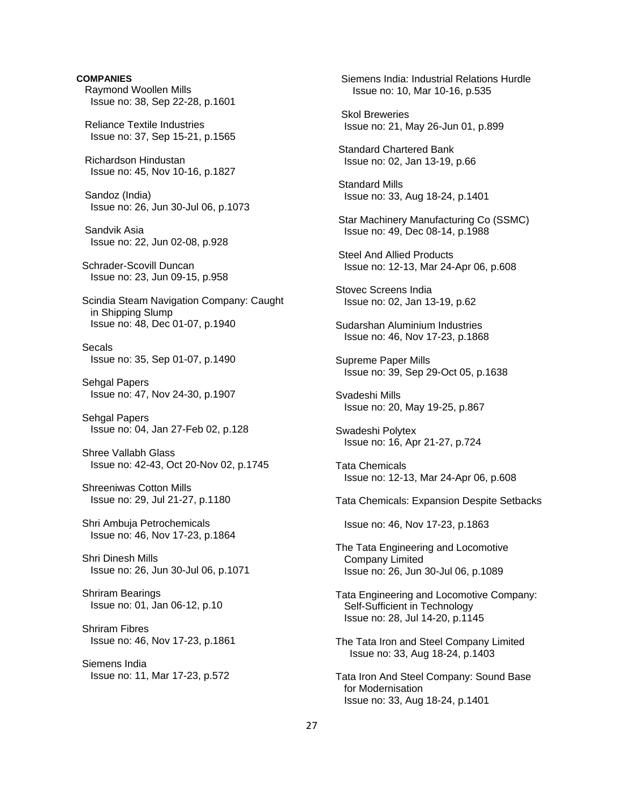**COMPANIES** Raymond Woollen Mills Issue no: 38, Sep 22-28, p.1601 Reliance Textile Industries Issue no: 37, Sep 15-21, p.1565 Richardson Hindustan Issue no: 45, Nov 10-16, p.1827 Sandoz (India) Issue no: 26, Jun 30-Jul 06, p.1073 Sandvik Asia Issue no: 22, Jun 02-08, p.928 Schrader-Scovill Duncan Issue no: 23, Jun 09-15, p.958 Scindia Steam Navigation Company: Caught in Shipping Slump Issue no: 48, Dec 01-07, p.1940 Secals Issue no: 35, Sep 01-07, p.1490 Sehgal Papers Issue no: 47, Nov 24-30, p.1907 Sehgal Papers Issue no: 04, Jan 27-Feb 02, p.128 Shree Vallabh Glass Issue no: 42-43, Oct 20-Nov 02, p.1745 Shreeniwas Cotton Mills Issue no: 29, Jul 21-27, p.1180 Shri Ambuja Petrochemicals Issue no: 46, Nov 17-23, p.1864 Shri Dinesh Mills Issue no: 26, Jun 30-Jul 06, p.1071 Shriram Bearings Issue no: 01, Jan 06-12, p.10 Shriram Fibres Issue no: 46, Nov 17-23, p.1861 Siemens India Issue no: 11, Mar 17-23, p.572

 Siemens India: Industrial Relations Hurdle Issue no: 10, Mar 10-16, p.535 Skol Breweries Issue no: 21, May 26-Jun 01, p.899 Standard Chartered Bank Issue no: 02, Jan 13-19, p.66 Standard Mills Issue no: 33, Aug 18-24, p.1401 Star Machinery Manufacturing Co (SSMC) Issue no: 49, Dec 08-14, p.1988 Steel And Allied Products Issue no: 12-13, Mar 24-Apr 06, p.608 Stovec Screens India Issue no: 02, Jan 13-19, p.62 Sudarshan Aluminium Industries Issue no: 46, Nov 17-23, p.1868 Supreme Paper Mills Issue no: 39, Sep 29-Oct 05, p.1638 Svadeshi Mills Issue no: 20, May 19-25, p.867 Swadeshi Polytex Issue no: 16, Apr 21-27, p.724 Tata Chemicals Issue no: 12-13, Mar 24-Apr 06, p.608 Tata Chemicals: Expansion Despite Setbacks Issue no: 46, Nov 17-23, p.1863 The Tata Engineering and Locomotive Company Limited Issue no: 26, Jun 30-Jul 06, p.1089 Tata Engineering and Locomotive Company: Self-Sufficient in Technology Issue no: 28, Jul 14-20, p.1145 The Tata Iron and Steel Company Limited Issue no: 33, Aug 18-24, p.1403 Tata Iron And Steel Company: Sound Base for Modernisation Issue no: 33, Aug 18-24, p.1401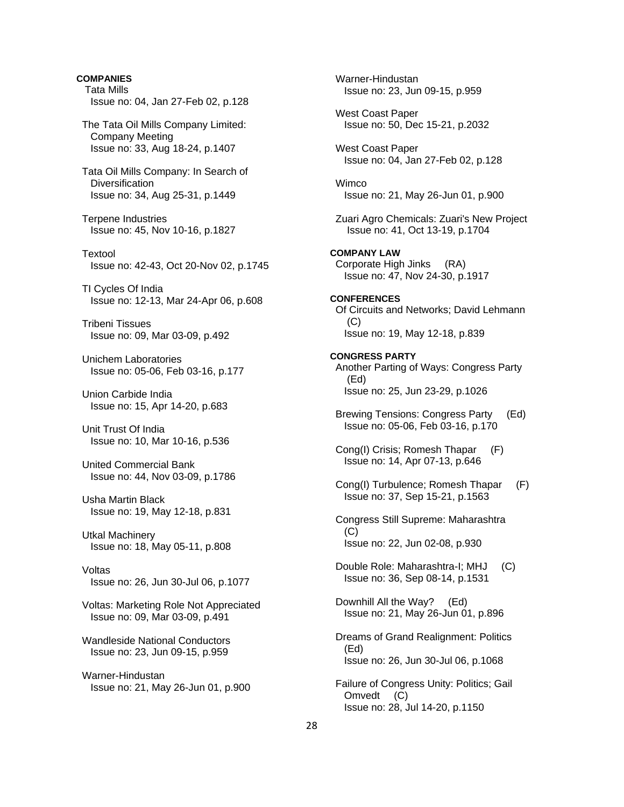**COMPANIES** Tata Mills Issue no: 04, Jan 27-Feb 02, p.128 The Tata Oil Mills Company Limited: Company Meeting Issue no: 33, Aug 18-24, p.1407 Tata Oil Mills Company: In Search of **Diversification**  Issue no: 34, Aug 25-31, p.1449 Terpene Industries Issue no: 45, Nov 10-16, p.1827 Textool Issue no: 42-43, Oct 20-Nov 02, p.1745 TI Cycles Of India Issue no: 12-13, Mar 24-Apr 06, p.608 Tribeni Tissues Issue no: 09, Mar 03-09, p.492 Unichem Laboratories Issue no: 05-06, Feb 03-16, p.177 Union Carbide India Issue no: 15, Apr 14-20, p.683 Unit Trust Of India Issue no: 10, Mar 10-16, p.536 United Commercial Bank Issue no: 44, Nov 03-09, p.1786 Usha Martin Black Issue no: 19, May 12-18, p.831 Utkal Machinery Issue no: 18, May 05-11, p.808 Voltas Issue no: 26, Jun 30-Jul 06, p.1077 Voltas: Marketing Role Not Appreciated Issue no: 09, Mar 03-09, p.491 Wandleside National Conductors Issue no: 23, Jun 09-15, p.959 Warner-Hindustan Issue no: 21, May 26-Jun 01, p.900

 Warner-Hindustan Issue no: 23, Jun 09-15, p.959 West Coast Paper Issue no: 50, Dec 15-21, p.2032 West Coast Paper Issue no: 04, Jan 27-Feb 02, p.128 **Wimco**  Issue no: 21, May 26-Jun 01, p.900 Zuari Agro Chemicals: Zuari's New Project Issue no: 41, Oct 13-19, p.1704 **COMPANY LAW**  Corporate High Jinks (RA) Issue no: 47, Nov 24-30, p.1917 **CONFERENCES**  Of Circuits and Networks; David Lehmann (C) Issue no: 19, May 12-18, p.839 **CONGRESS PARTY**  Another Parting of Ways: Congress Party (Ed) Issue no: 25, Jun 23-29, p.1026 Brewing Tensions: Congress Party (Ed) Issue no: 05-06, Feb 03-16, p.170 Cong(I) Crisis; Romesh Thapar (F) Issue no: 14, Apr 07-13, p.646 Cong(I) Turbulence; Romesh Thapar (F) Issue no: 37, Sep 15-21, p.1563 Congress Still Supreme: Maharashtra (C) Issue no: 22, Jun 02-08, p.930 Double Role: Maharashtra-I; MHJ (C) Issue no: 36, Sep 08-14, p.1531 Downhill All the Way? (Ed) Issue no: 21, May 26-Jun 01, p.896 Dreams of Grand Realignment: Politics (Ed) Issue no: 26, Jun 30-Jul 06, p.1068 Failure of Congress Unity: Politics; Gail Omvedt (C) Issue no: 28, Jul 14-20, p.1150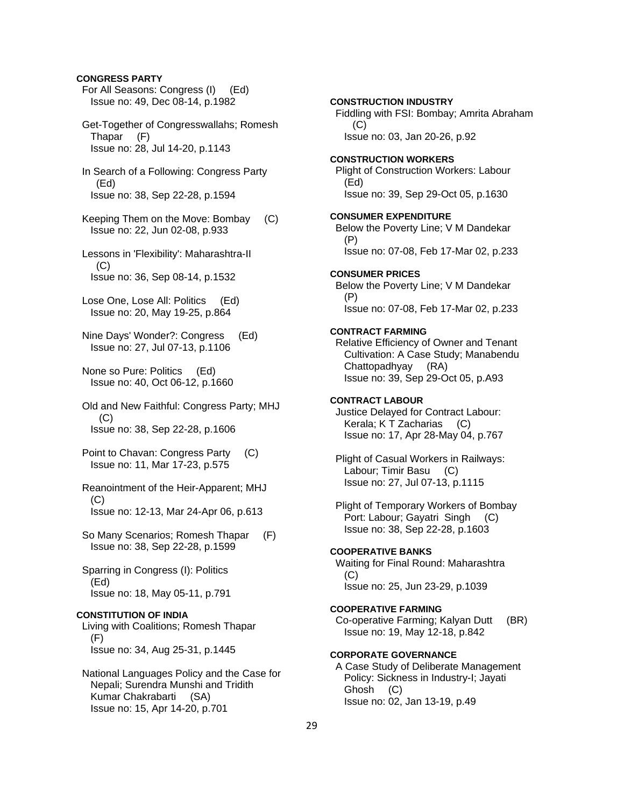## **CONGRESS PARTY**

 For All Seasons: Congress (I) (Ed) Issue no: 49, Dec 08-14, p.1982

 Get-Together of Congresswallahs; Romesh Thapar (F) Issue no: 28, Jul 14-20, p.1143

 In Search of a Following: Congress Party (Ed) Issue no: 38, Sep 22-28, p.1594

 Keeping Them on the Move: Bombay (C) Issue no: 22, Jun 02-08, p.933

- Lessons in 'Flexibility': Maharashtra-II  $(C)$ Issue no: 36, Sep 08-14, p.1532
- Lose One, Lose All: Politics (Ed) Issue no: 20, May 19-25, p.864

 Nine Days' Wonder?: Congress (Ed) Issue no: 27, Jul 07-13, p.1106

 None so Pure: Politics (Ed) Issue no: 40, Oct 06-12, p.1660

 Old and New Faithful: Congress Party; MHJ  $(C)$ Issue no: 38, Sep 22-28, p.1606

- Point to Chavan: Congress Party (C) Issue no: 11, Mar 17-23, p.575
- Reanointment of the Heir-Apparent; MHJ (C) Issue no: 12-13, Mar 24-Apr 06, p.613
- So Many Scenarios; Romesh Thapar (F) Issue no: 38, Sep 22-28, p.1599

 Sparring in Congress (I): Politics (Ed) Issue no: 18, May 05-11, p.791

#### **CONSTITUTION OF INDIA**

 Living with Coalitions; Romesh Thapar (F) Issue no: 34, Aug 25-31, p.1445

 National Languages Policy and the Case for Nepali; Surendra Munshi and Tridith Kumar Chakrabarti (SA) Issue no: 15, Apr 14-20, p.701

# Fiddling with FSI: Bombay; Amrita Abraham (C) Issue no: 03, Jan 20-26, p.92 **CONSTRUCTION WORKERS**  Plight of Construction Workers: Labour (Ed) Issue no: 39, Sep 29-Oct 05, p.1630 **CONSUMER EXPENDITURE**  Below the Poverty Line; V M Dandekar (P) Issue no: 07-08, Feb 17-Mar 02, p.233 **CONSUMER PRICES**

**CONSTRUCTION INDUSTRY** 

 Below the Poverty Line; V M Dandekar (P) Issue no: 07-08, Feb 17-Mar 02, p.233

## **CONTRACT FARMING**

 Relative Efficiency of Owner and Tenant Cultivation: A Case Study; Manabendu Chattopadhyay (RA) Issue no: 39, Sep 29-Oct 05, p.A93

#### **CONTRACT LABOUR**

 Justice Delayed for Contract Labour: Kerala; K T Zacharias (C) Issue no: 17, Apr 28-May 04, p.767

 Plight of Casual Workers in Railways: Labour; Timir Basu (C) Issue no: 27, Jul 07-13, p.1115

 Plight of Temporary Workers of Bombay Port: Labour; Gayatri Singh (C) Issue no: 38, Sep 22-28, p.1603

#### **COOPERATIVE BANKS**

 Waiting for Final Round: Maharashtra (C) Issue no: 25, Jun 23-29, p.1039

## **COOPERATIVE FARMING**  Co-operative Farming; Kalyan Dutt (BR)

Issue no: 19, May 12-18, p.842

## **CORPORATE GOVERNANCE**

 A Case Study of Deliberate Management Policy: Sickness in Industry-I; Jayati Ghosh (C) Issue no: 02, Jan 13-19, p.49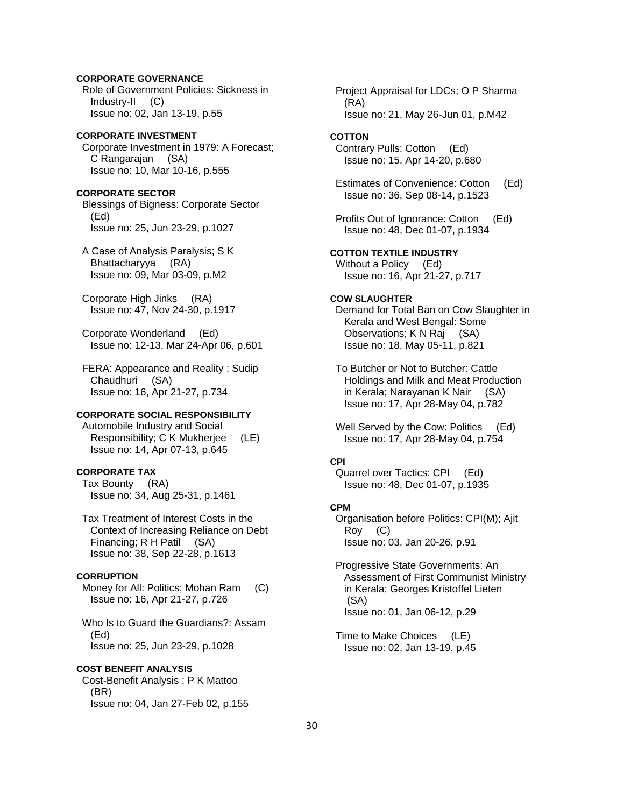# **CORPORATE GOVERNANCE**

 Role of Government Policies: Sickness in Industry-II (C) Issue no: 02, Jan 13-19, p.55

## **CORPORATE INVESTMENT**  Corporate Investment in 1979: A Forecast; C Rangarajan (SA) Issue no: 10, Mar 10-16, p.555

## **CORPORATE SECTOR**

 Blessings of Bigness: Corporate Sector (Ed) Issue no: 25, Jun 23-29, p.1027

 A Case of Analysis Paralysis; S K Bhattacharyya (RA) Issue no: 09, Mar 03-09, p.M2

 Corporate High Jinks (RA) Issue no: 47, Nov 24-30, p.1917

 Corporate Wonderland (Ed) Issue no: 12-13, Mar 24-Apr 06, p.601

 FERA: Appearance and Reality ; Sudip Chaudhuri (SA) Issue no: 16, Apr 21-27, p.734

# **CORPORATE SOCIAL RESPONSIBILITY**

 Automobile Industry and Social Responsibility; C K Mukherjee (LE) Issue no: 14, Apr 07-13, p.645

# **CORPORATE TAX**

 Tax Bounty (RA) Issue no: 34, Aug 25-31, p.1461

 Tax Treatment of Interest Costs in the Context of Increasing Reliance on Debt Financing; R H Patil (SA) Issue no: 38, Sep 22-28, p.1613

## **CORRUPTION**

 Money for All: Politics; Mohan Ram (C) Issue no: 16, Apr 21-27, p.726

 Who Is to Guard the Guardians?: Assam (Ed) Issue no: 25, Jun 23-29, p.1028

## **COST BENEFIT ANALYSIS**

 Cost-Benefit Analysis ; P K Mattoo (BR) Issue no: 04, Jan 27-Feb 02, p.155  Project Appraisal for LDCs; O P Sharma (RA) Issue no: 21, May 26-Jun 01, p.M42

## **COTTON**

 Contrary Pulls: Cotton (Ed) Issue no: 15, Apr 14-20, p.680

 Estimates of Convenience: Cotton (Ed) Issue no: 36, Sep 08-14, p.1523

 Profits Out of Ignorance: Cotton (Ed) Issue no: 48, Dec 01-07, p.1934

**COTTON TEXTILE INDUSTRY**  Without a Policy (Ed) Issue no: 16, Apr 21-27, p.717

#### **COW SLAUGHTER**

 Demand for Total Ban on Cow Slaughter in Kerala and West Bengal: Some Observations; K N Raj (SA) Issue no: 18, May 05-11, p.821

 To Butcher or Not to Butcher: Cattle Holdings and Milk and Meat Production in Kerala; Narayanan K Nair (SA) Issue no: 17, Apr 28-May 04, p.782

Well Served by the Cow: Politics (Ed) Issue no: 17, Apr 28-May 04, p.754

#### **CPI**

 Quarrel over Tactics: CPI (Ed) Issue no: 48, Dec 01-07, p.1935

# **CPM**

 Organisation before Politics: CPI(M); Ajit Roy (C) Issue no: 03, Jan 20-26, p.91

 Progressive State Governments: An Assessment of First Communist Ministry in Kerala; Georges Kristoffel Lieten (SA) Issue no: 01, Jan 06-12, p.29

 Time to Make Choices (LE) Issue no: 02, Jan 13-19, p.45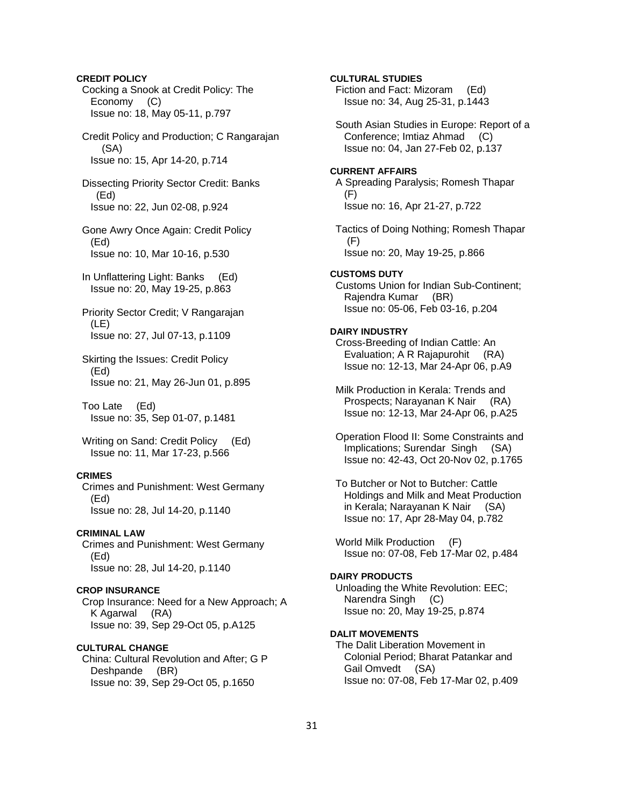Cocking a Snook at Credit Policy: The Economy (C) Issue no: 18, May 05-11, p.797 Credit Policy and Production; C Rangarajan (SA) Issue no: 15, Apr 14-20, p.714 Dissecting Priority Sector Credit: Banks (Ed) Issue no: 22, Jun 02-08, p.924 Gone Awry Once Again: Credit Policy (Ed) Issue no: 10, Mar 10-16, p.530 In Unflattering Light: Banks (Ed) Issue no: 20, May 19-25, p.863 Priority Sector Credit; V Rangarajan (LE) Issue no: 27, Jul 07-13, p.1109 Skirting the Issues: Credit Policy (Ed) Issue no: 21, May 26-Jun 01, p.895 Too Late (Ed) Issue no: 35, Sep 01-07, p.1481 Writing on Sand: Credit Policy (Ed) Issue no: 11, Mar 17-23, p.566 **CRIMES**  Crimes and Punishment: West Germany (Ed) Issue no: 28, Jul 14-20, p.1140 **CRIMINAL LAW**  Crimes and Punishment: West Germany (Ed) Issue no: 28, Jul 14-20, p.1140 **CROP INSURANCE**  Crop Insurance: Need for a New Approach; A K Agarwal (RA) Issue no: 39, Sep 29-Oct 05, p.A125 **CULTURAL CHANGE** 

**CREDIT POLICY** 

 China: Cultural Revolution and After; G P Deshpande (BR) Issue no: 39, Sep 29-Oct 05, p.1650

 Fiction and Fact: Mizoram (Ed) Issue no: 34, Aug 25-31, p.1443 South Asian Studies in Europe: Report of a Conference; Imtiaz Ahmad (C) Issue no: 04, Jan 27-Feb 02, p.137 **CURRENT AFFAIRS**  A Spreading Paralysis; Romesh Thapar (F) Issue no: 16, Apr 21-27, p.722 Tactics of Doing Nothing; Romesh Thapar (F) Issue no: 20, May 19-25, p.866 **CUSTOMS DUTY**  Customs Union for Indian Sub-Continent; Rajendra Kumar (BR) Issue no: 05-06, Feb 03-16, p.204 **DAIRY INDUSTRY**  Cross-Breeding of Indian Cattle: An Evaluation; A R Rajapurohit (RA) Issue no: 12-13, Mar 24-Apr 06, p.A9 Milk Production in Kerala: Trends and Prospects; Narayanan K Nair (RA) Issue no: 12-13, Mar 24-Apr 06, p.A25 Operation Flood II: Some Constraints and Implications; Surendar Singh (SA) Issue no: 42-43, Oct 20-Nov 02, p.1765 To Butcher or Not to Butcher: Cattle Holdings and Milk and Meat Production in Kerala; Narayanan K Nair (SA) Issue no: 17, Apr 28-May 04, p.782 World Milk Production (F) Issue no: 07-08, Feb 17-Mar 02, p.484 **DAIRY PRODUCTS**  Unloading the White Revolution: EEC; Narendra Singh (C) Issue no: 20, May 19-25, p.874 **DALIT MOVEMENTS**  The Dalit Liberation Movement in Colonial Period; Bharat Patankar and

**CULTURAL STUDIES** 

Gail Omvedt (SA)

Issue no: 07-08, Feb 17-Mar 02, p.409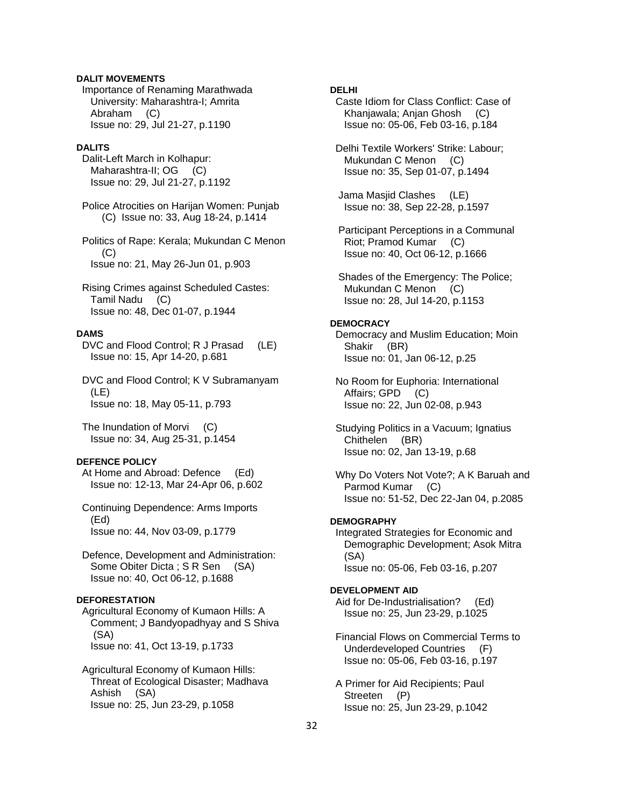## **DALIT MOVEMENTS**

 Importance of Renaming Marathwada University: Maharashtra-I; Amrita Abraham (C) Issue no: 29, Jul 21-27, p.1190

#### **DALITS**

 Dalit-Left March in Kolhapur: Maharashtra-II; OG (C) Issue no: 29, Jul 21-27, p.1192

 Police Atrocities on Harijan Women: Punjab (C) Issue no: 33, Aug 18-24, p.1414

 Politics of Rape: Kerala; Mukundan C Menon (C) Issue no: 21, May 26-Jun 01, p.903

 Rising Crimes against Scheduled Castes: Tamil Nadu (C) Issue no: 48, Dec 01-07, p.1944

## **DAMS**

 DVC and Flood Control; R J Prasad (LE) Issue no: 15, Apr 14-20, p.681

 DVC and Flood Control; K V Subramanyam (LE) Issue no: 18, May 05-11, p.793

 The Inundation of Morvi (C) Issue no: 34, Aug 25-31, p.1454

## **DEFENCE POLICY**

 At Home and Abroad: Defence (Ed) Issue no: 12-13, Mar 24-Apr 06, p.602

 Continuing Dependence: Arms Imports (Ed) Issue no: 44, Nov 03-09, p.1779

 Defence, Development and Administration: Some Obiter Dicta; S R Sen (SA) Issue no: 40, Oct 06-12, p.1688

## **DEFORESTATION**

 Agricultural Economy of Kumaon Hills: A Comment; J Bandyopadhyay and S Shiva (SA) Issue no: 41, Oct 13-19, p.1733

 Agricultural Economy of Kumaon Hills: Threat of Ecological Disaster; Madhava Ashish (SA) Issue no: 25, Jun 23-29, p.1058

# **DELHI**

 Caste Idiom for Class Conflict: Case of Khanjawala; Anjan Ghosh (C) Issue no: 05-06, Feb 03-16, p.184

 Delhi Textile Workers' Strike: Labour; Mukundan C Menon (C) Issue no: 35, Sep 01-07, p.1494

 Jama Masjid Clashes (LE) Issue no: 38, Sep 22-28, p.1597

 Participant Perceptions in a Communal Riot; Pramod Kumar (C) Issue no: 40, Oct 06-12, p.1666

 Shades of the Emergency: The Police; Mukundan C Menon (C) Issue no: 28, Jul 14-20, p.1153

## **DEMOCRACY**

 Democracy and Muslim Education; Moin Shakir (BR) Issue no: 01, Jan 06-12, p.25

 No Room for Euphoria: International Affairs; GPD (C) Issue no: 22, Jun 02-08, p.943

 Studying Politics in a Vacuum; Ignatius Chithelen (BR) Issue no: 02, Jan 13-19, p.68

 Why Do Voters Not Vote?; A K Baruah and Parmod Kumar (C) Issue no: 51-52, Dec 22-Jan 04, p.2085

#### **DEMOGRAPHY**

 Integrated Strategies for Economic and Demographic Development; Asok Mitra (SA) Issue no: 05-06, Feb 03-16, p.207

## **DEVELOPMENT AID**

 Aid for De-Industrialisation? (Ed) Issue no: 25, Jun 23-29, p.1025

 Financial Flows on Commercial Terms to Underdeveloped Countries (F) Issue no: 05-06, Feb 03-16, p.197

 A Primer for Aid Recipients; Paul Streeten (P) Issue no: 25, Jun 23-29, p.1042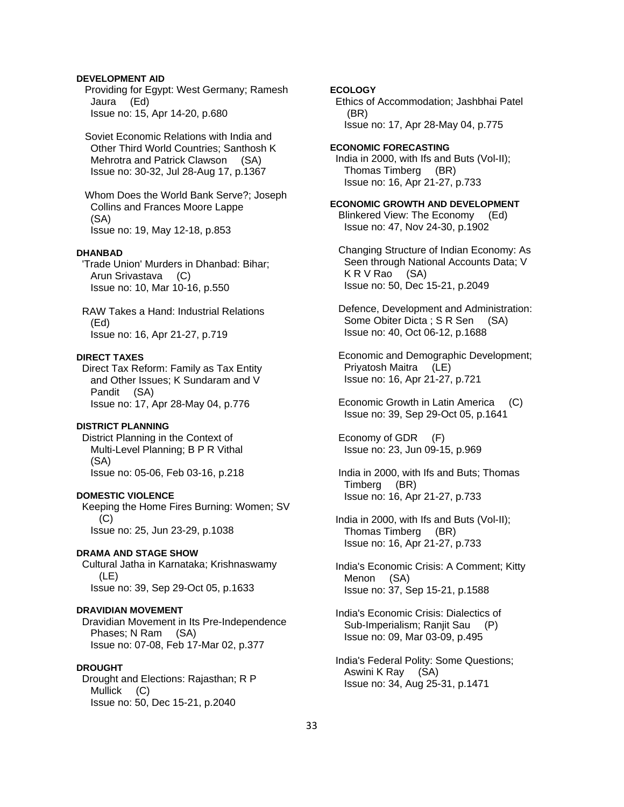# **DEVELOPMENT AID**

 Providing for Egypt: West Germany; Ramesh Jaura (Ed) Issue no: 15, Apr 14-20, p.680

 Soviet Economic Relations with India and Other Third World Countries; Santhosh K Mehrotra and Patrick Clawson (SA) Issue no: 30-32, Jul 28-Aug 17, p.1367

 Whom Does the World Bank Serve?; Joseph Collins and Frances Moore Lappe (SA) Issue no: 19, May 12-18, p.853

#### **DHANBAD**

 'Trade Union' Murders in Dhanbad: Bihar; Arun Srivastava (C) Issue no: 10, Mar 10-16, p.550

 RAW Takes a Hand: Industrial Relations (Ed) Issue no: 16, Apr 21-27, p.719

#### **DIRECT TAXES**

 Direct Tax Reform: Family as Tax Entity and Other Issues; K Sundaram and V Pandit (SA) Issue no: 17, Apr 28-May 04, p.776

## **DISTRICT PLANNING**

 District Planning in the Context of Multi-Level Planning; B P R Vithal (SA) Issue no: 05-06, Feb 03-16, p.218

#### **DOMESTIC VIOLENCE**

 Keeping the Home Fires Burning: Women; SV  $(C)$ Issue no: 25, Jun 23-29, p.1038

#### **DRAMA AND STAGE SHOW**

 Cultural Jatha in Karnataka; Krishnaswamy (LE) Issue no: 39, Sep 29-Oct 05, p.1633

## **DRAVIDIAN MOVEMENT**

 Dravidian Movement in Its Pre-Independence Phases; N Ram (SA) Issue no: 07-08, Feb 17-Mar 02, p.377

## **DROUGHT**

 Drought and Elections: Rajasthan; R P Mullick (C) Issue no: 50, Dec 15-21, p.2040

# **ECOLOGY**

 Ethics of Accommodation; Jashbhai Patel (BR) Issue no: 17, Apr 28-May 04, p.775

**ECONOMIC FORECASTING**  India in 2000, with Ifs and Buts (Vol-II); Thomas Timberg (BR) Issue no: 16, Apr 21-27, p.733

**ECONOMIC GROWTH AND DEVELOPMENT**  Blinkered View: The Economy (Ed) Issue no: 47, Nov 24-30, p.1902

 Changing Structure of Indian Economy: As Seen through National Accounts Data; V K R V Rao (SA) Issue no: 50, Dec 15-21, p.2049

 Defence, Development and Administration: Some Obiter Dicta; S R Sen (SA) Issue no: 40, Oct 06-12, p.1688

 Economic and Demographic Development; Priyatosh Maitra (LE) Issue no: 16, Apr 21-27, p.721

 Economic Growth in Latin America (C) Issue no: 39, Sep 29-Oct 05, p.1641

 Economy of GDR (F) Issue no: 23, Jun 09-15, p.969

 India in 2000, with Ifs and Buts; Thomas Timberg (BR) Issue no: 16, Apr 21-27, p.733

 India in 2000, with Ifs and Buts (Vol-II); Thomas Timberg (BR) Issue no: 16, Apr 21-27, p.733

 India's Economic Crisis: A Comment; Kitty Menon (SA) Issue no: 37, Sep 15-21, p.1588

 India's Economic Crisis: Dialectics of Sub-Imperialism; Ranjit Sau (P) Issue no: 09, Mar 03-09, p.495

 India's Federal Polity: Some Questions; Aswini K Ray (SA) Issue no: 34, Aug 25-31, p.1471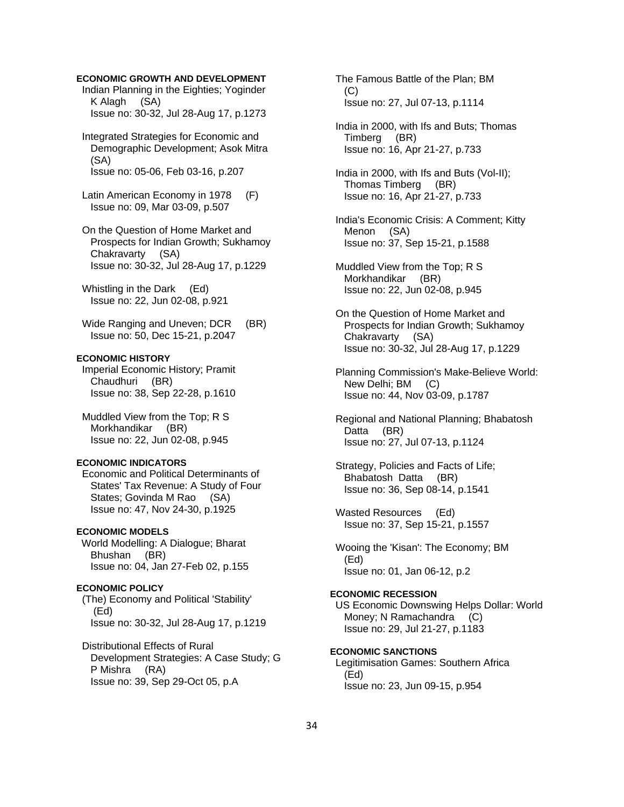## **ECONOMIC GROWTH AND DEVELOPMENT**

 Indian Planning in the Eighties; Yoginder K Alagh (SA) Issue no: 30-32, Jul 28-Aug 17, p.1273

 Integrated Strategies for Economic and Demographic Development; Asok Mitra (SA) Issue no: 05-06, Feb 03-16, p.207

 Latin American Economy in 1978 (F) Issue no: 09, Mar 03-09, p.507

 On the Question of Home Market and Prospects for Indian Growth; Sukhamoy Chakravarty (SA) Issue no: 30-32, Jul 28-Aug 17, p.1229

 Whistling in the Dark (Ed) Issue no: 22, Jun 02-08, p.921

Wide Ranging and Uneven; DCR (BR) Issue no: 50, Dec 15-21, p.2047

# **ECONOMIC HISTORY**

 Imperial Economic History; Pramit Chaudhuri (BR) Issue no: 38, Sep 22-28, p.1610

 Muddled View from the Top; R S Morkhandikar (BR) Issue no: 22, Jun 02-08, p.945

## **ECONOMIC INDICATORS**

 Economic and Political Determinants of States' Tax Revenue: A Study of Four States; Govinda M Rao (SA) Issue no: 47, Nov 24-30, p.1925

# **ECONOMIC MODELS**

World Modelling: A Dialogue; Bharat Bhushan (BR) Issue no: 04, Jan 27-Feb 02, p.155

## **ECONOMIC POLICY**

 (The) Economy and Political 'Stability' (Ed) Issue no: 30-32, Jul 28-Aug 17, p.1219

 Distributional Effects of Rural Development Strategies: A Case Study; G P Mishra (RA) Issue no: 39, Sep 29-Oct 05, p.A

 The Famous Battle of the Plan; BM  $(C)$ Issue no: 27, Jul 07-13, p.1114

 India in 2000, with Ifs and Buts; Thomas Timberg (BR) Issue no: 16, Apr 21-27, p.733

 India in 2000, with Ifs and Buts (Vol-II); Thomas Timberg (BR) Issue no: 16, Apr 21-27, p.733

 India's Economic Crisis: A Comment; Kitty Menon (SA) Issue no: 37, Sep 15-21, p.1588

 Muddled View from the Top; R S Morkhandikar (BR) Issue no: 22, Jun 02-08, p.945

 On the Question of Home Market and Prospects for Indian Growth; Sukhamoy Chakravarty (SA) Issue no: 30-32, Jul 28-Aug 17, p.1229

 Planning Commission's Make-Believe World: New Delhi; BM (C) Issue no: 44, Nov 03-09, p.1787

 Regional and National Planning; Bhabatosh Datta (BR) Issue no: 27, Jul 07-13, p.1124

 Strategy, Policies and Facts of Life; Bhabatosh Datta (BR) Issue no: 36, Sep 08-14, p.1541

 Wasted Resources (Ed) Issue no: 37, Sep 15-21, p.1557

 Wooing the 'Kisan': The Economy; BM (Ed) Issue no: 01, Jan 06-12, p.2

# **ECONOMIC RECESSION**

 US Economic Downswing Helps Dollar: World Money; N Ramachandra (C) Issue no: 29, Jul 21-27, p.1183

# **ECONOMIC SANCTIONS**

 Legitimisation Games: Southern Africa (Ed) Issue no: 23, Jun 09-15, p.954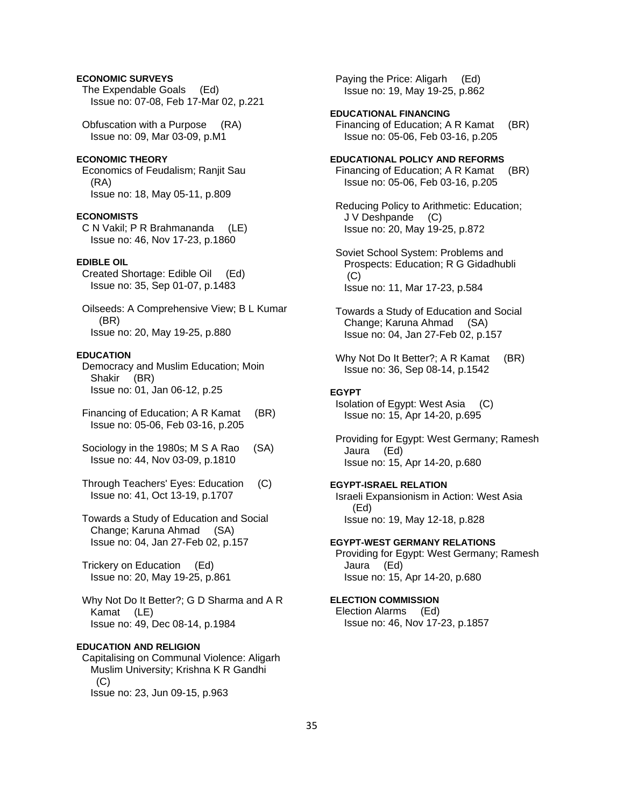# **ECONOMIC SURVEYS**

 The Expendable Goals (Ed) Issue no: 07-08, Feb 17-Mar 02, p.221

 Obfuscation with a Purpose (RA) Issue no: 09, Mar 03-09, p.M1

## **ECONOMIC THEORY**

 Economics of Feudalism; Ranjit Sau (RA) Issue no: 18, May 05-11, p.809

#### **ECONOMISTS**

 C N Vakil; P R Brahmananda (LE) Issue no: 46, Nov 17-23, p.1860

# **EDIBLE OIL**

 Created Shortage: Edible Oil (Ed) Issue no: 35, Sep 01-07, p.1483

 Oilseeds: A Comprehensive View; B L Kumar (BR) Issue no: 20, May 19-25, p.880

#### **EDUCATION**

 Democracy and Muslim Education; Moin Shakir (BR) Issue no: 01, Jan 06-12, p.25

- Financing of Education; A R Kamat (BR) Issue no: 05-06, Feb 03-16, p.205
- Sociology in the 1980s; M S A Rao (SA) Issue no: 44, Nov 03-09, p.1810
- Through Teachers' Eyes: Education (C) Issue no: 41, Oct 13-19, p.1707

 Towards a Study of Education and Social Change; Karuna Ahmad (SA) Issue no: 04, Jan 27-Feb 02, p.157

 Trickery on Education (Ed) Issue no: 20, May 19-25, p.861

 Why Not Do It Better?; G D Sharma and A R Kamat (LE) Issue no: 49, Dec 08-14, p.1984

#### **EDUCATION AND RELIGION**

 Capitalising on Communal Violence: Aligarh Muslim University; Krishna K R Gandhi  $(C)$ Issue no: 23, Jun 09-15, p.963

 Paying the Price: Aligarh (Ed) Issue no: 19, May 19-25, p.862

## **EDUCATIONAL FINANCING**  Financing of Education; A R Kamat (BR) Issue no: 05-06, Feb 03-16, p.205

#### **EDUCATIONAL POLICY AND REFORMS**

 Financing of Education; A R Kamat (BR) Issue no: 05-06, Feb 03-16, p.205

 Reducing Policy to Arithmetic: Education; J V Deshpande (C) Issue no: 20, May 19-25, p.872

 Soviet School System: Problems and Prospects: Education; R G Gidadhubli  $(C)$ Issue no: 11, Mar 17-23, p.584

 Towards a Study of Education and Social Change; Karuna Ahmad (SA) Issue no: 04, Jan 27-Feb 02, p.157

Why Not Do It Better?; A R Kamat (BR) Issue no: 36, Sep 08-14, p.1542

#### **EGYPT**

 Isolation of Egypt: West Asia (C) Issue no: 15, Apr 14-20, p.695

 Providing for Egypt: West Germany; Ramesh Jaura (Ed) Issue no: 15, Apr 14-20, p.680

#### **EGYPT-ISRAEL RELATION**

 Israeli Expansionism in Action: West Asia (Ed) Issue no: 19, May 12-18, p.828

#### **EGYPT-WEST GERMANY RELATIONS**

 Providing for Egypt: West Germany; Ramesh Jaura (Ed) Issue no: 15, Apr 14-20, p.680

# **ELECTION COMMISSION**

 Election Alarms (Ed) Issue no: 46, Nov 17-23, p.1857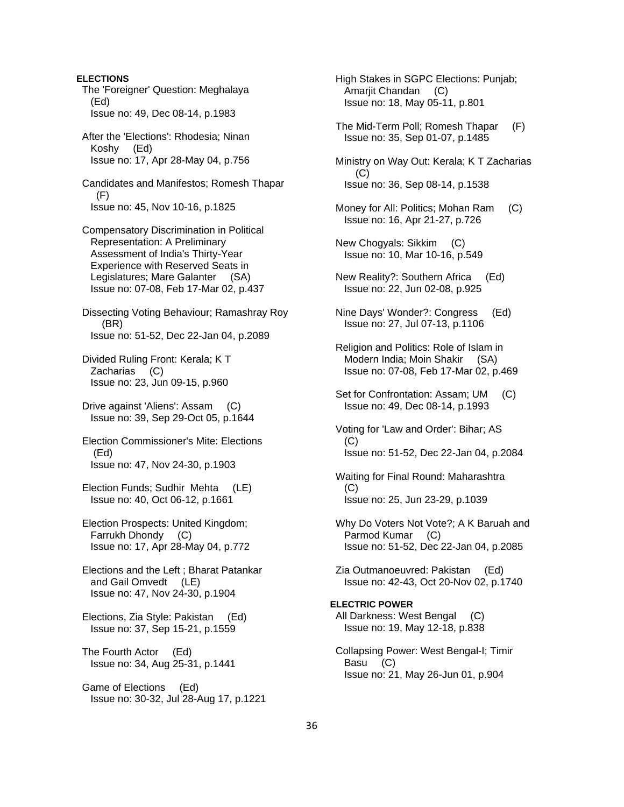**ELECTIONS**  The 'Foreigner' Question: Meghalaya (Ed) Issue no: 49, Dec 08-14, p.1983 After the 'Elections': Rhodesia; Ninan Koshy (Ed) Issue no: 17, Apr 28-May 04, p.756 Candidates and Manifestos; Romesh Thapar (F) Issue no: 45, Nov 10-16, p.1825 Compensatory Discrimination in Political Representation: A Preliminary Assessment of India's Thirty-Year Experience with Reserved Seats in Legislatures; Mare Galanter (SA) Issue no: 07-08, Feb 17-Mar 02, p.437 Dissecting Voting Behaviour; Ramashray Roy (BR) Issue no: 51-52, Dec 22-Jan 04, p.2089 Divided Ruling Front: Kerala; K T Zacharias (C) Issue no: 23, Jun 09-15, p.960 Drive against 'Aliens': Assam (C) Issue no: 39, Sep 29-Oct 05, p.1644 Election Commissioner's Mite: Elections (Ed) Issue no: 47, Nov 24-30, p.1903 Election Funds; Sudhir Mehta (LE) Issue no: 40, Oct 06-12, p.1661 Election Prospects: United Kingdom; Farrukh Dhondy (C) Issue no: 17, Apr 28-May 04, p.772 Elections and the Left ; Bharat Patankar and Gail Omvedt (LE) Issue no: 47, Nov 24-30, p.1904 Elections, Zia Style: Pakistan (Ed) Issue no: 37, Sep 15-21, p.1559 The Fourth Actor (Ed) Issue no: 34, Aug 25-31, p.1441 Game of Elections (Ed) Issue no: 30-32, Jul 28-Aug 17, p.1221

 High Stakes in SGPC Elections: Punjab; Amarjit Chandan (C) Issue no: 18, May 05-11, p.801

 The Mid-Term Poll; Romesh Thapar (F) Issue no: 35, Sep 01-07, p.1485

 Ministry on Way Out: Kerala; K T Zacharias (C) Issue no: 36, Sep 08-14, p.1538

 Money for All: Politics; Mohan Ram (C) Issue no: 16, Apr 21-27, p.726

 New Chogyals: Sikkim (C) Issue no: 10, Mar 10-16, p.549

 New Reality?: Southern Africa (Ed) Issue no: 22, Jun 02-08, p.925

 Nine Days' Wonder?: Congress (Ed) Issue no: 27, Jul 07-13, p.1106

 Religion and Politics: Role of Islam in Modern India; Moin Shakir (SA) Issue no: 07-08, Feb 17-Mar 02, p.469

 Set for Confrontation: Assam; UM (C) Issue no: 49, Dec 08-14, p.1993

 Voting for 'Law and Order': Bihar; AS (C) Issue no: 51-52, Dec 22-Jan 04, p.2084

 Waiting for Final Round: Maharashtra (C) Issue no: 25, Jun 23-29, p.1039

 Why Do Voters Not Vote?; A K Baruah and Parmod Kumar (C) Issue no: 51-52, Dec 22-Jan 04, p.2085

 Zia Outmanoeuvred: Pakistan (Ed) Issue no: 42-43, Oct 20-Nov 02, p.1740

**ELECTRIC POWER**  All Darkness: West Bengal (C) Issue no: 19, May 12-18, p.838

 Collapsing Power: West Bengal-I; Timir Basu (C) Issue no: 21, May 26-Jun 01, p.904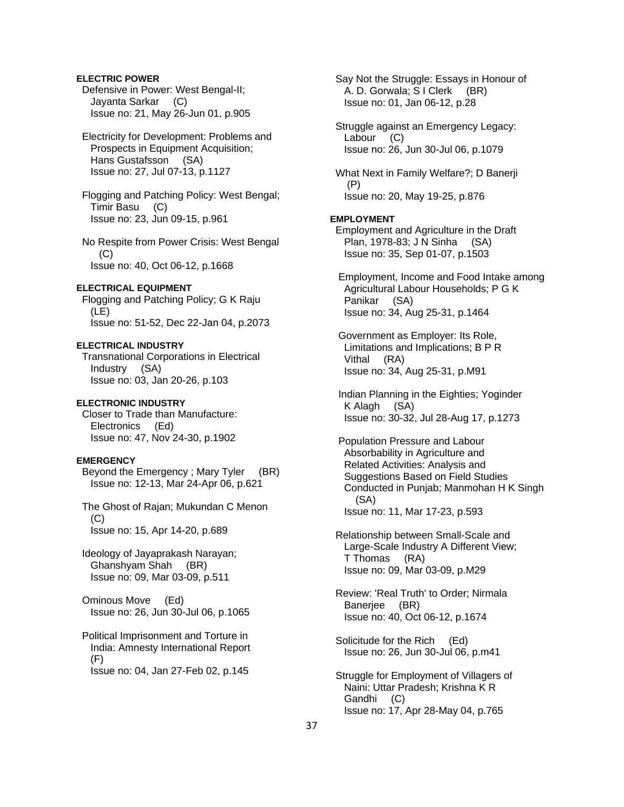# **ELECTRIC POWER**

 Defensive in Power: West Bengal-II; Jayanta Sarkar (C) Issue no: 21, May 26-Jun 01, p.905

# Electricity for Development: Problems and Prospects in Equipment Acquisition; Hans Gustafsson (SA) Issue no: 27, Jul 07-13, p.1127

 Flogging and Patching Policy: West Bengal; Timir Basu (C) Issue no: 23, Jun 09-15, p.961

 No Respite from Power Crisis: West Bengal  $(C)$ Issue no: 40, Oct 06-12, p.1668

### **ELECTRICAL EQUIPMENT**

 Flogging and Patching Policy; G K Raju (LE) Issue no: 51-52, Dec 22-Jan 04, p.2073

#### **ELECTRICAL INDUSTRY**

 Transnational Corporations in Electrical Industry (SA) Issue no: 03, Jan 20-26, p.103

### **ELECTRONIC INDUSTRY**

 Closer to Trade than Manufacture: Electronics (Ed) Issue no: 47, Nov 24-30, p.1902

### **EMERGENCY**

 Beyond the Emergency ; Mary Tyler (BR) Issue no: 12-13, Mar 24-Apr 06, p.621

 The Ghost of Rajan; Mukundan C Menon  $(C)$ Issue no: 15, Apr 14-20, p.689

 Ideology of Jayaprakash Narayan; Ghanshyam Shah (BR) Issue no: 09, Mar 03-09, p.511

 Ominous Move (Ed) Issue no: 26, Jun 30-Jul 06, p.1065

 Political Imprisonment and Torture in India: Amnesty International Report (F)

Issue no: 04, Jan 27-Feb 02, p.145

 Say Not the Struggle: Essays in Honour of A. D. Gorwala; S I Clerk (BR) Issue no: 01, Jan 06-12, p.28

 Struggle against an Emergency Legacy: Labour (C) Issue no: 26, Jun 30-Jul 06, p.1079

 What Next in Family Welfare?; D Banerji (P) Issue no: 20, May 19-25, p.876

#### **EMPLOYMENT**

 Employment and Agriculture in the Draft Plan, 1978-83; J N Sinha (SA) Issue no: 35, Sep 01-07, p.1503

 Employment, Income and Food Intake among Agricultural Labour Households; P G K Panikar (SA) Issue no: 34, Aug 25-31, p.1464

 Government as Employer: Its Role, Limitations and Implications; B P R Vithal (RA) Issue no: 34, Aug 25-31, p.M91

 Indian Planning in the Eighties; Yoginder K Alagh (SA) Issue no: 30-32, Jul 28-Aug 17, p.1273

 Population Pressure and Labour Absorbability in Agriculture and Related Activities: Analysis and Suggestions Based on Field Studies Conducted in Punjab; Manmohan H K Singh (SA) Issue no: 11, Mar 17-23, p.593

 Relationship between Small-Scale and Large-Scale Industry A Different View; T Thomas (RA) Issue no: 09, Mar 03-09, p.M29

 Review: 'Real Truth' to Order; Nirmala Banerjee (BR) Issue no: 40, Oct 06-12, p.1674

 Solicitude for the Rich (Ed) Issue no: 26, Jun 30-Jul 06, p.m41

 Struggle for Employment of Villagers of Naini: Uttar Pradesh; Krishna K R Gandhi (C) Issue no: 17, Apr 28-May 04, p.765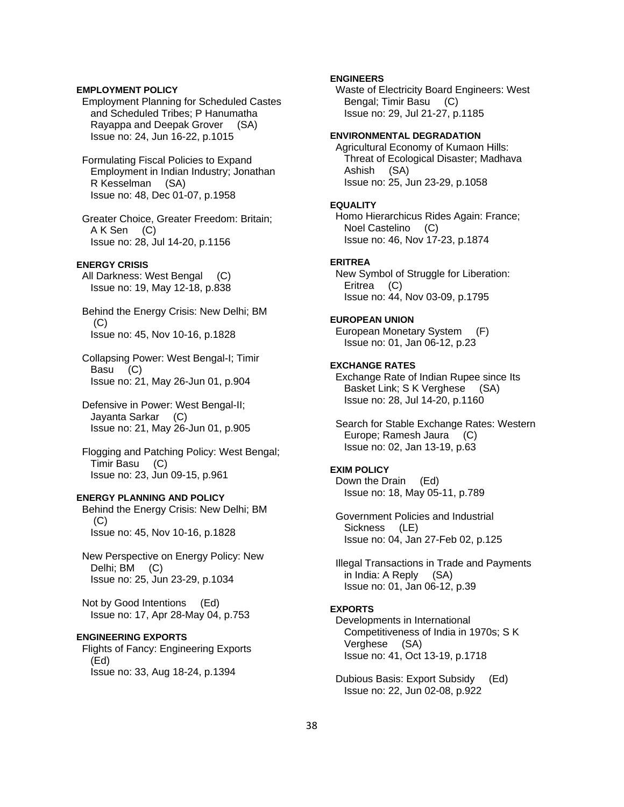### **EMPLOYMENT POLICY**

 Employment Planning for Scheduled Castes and Scheduled Tribes; P Hanumatha Rayappa and Deepak Grover (SA) Issue no: 24, Jun 16-22, p.1015

 Formulating Fiscal Policies to Expand Employment in Indian Industry; Jonathan R Kesselman (SA) Issue no: 48, Dec 01-07, p.1958

 Greater Choice, Greater Freedom: Britain; A K Sen (C) Issue no: 28, Jul 14-20, p.1156

### **ENERGY CRISIS**

 All Darkness: West Bengal (C) Issue no: 19, May 12-18, p.838

 Behind the Energy Crisis: New Delhi; BM (C) Issue no: 45, Nov 10-16, p.1828

 Collapsing Power: West Bengal-I; Timir Basu (C) Issue no: 21, May 26-Jun 01, p.904

 Defensive in Power: West Bengal-II; Jayanta Sarkar (C) Issue no: 21, May 26-Jun 01, p.905

 Flogging and Patching Policy: West Bengal; Timir Basu (C) Issue no: 23, Jun 09-15, p.961

### **ENERGY PLANNING AND POLICY**

 Behind the Energy Crisis: New Delhi; BM (C) Issue no: 45, Nov 10-16, p.1828

 New Perspective on Energy Policy: New Delhi; BM (C) Issue no: 25, Jun 23-29, p.1034

 Not by Good Intentions (Ed) Issue no: 17, Apr 28-May 04, p.753

#### **ENGINEERING EXPORTS**

 Flights of Fancy: Engineering Exports (Ed) Issue no: 33, Aug 18-24, p.1394

## **ENGINEERS**

 Waste of Electricity Board Engineers: West Bengal; Timir Basu (C) Issue no: 29, Jul 21-27, p.1185

# **ENVIRONMENTAL DEGRADATION**

 Agricultural Economy of Kumaon Hills: Threat of Ecological Disaster; Madhava Ashish (SA) Issue no: 25, Jun 23-29, p.1058

#### **EQUALITY**

 Homo Hierarchicus Rides Again: France; Noel Castelino (C) Issue no: 46, Nov 17-23, p.1874

#### **ERITREA**

 New Symbol of Struggle for Liberation: Eritrea (C) Issue no: 44, Nov 03-09, p.1795

#### **EUROPEAN UNION**

 European Monetary System (F) Issue no: 01, Jan 06-12, p.23

#### **EXCHANGE RATES**

 Exchange Rate of Indian Rupee since Its Basket Link; S K Verghese (SA) Issue no: 28, Jul 14-20, p.1160

 Search for Stable Exchange Rates: Western Europe; Ramesh Jaura (C) Issue no: 02, Jan 13-19, p.63

### **EXIM POLICY**

 Down the Drain (Ed) Issue no: 18, May 05-11, p.789

 Government Policies and Industrial Sickness (LE) Issue no: 04, Jan 27-Feb 02, p.125

 Illegal Transactions in Trade and Payments in India: A Reply (SA) Issue no: 01, Jan 06-12, p.39

#### **EXPORTS**

 Developments in International Competitiveness of India in 1970s; S K Verghese (SA) Issue no: 41, Oct 13-19, p.1718

 Dubious Basis: Export Subsidy (Ed) Issue no: 22, Jun 02-08, p.922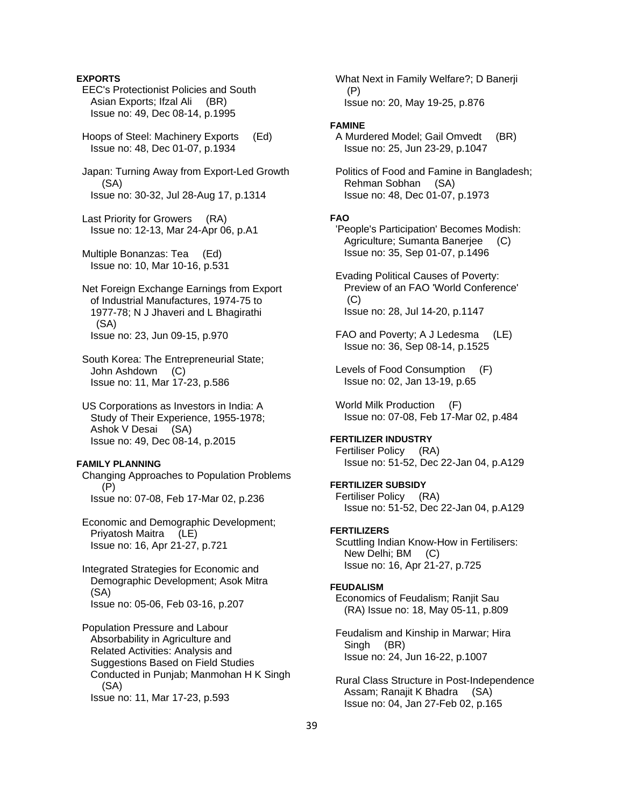### **EXPORTS**

 EEC's Protectionist Policies and South Asian Exports; Ifzal Ali (BR) Issue no: 49, Dec 08-14, p.1995

 Hoops of Steel: Machinery Exports (Ed) Issue no: 48, Dec 01-07, p.1934

 Japan: Turning Away from Export-Led Growth (SA) Issue no: 30-32, Jul 28-Aug 17, p.1314

 Last Priority for Growers (RA) Issue no: 12-13, Mar 24-Apr 06, p.A1

 Multiple Bonanzas: Tea (Ed) Issue no: 10, Mar 10-16, p.531

- Net Foreign Exchange Earnings from Export of Industrial Manufactures, 1974-75 to 1977-78; N J Jhaveri and L Bhagirathi (SA) Issue no: 23, Jun 09-15, p.970
- South Korea: The Entrepreneurial State; John Ashdown (C) Issue no: 11, Mar 17-23, p.586
- US Corporations as Investors in India: A Study of Their Experience, 1955-1978; Ashok V Desai (SA) Issue no: 49, Dec 08-14, p.2015

#### **FAMILY PLANNING**

 Changing Approaches to Population Problems (P) Issue no: 07-08, Feb 17-Mar 02, p.236

 Economic and Demographic Development; Priyatosh Maitra (LE) Issue no: 16, Apr 21-27, p.721

 Integrated Strategies for Economic and Demographic Development; Asok Mitra (SA) Issue no: 05-06, Feb 03-16, p.207

 Population Pressure and Labour Absorbability in Agriculture and Related Activities: Analysis and Suggestions Based on Field Studies Conducted in Punjab; Manmohan H K Singh (SA) Issue no: 11, Mar 17-23, p.593

 What Next in Family Welfare?; D Banerji (P) Issue no: 20, May 19-25, p.876

#### **FAMINE**

 A Murdered Model; Gail Omvedt (BR) Issue no: 25, Jun 23-29, p.1047

 Politics of Food and Famine in Bangladesh; Rehman Sobhan (SA) Issue no: 48, Dec 01-07, p.1973

#### **FAO**

 'People's Participation' Becomes Modish: Agriculture; Sumanta Banerjee (C) Issue no: 35, Sep 01-07, p.1496

- Evading Political Causes of Poverty: Preview of an FAO 'World Conference' (C) Issue no: 28, Jul 14-20, p.1147
- FAO and Poverty; A J Ledesma (LE) Issue no: 36, Sep 08-14, p.1525
- Levels of Food Consumption (F) Issue no: 02, Jan 13-19, p.65

 World Milk Production (F) Issue no: 07-08, Feb 17-Mar 02, p.484

#### **FERTILIZER INDUSTRY**  Fertiliser Policy (RA)

Issue no: 51-52, Dec 22-Jan 04, p.A129

# **FERTILIZER SUBSIDY**

 Fertiliser Policy (RA) Issue no: 51-52, Dec 22-Jan 04, p.A129

### **FERTILIZERS**

 Scuttling Indian Know-How in Fertilisers: New Delhi; BM (C) Issue no: 16, Apr 21-27, p.725

#### **FEUDALISM**

 Economics of Feudalism; Ranjit Sau (RA) Issue no: 18, May 05-11, p.809

 Feudalism and Kinship in Marwar; Hira Singh (BR) Issue no: 24, Jun 16-22, p.1007

 Rural Class Structure in Post-Independence Assam; Ranajit K Bhadra (SA) Issue no: 04, Jan 27-Feb 02, p.165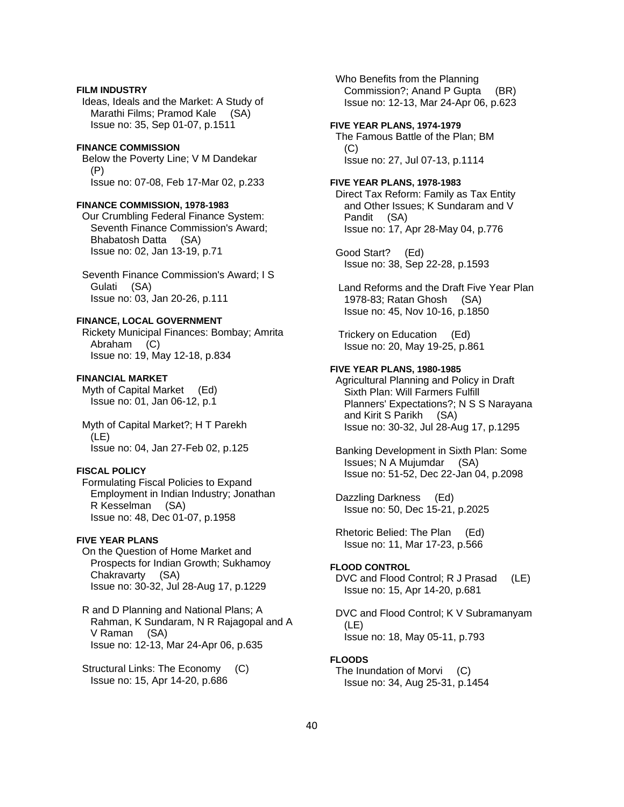### **FILM INDUSTRY**

 Ideas, Ideals and the Market: A Study of Marathi Films; Pramod Kale (SA) Issue no: 35, Sep 01-07, p.1511

#### **FINANCE COMMISSION**

 Below the Poverty Line; V M Dandekar (P) Issue no: 07-08, Feb 17-Mar 02, p.233

#### **FINANCE COMMISSION, 1978-1983**

 Our Crumbling Federal Finance System: Seventh Finance Commission's Award; Bhabatosh Datta (SA) Issue no: 02, Jan 13-19, p.71

 Seventh Finance Commission's Award; I S Gulati (SA) Issue no: 03, Jan 20-26, p.111

# **FINANCE, LOCAL GOVERNMENT**

 Rickety Municipal Finances: Bombay; Amrita Abraham (C) Issue no: 19, May 12-18, p.834

#### **FINANCIAL MARKET**

 Myth of Capital Market (Ed) Issue no: 01, Jan 06-12, p.1

 Myth of Capital Market?; H T Parekh (LE) Issue no: 04, Jan 27-Feb 02, p.125

#### **FISCAL POLICY**

 Formulating Fiscal Policies to Expand Employment in Indian Industry; Jonathan R Kesselman (SA) Issue no: 48, Dec 01-07, p.1958

#### **FIVE YEAR PLANS**

 On the Question of Home Market and Prospects for Indian Growth; Sukhamoy Chakravarty (SA) Issue no: 30-32, Jul 28-Aug 17, p.1229

 R and D Planning and National Plans; A Rahman, K Sundaram, N R Rajagopal and A V Raman (SA) Issue no: 12-13, Mar 24-Apr 06, p.635

 Structural Links: The Economy (C) Issue no: 15, Apr 14-20, p.686

 Who Benefits from the Planning Commission?; Anand P Gupta (BR) Issue no: 12-13, Mar 24-Apr 06, p.623 **FIVE YEAR PLANS, 1974-1979**  The Famous Battle of the Plan; BM (C) Issue no: 27, Jul 07-13, p.1114 **FIVE YEAR PLANS, 1978-1983**  Direct Tax Reform: Family as Tax Entity and Other Issues; K Sundaram and V Pandit (SA) Issue no: 17, Apr 28-May 04, p.776 Good Start? (Ed) Issue no: 38, Sep 22-28, p.1593 Land Reforms and the Draft Five Year Plan 1978-83; Ratan Ghosh (SA) Issue no: 45, Nov 10-16, p.1850 Trickery on Education (Ed) Issue no: 20, May 19-25, p.861 **FIVE YEAR PLANS, 1980-1985**  Agricultural Planning and Policy in Draft Sixth Plan: Will Farmers Fulfill Planners' Expectations?; N S S Narayana and Kirit S Parikh (SA) Issue no: 30-32, Jul 28-Aug 17, p.1295 Banking Development in Sixth Plan: Some Issues; N A Mujumdar (SA) Issue no: 51-52, Dec 22-Jan 04, p.2098 Dazzling Darkness (Ed) Issue no: 50, Dec 15-21, p.2025 Rhetoric Belied: The Plan (Ed) Issue no: 11, Mar 17-23, p.566 **FLOOD CONTROL**  DVC and Flood Control; R J Prasad (LE) Issue no: 15, Apr 14-20, p.681 DVC and Flood Control; K V Subramanyam (LE) Issue no: 18, May 05-11, p.793 **FLOODS** 

 The Inundation of Morvi (C) Issue no: 34, Aug 25-31, p.1454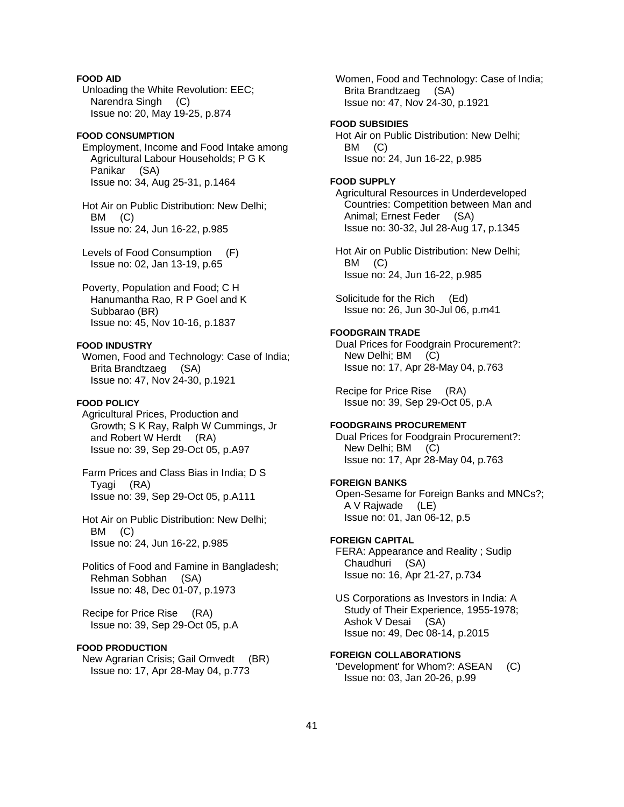# **FOOD AID**

 Unloading the White Revolution: EEC; Narendra Singh (C) Issue no: 20, May 19-25, p.874

# **FOOD CONSUMPTION**

 Employment, Income and Food Intake among Agricultural Labour Households; P G K Panikar (SA) Issue no: 34, Aug 25-31, p.1464

 Hot Air on Public Distribution: New Delhi; BM (C) Issue no: 24, Jun 16-22, p.985

 Levels of Food Consumption (F) Issue no: 02, Jan 13-19, p.65

 Poverty, Population and Food; C H Hanumantha Rao, R P Goel and K Subbarao (BR) Issue no: 45, Nov 10-16, p.1837

#### **FOOD INDUSTRY**

 Women, Food and Technology: Case of India; Brita Brandtzaeg (SA) Issue no: 47, Nov 24-30, p.1921

# **FOOD POLICY**

 Agricultural Prices, Production and Growth; S K Ray, Ralph W Cummings, Jr and Robert W Herdt (RA) Issue no: 39, Sep 29-Oct 05, p.A97

 Farm Prices and Class Bias in India; D S Tyagi (RA) Issue no: 39, Sep 29-Oct 05, p.A111

 Hot Air on Public Distribution: New Delhi; BM (C) Issue no: 24, Jun 16-22, p.985

 Politics of Food and Famine in Bangladesh; Rehman Sobhan (SA) Issue no: 48, Dec 01-07, p.1973

 Recipe for Price Rise (RA) Issue no: 39, Sep 29-Oct 05, p.A

#### **FOOD PRODUCTION**

 New Agrarian Crisis; Gail Omvedt (BR) Issue no: 17, Apr 28-May 04, p.773

 Women, Food and Technology: Case of India; Brita Brandtzaeg (SA) Issue no: 47, Nov 24-30, p.1921

### **FOOD SUBSIDIES**

 Hot Air on Public Distribution: New Delhi; BM (C) Issue no: 24, Jun 16-22, p.985

#### **FOOD SUPPLY**

 Agricultural Resources in Underdeveloped Countries: Competition between Man and Animal; Ernest Feder (SA) Issue no: 30-32, Jul 28-Aug 17, p.1345

 Hot Air on Public Distribution: New Delhi; BM (C) Issue no: 24, Jun 16-22, p.985

 Solicitude for the Rich (Ed) Issue no: 26, Jun 30-Jul 06, p.m41

# **FOODGRAIN TRADE**

 Dual Prices for Foodgrain Procurement?: New Delhi; BM (C) Issue no: 17, Apr 28-May 04, p.763

 Recipe for Price Rise (RA) Issue no: 39, Sep 29-Oct 05, p.A

## **FOODGRAINS PROCUREMENT**

 Dual Prices for Foodgrain Procurement?: New Delhi; BM (C) Issue no: 17, Apr 28-May 04, p.763

# **FOREIGN BANKS**

 Open-Sesame for Foreign Banks and MNCs?; A V Rajwade (LE) Issue no: 01, Jan 06-12, p.5

### **FOREIGN CAPITAL**

 FERA: Appearance and Reality ; Sudip Chaudhuri (SA) Issue no: 16, Apr 21-27, p.734

 US Corporations as Investors in India: A Study of Their Experience, 1955-1978; Ashok V Desai (SA) Issue no: 49, Dec 08-14, p.2015

**FOREIGN COLLABORATIONS**  'Development' for Whom?: ASEAN (C) Issue no: 03, Jan 20-26, p.99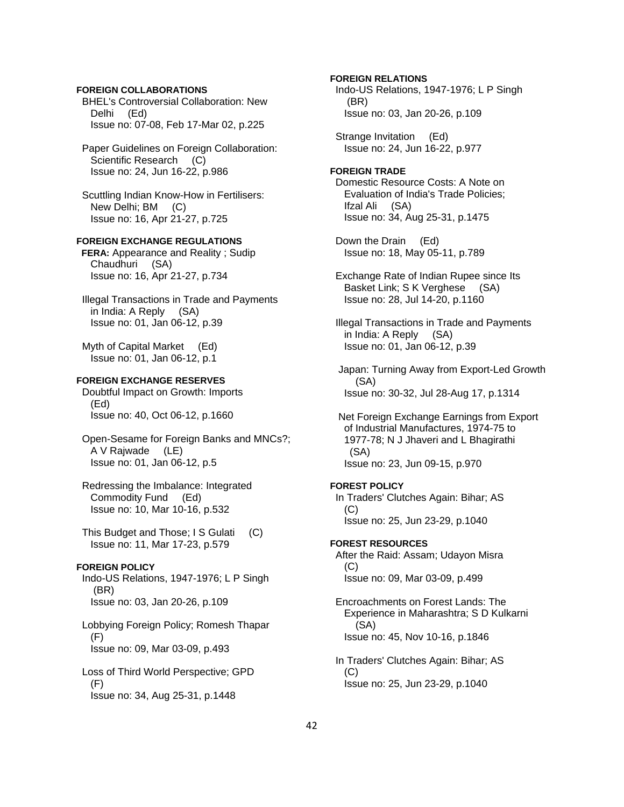### **FOREIGN COLLABORATIONS**

 BHEL's Controversial Collaboration: New Delhi (Ed) Issue no: 07-08, Feb 17-Mar 02, p.225

 Paper Guidelines on Foreign Collaboration: Scientific Research (C) Issue no: 24, Jun 16-22, p.986

 Scuttling Indian Know-How in Fertilisers: New Delhi; BM (C) Issue no: 16, Apr 21-27, p.725

### **FOREIGN EXCHANGE REGULATIONS**

**FERA:** Appearance and Reality ; Sudip Chaudhuri (SA) Issue no: 16, Apr 21-27, p.734

 Illegal Transactions in Trade and Payments in India: A Reply (SA) Issue no: 01, Jan 06-12, p.39

 Myth of Capital Market (Ed) Issue no: 01, Jan 06-12, p.1

### **FOREIGN EXCHANGE RESERVES**

 Doubtful Impact on Growth: Imports (Ed) Issue no: 40, Oct 06-12, p.1660

 Open-Sesame for Foreign Banks and MNCs?; A V Rajwade (LE) Issue no: 01, Jan 06-12, p.5

 Redressing the Imbalance: Integrated Commodity Fund (Ed) Issue no: 10, Mar 10-16, p.532

 This Budget and Those; I S Gulati (C) Issue no: 11, Mar 17-23, p.579

# **FOREIGN POLICY**

 Indo-US Relations, 1947-1976; L P Singh (BR) Issue no: 03, Jan 20-26, p.109

 Lobbying Foreign Policy; Romesh Thapar (F) Issue no: 09, Mar 03-09, p.493

 Loss of Third World Perspective; GPD  $(F)$ Issue no: 34, Aug 25-31, p.1448

**FOREIGN RELATIONS**  Indo-US Relations, 1947-1976; L P Singh (BR) Issue no: 03, Jan 20-26, p.109 Strange Invitation (Ed) Issue no: 24, Jun 16-22, p.977 **FOREIGN TRADE**  Domestic Resource Costs: A Note on Evaluation of India's Trade Policies; Ifzal Ali (SA) Issue no: 34, Aug 25-31, p.1475 Down the Drain (Ed) Issue no: 18, May 05-11, p.789 Exchange Rate of Indian Rupee since Its Basket Link; S K Verghese (SA) Issue no: 28, Jul 14-20, p.1160 Illegal Transactions in Trade and Payments in India: A Reply (SA) Issue no: 01, Jan 06-12, p.39 Japan: Turning Away from Export-Led Growth (SA) Issue no: 30-32, Jul 28-Aug 17, p.1314 Net Foreign Exchange Earnings from Export of Industrial Manufactures, 1974-75 to 1977-78; N J Jhaveri and L Bhagirathi (SA) Issue no: 23, Jun 09-15, p.970 **FOREST POLICY**  In Traders' Clutches Again: Bihar; AS (C) Issue no: 25, Jun 23-29, p.1040 **FOREST RESOURCES**  After the Raid: Assam; Udayon Misra  $(C)$ 

Issue no: 09, Mar 03-09, p.499

 Encroachments on Forest Lands: The Experience in Maharashtra; S D Kulkarni (SA) Issue no: 45, Nov 10-16, p.1846

 In Traders' Clutches Again: Bihar; AS  $(C)$ Issue no: 25, Jun 23-29, p.1040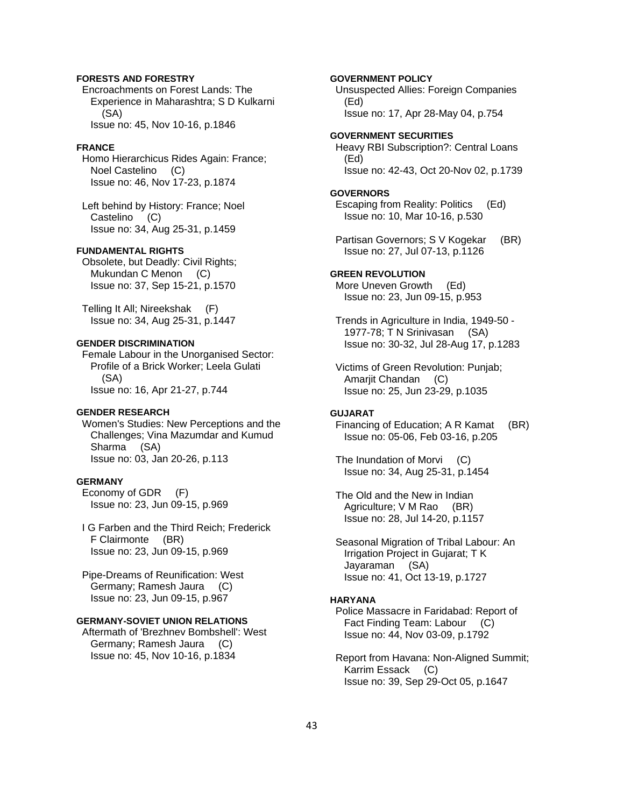### **FORESTS AND FORESTRY**

 Encroachments on Forest Lands: The Experience in Maharashtra; S D Kulkarni (SA) Issue no: 45, Nov 10-16, p.1846

#### **FRANCE**

 Homo Hierarchicus Rides Again: France; Noel Castelino (C) Issue no: 46, Nov 17-23, p.1874

 Left behind by History: France; Noel Castelino (C) Issue no: 34, Aug 25-31, p.1459

#### **FUNDAMENTAL RIGHTS**

 Obsolete, but Deadly: Civil Rights; Mukundan C Menon (C) Issue no: 37, Sep 15-21, p.1570

 Telling It All; Nireekshak (F) Issue no: 34, Aug 25-31, p.1447

#### **GENDER DISCRIMINATION**

 Female Labour in the Unorganised Sector: Profile of a Brick Worker; Leela Gulati (SA) Issue no: 16, Apr 21-27, p.744

#### **GENDER RESEARCH**

 Women's Studies: New Perceptions and the Challenges; Vina Mazumdar and Kumud Sharma (SA) Issue no: 03, Jan 20-26, p.113

### **GERMANY**

 Economy of GDR (F) Issue no: 23, Jun 09-15, p.969

 I G Farben and the Third Reich; Frederick F Clairmonte (BR) Issue no: 23, Jun 09-15, p.969

 Pipe-Dreams of Reunification: West Germany; Ramesh Jaura (C) Issue no: 23, Jun 09-15, p.967

# **GERMANY-SOVIET UNION RELATIONS**

 Aftermath of 'Brezhnev Bombshell': West Germany; Ramesh Jaura (C) Issue no: 45, Nov 10-16, p.1834

## **GOVERNMENT POLICY**

 Unsuspected Allies: Foreign Companies (Ed) Issue no: 17, Apr 28-May 04, p.754

**GOVERNMENT SECURITIES** 

 Heavy RBI Subscription?: Central Loans (Ed) Issue no: 42-43, Oct 20-Nov 02, p.1739

#### **GOVERNORS**

 Escaping from Reality: Politics (Ed) Issue no: 10, Mar 10-16, p.530

Partisan Governors; S V Kogekar (BR) Issue no: 27, Jul 07-13, p.1126

### **GREEN REVOLUTION**

 More Uneven Growth (Ed) Issue no: 23, Jun 09-15, p.953

 Trends in Agriculture in India, 1949-50 - 1977-78; T N Srinivasan (SA) Issue no: 30-32, Jul 28-Aug 17, p.1283

 Victims of Green Revolution: Punjab; Amarjit Chandan (C) Issue no: 25, Jun 23-29, p.1035

# **GUJARAT**

 Financing of Education; A R Kamat (BR) Issue no: 05-06, Feb 03-16, p.205

 The Inundation of Morvi (C) Issue no: 34, Aug 25-31, p.1454

 The Old and the New in Indian Agriculture; V M Rao (BR) Issue no: 28, Jul 14-20, p.1157

 Seasonal Migration of Tribal Labour: An Irrigation Project in Gujarat; T K Jayaraman (SA) Issue no: 41, Oct 13-19, p.1727

#### **HARYANA**

 Police Massacre in Faridabad: Report of Fact Finding Team: Labour (C) Issue no: 44, Nov 03-09, p.1792

 Report from Havana: Non-Aligned Summit; Karrim Essack (C) Issue no: 39, Sep 29-Oct 05, p.1647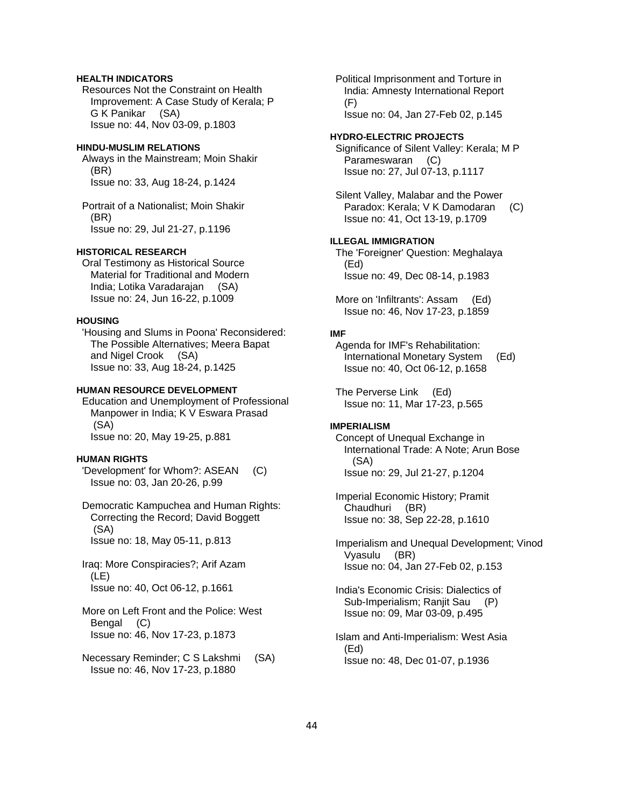### **HEALTH INDICATORS**

 Resources Not the Constraint on Health Improvement: A Case Study of Kerala; P G K Panikar (SA) Issue no: 44, Nov 03-09, p.1803

#### **HINDU-MUSLIM RELATIONS**

 Always in the Mainstream; Moin Shakir (BR) Issue no: 33, Aug 18-24, p.1424

 Portrait of a Nationalist; Moin Shakir (BR) Issue no: 29, Jul 21-27, p.1196

#### **HISTORICAL RESEARCH**

 Oral Testimony as Historical Source Material for Traditional and Modern India; Lotika Varadarajan (SA) Issue no: 24, Jun 16-22, p.1009

#### **HOUSING**

 'Housing and Slums in Poona' Reconsidered: The Possible Alternatives; Meera Bapat and Nigel Crook (SA) Issue no: 33, Aug 18-24, p.1425

#### **HUMAN RESOURCE DEVELOPMENT**

 Education and Unemployment of Professional Manpower in India; K V Eswara Prasad (SA) Issue no: 20, May 19-25, p.881

#### **HUMAN RIGHTS**

 'Development' for Whom?: ASEAN (C) Issue no: 03, Jan 20-26, p.99

 Democratic Kampuchea and Human Rights: Correcting the Record; David Boggett (SA) Issue no: 18, May 05-11, p.813

 Iraq: More Conspiracies?; Arif Azam (LE) Issue no: 40, Oct 06-12, p.1661

- More on Left Front and the Police: West Bengal (C) Issue no: 46, Nov 17-23, p.1873
- Necessary Reminder; C S Lakshmi (SA) Issue no: 46, Nov 17-23, p.1880

 Political Imprisonment and Torture in India: Amnesty International Report  $(F)$ Issue no: 04, Jan 27-Feb 02, p.145

#### **HYDRO-ELECTRIC PROJECTS**

 Significance of Silent Valley: Kerala; M P Parameswaran (C) Issue no: 27, Jul 07-13, p.1117

 Silent Valley, Malabar and the Power Paradox: Kerala; V K Damodaran (C) Issue no: 41, Oct 13-19, p.1709

### **ILLEGAL IMMIGRATION**

 The 'Foreigner' Question: Meghalaya (Ed) Issue no: 49, Dec 08-14, p.1983

 More on 'Infiltrants': Assam (Ed) Issue no: 46, Nov 17-23, p.1859

#### **IMF**

 Agenda for IMF's Rehabilitation: International Monetary System (Ed) Issue no: 40, Oct 06-12, p.1658

 The Perverse Link (Ed) Issue no: 11, Mar 17-23, p.565

#### **IMPERIALISM**

 Concept of Unequal Exchange in International Trade: A Note; Arun Bose (SA) Issue no: 29, Jul 21-27, p.1204

 Imperial Economic History; Pramit Chaudhuri (BR) Issue no: 38, Sep 22-28, p.1610

 Imperialism and Unequal Development; Vinod Vyasulu (BR) Issue no: 04, Jan 27-Feb 02, p.153

 India's Economic Crisis: Dialectics of Sub-Imperialism; Ranjit Sau (P) Issue no: 09, Mar 03-09, p.495

 Islam and Anti-Imperialism: West Asia (Ed) Issue no: 48, Dec 01-07, p.1936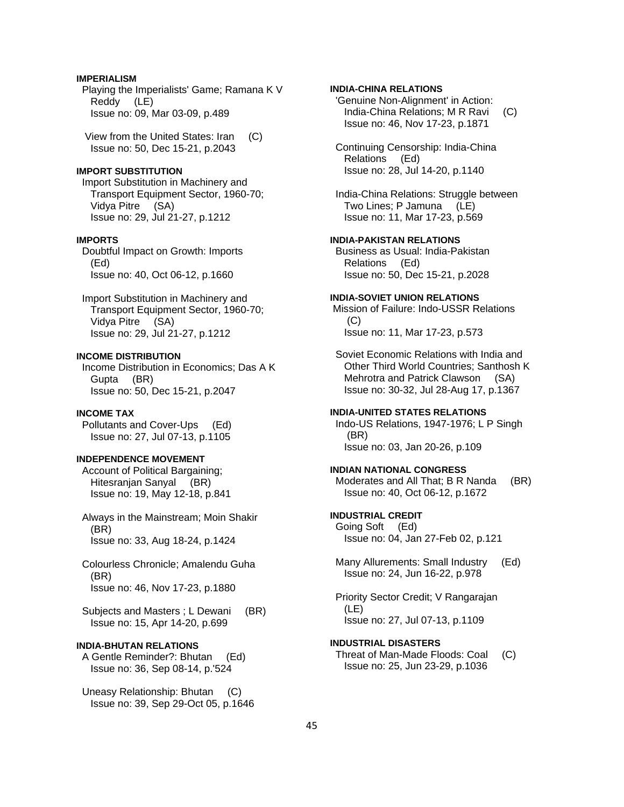### **IMPERIALISM**

 Playing the Imperialists' Game; Ramana K V Reddy (LE) Issue no: 09, Mar 03-09, p.489

 View from the United States: Iran (C) Issue no: 50, Dec 15-21, p.2043

# **IMPORT SUBSTITUTION**

 Import Substitution in Machinery and Transport Equipment Sector, 1960-70; Vidya Pitre (SA) Issue no: 29, Jul 21-27, p.1212

### **IMPORTS**

 Doubtful Impact on Growth: Imports (Ed) Issue no: 40, Oct 06-12, p.1660

 Import Substitution in Machinery and Transport Equipment Sector, 1960-70; Vidya Pitre (SA) Issue no: 29, Jul 21-27, p.1212

#### **INCOME DISTRIBUTION**

 Income Distribution in Economics; Das A K Gupta (BR) Issue no: 50, Dec 15-21, p.2047

### **INCOME TAX**

 Pollutants and Cover-Ups (Ed) Issue no: 27, Jul 07-13, p.1105

### **INDEPENDENCE MOVEMENT**

 Account of Political Bargaining; Hitesranjan Sanyal (BR) Issue no: 19, May 12-18, p.841

 Always in the Mainstream; Moin Shakir (BR) Issue no: 33, Aug 18-24, p.1424

 Colourless Chronicle; Amalendu Guha (BR) Issue no: 46, Nov 17-23, p.1880

Subjects and Masters; L Dewani (BR) Issue no: 15, Apr 14-20, p.699

### **INDIA-BHUTAN RELATIONS**

 A Gentle Reminder?: Bhutan (Ed) Issue no: 36, Sep 08-14, p.'524

 Uneasy Relationship: Bhutan (C) Issue no: 39, Sep 29-Oct 05, p.1646

### **INDIA-CHINA RELATIONS**

 'Genuine Non-Alignment' in Action: India-China Relations; M R Ravi (C) Issue no: 46, Nov 17-23, p.1871

 Continuing Censorship: India-China Relations (Ed) Issue no: 28, Jul 14-20, p.1140

 India-China Relations: Struggle between Two Lines; P Jamuna (LE) Issue no: 11, Mar 17-23, p.569

### **INDIA-PAKISTAN RELATIONS**

 Business as Usual: India-Pakistan Relations (Ed) Issue no: 50, Dec 15-21, p.2028

#### **INDIA-SOVIET UNION RELATIONS**

 Mission of Failure: Indo-USSR Relations (C) Issue no: 11, Mar 17-23, p.573

 Soviet Economic Relations with India and Other Third World Countries; Santhosh K Mehrotra and Patrick Clawson (SA) Issue no: 30-32, Jul 28-Aug 17, p.1367

#### **INDIA-UNITED STATES RELATIONS**

 Indo-US Relations, 1947-1976; L P Singh (BR) Issue no: 03, Jan 20-26, p.109

#### **INDIAN NATIONAL CONGRESS**

Moderates and All That; B R Nanda (BR) Issue no: 40, Oct 06-12, p.1672

# **INDUSTRIAL CREDIT**

 Going Soft (Ed) Issue no: 04, Jan 27-Feb 02, p.121

 Many Allurements: Small Industry (Ed) Issue no: 24, Jun 16-22, p.978

 Priority Sector Credit; V Rangarajan (LE) Issue no: 27, Jul 07-13, p.1109

#### **INDUSTRIAL DISASTERS**

 Threat of Man-Made Floods: Coal (C) Issue no: 25, Jun 23-29, p.1036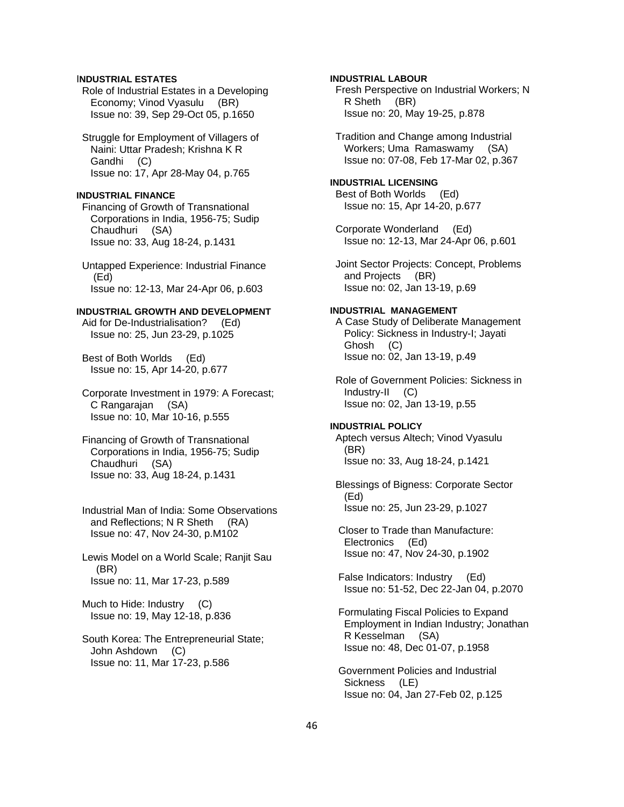# I**NDUSTRIAL ESTATES**

 Role of Industrial Estates in a Developing Economy; Vinod Vyasulu (BR) Issue no: 39, Sep 29-Oct 05, p.1650

 Struggle for Employment of Villagers of Naini: Uttar Pradesh; Krishna K R Gandhi (C) Issue no: 17, Apr 28-May 04, p.765

# **INDUSTRIAL FINANCE**

 Financing of Growth of Transnational Corporations in India, 1956-75; Sudip Chaudhuri (SA) Issue no: 33, Aug 18-24, p.1431

 Untapped Experience: Industrial Finance (Ed) Issue no: 12-13, Mar 24-Apr 06, p.603

### **INDUSTRIAL GROWTH AND DEVELOPMENT**

 Aid for De-Industrialisation? (Ed) Issue no: 25, Jun 23-29, p.1025

 Best of Both Worlds (Ed) Issue no: 15, Apr 14-20, p.677

 Corporate Investment in 1979: A Forecast; C Rangarajan (SA) Issue no: 10, Mar 10-16, p.555

 Financing of Growth of Transnational Corporations in India, 1956-75; Sudip Chaudhuri (SA) Issue no: 33, Aug 18-24, p.1431

 Industrial Man of India: Some Observations and Reflections; N R Sheth (RA) Issue no: 47, Nov 24-30, p.M102

 Lewis Model on a World Scale; Ranjit Sau (BR) Issue no: 11, Mar 17-23, p.589

 Much to Hide: Industry (C) Issue no: 19, May 12-18, p.836

 South Korea: The Entrepreneurial State; John Ashdown (C) Issue no: 11, Mar 17-23, p.586

**INDUSTRIAL LABOUR** 

 Fresh Perspective on Industrial Workers; N R Sheth (BR) Issue no: 20, May 19-25, p.878

 Tradition and Change among Industrial Workers; Uma Ramaswamy (SA) Issue no: 07-08, Feb 17-Mar 02, p.367

# **INDUSTRIAL LICENSING**

 Best of Both Worlds (Ed) Issue no: 15, Apr 14-20, p.677

 Corporate Wonderland (Ed) Issue no: 12-13, Mar 24-Apr 06, p.601

 Joint Sector Projects: Concept, Problems and Projects (BR) Issue no: 02, Jan 13-19, p.69

### **INDUSTRIAL MANAGEMENT**

 A Case Study of Deliberate Management Policy: Sickness in Industry-I; Jayati Ghosh (C) Issue no: 02, Jan 13-19, p.49

 Role of Government Policies: Sickness in Industry-II (C) Issue no: 02, Jan 13-19, p.55

# **INDUSTRIAL POLICY**

 Aptech versus Altech; Vinod Vyasulu (BR) Issue no: 33, Aug 18-24, p.1421

 Blessings of Bigness: Corporate Sector (Ed) Issue no: 25, Jun 23-29, p.1027

 Closer to Trade than Manufacture: Electronics (Ed) Issue no: 47, Nov 24-30, p.1902

 False Indicators: Industry (Ed) Issue no: 51-52, Dec 22-Jan 04, p.2070

 Formulating Fiscal Policies to Expand Employment in Indian Industry; Jonathan R Kesselman (SA) Issue no: 48, Dec 01-07, p.1958

 Government Policies and Industrial Sickness (LE) Issue no: 04, Jan 27-Feb 02, p.125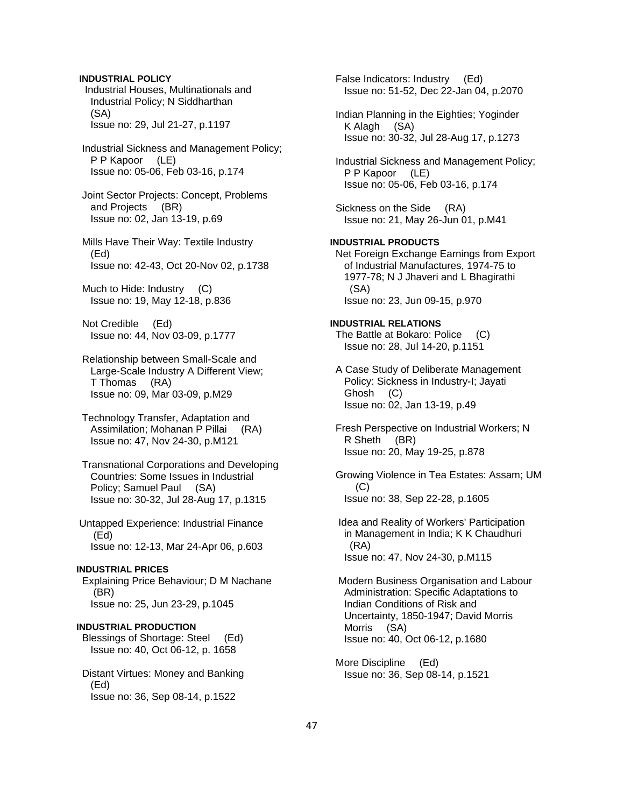**INDUSTRIAL POLICY**  Industrial Houses, Multinationals and Industrial Policy; N Siddharthan (SA) Issue no: 29, Jul 21-27, p.1197

 Industrial Sickness and Management Policy; P P Kapoor (LE) Issue no: 05-06, Feb 03-16, p.174

 Joint Sector Projects: Concept, Problems and Projects (BR) Issue no: 02, Jan 13-19, p.69

 Mills Have Their Way: Textile Industry (Ed) Issue no: 42-43, Oct 20-Nov 02, p.1738

 Much to Hide: Industry (C) Issue no: 19, May 12-18, p.836

 Not Credible (Ed) Issue no: 44, Nov 03-09, p.1777

 Relationship between Small-Scale and Large-Scale Industry A Different View; T Thomas (RA) Issue no: 09, Mar 03-09, p.M29

 Technology Transfer, Adaptation and Assimilation; Mohanan P Pillai (RA) Issue no: 47, Nov 24-30, p.M121

 Transnational Corporations and Developing Countries: Some Issues in Industrial Policy; Samuel Paul (SA) Issue no: 30-32, Jul 28-Aug 17, p.1315

 Untapped Experience: Industrial Finance (Ed) Issue no: 12-13, Mar 24-Apr 06, p.603

### **INDUSTRIAL PRICES**

 Explaining Price Behaviour; D M Nachane (BR) Issue no: 25, Jun 23-29, p.1045

#### **INDUSTRIAL PRODUCTION**

 Blessings of Shortage: Steel (Ed) Issue no: 40, Oct 06-12, p. 1658

 Distant Virtues: Money and Banking (Ed) Issue no: 36, Sep 08-14, p.1522

 False Indicators: Industry (Ed) Issue no: 51-52, Dec 22-Jan 04, p.2070

 Indian Planning in the Eighties; Yoginder K Alagh (SA) Issue no: 30-32, Jul 28-Aug 17, p.1273

 Industrial Sickness and Management Policy; P P Kapoor (LE) Issue no: 05-06, Feb 03-16, p.174

 Sickness on the Side (RA) Issue no: 21, May 26-Jun 01, p.M41

### **INDUSTRIAL PRODUCTS**

 Net Foreign Exchange Earnings from Export of Industrial Manufactures, 1974-75 to 1977-78; N J Jhaveri and L Bhagirathi (SA) Issue no: 23, Jun 09-15, p.970

#### **INDUSTRIAL RELATIONS**

 The Battle at Bokaro: Police (C) Issue no: 28, Jul 14-20, p.1151

 A Case Study of Deliberate Management Policy: Sickness in Industry-I; Jayati Ghosh (C) Issue no: 02, Jan 13-19, p.49

 Fresh Perspective on Industrial Workers; N R Sheth (BR) Issue no: 20, May 19-25, p.878

 Growing Violence in Tea Estates: Assam; UM  $(C)$ Issue no: 38, Sep 22-28, p.1605

 Idea and Reality of Workers' Participation in Management in India; K K Chaudhuri (RA) Issue no: 47, Nov 24-30, p.M115

 Modern Business Organisation and Labour Administration: Specific Adaptations to Indian Conditions of Risk and Uncertainty, 1850-1947; David Morris Morris (SA) Issue no: 40, Oct 06-12, p.1680

 More Discipline (Ed) Issue no: 36, Sep 08-14, p.1521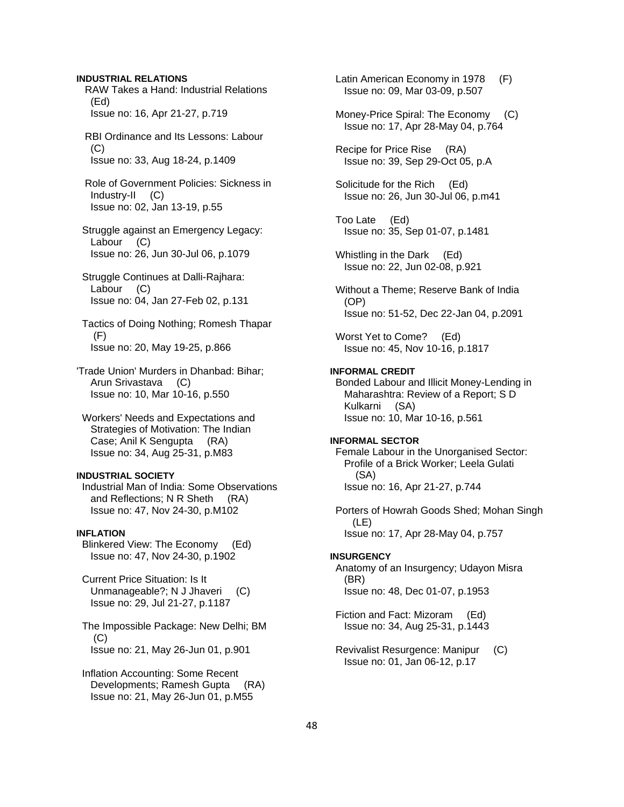#### **INDUSTRIAL RELATIONS**

 RAW Takes a Hand: Industrial Relations (Ed) Issue no: 16, Apr 21-27, p.719

 RBI Ordinance and Its Lessons: Labour  $(C)$ Issue no: 33, Aug 18-24, p.1409

 Role of Government Policies: Sickness in Industry-II (C) Issue no: 02, Jan 13-19, p.55

 Struggle against an Emergency Legacy: Labour (C) Issue no: 26, Jun 30-Jul 06, p.1079

 Struggle Continues at Dalli-Rajhara: Labour (C) Issue no: 04, Jan 27-Feb 02, p.131

 Tactics of Doing Nothing; Romesh Thapar (F) Issue no: 20, May 19-25, p.866

'Trade Union' Murders in Dhanbad: Bihar; Arun Srivastava (C) Issue no: 10, Mar 10-16, p.550

 Workers' Needs and Expectations and Strategies of Motivation: The Indian Case; Anil K Sengupta (RA) Issue no: 34, Aug 25-31, p.M83

## **INDUSTRIAL SOCIETY**

 Industrial Man of India: Some Observations and Reflections; N R Sheth (RA) Issue no: 47, Nov 24-30, p.M102

# **INFLATION**

 Blinkered View: The Economy (Ed) Issue no: 47, Nov 24-30, p.1902

 Current Price Situation: Is It Unmanageable?; N J Jhaveri (C) Issue no: 29, Jul 21-27, p.1187

 The Impossible Package: New Delhi; BM (C) Issue no: 21, May 26-Jun 01, p.901

 Inflation Accounting: Some Recent Developments; Ramesh Gupta (RA) Issue no: 21, May 26-Jun 01, p.M55

 Latin American Economy in 1978 (F) Issue no: 09, Mar 03-09, p.507

 Money-Price Spiral: The Economy (C) Issue no: 17, Apr 28-May 04, p.764

 Recipe for Price Rise (RA) Issue no: 39, Sep 29-Oct 05, p.A

 Solicitude for the Rich (Ed) Issue no: 26, Jun 30-Jul 06, p.m41

 Too Late (Ed) Issue no: 35, Sep 01-07, p.1481

 Whistling in the Dark (Ed) Issue no: 22, Jun 02-08, p.921

 Without a Theme; Reserve Bank of India (OP) Issue no: 51-52, Dec 22-Jan 04, p.2091

 Worst Yet to Come? (Ed) Issue no: 45, Nov 10-16, p.1817

#### **INFORMAL CREDIT**

 Bonded Labour and Illicit Money-Lending in Maharashtra: Review of a Report; S D Kulkarni (SA) Issue no: 10, Mar 10-16, p.561

#### **INFORMAL SECTOR**

 Female Labour in the Unorganised Sector: Profile of a Brick Worker; Leela Gulati (SA) Issue no: 16, Apr 21-27, p.744

 Porters of Howrah Goods Shed; Mohan Singh (LE) Issue no: 17, Apr 28-May 04, p.757

#### **INSURGENCY**

 Anatomy of an Insurgency; Udayon Misra (BR) Issue no: 48, Dec 01-07, p.1953

 Fiction and Fact: Mizoram (Ed) Issue no: 34, Aug 25-31, p.1443

 Revivalist Resurgence: Manipur (C) Issue no: 01, Jan 06-12, p.17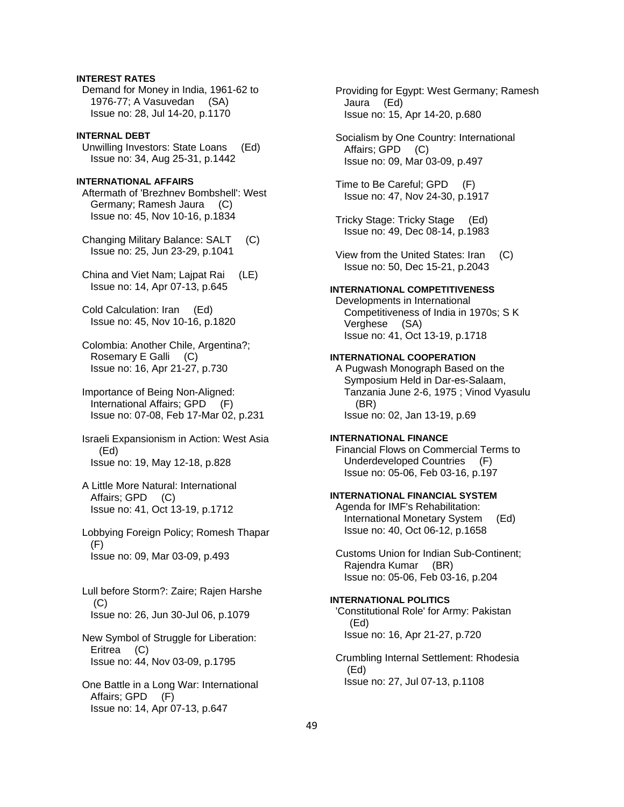# **INTEREST RATES**

 Demand for Money in India, 1961-62 to 1976-77; A Vasuvedan (SA) Issue no: 28, Jul 14-20, p.1170

### **INTERNAL DEBT**

 Unwilling Investors: State Loans (Ed) Issue no: 34, Aug 25-31, p.1442

# **INTERNATIONAL AFFAIRS**

 Aftermath of 'Brezhnev Bombshell': West Germany; Ramesh Jaura (C) Issue no: 45, Nov 10-16, p.1834

 Changing Military Balance: SALT (C) Issue no: 25, Jun 23-29, p.1041

 China and Viet Nam; Lajpat Rai (LE) Issue no: 14, Apr 07-13, p.645

 Cold Calculation: Iran (Ed) Issue no: 45, Nov 10-16, p.1820

 Colombia: Another Chile, Argentina?; Rosemary E Galli (C) Issue no: 16, Apr 21-27, p.730

 Importance of Being Non-Aligned: International Affairs; GPD (F) Issue no: 07-08, Feb 17-Mar 02, p.231

 Israeli Expansionism in Action: West Asia (Ed) Issue no: 19, May 12-18, p.828

- A Little More Natural: International Affairs; GPD (C) Issue no: 41, Oct 13-19, p.1712
- Lobbying Foreign Policy; Romesh Thapar (F) Issue no: 09, Mar 03-09, p.493
- Lull before Storm?: Zaire; Rajen Harshe (C) Issue no: 26, Jun 30-Jul 06, p.1079
- New Symbol of Struggle for Liberation: Eritrea (C) Issue no: 44, Nov 03-09, p.1795
- One Battle in a Long War: International Affairs; GPD (F) Issue no: 14, Apr 07-13, p.647

 Providing for Egypt: West Germany; Ramesh Jaura (Ed) Issue no: 15, Apr 14-20, p.680

 Socialism by One Country: International Affairs; GPD (C) Issue no: 09, Mar 03-09, p.497

 Time to Be Careful; GPD (F) Issue no: 47, Nov 24-30, p.1917

 Tricky Stage: Tricky Stage (Ed) Issue no: 49, Dec 08-14, p.1983

 View from the United States: Iran (C) Issue no: 50, Dec 15-21, p.2043

# **INTERNATIONAL COMPETITIVENESS**

 Developments in International Competitiveness of India in 1970s; S K Verghese (SA) Issue no: 41, Oct 13-19, p.1718

#### **INTERNATIONAL COOPERATION**

 A Pugwash Monograph Based on the Symposium Held in Dar-es-Salaam, Tanzania June 2-6, 1975 ; Vinod Vyasulu (BR) Issue no: 02, Jan 13-19, p.69

#### **INTERNATIONAL FINANCE**

 Financial Flows on Commercial Terms to Underdeveloped Countries (F) Issue no: 05-06, Feb 03-16, p.197

### **INTERNATIONAL FINANCIAL SYSTEM**

 Agenda for IMF's Rehabilitation: International Monetary System (Ed) Issue no: 40, Oct 06-12, p.1658

 Customs Union for Indian Sub-Continent; Rajendra Kumar (BR) Issue no: 05-06, Feb 03-16, p.204

# **INTERNATIONAL POLITICS**

 'Constitutional Role' for Army: Pakistan (Ed) Issue no: 16, Apr 21-27, p.720

 Crumbling Internal Settlement: Rhodesia (Ed) Issue no: 27, Jul 07-13, p.1108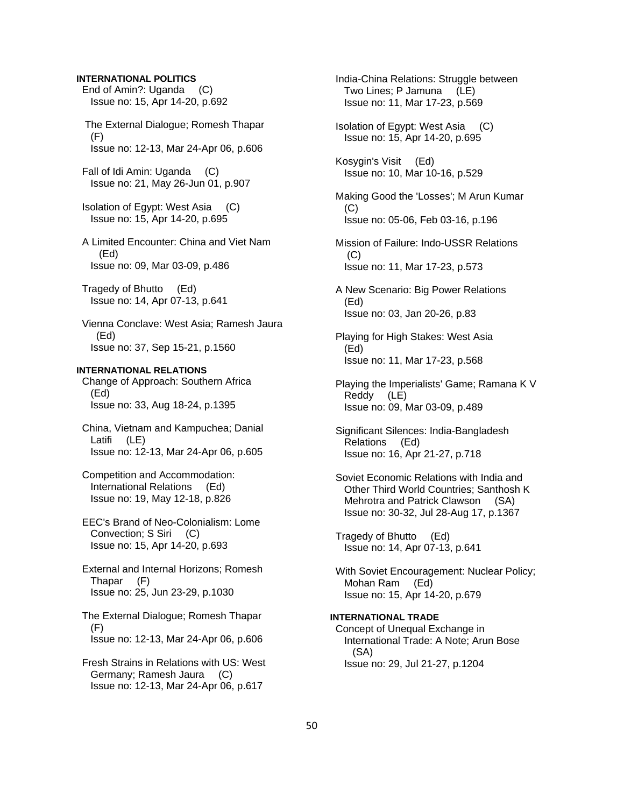#### **INTERNATIONAL POLITICS**

 End of Amin?: Uganda (C) Issue no: 15, Apr 14-20, p.692

 The External Dialogue; Romesh Thapar (F) Issue no: 12-13, Mar 24-Apr 06, p.606

 Fall of Idi Amin: Uganda (C) Issue no: 21, May 26-Jun 01, p.907

 Isolation of Egypt: West Asia (C) Issue no: 15, Apr 14-20, p.695

 A Limited Encounter: China and Viet Nam (Ed) Issue no: 09, Mar 03-09, p.486

 Tragedy of Bhutto (Ed) Issue no: 14, Apr 07-13, p.641

 Vienna Conclave: West Asia; Ramesh Jaura (Ed) Issue no: 37, Sep 15-21, p.1560

# **INTERNATIONAL RELATIONS**

 Change of Approach: Southern Africa (Ed) Issue no: 33, Aug 18-24, p.1395

 China, Vietnam and Kampuchea; Danial Latifi (LE) Issue no: 12-13, Mar 24-Apr 06, p.605

 Competition and Accommodation: International Relations (Ed) Issue no: 19, May 12-18, p.826

 EEC's Brand of Neo-Colonialism: Lome Convection; S Siri (C) Issue no: 15, Apr 14-20, p.693

 External and Internal Horizons; Romesh Thapar (F) Issue no: 25, Jun 23-29, p.1030

 The External Dialogue; Romesh Thapar (F) Issue no: 12-13, Mar 24-Apr 06, p.606

 Fresh Strains in Relations with US: West Germany; Ramesh Jaura (C) Issue no: 12-13, Mar 24-Apr 06, p.617

 India-China Relations: Struggle between Two Lines; P Jamuna (LE) Issue no: 11, Mar 17-23, p.569

 Isolation of Egypt: West Asia (C) Issue no: 15, Apr 14-20, p.695

 Kosygin's Visit (Ed) Issue no: 10, Mar 10-16, p.529

 Making Good the 'Losses'; M Arun Kumar (C) Issue no: 05-06, Feb 03-16, p.196

 Mission of Failure: Indo-USSR Relations  $(C)$ Issue no: 11, Mar 17-23, p.573

 A New Scenario: Big Power Relations (Ed) Issue no: 03, Jan 20-26, p.83

 Playing for High Stakes: West Asia (Ed) Issue no: 11, Mar 17-23, p.568

 Playing the Imperialists' Game; Ramana K V Reddy (LE) Issue no: 09, Mar 03-09, p.489

 Significant Silences: India-Bangladesh Relations (Ed) Issue no: 16, Apr 21-27, p.718

 Soviet Economic Relations with India and Other Third World Countries; Santhosh K Mehrotra and Patrick Clawson (SA) Issue no: 30-32, Jul 28-Aug 17, p.1367

 Tragedy of Bhutto (Ed) Issue no: 14, Apr 07-13, p.641

 With Soviet Encouragement: Nuclear Policy; Mohan Ram (Ed) Issue no: 15, Apr 14-20, p.679

# **INTERNATIONAL TRADE**

 Concept of Unequal Exchange in International Trade: A Note; Arun Bose (SA) Issue no: 29, Jul 21-27, p.1204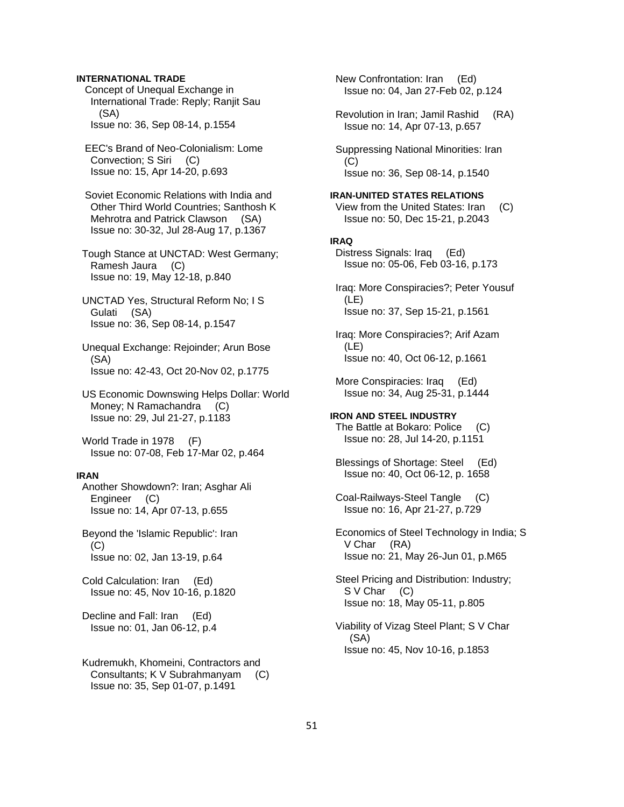# **INTERNATIONAL TRADE**

 Concept of Unequal Exchange in International Trade: Reply; Ranjit Sau (SA) Issue no: 36, Sep 08-14, p.1554

 EEC's Brand of Neo-Colonialism: Lome Convection; S Siri (C) Issue no: 15, Apr 14-20, p.693

 Soviet Economic Relations with India and Other Third World Countries; Santhosh K Mehrotra and Patrick Clawson (SA) Issue no: 30-32, Jul 28-Aug 17, p.1367

 Tough Stance at UNCTAD: West Germany; Ramesh Jaura (C) Issue no: 19, May 12-18, p.840

 UNCTAD Yes, Structural Reform No; I S Gulati (SA) Issue no: 36, Sep 08-14, p.1547

 Unequal Exchange: Rejoinder; Arun Bose (SA) Issue no: 42-43, Oct 20-Nov 02, p.1775

 US Economic Downswing Helps Dollar: World Money; N Ramachandra (C) Issue no: 29, Jul 21-27, p.1183

 World Trade in 1978 (F) Issue no: 07-08, Feb 17-Mar 02, p.464

#### **IRAN**

 Another Showdown?: Iran; Asghar Ali Engineer (C) Issue no: 14, Apr 07-13, p.655

 Beyond the 'Islamic Republic': Iran  $(C)$ Issue no: 02, Jan 13-19, p.64

 Cold Calculation: Iran (Ed) Issue no: 45, Nov 10-16, p.1820

 Decline and Fall: Iran (Ed) Issue no: 01, Jan 06-12, p.4

 Kudremukh, Khomeini, Contractors and Consultants; K V Subrahmanyam (C) Issue no: 35, Sep 01-07, p.1491

 New Confrontation: Iran (Ed) Issue no: 04, Jan 27-Feb 02, p.124

 Revolution in Iran; Jamil Rashid (RA) Issue no: 14, Apr 07-13, p.657

 Suppressing National Minorities: Iran (C) Issue no: 36, Sep 08-14, p.1540

#### **IRAN-UNITED STATES RELATIONS**

 View from the United States: Iran (C) Issue no: 50, Dec 15-21, p.2043

#### **IRAQ**

 Distress Signals: Iraq (Ed) Issue no: 05-06, Feb 03-16, p.173

 Iraq: More Conspiracies?; Peter Yousuf (LE) Issue no: 37, Sep 15-21, p.1561

 Iraq: More Conspiracies?; Arif Azam (LE) Issue no: 40, Oct 06-12, p.1661

 More Conspiracies: Iraq (Ed) Issue no: 34, Aug 25-31, p.1444

**IRON AND STEEL INDUSTRY**  The Battle at Bokaro: Police (C) Issue no: 28, Jul 14-20, p.1151

 Blessings of Shortage: Steel (Ed) Issue no: 40, Oct 06-12, p. 1658

 Coal-Railways-Steel Tangle (C) Issue no: 16, Apr 21-27, p.729

 Economics of Steel Technology in India; S V Char (RA) Issue no: 21, May 26-Jun 01, p.M65

 Steel Pricing and Distribution: Industry; S V Char (C) Issue no: 18, May 05-11, p.805

 Viability of Vizag Steel Plant; S V Char (SA) Issue no: 45, Nov 10-16, p.1853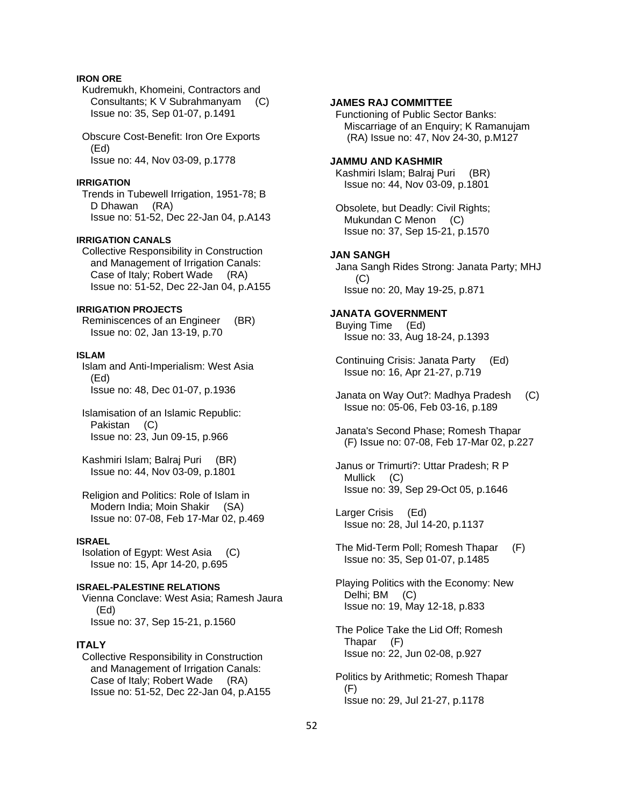# **IRON ORE**

 Kudremukh, Khomeini, Contractors and Consultants; K V Subrahmanyam (C) Issue no: 35, Sep 01-07, p.1491

 Obscure Cost-Benefit: Iron Ore Exports (Ed) Issue no: 44, Nov 03-09, p.1778

#### **IRRIGATION**

 Trends in Tubewell Irrigation, 1951-78; B D Dhawan (RA) Issue no: 51-52, Dec 22-Jan 04, p.A143

### **IRRIGATION CANALS**

 Collective Responsibility in Construction and Management of Irrigation Canals: Case of Italy; Robert Wade (RA) Issue no: 51-52, Dec 22-Jan 04, p.A155

### **IRRIGATION PROJECTS**

 Reminiscences of an Engineer (BR) Issue no: 02, Jan 13-19, p.70

#### **ISLAM**

 Islam and Anti-Imperialism: West Asia (Ed) Issue no: 48, Dec 01-07, p.1936

 Islamisation of an Islamic Republic: Pakistan (C) Issue no: 23, Jun 09-15, p.966

 Kashmiri Islam; Balraj Puri (BR) Issue no: 44, Nov 03-09, p.1801

 Religion and Politics: Role of Islam in Modern India; Moin Shakir (SA) Issue no: 07-08, Feb 17-Mar 02, p.469

### **ISRAEL**

 Isolation of Egypt: West Asia (C) Issue no: 15, Apr 14-20, p.695

#### **ISRAEL-PALESTINE RELATIONS**

 Vienna Conclave: West Asia; Ramesh Jaura (Ed) Issue no: 37, Sep 15-21, p.1560

#### **ITALY**

 Collective Responsibility in Construction and Management of Irrigation Canals: Case of Italy; Robert Wade (RA) Issue no: 51-52, Dec 22-Jan 04, p.A155

# **JAMES RAJ COMMITTEE**

 Functioning of Public Sector Banks: Miscarriage of an Enquiry; K Ramanujam (RA) Issue no: 47, Nov 24-30, p.M127

#### **JAMMU AND KASHMIR**

 Kashmiri Islam; Balraj Puri (BR) Issue no: 44, Nov 03-09, p.1801

 Obsolete, but Deadly: Civil Rights; Mukundan C Menon (C) Issue no: 37, Sep 15-21, p.1570

#### **JAN SANGH**

 Jana Sangh Rides Strong: Janata Party; MHJ (C) Issue no: 20, May 19-25, p.871

### **JANATA GOVERNMENT**

 Buying Time (Ed) Issue no: 33, Aug 18-24, p.1393

 Continuing Crisis: Janata Party (Ed) Issue no: 16, Apr 21-27, p.719

 Janata on Way Out?: Madhya Pradesh (C) Issue no: 05-06, Feb 03-16, p.189

 Janata's Second Phase; Romesh Thapar (F) Issue no: 07-08, Feb 17-Mar 02, p.227

 Janus or Trimurti?: Uttar Pradesh; R P Mullick (C) Issue no: 39, Sep 29-Oct 05, p.1646

 Larger Crisis (Ed) Issue no: 28, Jul 14-20, p.1137

 The Mid-Term Poll; Romesh Thapar (F) Issue no: 35, Sep 01-07, p.1485

 Playing Politics with the Economy: New Delhi; BM (C) Issue no: 19, May 12-18, p.833

 The Police Take the Lid Off; Romesh Thapar (F) Issue no: 22, Jun 02-08, p.927

 Politics by Arithmetic; Romesh Thapar (F) Issue no: 29, Jul 21-27, p.1178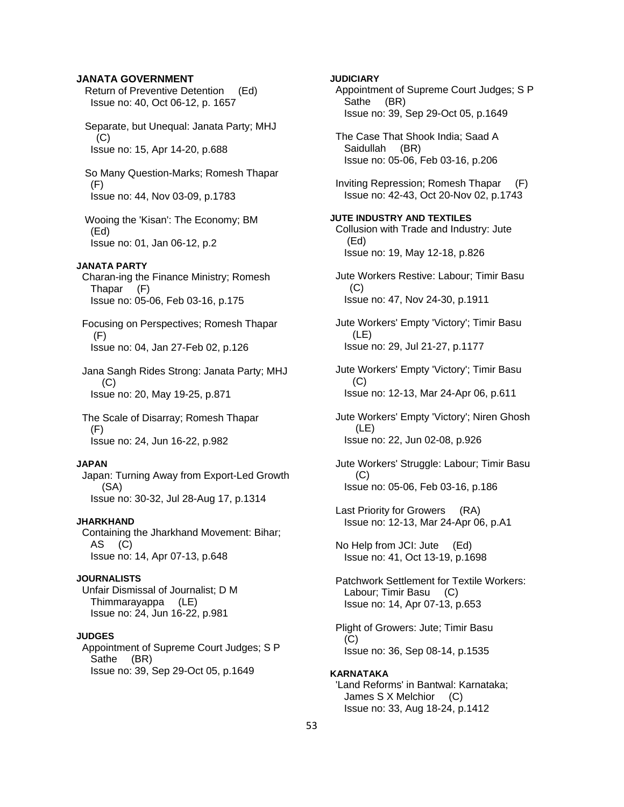# **JANATA GOVERNMENT**

 Return of Preventive Detention (Ed) Issue no: 40, Oct 06-12, p. 1657

 Separate, but Unequal: Janata Party; MHJ (C) Issue no: 15, Apr 14-20, p.688

 So Many Question-Marks; Romesh Thapar (F) Issue no: 44, Nov 03-09, p.1783

 Wooing the 'Kisan': The Economy; BM (Ed) Issue no: 01, Jan 06-12, p.2

#### **JANATA PARTY**

 Charan-ing the Finance Ministry; Romesh Thapar (F) Issue no: 05-06, Feb 03-16, p.175

 Focusing on Perspectives; Romesh Thapar (F) Issue no: 04, Jan 27-Feb 02, p.126

 Jana Sangh Rides Strong: Janata Party; MHJ (C) Issue no: 20, May 19-25, p.871

 The Scale of Disarray; Romesh Thapar (F) Issue no: 24, Jun 16-22, p.982

#### **JAPAN**

 Japan: Turning Away from Export-Led Growth (SA) Issue no: 30-32, Jul 28-Aug 17, p.1314

#### **JHARKHAND**

 Containing the Jharkhand Movement: Bihar; AS (C) Issue no: 14, Apr 07-13, p.648

#### **JOURNALISTS**

 Unfair Dismissal of Journalist; D M Thimmarayappa (LE) Issue no: 24, Jun 16-22, p.981

#### **JUDGES**

 Appointment of Supreme Court Judges; S P Sathe (BR) Issue no: 39, Sep 29-Oct 05, p.1649

# **JUDICIARY**

 Appointment of Supreme Court Judges; S P Sathe (BR) Issue no: 39, Sep 29-Oct 05, p.1649

 The Case That Shook India; Saad A Saidullah (BR) Issue no: 05-06, Feb 03-16, p.206

 Inviting Repression; Romesh Thapar (F) Issue no: 42-43, Oct 20-Nov 02, p.1743

# **JUTE INDUSTRY AND TEXTILES**  Collusion with Trade and Industry: Jute

 (Ed) Issue no: 19, May 12-18, p.826

 Jute Workers Restive: Labour; Timir Basu  $(C)$ Issue no: 47, Nov 24-30, p.1911

 Jute Workers' Empty 'Victory'; Timir Basu (LE) Issue no: 29, Jul 21-27, p.1177

 Jute Workers' Empty 'Victory'; Timir Basu (C) Issue no: 12-13, Mar 24-Apr 06, p.611

 Jute Workers' Empty 'Victory'; Niren Ghosh (LE) Issue no: 22, Jun 02-08, p.926

 Jute Workers' Struggle: Labour; Timir Basu (C) Issue no: 05-06, Feb 03-16, p.186

 Last Priority for Growers (RA) Issue no: 12-13, Mar 24-Apr 06, p.A1

 No Help from JCI: Jute (Ed) Issue no: 41, Oct 13-19, p.1698

 Patchwork Settlement for Textile Workers: Labour; Timir Basu (C) Issue no: 14, Apr 07-13, p.653

 Plight of Growers: Jute; Timir Basu  $(C)$ Issue no: 36, Sep 08-14, p.1535

#### **KARNATAKA**  'Land Reforms' in Bantwal: Karnataka; James S X Melchior (C)

Issue no: 33, Aug 18-24, p.1412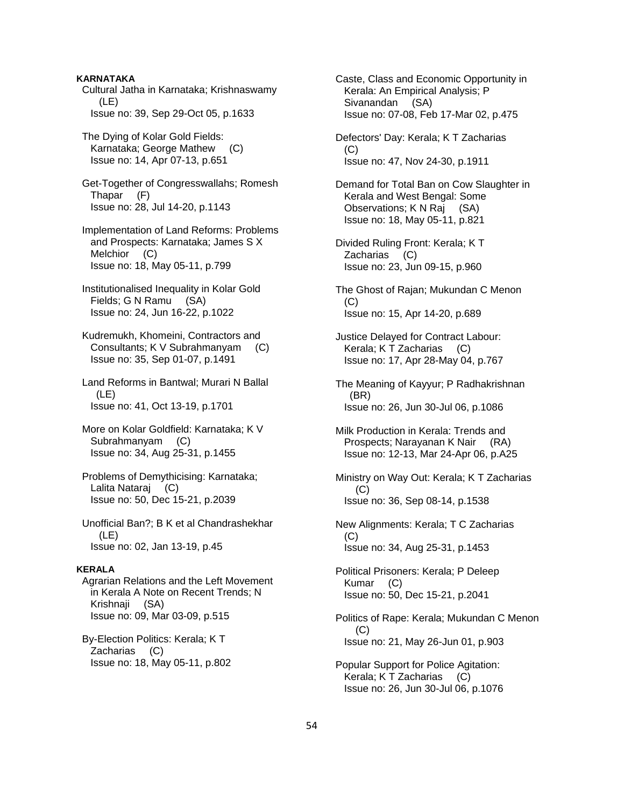### **KARNATAKA**

 Cultural Jatha in Karnataka; Krishnaswamy (LE) Issue no: 39, Sep 29-Oct 05, p.1633

 The Dying of Kolar Gold Fields: Karnataka; George Mathew (C) Issue no: 14, Apr 07-13, p.651

 Get-Together of Congresswallahs; Romesh Thapar (F) Issue no: 28, Jul 14-20, p.1143

 Implementation of Land Reforms: Problems and Prospects: Karnataka; James S X Melchior (C) Issue no: 18, May 05-11, p.799

 Institutionalised Inequality in Kolar Gold Fields; G N Ramu (SA) Issue no: 24, Jun 16-22, p.1022

 Kudremukh, Khomeini, Contractors and Consultants; K V Subrahmanyam (C) Issue no: 35, Sep 01-07, p.1491

 Land Reforms in Bantwal; Murari N Ballal (LE) Issue no: 41, Oct 13-19, p.1701

- More on Kolar Goldfield: Karnataka; K V Subrahmanyam (C) Issue no: 34, Aug 25-31, p.1455
- Problems of Demythicising: Karnataka; Lalita Nataraj (C) Issue no: 50, Dec 15-21, p.2039
- Unofficial Ban?; B K et al Chandrashekhar (LE) Issue no: 02, Jan 13-19, p.45

#### **KERALA**

 Agrarian Relations and the Left Movement in Kerala A Note on Recent Trends; N Krishnaji (SA) Issue no: 09, Mar 03-09, p.515

 By-Election Politics: Kerala; K T Zacharias (C) Issue no: 18, May 05-11, p.802  Caste, Class and Economic Opportunity in Kerala: An Empirical Analysis; P Sivanandan (SA) Issue no: 07-08, Feb 17-Mar 02, p.475

 Defectors' Day: Kerala; K T Zacharias (C) Issue no: 47, Nov 24-30, p.1911

 Demand for Total Ban on Cow Slaughter in Kerala and West Bengal: Some Observations; K N Raj (SA) Issue no: 18, May 05-11, p.821

 Divided Ruling Front: Kerala; K T Zacharias (C) Issue no: 23, Jun 09-15, p.960

 The Ghost of Rajan; Mukundan C Menon (C) Issue no: 15, Apr 14-20, p.689

 Justice Delayed for Contract Labour: Kerala; K T Zacharias (C) Issue no: 17, Apr 28-May 04, p.767

 The Meaning of Kayyur; P Radhakrishnan (BR) Issue no: 26, Jun 30-Jul 06, p.1086

 Milk Production in Kerala: Trends and Prospects; Narayanan K Nair (RA) Issue no: 12-13, Mar 24-Apr 06, p.A25

 Ministry on Way Out: Kerala; K T Zacharias (C) Issue no: 36, Sep 08-14, p.1538

 New Alignments: Kerala; T C Zacharias (C) Issue no: 34, Aug 25-31, p.1453

 Political Prisoners: Kerala; P Deleep Kumar (C) Issue no: 50, Dec 15-21, p.2041

 Politics of Rape: Kerala; Mukundan C Menon (C) Issue no: 21, May 26-Jun 01, p.903

 Popular Support for Police Agitation: Kerala; K T Zacharias (C) Issue no: 26, Jun 30-Jul 06, p.1076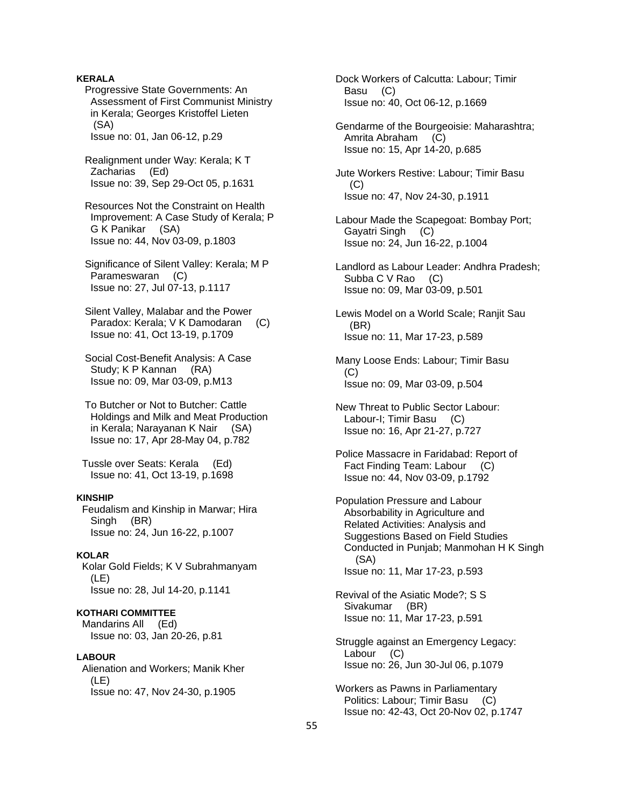## **KERALA**

 Progressive State Governments: An Assessment of First Communist Ministry in Kerala; Georges Kristoffel Lieten (SA)

Issue no: 01, Jan 06-12, p.29

 Realignment under Way: Kerala; K T Zacharias (Ed) Issue no: 39, Sep 29-Oct 05, p.1631

 Resources Not the Constraint on Health Improvement: A Case Study of Kerala; P G K Panikar (SA) Issue no: 44, Nov 03-09, p.1803

 Significance of Silent Valley: Kerala; M P Parameswaran (C) Issue no: 27, Jul 07-13, p.1117

 Silent Valley, Malabar and the Power Paradox: Kerala; V K Damodaran (C) Issue no: 41, Oct 13-19, p.1709

 Social Cost-Benefit Analysis: A Case Study; K P Kannan (RA) Issue no: 09, Mar 03-09, p.M13

 To Butcher or Not to Butcher: Cattle Holdings and Milk and Meat Production in Kerala; Narayanan K Nair (SA) Issue no: 17, Apr 28-May 04, p.782

 Tussle over Seats: Kerala (Ed) Issue no: 41, Oct 13-19, p.1698

### **KINSHIP**

 Feudalism and Kinship in Marwar; Hira Singh (BR) Issue no: 24, Jun 16-22, p.1007

#### **KOLAR**

 Kolar Gold Fields; K V Subrahmanyam (LE) Issue no: 28, Jul 14-20, p.1141

# **KOTHARI COMMITTEE**

 Mandarins All (Ed) Issue no: 03, Jan 20-26, p.81

# **LABOUR**

 Alienation and Workers; Manik Kher (LE) Issue no: 47, Nov 24-30, p.1905

 Dock Workers of Calcutta: Labour; Timir Basu (C) Issue no: 40, Oct 06-12, p.1669

 Gendarme of the Bourgeoisie: Maharashtra; Amrita Abraham (C) Issue no: 15, Apr 14-20, p.685

 Jute Workers Restive: Labour; Timir Basu  $(C)$ Issue no: 47, Nov 24-30, p.1911

 Labour Made the Scapegoat: Bombay Port; Gayatri Singh (C) Issue no: 24, Jun 16-22, p.1004

 Landlord as Labour Leader: Andhra Pradesh; Subba C V Rao (C) Issue no: 09, Mar 03-09, p.501

 Lewis Model on a World Scale; Ranjit Sau (BR) Issue no: 11, Mar 17-23, p.589

 Many Loose Ends: Labour; Timir Basu (C) Issue no: 09, Mar 03-09, p.504

 New Threat to Public Sector Labour: Labour-I; Timir Basu (C) Issue no: 16, Apr 21-27, p.727

 Police Massacre in Faridabad: Report of Fact Finding Team: Labour (C) Issue no: 44, Nov 03-09, p.1792

 Population Pressure and Labour Absorbability in Agriculture and Related Activities: Analysis and Suggestions Based on Field Studies Conducted in Punjab; Manmohan H K Singh (SA) Issue no: 11, Mar 17-23, p.593

 Revival of the Asiatic Mode?; S S Sivakumar (BR) Issue no: 11, Mar 17-23, p.591

 Struggle against an Emergency Legacy: Labour (C) Issue no: 26, Jun 30-Jul 06, p.1079

 Workers as Pawns in Parliamentary Politics: Labour; Timir Basu (C) Issue no: 42-43, Oct 20-Nov 02, p.1747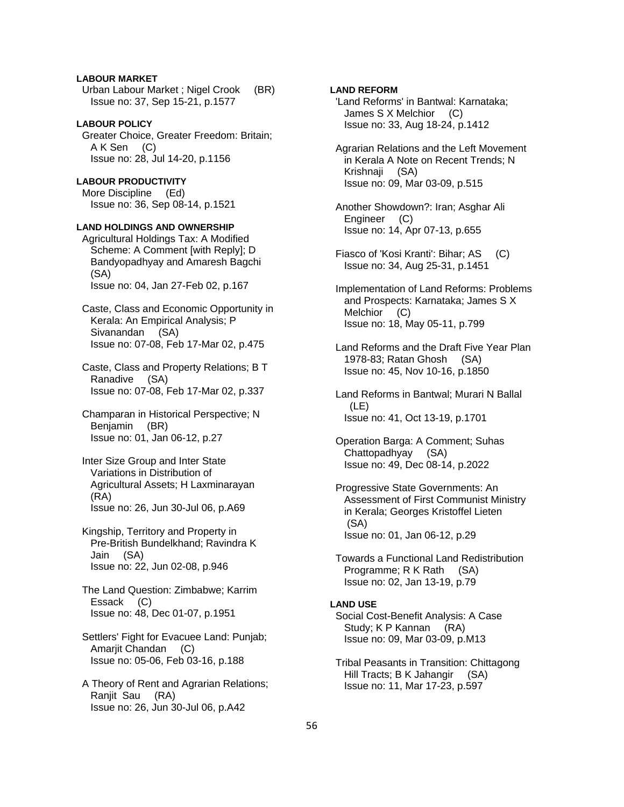# **LABOUR MARKET**

 Urban Labour Market ; Nigel Crook (BR) Issue no: 37, Sep 15-21, p.1577

# **LABOUR POLICY**

 Greater Choice, Greater Freedom: Britain; A K Sen (C) Issue no: 28, Jul 14-20, p.1156

# **LABOUR PRODUCTIVITY**

 More Discipline (Ed) Issue no: 36, Sep 08-14, p.1521

### **LAND HOLDINGS AND OWNERSHIP**

 Agricultural Holdings Tax: A Modified Scheme: A Comment [with Reply]; D Bandyopadhyay and Amaresh Bagchi (SA) Issue no: 04, Jan 27-Feb 02, p.167

 Caste, Class and Economic Opportunity in Kerala: An Empirical Analysis; P Sivanandan (SA) Issue no: 07-08, Feb 17-Mar 02, p.475

 Caste, Class and Property Relations; B T Ranadive (SA) Issue no: 07-08, Feb 17-Mar 02, p.337

 Champaran in Historical Perspective; N Benjamin (BR) Issue no: 01, Jan 06-12, p.27

 Inter Size Group and Inter State Variations in Distribution of Agricultural Assets; H Laxminarayan (RA) Issue no: 26, Jun 30-Jul 06, p.A69

 Kingship, Territory and Property in Pre-British Bundelkhand; Ravindra K Jain (SA) Issue no: 22, Jun 02-08, p.946

 The Land Question: Zimbabwe; Karrim Essack (C) Issue no: 48, Dec 01-07, p.1951

 Settlers' Fight for Evacuee Land: Punjab; Amarjit Chandan (C) Issue no: 05-06, Feb 03-16, p.188

 A Theory of Rent and Agrarian Relations; Ranjit Sau (RA) Issue no: 26, Jun 30-Jul 06, p.A42

# **LAND REFORM**

 'Land Reforms' in Bantwal: Karnataka; James S X Melchior (C) Issue no: 33, Aug 18-24, p.1412

 Agrarian Relations and the Left Movement in Kerala A Note on Recent Trends; N Krishnaji (SA) Issue no: 09, Mar 03-09, p.515

 Another Showdown?: Iran; Asghar Ali Engineer (C) Issue no: 14, Apr 07-13, p.655

 Fiasco of 'Kosi Kranti': Bihar; AS (C) Issue no: 34, Aug 25-31, p.1451

 Implementation of Land Reforms: Problems and Prospects: Karnataka; James S X Melchior (C) Issue no: 18, May 05-11, p.799

 Land Reforms and the Draft Five Year Plan 1978-83; Ratan Ghosh (SA) Issue no: 45, Nov 10-16, p.1850

 Land Reforms in Bantwal; Murari N Ballal (LE) Issue no: 41, Oct 13-19, p.1701

 Operation Barga: A Comment; Suhas Chattopadhyay (SA) Issue no: 49, Dec 08-14, p.2022

 Progressive State Governments: An Assessment of First Communist Ministry in Kerala; Georges Kristoffel Lieten (SA) Issue no: 01, Jan 06-12, p.29

 Towards a Functional Land Redistribution Programme; R K Rath (SA) Issue no: 02, Jan 13-19, p.79

# **LAND USE**

 Social Cost-Benefit Analysis: A Case Study; K P Kannan (RA) Issue no: 09, Mar 03-09, p.M13

 Tribal Peasants in Transition: Chittagong Hill Tracts; B K Jahangir (SA) Issue no: 11, Mar 17-23, p.597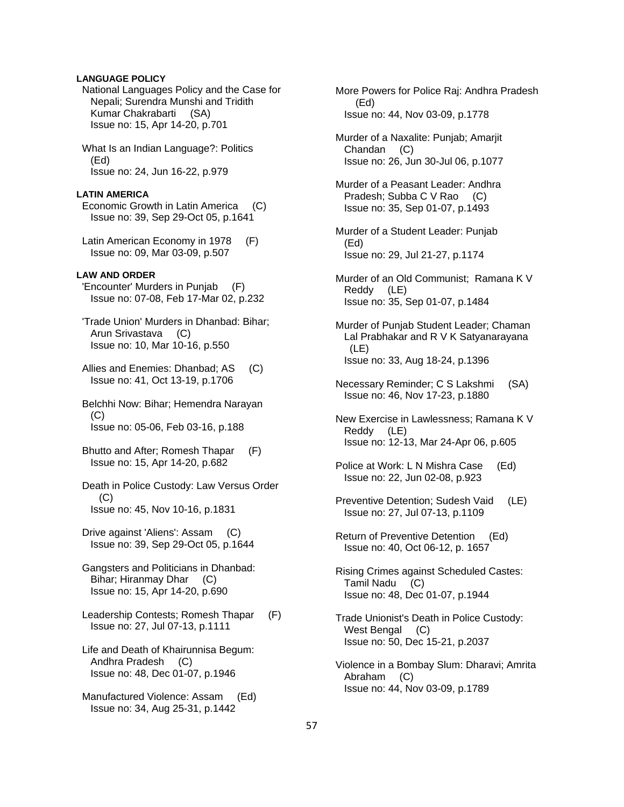### **LANGUAGE POLICY**

- National Languages Policy and the Case for Nepali; Surendra Munshi and Tridith Kumar Chakrabarti (SA) Issue no: 15, Apr 14-20, p.701
- What Is an Indian Language?: Politics (Ed) Issue no: 24, Jun 16-22, p.979

#### **LATIN AMERICA**

- Economic Growth in Latin America (C) Issue no: 39, Sep 29-Oct 05, p.1641
- Latin American Economy in 1978 (F) Issue no: 09, Mar 03-09, p.507

#### **LAW AND ORDER**

- 'Encounter' Murders in Punjab (F) Issue no: 07-08, Feb 17-Mar 02, p.232
- 'Trade Union' Murders in Dhanbad: Bihar; Arun Srivastava (C) Issue no: 10, Mar 10-16, p.550
- Allies and Enemies: Dhanbad; AS (C) Issue no: 41, Oct 13-19, p.1706
- Belchhi Now: Bihar; Hemendra Narayan  $(C)$ Issue no: 05-06, Feb 03-16, p.188
- Bhutto and After; Romesh Thapar (F) Issue no: 15, Apr 14-20, p.682
- Death in Police Custody: Law Versus Order  $(C)$ Issue no: 45, Nov 10-16, p.1831
- Drive against 'Aliens': Assam (C) Issue no: 39, Sep 29-Oct 05, p.1644
- Gangsters and Politicians in Dhanbad: Bihar; Hiranmay Dhar (C) Issue no: 15, Apr 14-20, p.690
- Leadership Contests; Romesh Thapar (F) Issue no: 27, Jul 07-13, p.1111
- Life and Death of Khairunnisa Begum: Andhra Pradesh (C) Issue no: 48, Dec 01-07, p.1946
- Manufactured Violence: Assam (Ed) Issue no: 34, Aug 25-31, p.1442

 More Powers for Police Raj: Andhra Pradesh (Ed) Issue no: 44, Nov 03-09, p.1778

- Murder of a Naxalite: Punjab; Amarjit Chandan (C) Issue no: 26, Jun 30-Jul 06, p.1077
- Murder of a Peasant Leader: Andhra Pradesh; Subba C V Rao (C) Issue no: 35, Sep 01-07, p.1493
- Murder of a Student Leader: Punjab (Ed) Issue no: 29, Jul 21-27, p.1174
- Murder of an Old Communist; Ramana K V Reddy (LE) Issue no: 35, Sep 01-07, p.1484
- Murder of Punjab Student Leader; Chaman Lal Prabhakar and R V K Satyanarayana (LE) Issue no: 33, Aug 18-24, p.1396
- Necessary Reminder; C S Lakshmi (SA) Issue no: 46, Nov 17-23, p.1880
- New Exercise in Lawlessness; Ramana K V Reddy (LE) Issue no: 12-13, Mar 24-Apr 06, p.605
- Police at Work: L N Mishra Case (Ed) Issue no: 22, Jun 02-08, p.923
- Preventive Detention; Sudesh Vaid (LE) Issue no: 27, Jul 07-13, p.1109
- Return of Preventive Detention (Ed) Issue no: 40, Oct 06-12, p. 1657
- Rising Crimes against Scheduled Castes: Tamil Nadu (C) Issue no: 48, Dec 01-07, p.1944
- Trade Unionist's Death in Police Custody: West Bengal (C) Issue no: 50, Dec 15-21, p.2037
- Violence in a Bombay Slum: Dharavi; Amrita Abraham (C) Issue no: 44, Nov 03-09, p.1789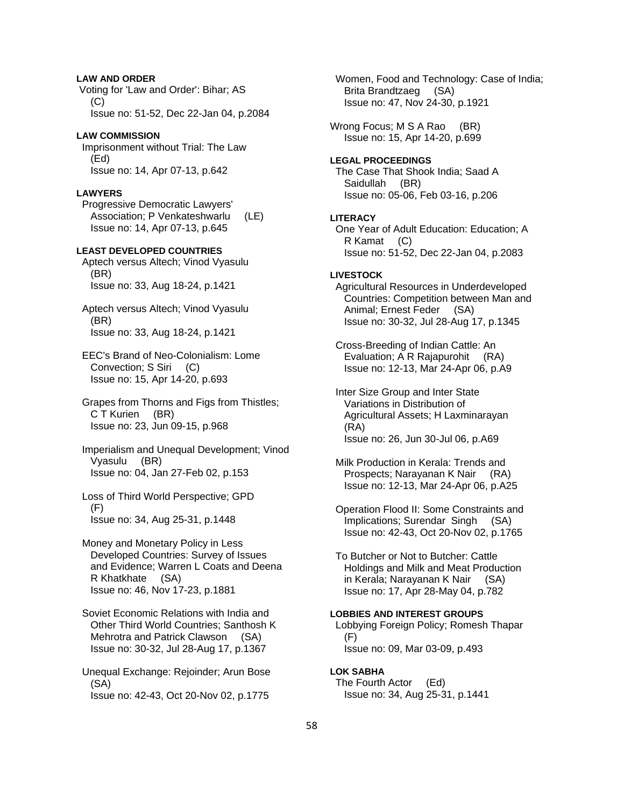# **LAW AND ORDER**

 Voting for 'Law and Order': Bihar; AS  $(C)$ Issue no: 51-52, Dec 22-Jan 04, p.2084

#### **LAW COMMISSION**

 Imprisonment without Trial: The Law (Ed) Issue no: 14, Apr 07-13, p.642

#### **LAWYERS**

 Progressive Democratic Lawyers' Association; P Venkateshwarlu (LE) Issue no: 14, Apr 07-13, p.645

#### **LEAST DEVELOPED COUNTRIES**

 Aptech versus Altech; Vinod Vyasulu (BR) Issue no: 33, Aug 18-24, p.1421

 Aptech versus Altech; Vinod Vyasulu (BR) Issue no: 33, Aug 18-24, p.1421

 EEC's Brand of Neo-Colonialism: Lome Convection; S Siri (C) Issue no: 15, Apr 14-20, p.693

 Grapes from Thorns and Figs from Thistles; C T Kurien (BR) Issue no: 23, Jun 09-15, p.968

 Imperialism and Unequal Development; Vinod Vyasulu (BR) Issue no: 04, Jan 27-Feb 02, p.153

 Loss of Third World Perspective; GPD (F) Issue no: 34, Aug 25-31, p.1448

 Money and Monetary Policy in Less Developed Countries: Survey of Issues and Evidence; Warren L Coats and Deena R Khatkhate (SA) Issue no: 46, Nov 17-23, p.1881

- Soviet Economic Relations with India and Other Third World Countries; Santhosh K Mehrotra and Patrick Clawson (SA) Issue no: 30-32, Jul 28-Aug 17, p.1367
- Unequal Exchange: Rejoinder; Arun Bose (SA) Issue no: 42-43, Oct 20-Nov 02, p.1775

 Women, Food and Technology: Case of India; Brita Brandtzaeg (SA) Issue no: 47, Nov 24-30, p.1921

Wrong Focus; M S A Rao (BR) Issue no: 15, Apr 14-20, p.699

### **LEGAL PROCEEDINGS**

 The Case That Shook India; Saad A Saidullah (BR) Issue no: 05-06, Feb 03-16, p.206

#### **LITERACY**

 One Year of Adult Education: Education; A R Kamat (C) Issue no: 51-52, Dec 22-Jan 04, p.2083

# **LIVESTOCK**

 Agricultural Resources in Underdeveloped Countries: Competition between Man and Animal; Ernest Feder (SA) Issue no: 30-32, Jul 28-Aug 17, p.1345

 Cross-Breeding of Indian Cattle: An Evaluation; A R Rajapurohit (RA) Issue no: 12-13, Mar 24-Apr 06, p.A9

 Inter Size Group and Inter State Variations in Distribution of Agricultural Assets; H Laxminarayan (RA) Issue no: 26, Jun 30-Jul 06, p.A69

 Milk Production in Kerala: Trends and Prospects; Narayanan K Nair (RA) Issue no: 12-13, Mar 24-Apr 06, p.A25

 Operation Flood II: Some Constraints and Implications; Surendar Singh (SA) Issue no: 42-43, Oct 20-Nov 02, p.1765

 To Butcher or Not to Butcher: Cattle Holdings and Milk and Meat Production in Kerala; Narayanan K Nair (SA) Issue no: 17, Apr 28-May 04, p.782

#### **LOBBIES AND INTEREST GROUPS**  Lobbying Foreign Policy; Romesh Thapar (F) Issue no: 09, Mar 03-09, p.493

**LOK SABHA**  The Fourth Actor (Ed) Issue no: 34, Aug 25-31, p.1441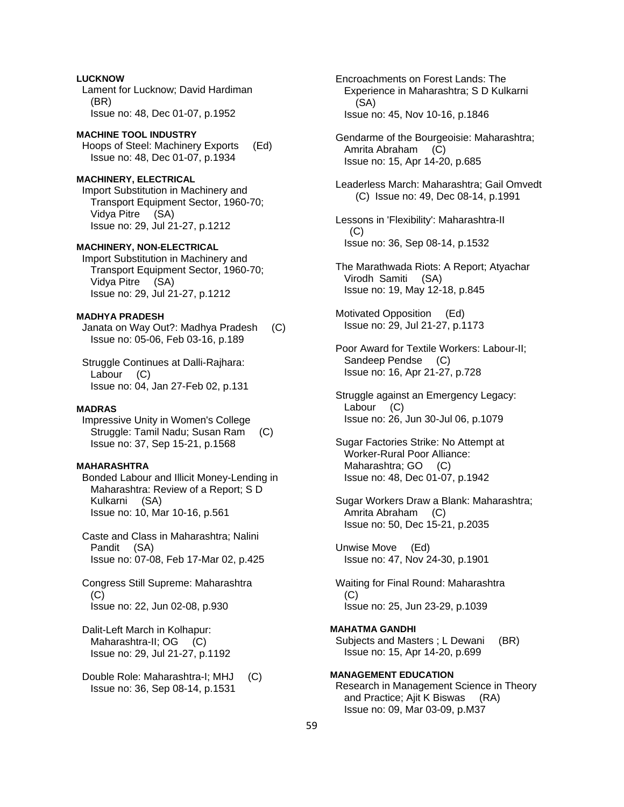**LUCKNOW**  Lament for Lucknow; David Hardiman (BR) Issue no: 48, Dec 01-07, p.1952

# **MACHINE TOOL INDUSTRY**  Hoops of Steel: Machinery Exports (Ed) Issue no: 48, Dec 01-07, p.1934

# **MACHINERY, ELECTRICAL**

 Import Substitution in Machinery and Transport Equipment Sector, 1960-70; Vidya Pitre (SA) Issue no: 29, Jul 21-27, p.1212

### **MACHINERY, NON-ELECTRICAL**

 Import Substitution in Machinery and Transport Equipment Sector, 1960-70; Vidya Pitre (SA) Issue no: 29, Jul 21-27, p.1212

# **MADHYA PRADESH**

 Janata on Way Out?: Madhya Pradesh (C) Issue no: 05-06, Feb 03-16, p.189

 Struggle Continues at Dalli-Rajhara: Labour (C) Issue no: 04, Jan 27-Feb 02, p.131

#### **MADRAS**

 Impressive Unity in Women's College Struggle: Tamil Nadu; Susan Ram (C) Issue no: 37, Sep 15-21, p.1568

# **MAHARASHTRA**

 Bonded Labour and Illicit Money-Lending in Maharashtra: Review of a Report; S D Kulkarni (SA) Issue no: 10, Mar 10-16, p.561

 Caste and Class in Maharashtra; Nalini Pandit (SA) Issue no: 07-08, Feb 17-Mar 02, p.425

 Congress Still Supreme: Maharashtra (C) Issue no: 22, Jun 02-08, p.930

 Dalit-Left March in Kolhapur: Maharashtra-II; OG (C) Issue no: 29, Jul 21-27, p.1192

 Double Role: Maharashtra-I; MHJ (C) Issue no: 36, Sep 08-14, p.1531

 Encroachments on Forest Lands: The Experience in Maharashtra; S D Kulkarni (SA) Issue no: 45, Nov 10-16, p.1846

 Gendarme of the Bourgeoisie: Maharashtra; Amrita Abraham (C) Issue no: 15, Apr 14-20, p.685

 Leaderless March: Maharashtra; Gail Omvedt (C) Issue no: 49, Dec 08-14, p.1991

 Lessons in 'Flexibility': Maharashtra-II (C) Issue no: 36, Sep 08-14, p.1532

 The Marathwada Riots: A Report; Atyachar Virodh Samiti (SA) Issue no: 19, May 12-18, p.845

 Motivated Opposition (Ed) Issue no: 29, Jul 21-27, p.1173

 Poor Award for Textile Workers: Labour-II; Sandeep Pendse (C) Issue no: 16, Apr 21-27, p.728

 Struggle against an Emergency Legacy: Labour (C) Issue no: 26, Jun 30-Jul 06, p.1079

 Sugar Factories Strike: No Attempt at Worker-Rural Poor Alliance: Maharashtra; GO (C) Issue no: 48, Dec 01-07, p.1942

 Sugar Workers Draw a Blank: Maharashtra; Amrita Abraham (C) Issue no: 50, Dec 15-21, p.2035

 Unwise Move (Ed) Issue no: 47, Nov 24-30, p.1901

 Waiting for Final Round: Maharashtra (C) Issue no: 25, Jun 23-29, p.1039

**MAHATMA GANDHI**  Subjects and Masters; L Dewani (BR) Issue no: 15, Apr 14-20, p.699

**MANAGEMENT EDUCATION**  Research in Management Science in Theory and Practice; Ajit K Biswas (RA) Issue no: 09, Mar 03-09, p.M37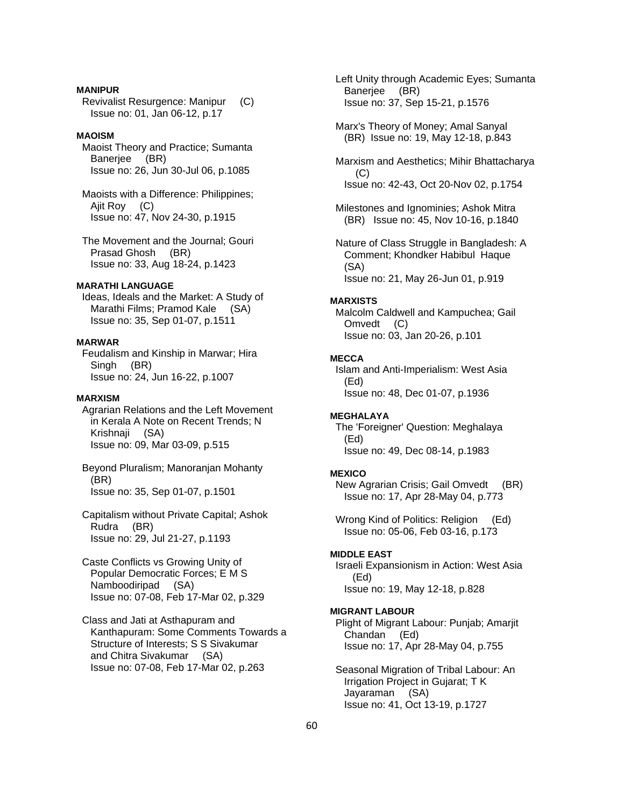#### **MANIPUR**

 Revivalist Resurgence: Manipur (C) Issue no: 01, Jan 06-12, p.17

### **MAOISM**

- Maoist Theory and Practice; Sumanta Banerjee (BR) Issue no: 26, Jun 30-Jul 06, p.1085
- Maoists with a Difference: Philippines; Ajit Roy (C) Issue no: 47, Nov 24-30, p.1915
- The Movement and the Journal; Gouri Prasad Ghosh (BR) Issue no: 33, Aug 18-24, p.1423

#### **MARATHI LANGUAGE**

 Ideas, Ideals and the Market: A Study of Marathi Films; Pramod Kale (SA) Issue no: 35, Sep 01-07, p.1511

# **MARWAR**

 Feudalism and Kinship in Marwar; Hira Singh (BR) Issue no: 24, Jun 16-22, p.1007

# **MARXISM**

- Agrarian Relations and the Left Movement in Kerala A Note on Recent Trends; N Krishnaji (SA) Issue no: 09, Mar 03-09, p.515
- Beyond Pluralism; Manoranjan Mohanty (BR) Issue no: 35, Sep 01-07, p.1501
- Capitalism without Private Capital; Ashok Rudra (BR) Issue no: 29, Jul 21-27, p.1193
- Caste Conflicts vs Growing Unity of Popular Democratic Forces; E M S Namboodiripad (SA) Issue no: 07-08, Feb 17-Mar 02, p.329

 Class and Jati at Asthapuram and Kanthapuram: Some Comments Towards a Structure of Interests; S S Sivakumar and Chitra Sivakumar (SA) Issue no: 07-08, Feb 17-Mar 02, p.263

 Left Unity through Academic Eyes; Sumanta Banerjee (BR) Issue no: 37, Sep 15-21, p.1576

- Marx's Theory of Money; Amal Sanyal (BR) Issue no: 19, May 12-18, p.843
- Marxism and Aesthetics; Mihir Bhattacharya (C) Issue no: 42-43, Oct 20-Nov 02, p.1754
- Milestones and Ignominies; Ashok Mitra (BR) Issue no: 45, Nov 10-16, p.1840

 Nature of Class Struggle in Bangladesh: A Comment; Khondker Habibul Haque (SA) Issue no: 21, May 26-Jun 01, p.919

#### **MARXISTS**

 Malcolm Caldwell and Kampuchea; Gail Omvedt (C) Issue no: 03, Jan 20-26, p.101

#### **MECCA**

 Islam and Anti-Imperialism: West Asia (Ed) Issue no: 48, Dec 01-07, p.1936

#### **MEGHALAYA**

 The 'Foreigner' Question: Meghalaya (Ed) Issue no: 49, Dec 08-14, p.1983

#### **MEXICO**

 New Agrarian Crisis; Gail Omvedt (BR) Issue no: 17, Apr 28-May 04, p.773

Wrong Kind of Politics: Religion (Ed) Issue no: 05-06, Feb 03-16, p.173

### **MIDDLE EAST**

 Israeli Expansionism in Action: West Asia (Ed) Issue no: 19, May 12-18, p.828

### **MIGRANT LABOUR**

 Plight of Migrant Labour: Punjab; Amarjit Chandan (Ed) Issue no: 17, Apr 28-May 04, p.755

 Seasonal Migration of Tribal Labour: An Irrigation Project in Gujarat; T K Jayaraman (SA) Issue no: 41, Oct 13-19, p.1727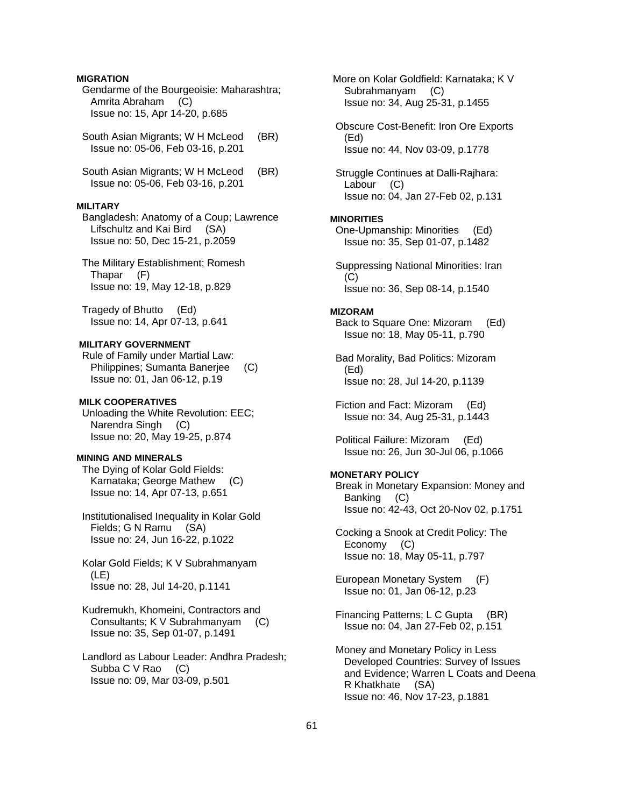### **MIGRATION**

 Gendarme of the Bourgeoisie: Maharashtra; Amrita Abraham (C) Issue no: 15, Apr 14-20, p.685

South Asian Migrants; W H McLeod (BR) Issue no: 05-06, Feb 03-16, p.201

South Asian Migrants; W H McLeod (BR) Issue no: 05-06, Feb 03-16, p.201

#### **MILITARY**

 Bangladesh: Anatomy of a Coup; Lawrence Lifschultz and Kai Bird (SA) Issue no: 50, Dec 15-21, p.2059

 The Military Establishment; Romesh Thapar (F) Issue no: 19, May 12-18, p.829

 Tragedy of Bhutto (Ed) Issue no: 14, Apr 07-13, p.641

#### **MILITARY GOVERNMENT**

 Rule of Family under Martial Law: Philippines; Sumanta Banerjee (C) Issue no: 01, Jan 06-12, p.19

### **MILK COOPERATIVES**

 Unloading the White Revolution: EEC; Narendra Singh (C) Issue no: 20, May 19-25, p.874

#### **MINING AND MINERALS**

 The Dying of Kolar Gold Fields: Karnataka; George Mathew (C) Issue no: 14, Apr 07-13, p.651

 Institutionalised Inequality in Kolar Gold Fields; G N Ramu (SA) Issue no: 24, Jun 16-22, p.1022

 Kolar Gold Fields; K V Subrahmanyam (LE) Issue no: 28, Jul 14-20, p.1141

 Kudremukh, Khomeini, Contractors and Consultants; K V Subrahmanyam (C) Issue no: 35, Sep 01-07, p.1491

 Landlord as Labour Leader: Andhra Pradesh; Subba C V Rao (C) Issue no: 09, Mar 03-09, p.501

 More on Kolar Goldfield: Karnataka; K V Subrahmanyam (C) Issue no: 34, Aug 25-31, p.1455

 Obscure Cost-Benefit: Iron Ore Exports (Ed) Issue no: 44, Nov 03-09, p.1778

 Struggle Continues at Dalli-Rajhara: Labour (C) Issue no: 04, Jan 27-Feb 02, p.131

#### **MINORITIES**

 One-Upmanship: Minorities (Ed) Issue no: 35, Sep 01-07, p.1482

 Suppressing National Minorities: Iran  $(C)$ Issue no: 36, Sep 08-14, p.1540

#### **MIZORAM**

 Back to Square One: Mizoram (Ed) Issue no: 18, May 05-11, p.790

 Bad Morality, Bad Politics: Mizoram (Ed) Issue no: 28, Jul 14-20, p.1139

 Fiction and Fact: Mizoram (Ed) Issue no: 34, Aug 25-31, p.1443

 Political Failure: Mizoram (Ed) Issue no: 26, Jun 30-Jul 06, p.1066

#### **MONETARY POLICY**

 Break in Monetary Expansion: Money and Banking (C) Issue no: 42-43, Oct 20-Nov 02, p.1751

 Cocking a Snook at Credit Policy: The Economy (C) Issue no: 18, May 05-11, p.797

 European Monetary System (F) Issue no: 01, Jan 06-12, p.23

 Financing Patterns; L C Gupta (BR) Issue no: 04, Jan 27-Feb 02, p.151

 Money and Monetary Policy in Less Developed Countries: Survey of Issues and Evidence; Warren L Coats and Deena R Khatkhate (SA) Issue no: 46, Nov 17-23, p.1881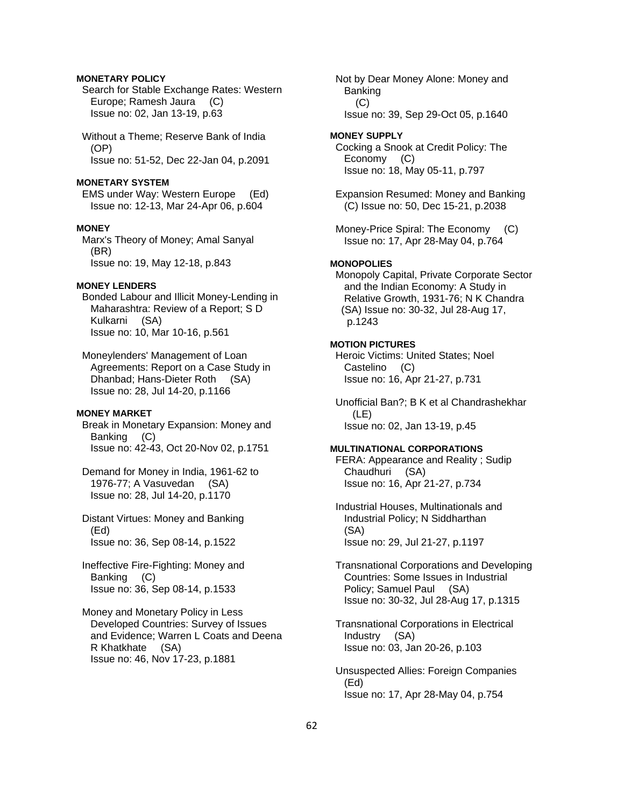### **MONETARY POLICY**

 Search for Stable Exchange Rates: Western Europe; Ramesh Jaura (C) Issue no: 02, Jan 13-19, p.63

 Without a Theme; Reserve Bank of India (OP) Issue no: 51-52, Dec 22-Jan 04, p.2091

#### **MONETARY SYSTEM**

 EMS under Way: Western Europe (Ed) Issue no: 12-13, Mar 24-Apr 06, p.604

# **MONEY**

 Marx's Theory of Money; Amal Sanyal (BR) Issue no: 19, May 12-18, p.843

### **MONEY LENDERS**

- Bonded Labour and Illicit Money-Lending in Maharashtra: Review of a Report; S D Kulkarni (SA) Issue no: 10, Mar 10-16, p.561
- Moneylenders' Management of Loan Agreements: Report on a Case Study in Dhanbad; Hans-Dieter Roth (SA) Issue no: 28, Jul 14-20, p.1166

### **MONEY MARKET**

- Break in Monetary Expansion: Money and Banking (C) Issue no: 42-43, Oct 20-Nov 02, p.1751
- Demand for Money in India, 1961-62 to 1976-77; A Vasuvedan (SA) Issue no: 28, Jul 14-20, p.1170
- Distant Virtues: Money and Banking (Ed) Issue no: 36, Sep 08-14, p.1522
- Ineffective Fire-Fighting: Money and Banking (C) Issue no: 36, Sep 08-14, p.1533

 Money and Monetary Policy in Less Developed Countries: Survey of Issues and Evidence; Warren L Coats and Deena R Khatkhate (SA) Issue no: 46, Nov 17-23, p.1881

 Not by Dear Money Alone: Money and Banking (C) Issue no: 39, Sep 29-Oct 05, p.1640

### **MONEY SUPPLY**

 Cocking a Snook at Credit Policy: The Economy (C) Issue no: 18, May 05-11, p.797

 Expansion Resumed: Money and Banking (C) Issue no: 50, Dec 15-21, p.2038

 Money-Price Spiral: The Economy (C) Issue no: 17, Apr 28-May 04, p.764

### **MONOPOLIES**

 Monopoly Capital, Private Corporate Sector and the Indian Economy: A Study in Relative Growth, 1931-76; N K Chandra (SA) Issue no: 30-32, Jul 28-Aug 17, p.1243

### **MOTION PICTURES**

 Heroic Victims: United States; Noel Castelino (C) Issue no: 16, Apr 21-27, p.731

 Unofficial Ban?; B K et al Chandrashekhar (LE) Issue no: 02, Jan 13-19, p.45

#### **MULTINATIONAL CORPORATIONS**

 FERA: Appearance and Reality ; Sudip Chaudhuri (SA) Issue no: 16, Apr 21-27, p.734

- Industrial Houses, Multinationals and Industrial Policy; N Siddharthan (SA) Issue no: 29, Jul 21-27, p.1197
- Transnational Corporations and Developing Countries: Some Issues in Industrial Policy; Samuel Paul (SA) Issue no: 30-32, Jul 28-Aug 17, p.1315

 Transnational Corporations in Electrical Industry (SA) Issue no: 03, Jan 20-26, p.103

 Unsuspected Allies: Foreign Companies (Ed) Issue no: 17, Apr 28-May 04, p.754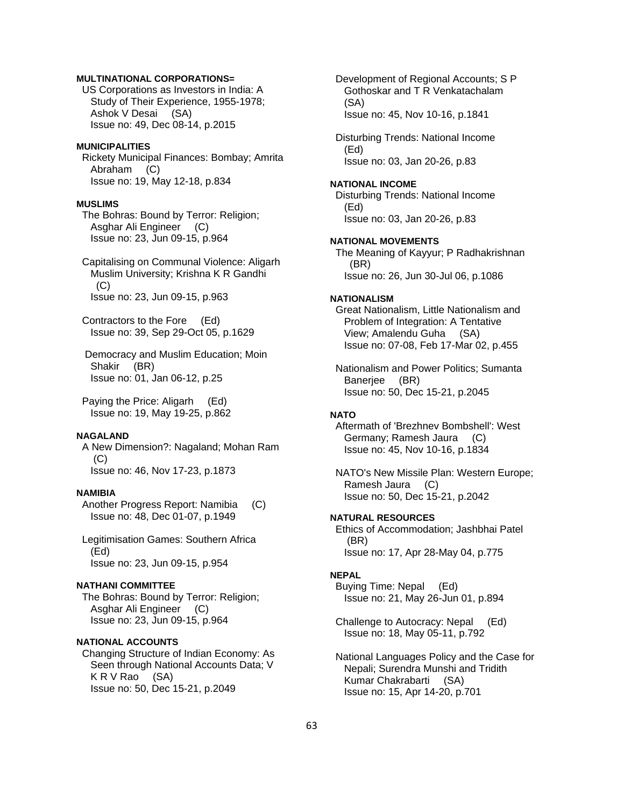### **MULTINATIONAL CORPORATIONS=**

 US Corporations as Investors in India: A Study of Their Experience, 1955-1978; Ashok V Desai (SA) Issue no: 49, Dec 08-14, p.2015

#### **MUNICIPALITIES**

 Rickety Municipal Finances: Bombay; Amrita Abraham (C) Issue no: 19, May 12-18, p.834

### **MUSLIMS**

 The Bohras: Bound by Terror: Religion; Asghar Ali Engineer (C) Issue no: 23, Jun 09-15, p.964

 Capitalising on Communal Violence: Aligarh Muslim University; Krishna K R Gandhi  $(C)$ Issue no: 23, Jun 09-15, p.963

 Contractors to the Fore (Ed) Issue no: 39, Sep 29-Oct 05, p.1629

 Democracy and Muslim Education; Moin Shakir (BR) Issue no: 01, Jan 06-12, p.25

 Paying the Price: Aligarh (Ed) Issue no: 19, May 19-25, p.862

### **NAGALAND**

 A New Dimension?: Nagaland; Mohan Ram (C) Issue no: 46, Nov 17-23, p.1873

#### **NAMIBIA**

 Another Progress Report: Namibia (C) Issue no: 48, Dec 01-07, p.1949

 Legitimisation Games: Southern Africa (Ed) Issue no: 23, Jun 09-15, p.954

### **NATHANI COMMITTEE**

 The Bohras: Bound by Terror: Religion; Asghar Ali Engineer (C) Issue no: 23, Jun 09-15, p.964

#### **NATIONAL ACCOUNTS**

 Changing Structure of Indian Economy: As Seen through National Accounts Data; V  $K R V Rao (SA)$ Issue no: 50, Dec 15-21, p.2049

 Development of Regional Accounts; S P Gothoskar and T R Venkatachalam (SA) Issue no: 45, Nov 10-16, p.1841

 Disturbing Trends: National Income (Ed) Issue no: 03, Jan 20-26, p.83

# **NATIONAL INCOME**

 Disturbing Trends: National Income (Ed) Issue no: 03, Jan 20-26, p.83

#### **NATIONAL MOVEMENTS**

 The Meaning of Kayyur; P Radhakrishnan (BR) Issue no: 26, Jun 30-Jul 06, p.1086

#### **NATIONALISM**

 Great Nationalism, Little Nationalism and Problem of Integration: A Tentative View; Amalendu Guha (SA) Issue no: 07-08, Feb 17-Mar 02, p.455

 Nationalism and Power Politics; Sumanta Banerjee (BR) Issue no: 50, Dec 15-21, p.2045

# **NATO**

 Aftermath of 'Brezhnev Bombshell': West Germany; Ramesh Jaura (C) Issue no: 45, Nov 10-16, p.1834

 NATO's New Missile Plan: Western Europe; Ramesh Jaura (C) Issue no: 50, Dec 15-21, p.2042

# **NATURAL RESOURCES**

 Ethics of Accommodation; Jashbhai Patel (BR) Issue no: 17, Apr 28-May 04, p.775

#### **NEPAL**

 Buying Time: Nepal (Ed) Issue no: 21, May 26-Jun 01, p.894

 Challenge to Autocracy: Nepal (Ed) Issue no: 18, May 05-11, p.792

 National Languages Policy and the Case for Nepali; Surendra Munshi and Tridith Kumar Chakrabarti (SA) Issue no: 15, Apr 14-20, p.701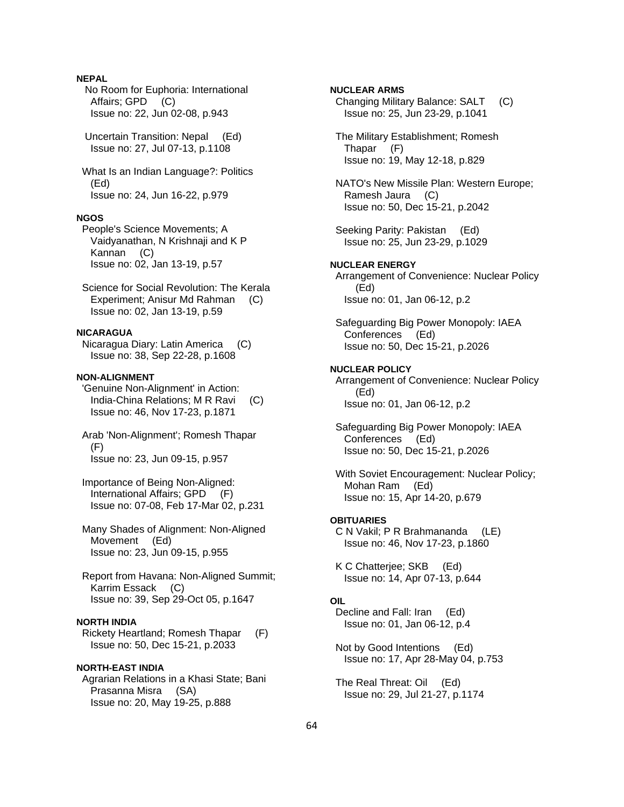# **NEPAL**

 No Room for Euphoria: International Affairs; GPD (C) Issue no: 22, Jun 02-08, p.943

 Uncertain Transition: Nepal (Ed) Issue no: 27, Jul 07-13, p.1108

 What Is an Indian Language?: Politics (Ed) Issue no: 24, Jun 16-22, p.979

### **NGOS**

 People's Science Movements; A Vaidyanathan, N Krishnaji and K P Kannan (C) Issue no: 02, Jan 13-19, p.57

 Science for Social Revolution: The Kerala Experiment; Anisur Md Rahman (C) Issue no: 02, Jan 13-19, p.59

# **NICARAGUA**

 Nicaragua Diary: Latin America (C) Issue no: 38, Sep 22-28, p.1608

# **NON-ALIGNMENT**

 'Genuine Non-Alignment' in Action: India-China Relations; M R Ravi (C) Issue no: 46, Nov 17-23, p.1871

 Arab 'Non-Alignment'; Romesh Thapar (F) Issue no: 23, Jun 09-15, p.957

 Importance of Being Non-Aligned: International Affairs; GPD (F) Issue no: 07-08, Feb 17-Mar 02, p.231

 Many Shades of Alignment: Non-Aligned Movement (Ed) Issue no: 23, Jun 09-15, p.955

 Report from Havana: Non-Aligned Summit; Karrim Essack (C) Issue no: 39, Sep 29-Oct 05, p.1647

# **NORTH INDIA**

 Rickety Heartland; Romesh Thapar (F) Issue no: 50, Dec 15-21, p.2033

# **NORTH-EAST INDIA**

 Agrarian Relations in a Khasi State; Bani Prasanna Misra (SA) Issue no: 20, May 19-25, p.888

**NUCLEAR ARMS**  Changing Military Balance: SALT (C) Issue no: 25, Jun 23-29, p.1041 The Military Establishment; Romesh Thapar (F) Issue no: 19, May 12-18, p.829 NATO's New Missile Plan: Western Europe; Ramesh Jaura (C) Issue no: 50, Dec 15-21, p.2042 Seeking Parity: Pakistan (Ed) Issue no: 25, Jun 23-29, p.1029 **NUCLEAR ENERGY**  Arrangement of Convenience: Nuclear Policy (Ed) Issue no: 01, Jan 06-12, p.2 Safeguarding Big Power Monopoly: IAEA Conferences (Ed) Issue no: 50, Dec 15-21, p.2026 **NUCLEAR POLICY**  Arrangement of Convenience: Nuclear Policy (Ed) Issue no: 01, Jan 06-12, p.2 Safeguarding Big Power Monopoly: IAEA Conferences (Ed) Issue no: 50, Dec 15-21, p.2026 With Soviet Encouragement: Nuclear Policy; Mohan Ram (Ed) Issue no: 15, Apr 14-20, p.679 **OBITUARIES**  C N Vakil; P R Brahmananda (LE) Issue no: 46, Nov 17-23, p.1860 K C Chatterjee; SKB (Ed) Issue no: 14, Apr 07-13, p.644 **OIL**  Decline and Fall: Iran (Ed) Issue no: 01, Jan 06-12, p.4 Not by Good Intentions (Ed)

 The Real Threat: Oil (Ed) Issue no: 29, Jul 21-27, p.1174

Issue no: 17, Apr 28-May 04, p.753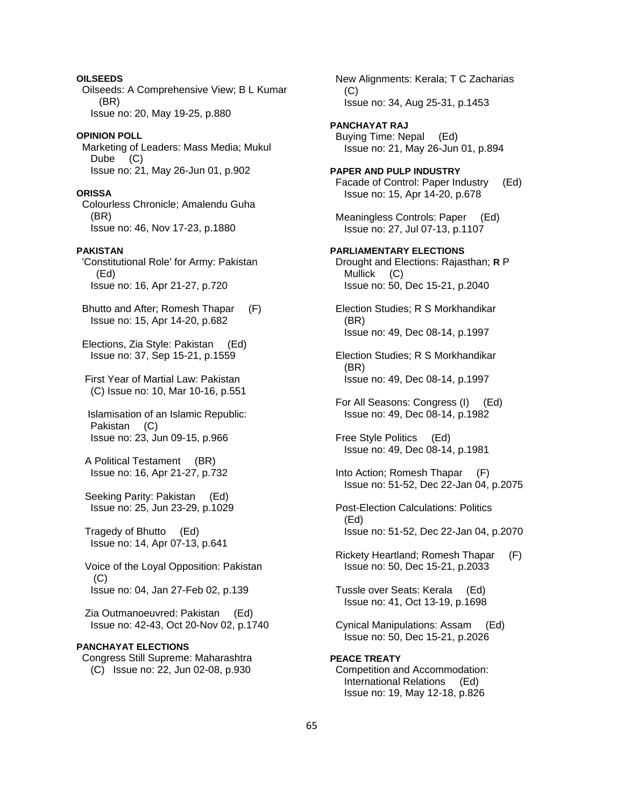Oilseeds: A Comprehensive View; B L Kumar (BR) Issue no: 20, May 19-25, p.880 **OPINION POLL**  Marketing of Leaders: Mass Media; Mukul Dube (C) Issue no: 21, May 26-Jun 01, p.902 **ORISSA**  Colourless Chronicle; Amalendu Guha (BR) Issue no: 46, Nov 17-23, p.1880 **PAKISTAN**  'Constitutional Role' for Army: Pakistan (Ed) Issue no: 16, Apr 21-27, p.720 Bhutto and After; Romesh Thapar (F) Issue no: 15, Apr 14-20, p.682 Elections, Zia Style: Pakistan (Ed) Issue no: 37, Sep 15-21, p.1559 First Year of Martial Law: Pakistan (C) Issue no: 10, Mar 10-16, p.551 Islamisation of an Islamic Republic: Pakistan (C) Issue no: 23, Jun 09-15, p.966 A Political Testament (BR) Issue no: 16, Apr 21-27, p.732 Seeking Parity: Pakistan (Ed) Issue no: 25, Jun 23-29, p.1029 Tragedy of Bhutto (Ed) Issue no: 14, Apr 07-13, p.641 Voice of the Loyal Opposition: Pakistan (C) Issue no: 04, Jan 27-Feb 02, p.139 Zia Outmanoeuvred: Pakistan (Ed) Issue no: 42-43, Oct 20-Nov 02, p.1740 **PANCHAYAT ELECTIONS** 

**OILSEEDS** 

 Congress Still Supreme: Maharashtra (C) Issue no: 22, Jun 02-08, p.930

 Issue no: 34, Aug 25-31, p.1453 **PANCHAYAT RAJ**  Buying Time: Nepal (Ed) Issue no: 21, May 26-Jun 01, p.894 **PAPER AND PULP INDUSTRY**  Facade of Control: Paper Industry (Ed) Issue no: 15, Apr 14-20, p.678 Meaningless Controls: Paper (Ed) Issue no: 27, Jul 07-13, p.1107 **PARLIAMENTARY ELECTIONS**  Drought and Elections: Rajasthan; **R** P Mullick (C) Issue no: 50, Dec 15-21, p.2040 Election Studies; R S Morkhandikar (BR) Issue no: 49, Dec 08-14, p.1997 Election Studies; R S Morkhandikar (BR) Issue no: 49, Dec 08-14, p.1997 For All Seasons: Congress (I) (Ed) Issue no: 49, Dec 08-14, p.1982 Free Style Politics (Ed) Issue no: 49, Dec 08-14, p.1981 Into Action; Romesh Thapar (F) Issue no: 51-52, Dec 22-Jan 04, p.2075 Post-Election Calculations: Politics (Ed) Issue no: 51-52, Dec 22-Jan 04, p.2070 Rickety Heartland; Romesh Thapar (F) Issue no: 50, Dec 15-21, p.2033 Tussle over Seats: Kerala (Ed) Issue no: 41, Oct 13-19, p.1698 Cynical Manipulations: Assam (Ed) Issue no: 50, Dec 15-21, p.2026

New Alignments: Kerala; T C Zacharias

 $(C)$ 

**PEACE TREATY**  Competition and Accommodation: International Relations (Ed) Issue no: 19, May 12-18, p.826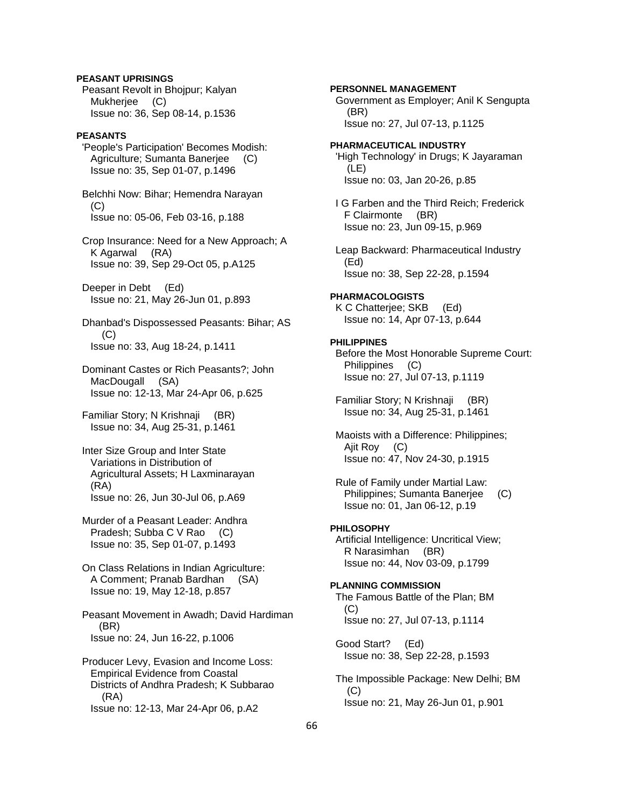# **PEASANT UPRISINGS**

 Peasant Revolt in Bhojpur; Kalyan Mukherjee (C) Issue no: 36, Sep 08-14, p.1536

### **PEASANTS**

 'People's Participation' Becomes Modish: Agriculture; Sumanta Banerjee (C) Issue no: 35, Sep 01-07, p.1496

 Belchhi Now: Bihar; Hemendra Narayan (C) Issue no: 05-06, Feb 03-16, p.188

 Crop Insurance: Need for a New Approach; A K Agarwal (RA) Issue no: 39, Sep 29-Oct 05, p.A125

 Deeper in Debt (Ed) Issue no: 21, May 26-Jun 01, p.893

 Dhanbad's Dispossessed Peasants: Bihar; AS (C) Issue no: 33, Aug 18-24, p.1411

 Dominant Castes or Rich Peasants?; John MacDougall (SA) Issue no: 12-13, Mar 24-Apr 06, p.625

 Familiar Story; N Krishnaji (BR) Issue no: 34, Aug 25-31, p.1461

 Inter Size Group and Inter State Variations in Distribution of Agricultural Assets; H Laxminarayan (RA) Issue no: 26, Jun 30-Jul 06, p.A69

 Murder of a Peasant Leader: Andhra Pradesh; Subba C V Rao (C) Issue no: 35, Sep 01-07, p.1493

 On Class Relations in Indian Agriculture: A Comment; Pranab Bardhan (SA) Issue no: 19, May 12-18, p.857

 Peasant Movement in Awadh; David Hardiman (BR) Issue no: 24, Jun 16-22, p.1006

 Producer Levy, Evasion and Income Loss: Empirical Evidence from Coastal Districts of Andhra Pradesh; K Subbarao (RA) Issue no: 12-13, Mar 24-Apr 06, p.A2

**PERSONNEL MANAGEMENT**  Government as Employer; Anil K Sengupta (BR) Issue no: 27, Jul 07-13, p.1125 **PHARMACEUTICAL INDUSTRY**  'High Technology' in Drugs; K Jayaraman (LE) Issue no: 03, Jan 20-26, p.85 I G Farben and the Third Reich; Frederick F Clairmonte (BR) Issue no: 23, Jun 09-15, p.969 Leap Backward: Pharmaceutical Industry (Ed) Issue no: 38, Sep 22-28, p.1594 **PHARMACOLOGISTS**  K C Chatterjee; SKB (Ed) Issue no: 14, Apr 07-13, p.644 **PHILIPPINES**  Before the Most Honorable Supreme Court: Philippines (C) Issue no: 27, Jul 07-13, p.1119 Familiar Story; N Krishnaji (BR) Issue no: 34, Aug 25-31, p.1461

 Maoists with a Difference: Philippines; Ajit Roy (C) Issue no: 47, Nov 24-30, p.1915

 Rule of Family under Martial Law: Philippines; Sumanta Banerjee (C) Issue no: 01, Jan 06-12, p.19

# **PHILOSOPHY**

 Artificial Intelligence: Uncritical View; R Narasimhan (BR) Issue no: 44, Nov 03-09, p.1799

**PLANNING COMMISSION**  The Famous Battle of the Plan; BM  $(C)$ Issue no: 27, Jul 07-13, p.1114

 Good Start? (Ed) Issue no: 38, Sep 22-28, p.1593

 The Impossible Package: New Delhi; BM (C) Issue no: 21, May 26-Jun 01, p.901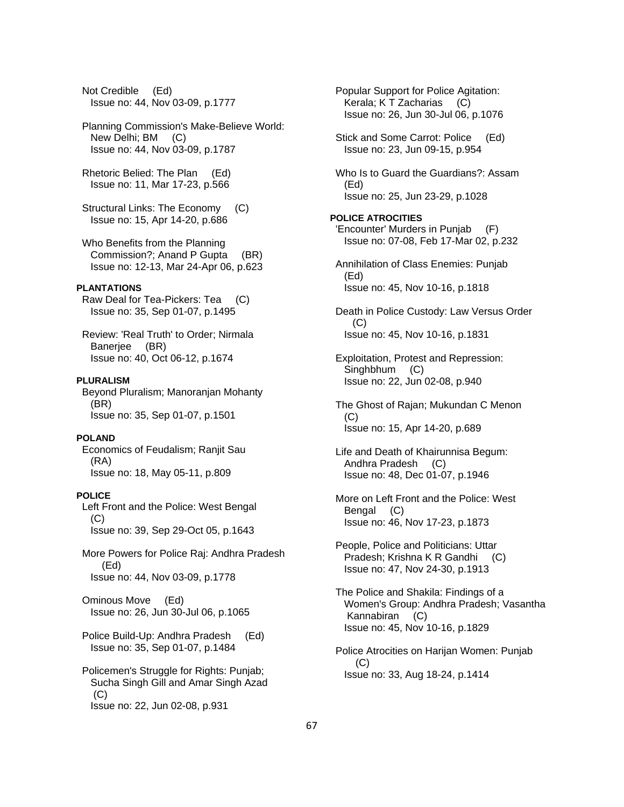Not Credible (Ed) Issue no: 44, Nov 03-09, p.1777 Planning Commission's Make-Believe World: New Delhi; BM (C) Issue no: 44, Nov 03-09, p.1787 Rhetoric Belied: The Plan (Ed) Issue no: 11, Mar 17-23, p.566 Structural Links: The Economy (C) Issue no: 15, Apr 14-20, p.686 Who Benefits from the Planning Commission?; Anand P Gupta (BR) Issue no: 12-13, Mar 24-Apr 06, p.623 **PLANTATIONS**  Raw Deal for Tea-Pickers: Tea (C) Issue no: 35, Sep 01-07, p.1495 Review: 'Real Truth' to Order; Nirmala Banerjee (BR) Issue no: 40, Oct 06-12, p.1674 **PLURALISM**  Beyond Pluralism; Manoranjan Mohanty (BR) Issue no: 35, Sep 01-07, p.1501 **POLAND**  Economics of Feudalism; Ranjit Sau (RA) Issue no: 18, May 05-11, p.809 **POLICE**  Left Front and the Police: West Bengal  $(C)$  Issue no: 39, Sep 29-Oct 05, p.1643 More Powers for Police Raj: Andhra Pradesh (Ed) Issue no: 44, Nov 03-09, p.1778 Ominous Move (Ed) Issue no: 26, Jun 30-Jul 06, p.1065 Police Build-Up: Andhra Pradesh (Ed) Issue no: 35, Sep 01-07, p.1484 Policemen's Struggle for Rights: Punjab; Sucha Singh Gill and Amar Singh Azad (C) Issue no: 22, Jun 02-08, p.931

 Popular Support for Police Agitation: Kerala; K T Zacharias (C) Issue no: 26, Jun 30-Jul 06, p.1076 Stick and Some Carrot: Police (Ed) Issue no: 23, Jun 09-15, p.954 Who Is to Guard the Guardians?: Assam (Ed) Issue no: 25, Jun 23-29, p.1028 **POLICE ATROCITIES**  'Encounter' Murders in Punjab (F) Issue no: 07-08, Feb 17-Mar 02, p.232 Annihilation of Class Enemies: Punjab (Ed) Issue no: 45, Nov 10-16, p.1818 Death in Police Custody: Law Versus Order (C) Issue no: 45, Nov 10-16, p.1831 Exploitation, Protest and Repression: Singhbhum (C) Issue no: 22, Jun 02-08, p.940 The Ghost of Rajan; Mukundan C Menon (C) Issue no: 15, Apr 14-20, p.689 Life and Death of Khairunnisa Begum: Andhra Pradesh (C) Issue no: 48, Dec 01-07, p.1946 More on Left Front and the Police: West Bengal (C) Issue no: 46, Nov 17-23, p.1873 People, Police and Politicians: Uttar Pradesh; Krishna K R Gandhi (C) Issue no: 47, Nov 24-30, p.1913 The Police and Shakila: Findings of a Women's Group: Andhra Pradesh; Vasantha Kannabiran (C) Issue no: 45, Nov 10-16, p.1829 Police Atrocities on Harijan Women: Punjab  $(C)$ Issue no: 33, Aug 18-24, p.1414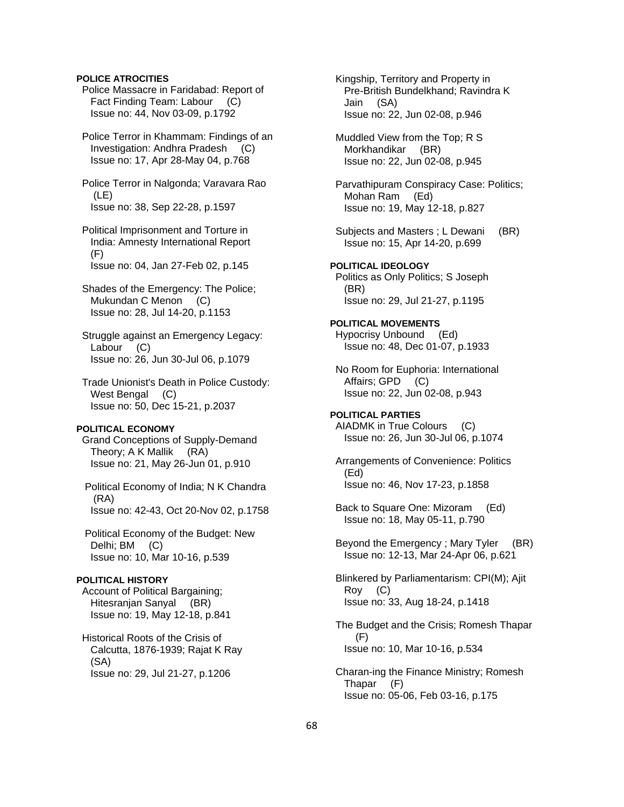### **POLICE ATROCITIES**

 Police Massacre in Faridabad: Report of Fact Finding Team: Labour (C) Issue no: 44, Nov 03-09, p.1792

 Police Terror in Khammam: Findings of an Investigation: Andhra Pradesh (C) Issue no: 17, Apr 28-May 04, p.768

 Police Terror in Nalgonda; Varavara Rao (LE) Issue no: 38, Sep 22-28, p.1597

 Political Imprisonment and Torture in India: Amnesty International Report (F) Issue no: 04, Jan 27-Feb 02, p.145

- Shades of the Emergency: The Police; Mukundan C Menon (C) Issue no: 28, Jul 14-20, p.1153
- Struggle against an Emergency Legacy: Labour (C) Issue no: 26, Jun 30-Jul 06, p.1079

 Trade Unionist's Death in Police Custody: West Bengal (C) Issue no: 50, Dec 15-21, p.2037

# **POLITICAL ECONOMY**

 Grand Conceptions of Supply-Demand Theory; A K Mallik (RA) Issue no: 21, May 26-Jun 01, p.910

 Political Economy of India; N K Chandra (RA) Issue no: 42-43, Oct 20-Nov 02, p.1758

 Political Economy of the Budget: New Delhi; BM (C) Issue no: 10, Mar 10-16, p.539

# **POLITICAL HISTORY**

 Account of Political Bargaining; Hitesranjan Sanyal (BR) Issue no: 19, May 12-18, p.841

 Historical Roots of the Crisis of Calcutta, 1876-1939; Rajat K Ray (SA) Issue no: 29, Jul 21-27, p.1206

 Kingship, Territory and Property in Pre-British Bundelkhand; Ravindra K Jain (SA) Issue no: 22, Jun 02-08, p.946

 Muddled View from the Top; R S Morkhandikar (BR) Issue no: 22, Jun 02-08, p.945

 Parvathipuram Conspiracy Case: Politics; Mohan Ram (Ed) Issue no: 19, May 12-18, p.827

Subjects and Masters; L Dewani (BR) Issue no: 15, Apr 14-20, p.699

**POLITICAL IDEOLOGY**  Politics as Only Politics; S Joseph (BR) Issue no: 29, Jul 21-27, p.1195

### **POLITICAL MOVEMENTS**  Hypocrisy Unbound (Ed) Issue no: 48, Dec 01-07, p.1933

 No Room for Euphoria: International Affairs; GPD (C) Issue no: 22, Jun 02-08, p.943

**POLITICAL PARTIES**  AIADMK in True Colours (C) Issue no: 26, Jun 30-Jul 06, p.1074

 Arrangements of Convenience: Politics (Ed) Issue no: 46, Nov 17-23, p.1858

 Back to Square One: Mizoram (Ed) Issue no: 18, May 05-11, p.790

 Beyond the Emergency ; Mary Tyler (BR) Issue no: 12-13, Mar 24-Apr 06, p.621

 Blinkered by Parliamentarism: CPI(M); Ajit Roy (C) Issue no: 33, Aug 18-24, p.1418

 The Budget and the Crisis; Romesh Thapar (F) Issue no: 10, Mar 10-16, p.534

 Charan-ing the Finance Ministry; Romesh Thapar (F) Issue no: 05-06, Feb 03-16, p.175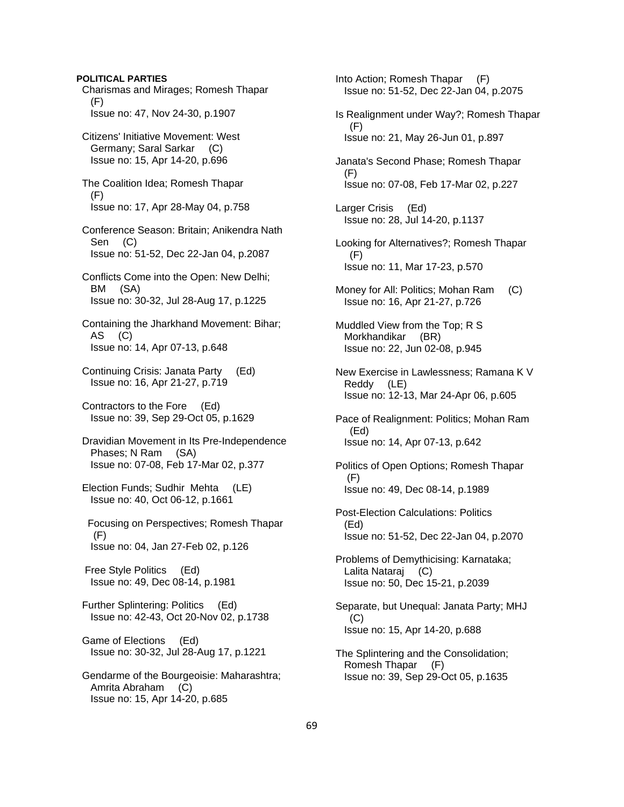### **POLITICAL PARTIES**

- Charismas and Mirages; Romesh Thapar (F) Issue no: 47, Nov 24-30, p.1907
- Citizens' Initiative Movement: West Germany; Saral Sarkar (C) Issue no: 15, Apr 14-20, p.696
- The Coalition Idea; Romesh Thapar (F) Issue no: 17, Apr 28-May 04, p.758
- Conference Season: Britain; Anikendra Nath Sen (C) Issue no: 51-52, Dec 22-Jan 04, p.2087
- Conflicts Come into the Open: New Delhi; BM (SA) Issue no: 30-32, Jul 28-Aug 17, p.1225
- Containing the Jharkhand Movement: Bihar; AS (C) Issue no: 14, Apr 07-13, p.648
- Continuing Crisis: Janata Party (Ed) Issue no: 16, Apr 21-27, p.719
- Contractors to the Fore (Ed) Issue no: 39, Sep 29-Oct 05, p.1629
- Dravidian Movement in Its Pre-Independence Phases; N Ram (SA) Issue no: 07-08, Feb 17-Mar 02, p.377
- Election Funds; Sudhir Mehta (LE) Issue no: 40, Oct 06-12, p.1661
- Focusing on Perspectives; Romesh Thapar (F) Issue no: 04, Jan 27-Feb 02, p.126
- Free Style Politics (Ed) Issue no: 49, Dec 08-14, p.1981
- Further Splintering: Politics (Ed) Issue no: 42-43, Oct 20-Nov 02, p.1738
- Game of Elections (Ed) Issue no: 30-32, Jul 28-Aug 17, p.1221
- Gendarme of the Bourgeoisie: Maharashtra; Amrita Abraham (C) Issue no: 15, Apr 14-20, p.685
- Into Action; Romesh Thapar (F) Issue no: 51-52, Dec 22-Jan 04, p.2075
- Is Realignment under Way?; Romesh Thapar (F) Issue no: 21, May 26-Jun 01, p.897
- Janata's Second Phase; Romesh Thapar (F) Issue no: 07-08, Feb 17-Mar 02, p.227
- Larger Crisis (Ed) Issue no: 28, Jul 14-20, p.1137
- Looking for Alternatives?; Romesh Thapar (F) Issue no: 11, Mar 17-23, p.570
- Money for All: Politics; Mohan Ram (C) Issue no: 16, Apr 21-27, p.726
- Muddled View from the Top; R S Morkhandikar (BR) Issue no: 22, Jun 02-08, p.945
- New Exercise in Lawlessness; Ramana K V Reddy (LE) Issue no: 12-13, Mar 24-Apr 06, p.605
- Pace of Realignment: Politics; Mohan Ram (Ed) Issue no: 14, Apr 07-13, p.642
- Politics of Open Options; Romesh Thapar (F) Issue no: 49, Dec 08-14, p.1989
- Post-Election Calculations: Politics (Ed) Issue no: 51-52, Dec 22-Jan 04, p.2070
- Problems of Demythicising: Karnataka; Lalita Nataraj (C) Issue no: 50, Dec 15-21, p.2039
- Separate, but Unequal: Janata Party; MHJ (C) Issue no: 15, Apr 14-20, p.688
- The Splintering and the Consolidation; Romesh Thapar (F) Issue no: 39, Sep 29-Oct 05, p.1635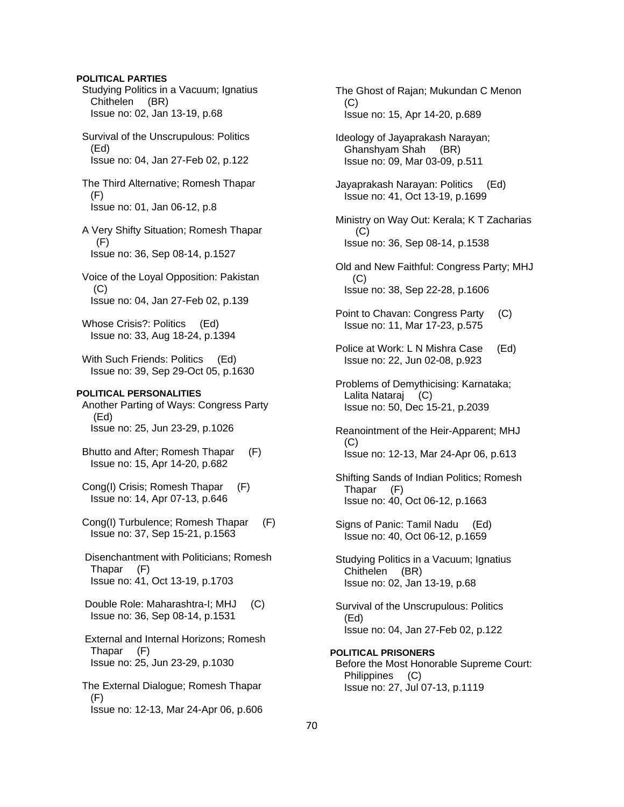### **POLITICAL PARTIES**

- Studying Politics in a Vacuum; Ignatius Chithelen (BR) Issue no: 02, Jan 13-19, p.68
- Survival of the Unscrupulous: Politics (Ed) Issue no: 04, Jan 27-Feb 02, p.122
- The Third Alternative; Romesh Thapar (F) Issue no: 01, Jan 06-12, p.8
- A Very Shifty Situation; Romesh Thapar  $(F)$ Issue no: 36, Sep 08-14, p.1527
- Voice of the Loyal Opposition: Pakistan (C) Issue no: 04, Jan 27-Feb 02, p.139
- Whose Crisis?: Politics (Ed) Issue no: 33, Aug 18-24, p.1394
- With Such Friends: Politics (Ed) Issue no: 39, Sep 29-Oct 05, p.1630

# **POLITICAL PERSONALITIES**

- Another Parting of Ways: Congress Party (Ed) Issue no: 25, Jun 23-29, p.1026
- Bhutto and After; Romesh Thapar (F) Issue no: 15, Apr 14-20, p.682
- Cong(I) Crisis; Romesh Thapar (F) Issue no: 14, Apr 07-13, p.646
- Cong(I) Turbulence; Romesh Thapar (F) Issue no: 37, Sep 15-21, p.1563
- Disenchantment with Politicians; Romesh Thapar (F) Issue no: 41, Oct 13-19, p.1703
- Double Role: Maharashtra-I; MHJ (C) Issue no: 36, Sep 08-14, p.1531
- External and Internal Horizons; Romesh Thapar (F) Issue no: 25, Jun 23-29, p.1030
- The External Dialogue; Romesh Thapar (F) Issue no: 12-13, Mar 24-Apr 06, p.606
- The Ghost of Rajan; Mukundan C Menon (C) Issue no: 15, Apr 14-20, p.689
- Ideology of Jayaprakash Narayan; Ghanshyam Shah (BR) Issue no: 09, Mar 03-09, p.511
- Jayaprakash Narayan: Politics (Ed) Issue no: 41, Oct 13-19, p.1699
- Ministry on Way Out: Kerala; K T Zacharias (C) Issue no: 36, Sep 08-14, p.1538
- Old and New Faithful: Congress Party; MHJ (C) Issue no: 38, Sep 22-28, p.1606
- Point to Chavan: Congress Party (C) Issue no: 11, Mar 17-23, p.575
- Police at Work: L N Mishra Case (Ed) Issue no: 22, Jun 02-08, p.923
- Problems of Demythicising: Karnataka; Lalita Nataraj (C) Issue no: 50, Dec 15-21, p.2039
- Reanointment of the Heir-Apparent; MHJ (C) Issue no: 12-13, Mar 24-Apr 06, p.613
- Shifting Sands of Indian Politics; Romesh Thapar (F) Issue no: 40, Oct 06-12, p.1663
- Signs of Panic: Tamil Nadu (Ed) Issue no: 40, Oct 06-12, p.1659
- Studying Politics in a Vacuum; Ignatius Chithelen (BR) Issue no: 02, Jan 13-19, p.68
- Survival of the Unscrupulous: Politics (Ed) Issue no: 04, Jan 27-Feb 02, p.122
- **POLITICAL PRISONERS**  Before the Most Honorable Supreme Court: Philippines (C) Issue no: 27, Jul 07-13, p.1119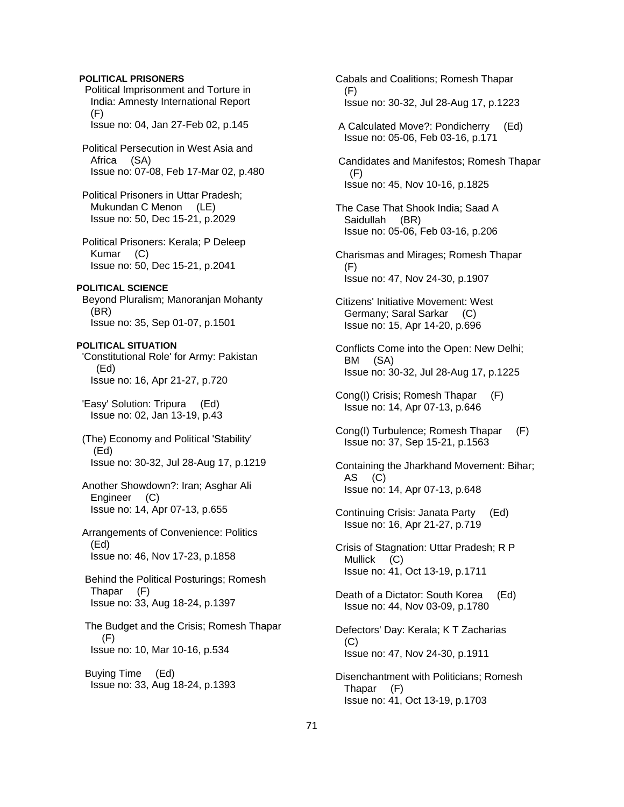### **POLITICAL PRISONERS**

 Political Imprisonment and Torture in India: Amnesty International Report (F) Issue no: 04, Jan 27-Feb 02, p.145

 Political Persecution in West Asia and Africa (SA) Issue no: 07-08, Feb 17-Mar 02, p.480

 Political Prisoners in Uttar Pradesh; Mukundan C Menon (LE) Issue no: 50, Dec 15-21, p.2029

 Political Prisoners: Kerala; P Deleep Kumar (C) Issue no: 50, Dec 15-21, p.2041

#### **POLITICAL SCIENCE**

 Beyond Pluralism; Manoranjan Mohanty (BR) Issue no: 35, Sep 01-07, p.1501

#### **POLITICAL SITUATION**

 'Constitutional Role' for Army: Pakistan (Ed) Issue no: 16, Apr 21-27, p.720

 'Easy' Solution: Tripura (Ed) Issue no: 02, Jan 13-19, p.43

 (The) Economy and Political 'Stability' (Ed) Issue no: 30-32, Jul 28-Aug 17, p.1219

 Another Showdown?: Iran; Asghar Ali Engineer (C) Issue no: 14, Apr 07-13, p.655

 Arrangements of Convenience: Politics (Ed) Issue no: 46, Nov 17-23, p.1858

 Behind the Political Posturings; Romesh Thapar (F) Issue no: 33, Aug 18-24, p.1397

 The Budget and the Crisis; Romesh Thapar (F) Issue no: 10, Mar 10-16, p.534

 Buying Time (Ed) Issue no: 33, Aug 18-24, p.1393  Cabals and Coalitions; Romesh Thapar (F) Issue no: 30-32, Jul 28-Aug 17, p.1223

 A Calculated Move?: Pondicherry (Ed) Issue no: 05-06, Feb 03-16, p.171

 Candidates and Manifestos; Romesh Thapar (F) Issue no: 45, Nov 10-16, p.1825

 The Case That Shook India; Saad A Saidullah (BR) Issue no: 05-06, Feb 03-16, p.206

 Charismas and Mirages; Romesh Thapar (F) Issue no: 47, Nov 24-30, p.1907

 Citizens' Initiative Movement: West Germany; Saral Sarkar (C) Issue no: 15, Apr 14-20, p.696

 Conflicts Come into the Open: New Delhi; BM (SA) Issue no: 30-32, Jul 28-Aug 17, p.1225

 Cong(I) Crisis; Romesh Thapar (F) Issue no: 14, Apr 07-13, p.646

 Cong(I) Turbulence; Romesh Thapar (F) Issue no: 37, Sep 15-21, p.1563

 Containing the Jharkhand Movement: Bihar; AS (C) Issue no: 14, Apr 07-13, p.648

 Continuing Crisis: Janata Party (Ed) Issue no: 16, Apr 21-27, p.719

 Crisis of Stagnation: Uttar Pradesh; R P Mullick (C) Issue no: 41, Oct 13-19, p.1711

 Death of a Dictator: South Korea (Ed) Issue no: 44, Nov 03-09, p.1780

 Defectors' Day: Kerala; K T Zacharias (C) Issue no: 47, Nov 24-30, p.1911

 Disenchantment with Politicians; Romesh Thapar (F) Issue no: 41, Oct 13-19, p.1703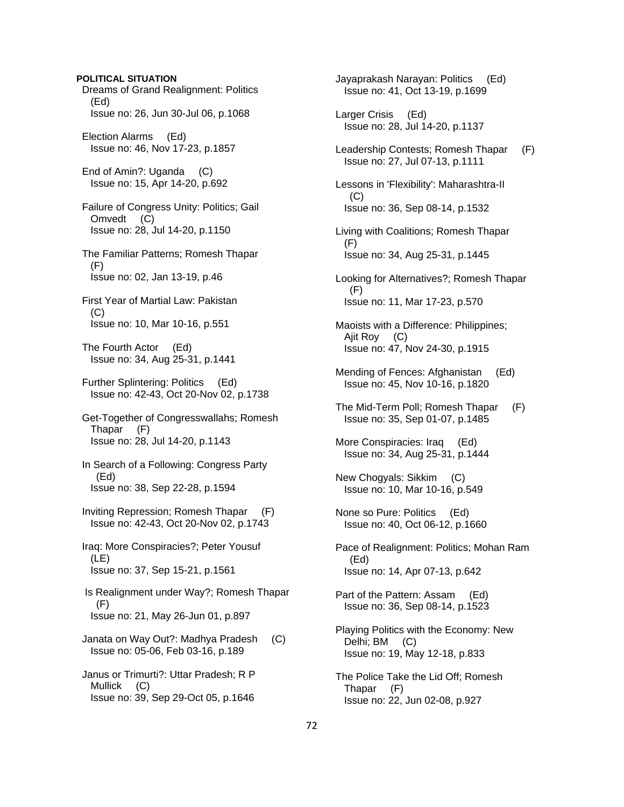# Dreams of Grand Realignment: Politics (Ed) Issue no: 26, Jun 30-Jul 06, p.1068 Election Alarms (Ed) Issue no: 46, Nov 17-23, p.1857 End of Amin?: Uganda (C) Issue no: 15, Apr 14-20, p.692 Failure of Congress Unity: Politics; Gail Omvedt (C) Issue no: 28, Jul 14-20, p.1150 The Familiar Patterns; Romesh Thapar (F) Issue no: 02, Jan 13-19, p.46 First Year of Martial Law: Pakistan  $(C)$  Issue no: 10, Mar 10-16, p.551 The Fourth Actor (Ed) Issue no: 34, Aug 25-31, p.1441 Further Splintering: Politics (Ed) Issue no: 42-43, Oct 20-Nov 02, p.1738 Get-Together of Congresswallahs; Romesh Thapar (F) Issue no: 28, Jul 14-20, p.1143 In Search of a Following: Congress Party (Ed) Issue no: 38, Sep 22-28, p.1594 Inviting Repression; Romesh Thapar (F) Issue no: 42-43, Oct 20-Nov 02, p.1743 Iraq: More Conspiracies?; Peter Yousuf (LE) Issue no: 37, Sep 15-21, p.1561 Is Realignment under Way?; Romesh Thapar (F) Issue no: 21, May 26-Jun 01, p.897 Janata on Way Out?: Madhya Pradesh (C) Issue no: 05-06, Feb 03-16, p.189 Janus or Trimurti?: Uttar Pradesh; R P Mullick (C) Issue no: 39, Sep 29-Oct 05, p.1646

**POLITICAL SITUATION**

 Jayaprakash Narayan: Politics (Ed) Issue no: 41, Oct 13-19, p.1699 Larger Crisis (Ed) Issue no: 28, Jul 14-20, p.1137 Leadership Contests; Romesh Thapar (F) Issue no: 27, Jul 07-13, p.1111 Lessons in 'Flexibility': Maharashtra-II  $(C)$  Issue no: 36, Sep 08-14, p.1532 Living with Coalitions; Romesh Thapar (F) Issue no: 34, Aug 25-31, p.1445 Looking for Alternatives?; Romesh Thapar (F) Issue no: 11, Mar 17-23, p.570 Maoists with a Difference: Philippines; Ajit Roy (C) Issue no: 47, Nov 24-30, p.1915 Mending of Fences: Afghanistan (Ed) Issue no: 45, Nov 10-16, p.1820 The Mid-Term Poll; Romesh Thapar (F) Issue no: 35, Sep 01-07, p.1485 More Conspiracies: Iraq (Ed) Issue no: 34, Aug 25-31, p.1444 New Chogyals: Sikkim (C) Issue no: 10, Mar 10-16, p.549 None so Pure: Politics (Ed) Issue no: 40, Oct 06-12, p.1660 Pace of Realignment: Politics; Mohan Ram (Ed) Issue no: 14, Apr 07-13, p.642 Part of the Pattern: Assam (Ed) Issue no: 36, Sep 08-14, p.1523 Playing Politics with the Economy: New Delhi; BM (C) Issue no: 19, May 12-18, p.833 The Police Take the Lid Off; Romesh Thapar (F) Issue no: 22, Jun 02-08, p.927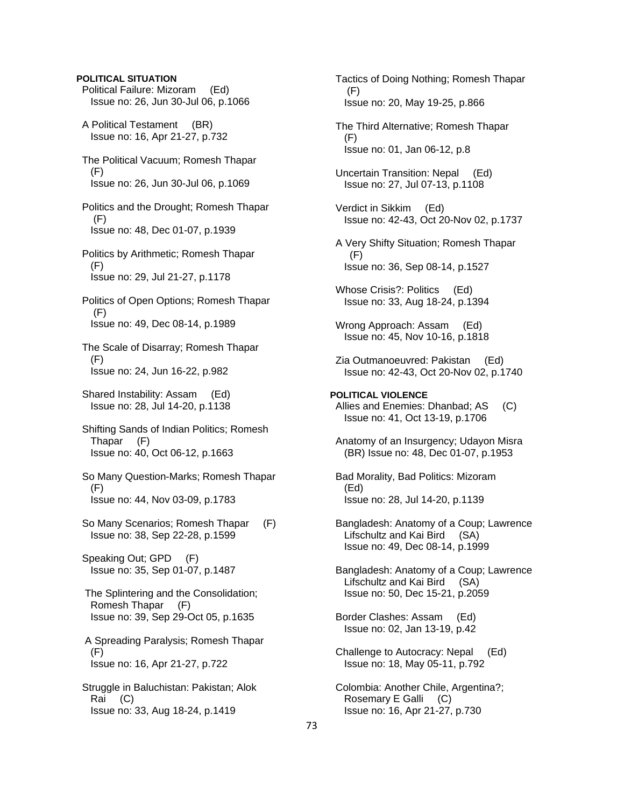# **POLITICAL SITUATION** Political Failure: Mizoram (Ed) Issue no: 26, Jun 30-Jul 06, p.1066 A Political Testament (BR) Issue no: 16, Apr 21-27, p.732 The Political Vacuum; Romesh Thapar (F) Issue no: 26, Jun 30-Jul 06, p.1069 Politics and the Drought; Romesh Thapar (F) Issue no: 48, Dec 01-07, p.1939 Politics by Arithmetic; Romesh Thapar (F) Issue no: 29, Jul 21-27, p.1178 Politics of Open Options; Romesh Thapar (F) Issue no: 49, Dec 08-14, p.1989 The Scale of Disarray; Romesh Thapar (F) Issue no: 24, Jun 16-22, p.982 Shared Instability: Assam (Ed) Issue no: 28, Jul 14-20, p.1138 Shifting Sands of Indian Politics; Romesh Thapar (F) Issue no: 40, Oct 06-12, p.1663 So Many Question-Marks; Romesh Thapar (F) Issue no: 44, Nov 03-09, p.1783 So Many Scenarios; Romesh Thapar (F) Issue no: 38, Sep 22-28, p.1599 Speaking Out; GPD (F) Issue no: 35, Sep 01-07, p.1487 The Splintering and the Consolidation; Romesh Thapar (F) Issue no: 39, Sep 29-Oct 05, p.1635 A Spreading Paralysis; Romesh Thapar (F) Issue no: 16, Apr 21-27, p.722 Struggle in Baluchistan: Pakistan; Alok Rai (C) Issue no: 33, Aug 18-24, p.1419

 Tactics of Doing Nothing; Romesh Thapar (F) Issue no: 20, May 19-25, p.866 The Third Alternative; Romesh Thapar (F) Issue no: 01, Jan 06-12, p.8 Uncertain Transition: Nepal (Ed) Issue no: 27, Jul 07-13, p.1108 Verdict in Sikkim (Ed) Issue no: 42-43, Oct 20-Nov 02, p.1737 A Very Shifty Situation; Romesh Thapar (F) Issue no: 36, Sep 08-14, p.1527 Whose Crisis?: Politics (Ed) Issue no: 33, Aug 18-24, p.1394 Wrong Approach: Assam (Ed) Issue no: 45, Nov 10-16, p.1818 Zia Outmanoeuvred: Pakistan (Ed) Issue no: 42-43, Oct 20-Nov 02, p.1740 **POLITICAL VIOLENCE**  Allies and Enemies: Dhanbad; AS (C) Issue no: 41, Oct 13-19, p.1706 Anatomy of an Insurgency; Udayon Misra (BR) Issue no: 48, Dec 01-07, p.1953 Bad Morality, Bad Politics: Mizoram (Ed) Issue no: 28, Jul 14-20, p.1139 Bangladesh: Anatomy of a Coup; Lawrence Lifschultz and Kai Bird (SA) Issue no: 49, Dec 08-14, p.1999 Bangladesh: Anatomy of a Coup; Lawrence Lifschultz and Kai Bird (SA) Issue no: 50, Dec 15-21, p.2059 Border Clashes: Assam (Ed) Issue no: 02, Jan 13-19, p.42 Challenge to Autocracy: Nepal (Ed) Issue no: 18, May 05-11, p.792 Colombia: Another Chile, Argentina?; Rosemary E Galli (C) Issue no: 16, Apr 21-27, p.730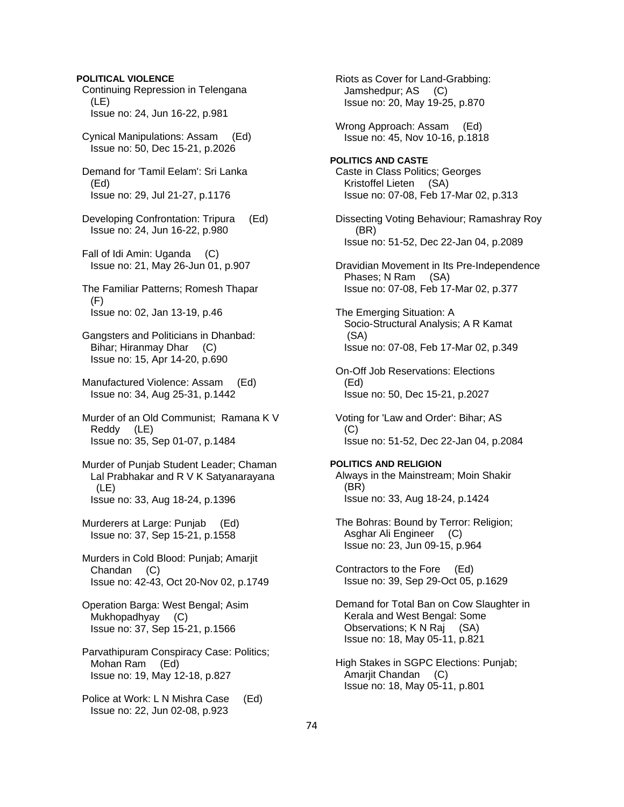## **POLITICAL VIOLENCE**

 Continuing Repression in Telengana (LE) Issue no: 24, Jun 16-22, p.981

 Cynical Manipulations: Assam (Ed) Issue no: 50, Dec 15-21, p.2026

 Demand for 'Tamil Eelam': Sri Lanka (Ed) Issue no: 29, Jul 21-27, p.1176

 Developing Confrontation: Tripura (Ed) Issue no: 24, Jun 16-22, p.980

 Fall of Idi Amin: Uganda (C) Issue no: 21, May 26-Jun 01, p.907

 The Familiar Patterns; Romesh Thapar (F) Issue no: 02, Jan 13-19, p.46

 Gangsters and Politicians in Dhanbad: Bihar; Hiranmay Dhar (C) Issue no: 15, Apr 14-20, p.690

 Manufactured Violence: Assam (Ed) Issue no: 34, Aug 25-31, p.1442

 Murder of an Old Communist; Ramana K V Reddy (LE) Issue no: 35, Sep 01-07, p.1484

 Murder of Punjab Student Leader; Chaman Lal Prabhakar and R V K Satyanarayana (LE) Issue no: 33, Aug 18-24, p.1396

 Murderers at Large: Punjab (Ed) Issue no: 37, Sep 15-21, p.1558

 Murders in Cold Blood: Punjab; Amarjit Chandan (C) Issue no: 42-43, Oct 20-Nov 02, p.1749

 Operation Barga: West Bengal; Asim Mukhopadhyay (C) Issue no: 37, Sep 15-21, p.1566

 Parvathipuram Conspiracy Case: Politics; Mohan Ram (Ed) Issue no: 19, May 12-18, p.827

 Police at Work: L N Mishra Case (Ed) Issue no: 22, Jun 02-08, p.923

 Riots as Cover for Land-Grabbing: Jamshedpur; AS (C) Issue no: 20, May 19-25, p.870

 Wrong Approach: Assam (Ed) Issue no: 45, Nov 10-16, p.1818

**POLITICS AND CASTE**  Caste in Class Politics; Georges Kristoffel Lieten (SA) Issue no: 07-08, Feb 17-Mar 02, p.313

 Dissecting Voting Behaviour; Ramashray Roy (BR) Issue no: 51-52, Dec 22-Jan 04, p.2089

 Dravidian Movement in Its Pre-Independence Phases; N Ram (SA) Issue no: 07-08, Feb 17-Mar 02, p.377

 The Emerging Situation: A Socio-Structural Analysis; A R Kamat (SA) Issue no: 07-08, Feb 17-Mar 02, p.349

 On-Off Job Reservations: Elections (Ed) Issue no: 50, Dec 15-21, p.2027

 Voting for 'Law and Order': Bihar; AS (C) Issue no: 51-52, Dec 22-Jan 04, p.2084

## **POLITICS AND RELIGION**

 Always in the Mainstream; Moin Shakir (BR) Issue no: 33, Aug 18-24, p.1424

 The Bohras: Bound by Terror: Religion; Asghar Ali Engineer (C) Issue no: 23, Jun 09-15, p.964

 Contractors to the Fore (Ed) Issue no: 39, Sep 29-Oct 05, p.1629

 Demand for Total Ban on Cow Slaughter in Kerala and West Bengal: Some Observations; K N Raj (SA) Issue no: 18, May 05-11, p.821

 High Stakes in SGPC Elections: Punjab; Amarjit Chandan (C) Issue no: 18, May 05-11, p.801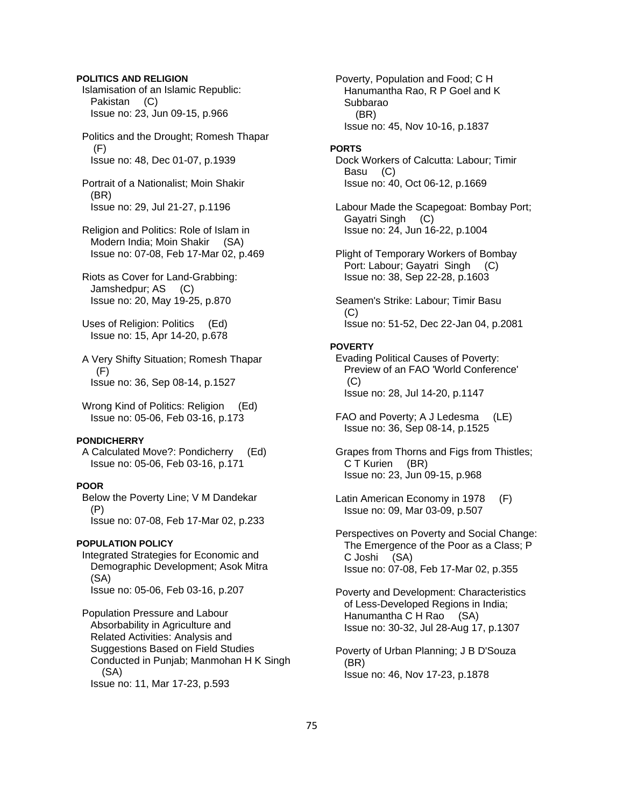## **POLITICS AND RELIGION**

 Islamisation of an Islamic Republic: Pakistan (C) Issue no: 23, Jun 09-15, p.966

 Politics and the Drought; Romesh Thapar (F) Issue no: 48, Dec 01-07, p.1939

 Portrait of a Nationalist; Moin Shakir (BR) Issue no: 29, Jul 21-27, p.1196

 Religion and Politics: Role of Islam in Modern India; Moin Shakir (SA) Issue no: 07-08, Feb 17-Mar 02, p.469

 Riots as Cover for Land-Grabbing: Jamshedpur; AS (C) Issue no: 20, May 19-25, p.870

 Uses of Religion: Politics (Ed) Issue no: 15, Apr 14-20, p.678

 A Very Shifty Situation; Romesh Thapar (F) Issue no: 36, Sep 08-14, p.1527

Wrong Kind of Politics: Religion (Ed) Issue no: 05-06, Feb 03-16, p.173

### **PONDICHERRY**

 A Calculated Move?: Pondicherry (Ed) Issue no: 05-06, Feb 03-16, p.171

## **POOR**

 Below the Poverty Line; V M Dandekar (P) Issue no: 07-08, Feb 17-Mar 02, p.233

## **POPULATION POLICY**

 Integrated Strategies for Economic and Demographic Development; Asok Mitra (SA) Issue no: 05-06, Feb 03-16, p.207

 Population Pressure and Labour Absorbability in Agriculture and Related Activities: Analysis and Suggestions Based on Field Studies Conducted in Punjab; Manmohan H K Singh (SA) Issue no: 11, Mar 17-23, p.593

 Poverty, Population and Food; C H Hanumantha Rao, R P Goel and K Subbarao (BR) Issue no: 45, Nov 10-16, p.1837

#### **PORTS**

 Dock Workers of Calcutta: Labour; Timir Basu (C) Issue no: 40, Oct 06-12, p.1669

 Labour Made the Scapegoat: Bombay Port; Gayatri Singh (C) Issue no: 24, Jun 16-22, p.1004

 Plight of Temporary Workers of Bombay Port: Labour; Gayatri Singh (C) Issue no: 38, Sep 22-28, p.1603

 Seamen's Strike: Labour; Timir Basu  $(C)$ Issue no: 51-52, Dec 22-Jan 04, p.2081

#### **POVERTY**

 Evading Political Causes of Poverty: Preview of an FAO 'World Conference' (C) Issue no: 28, Jul 14-20, p.1147

- FAO and Poverty; A J Ledesma (LE) Issue no: 36, Sep 08-14, p.1525
- Grapes from Thorns and Figs from Thistles; C T Kurien (BR) Issue no: 23, Jun 09-15, p.968
- Latin American Economy in 1978 (F) Issue no: 09, Mar 03-09, p.507

 Perspectives on Poverty and Social Change: The Emergence of the Poor as a Class; P C Joshi (SA) Issue no: 07-08, Feb 17-Mar 02, p.355

 Poverty and Development: Characteristics of Less-Developed Regions in India; Hanumantha C H Rao (SA) Issue no: 30-32, Jul 28-Aug 17, p.1307

 Poverty of Urban Planning; J B D'Souza (BR) Issue no: 46, Nov 17-23, p.1878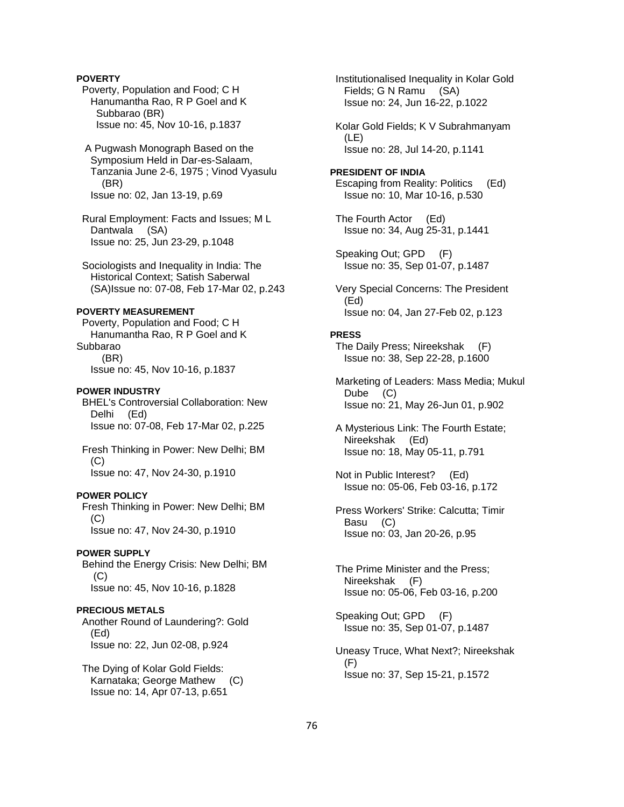## **POVERTY**

- Poverty, Population and Food; C H Hanumantha Rao, R P Goel and K Subbarao (BR) Issue no: 45, Nov 10-16, p.1837
- A Pugwash Monograph Based on the Symposium Held in Dar-es-Salaam, Tanzania June 2-6, 1975 ; Vinod Vyasulu (BR) Issue no: 02, Jan 13-19, p.69
- Rural Employment: Facts and Issues; M L Dantwala (SA) Issue no: 25, Jun 23-29, p.1048
- Sociologists and Inequality in India: The Historical Context; Satish Saberwal (SA)Issue no: 07-08, Feb 17-Mar 02, p.243

### **POVERTY MEASUREMENT**

 Poverty, Population and Food; C H Hanumantha Rao, R P Goel and K Subbarao (BR) Issue no: 45, Nov 10-16, p.1837

#### **POWER INDUSTRY**

 BHEL's Controversial Collaboration: New Delhi (Ed) Issue no: 07-08, Feb 17-Mar 02, p.225

 Fresh Thinking in Power: New Delhi; BM (C) Issue no: 47, Nov 24-30, p.1910

#### **POWER POLICY**

 Fresh Thinking in Power: New Delhi; BM (C) Issue no: 47, Nov 24-30, p.1910

#### **POWER SUPPLY**

 Behind the Energy Crisis: New Delhi; BM (C) Issue no: 45, Nov 10-16, p.1828

### **PRECIOUS METALS**

 Another Round of Laundering?: Gold (Ed) Issue no: 22, Jun 02-08, p.924

 The Dying of Kolar Gold Fields: Karnataka; George Mathew (C) Issue no: 14, Apr 07-13, p.651

 Institutionalised Inequality in Kolar Gold Fields; G N Ramu (SA) Issue no: 24, Jun 16-22, p.1022

 Kolar Gold Fields; K V Subrahmanyam (LE) Issue no: 28, Jul 14-20, p.1141

- **PRESIDENT OF INDIA**  Escaping from Reality: Politics (Ed) Issue no: 10, Mar 10-16, p.530
- The Fourth Actor (Ed) Issue no: 34, Aug 25-31, p.1441
- Speaking Out; GPD (F) Issue no: 35, Sep 01-07, p.1487
- Very Special Concerns: The President (Ed) Issue no: 04, Jan 27-Feb 02, p.123

### **PRESS**

 The Daily Press; Nireekshak (F) Issue no: 38, Sep 22-28, p.1600

 Marketing of Leaders: Mass Media; Mukul Dube (C) Issue no: 21, May 26-Jun 01, p.902

- A Mysterious Link: The Fourth Estate; Nireekshak (Ed) Issue no: 18, May 05-11, p.791
- Not in Public Interest? (Ed) Issue no: 05-06, Feb 03-16, p.172
- Press Workers' Strike: Calcutta; Timir Basu (C) Issue no: 03, Jan 20-26, p.95
- The Prime Minister and the Press; Nireekshak (F) Issue no: 05-06, Feb 03-16, p.200
- Speaking Out; GPD (F) Issue no: 35, Sep 01-07, p.1487
- Uneasy Truce, What Next?; Nireekshak (F) Issue no: 37, Sep 15-21, p.1572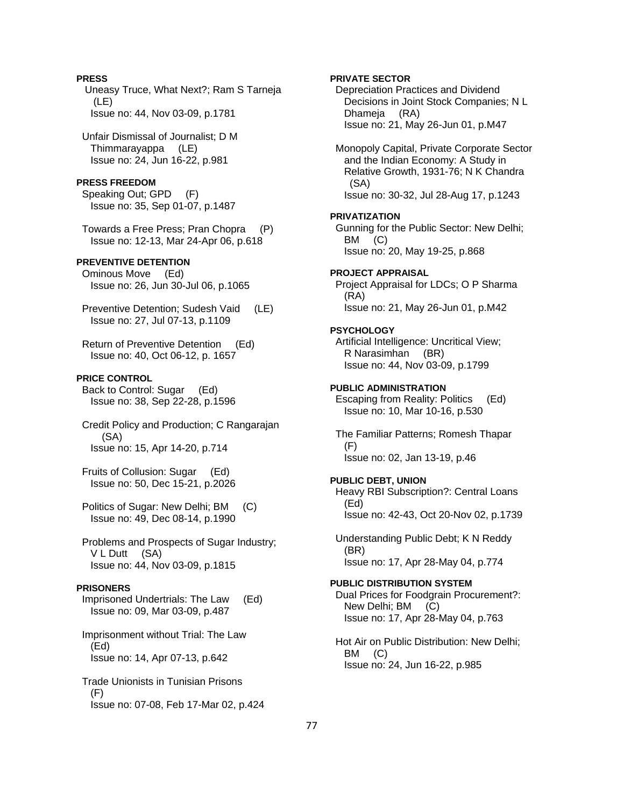## **PRESS**

 Uneasy Truce, What Next?; Ram S Tarneja (LE) Issue no: 44, Nov 03-09, p.1781

 Unfair Dismissal of Journalist; D M Thimmarayappa (LE) Issue no: 24, Jun 16-22, p.981

### **PRESS FREEDOM**

 Speaking Out; GPD (F) Issue no: 35, Sep 01-07, p.1487

 Towards a Free Press; Pran Chopra (P) Issue no: 12-13, Mar 24-Apr 06, p.618

## **PREVENTIVE DETENTION**

 Ominous Move (Ed) Issue no: 26, Jun 30-Jul 06, p.1065

 Preventive Detention; Sudesh Vaid (LE) Issue no: 27, Jul 07-13, p.1109

 Return of Preventive Detention (Ed) Issue no: 40, Oct 06-12, p. 1657

### **PRICE CONTROL**

 Back to Control: Sugar (Ed) Issue no: 38, Sep 22-28, p.1596

 Credit Policy and Production; C Rangarajan (SA) Issue no: 15, Apr 14-20, p.714

 Fruits of Collusion: Sugar (Ed) Issue no: 50, Dec 15-21, p.2026

 Politics of Sugar: New Delhi; BM (C) Issue no: 49, Dec 08-14, p.1990

 Problems and Prospects of Sugar Industry; V L Dutt (SA) Issue no: 44, Nov 03-09, p.1815

### **PRISONERS**

 Imprisoned Undertrials: The Law (Ed) Issue no: 09, Mar 03-09, p.487

 Imprisonment without Trial: The Law (Ed) Issue no: 14, Apr 07-13, p.642

 Trade Unionists in Tunisian Prisons (F) Issue no: 07-08, Feb 17-Mar 02, p.424

## **PRIVATE SECTOR**

 Depreciation Practices and Dividend Decisions in Joint Stock Companies; N L Dhameja (RA) Issue no: 21, May 26-Jun 01, p.M47

 Monopoly Capital, Private Corporate Sector and the Indian Economy: A Study in Relative Growth, 1931-76; N K Chandra (SA) Issue no: 30-32, Jul 28-Aug 17, p.1243

#### **PRIVATIZATION**

 Gunning for the Public Sector: New Delhi; BM (C) Issue no: 20, May 19-25, p.868

### **PROJECT APPRAISAL**

 Project Appraisal for LDCs; O P Sharma (RA) Issue no: 21, May 26-Jun 01, p.M42

### **PSYCHOLOGY**

 Artificial Intelligence: Uncritical View; R Narasimhan (BR) Issue no: 44, Nov 03-09, p.1799

## **PUBLIC ADMINISTRATION**

 Escaping from Reality: Politics (Ed) Issue no: 10, Mar 10-16, p.530

 The Familiar Patterns; Romesh Thapar (F) Issue no: 02, Jan 13-19, p.46

### **PUBLIC DEBT, UNION**

 Heavy RBI Subscription?: Central Loans (Ed) Issue no: 42-43, Oct 20-Nov 02, p.1739

 Understanding Public Debt; K N Reddy (BR) Issue no: 17, Apr 28-May 04, p.774

### **PUBLIC DISTRIBUTION SYSTEM**

 Dual Prices for Foodgrain Procurement?: New Delhi; BM (C) Issue no: 17, Apr 28-May 04, p.763

 Hot Air on Public Distribution: New Delhi; BM (C) Issue no: 24, Jun 16-22, p.985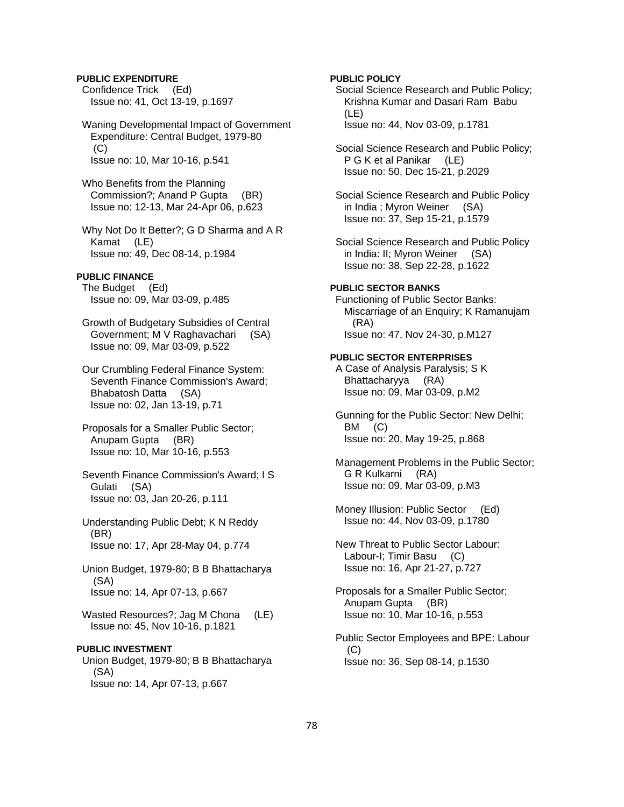## **PUBLIC EXPENDITURE**

 Confidence Trick (Ed) Issue no: 41, Oct 13-19, p.1697

 Waning Developmental Impact of Government Expenditure: Central Budget, 1979-80  $(C)$ Issue no: 10, Mar 10-16, p.541

 Who Benefits from the Planning Commission?; Anand P Gupta (BR) Issue no: 12-13, Mar 24-Apr 06, p.623

 Why Not Do It Better?; G D Sharma and A R Kamat (LE) Issue no: 49, Dec 08-14, p.1984

### **PUBLIC FINANCE**

 The Budget (Ed) Issue no: 09, Mar 03-09, p.485

 Growth of Budgetary Subsidies of Central Government; M V Raghavachari (SA) Issue no: 09, Mar 03-09, p.522

 Our Crumbling Federal Finance System: Seventh Finance Commission's Award; Bhabatosh Datta (SA) Issue no: 02, Jan 13-19, p.71

- Proposals for a Smaller Public Sector; Anupam Gupta (BR) Issue no: 10, Mar 10-16, p.553
- Seventh Finance Commission's Award; I S Gulati (SA) Issue no: 03, Jan 20-26, p.111
- Understanding Public Debt; K N Reddy (BR) Issue no: 17, Apr 28-May 04, p.774
- Union Budget, 1979-80; B B Bhattacharya (SA) Issue no: 14, Apr 07-13, p.667
- Wasted Resources?; Jag M Chona (LE) Issue no: 45, Nov 10-16, p.1821

### **PUBLIC INVESTMENT**

 Union Budget, 1979-80; B B Bhattacharya (SA) Issue no: 14, Apr 07-13, p.667

## **PUBLIC POLICY**

 Social Science Research and Public Policy; Krishna Kumar and Dasari Ram Babu (LE) Issue no: 44, Nov 03-09, p.1781

 Social Science Research and Public Policy; P G K et al Panikar (LE) Issue no: 50, Dec 15-21, p.2029

 Social Science Research and Public Policy in India ; Myron Weiner (SA) Issue no: 37, Sep 15-21, p.1579

 Social Science Research and Public Policy in India: II; Myron Weiner (SA) Issue no: 38, Sep 22-28, p.1622

## **PUBLIC SECTOR BANKS**

 Functioning of Public Sector Banks: Miscarriage of an Enquiry; K Ramanujam (RA) Issue no: 47, Nov 24-30, p.M127

#### **PUBLIC SECTOR ENTERPRISES**

 A Case of Analysis Paralysis; S K Bhattacharyya (RA) Issue no: 09, Mar 03-09, p.M2

 Gunning for the Public Sector: New Delhi; BM (C) Issue no: 20, May 19-25, p.868

 Management Problems in the Public Sector; G R Kulkarni (RA) Issue no: 09, Mar 03-09, p.M3

 Money Illusion: Public Sector (Ed) Issue no: 44, Nov 03-09, p.1780

 New Threat to Public Sector Labour: Labour-I; Timir Basu (C) Issue no: 16, Apr 21-27, p.727

 Proposals for a Smaller Public Sector; Anupam Gupta (BR) Issue no: 10, Mar 10-16, p.553

 Public Sector Employees and BPE: Labour  $(C)$ Issue no: 36, Sep 08-14, p.1530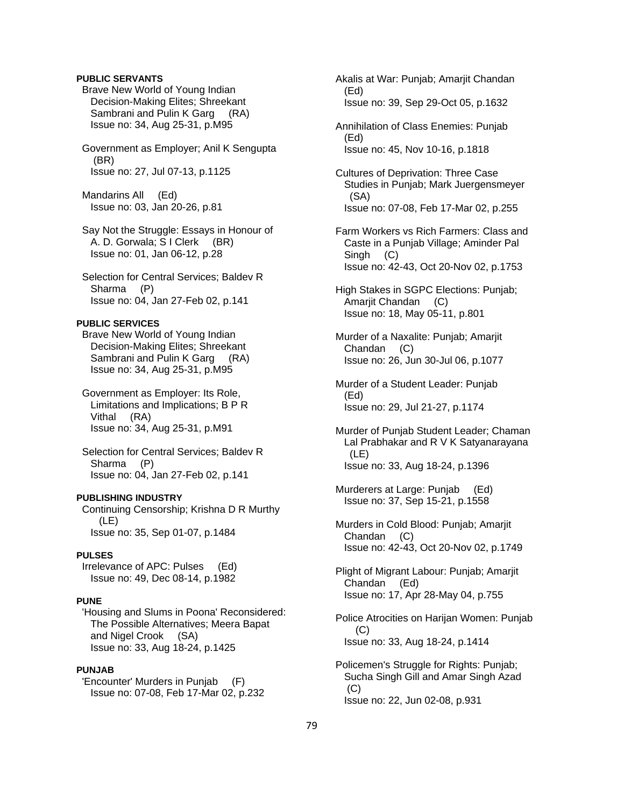## **PUBLIC SERVANTS**

 Brave New World of Young Indian Decision-Making Elites; Shreekant Sambrani and Pulin K Garg (RA) Issue no: 34, Aug 25-31, p.M95

 Government as Employer; Anil K Sengupta (BR) Issue no: 27, Jul 07-13, p.1125

 Mandarins All (Ed) Issue no: 03, Jan 20-26, p.81

 Say Not the Struggle: Essays in Honour of A. D. Gorwala; S I Clerk (BR) Issue no: 01, Jan 06-12, p.28

 Selection for Central Services; Baldev R Sharma (P) Issue no: 04, Jan 27-Feb 02, p.141

### **PUBLIC SERVICES**

 Brave New World of Young Indian Decision-Making Elites; Shreekant Sambrani and Pulin K Garg (RA) Issue no: 34, Aug 25-31, p.M95

 Government as Employer: Its Role, Limitations and Implications; B P R Vithal (RA) Issue no: 34, Aug 25-31, p.M91

 Selection for Central Services; Baldev R Sharma (P) Issue no: 04, Jan 27-Feb 02, p.141

### **PUBLISHING INDUSTRY**

 Continuing Censorship; Krishna D R Murthy (LE) Issue no: 35, Sep 01-07, p.1484

## **PULSES**

 Irrelevance of APC: Pulses (Ed) Issue no: 49, Dec 08-14, p.1982

## **PUNE**

 'Housing and Slums in Poona' Reconsidered: The Possible Alternatives; Meera Bapat and Nigel Crook (SA) Issue no: 33, Aug 18-24, p.1425

## **PUNJAB**

 'Encounter' Murders in Punjab (F) Issue no: 07-08, Feb 17-Mar 02, p.232  Akalis at War: Punjab; Amarjit Chandan (Ed) Issue no: 39, Sep 29-Oct 05, p.1632

 Annihilation of Class Enemies: Punjab (Ed) Issue no: 45, Nov 10-16, p.1818

 Cultures of Deprivation: Three Case Studies in Punjab; Mark Juergensmeyer (SA) Issue no: 07-08, Feb 17-Mar 02, p.255

 Farm Workers vs Rich Farmers: Class and Caste in a Punjab Village; Aminder Pal Singh (C) Issue no: 42-43, Oct 20-Nov 02, p.1753

 High Stakes in SGPC Elections: Punjab; Amarjit Chandan (C) Issue no: 18, May 05-11, p.801

 Murder of a Naxalite: Punjab; Amarjit Chandan (C) Issue no: 26, Jun 30-Jul 06, p.1077

 Murder of a Student Leader: Punjab (Ed) Issue no: 29, Jul 21-27, p.1174

 Murder of Punjab Student Leader; Chaman Lal Prabhakar and R V K Satyanarayana (LE) Issue no: 33, Aug 18-24, p.1396

Murderers at Large: Puniab (Ed) Issue no: 37, Sep 15-21, p.1558

 Murders in Cold Blood: Punjab; Amarjit Chandan (C) Issue no: 42-43, Oct 20-Nov 02, p.1749

 Plight of Migrant Labour: Punjab; Amarjit Chandan (Ed) Issue no: 17, Apr 28-May 04, p.755

 Police Atrocities on Harijan Women: Punjab (C) Issue no: 33, Aug 18-24, p.1414

 Policemen's Struggle for Rights: Punjab; Sucha Singh Gill and Amar Singh Azad (C) Issue no: 22, Jun 02-08, p.931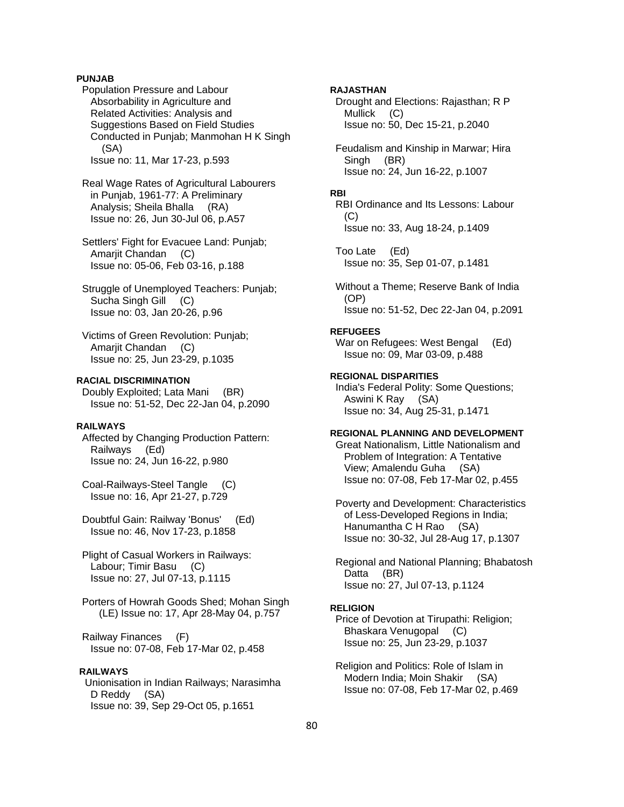## **PUNJAB**

 Population Pressure and Labour Absorbability in Agriculture and Related Activities: Analysis and Suggestions Based on Field Studies Conducted in Punjab; Manmohan H K Singh (SA) Issue no: 11, Mar 17-23, p.593

 Real Wage Rates of Agricultural Labourers in Punjab, 1961-77: A Preliminary Analysis; Sheila Bhalla (RA) Issue no: 26, Jun 30-Jul 06, p.A57

 Settlers' Fight for Evacuee Land: Punjab; Amarjit Chandan (C) Issue no: 05-06, Feb 03-16, p.188

 Struggle of Unemployed Teachers: Punjab; Sucha Singh Gill (C) Issue no: 03, Jan 20-26, p.96

 Victims of Green Revolution: Punjab; Amarjit Chandan (C) Issue no: 25, Jun 23-29, p.1035

## **RACIAL DISCRIMINATION**

 Doubly Exploited; Lata Mani (BR) Issue no: 51-52, Dec 22-Jan 04, p.2090

## **RAILWAYS**

 Affected by Changing Production Pattern: Railways (Ed) Issue no: 24, Jun 16-22, p.980

 Coal-Railways-Steel Tangle (C) Issue no: 16, Apr 21-27, p.729

 Doubtful Gain: Railway 'Bonus' (Ed) Issue no: 46, Nov 17-23, p.1858

 Plight of Casual Workers in Railways: Labour; Timir Basu (C) Issue no: 27, Jul 07-13, p.1115

 Porters of Howrah Goods Shed; Mohan Singh (LE) Issue no: 17, Apr 28-May 04, p.757

 Railway Finances (F) Issue no: 07-08, Feb 17-Mar 02, p.458

## **RAILWAYS**

 Unionisation in Indian Railways; Narasimha D Reddy (SA) Issue no: 39, Sep 29-Oct 05, p.1651

## **RAJASTHAN**

 Drought and Elections: Rajasthan; R P Mullick (C) Issue no: 50, Dec 15-21, p.2040

 Feudalism and Kinship in Marwar; Hira Singh (BR) Issue no: 24, Jun 16-22, p.1007

#### **RBI**

 RBI Ordinance and Its Lessons: Labour (C) Issue no: 33, Aug 18-24, p.1409

 Too Late (Ed) Issue no: 35, Sep 01-07, p.1481

 Without a Theme; Reserve Bank of India (OP) Issue no: 51-52, Dec 22-Jan 04, p.2091

### **REFUGEES**

War on Refugees: West Bengal (Ed) Issue no: 09, Mar 03-09, p.488

## **REGIONAL DISPARITIES**

 India's Federal Polity: Some Questions; Aswini K Ray (SA) Issue no: 34, Aug 25-31, p.1471

## **REGIONAL PLANNING AND DEVELOPMENT**

 Great Nationalism, Little Nationalism and Problem of Integration: A Tentative View; Amalendu Guha (SA) Issue no: 07-08, Feb 17-Mar 02, p.455

 Poverty and Development: Characteristics of Less-Developed Regions in India; Hanumantha C H Rao (SA) Issue no: 30-32, Jul 28-Aug 17, p.1307

 Regional and National Planning; Bhabatosh Datta (BR) Issue no: 27, Jul 07-13, p.1124

### **RELIGION**

 Price of Devotion at Tirupathi: Religion; Bhaskara Venugopal (C) Issue no: 25, Jun 23-29, p.1037

 Religion and Politics: Role of Islam in Modern India; Moin Shakir (SA) Issue no: 07-08, Feb 17-Mar 02, p.469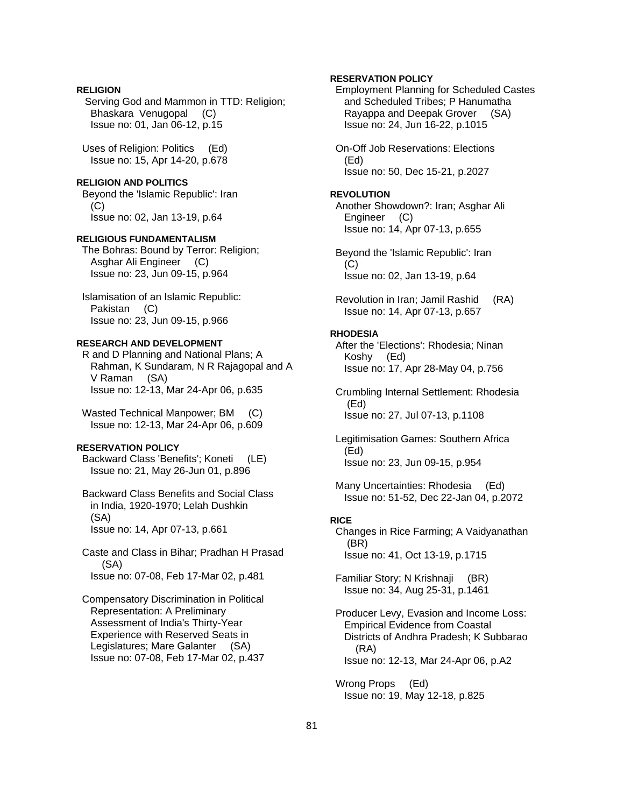## **RELIGION**

 Serving God and Mammon in TTD: Religion; Bhaskara Venugopal (C) Issue no: 01, Jan 06-12, p.15

 Uses of Religion: Politics (Ed) Issue no: 15, Apr 14-20, p.678

### **RELIGION AND POLITICS**

 Beyond the 'Islamic Republic': Iran  $(C)$ Issue no: 02, Jan 13-19, p.64

### **RELIGIOUS FUNDAMENTALISM**

 The Bohras: Bound by Terror: Religion; Asghar Ali Engineer (C) Issue no: 23, Jun 09-15, p.964

 Islamisation of an Islamic Republic: Pakistan (C) Issue no: 23, Jun 09-15, p.966

### **RESEARCH AND DEVELOPMENT**

 R and D Planning and National Plans; A Rahman, K Sundaram, N R Rajagopal and A V Raman (SA) Issue no: 12-13, Mar 24-Apr 06, p.635

 Wasted Technical Manpower; BM (C) Issue no: 12-13, Mar 24-Apr 06, p.609

## **RESERVATION POLICY**

 Backward Class 'Benefits'; Koneti (LE) Issue no: 21, May 26-Jun 01, p.896

 Backward Class Benefits and Social Class in India, 1920-1970; Lelah Dushkin (SA) Issue no: 14, Apr 07-13, p.661

 Caste and Class in Bihar; Pradhan H Prasad (SA) Issue no: 07-08, Feb 17-Mar 02, p.481

 Compensatory Discrimination in Political Representation: A Preliminary Assessment of India's Thirty-Year Experience with Reserved Seats in Legislatures; Mare Galanter (SA) Issue no: 07-08, Feb 17-Mar 02, p.437

## **RESERVATION POLICY**

 Employment Planning for Scheduled Castes and Scheduled Tribes; P Hanumatha Rayappa and Deepak Grover (SA) Issue no: 24, Jun 16-22, p.1015

 On-Off Job Reservations: Elections (Ed) Issue no: 50, Dec 15-21, p.2027

#### **REVOLUTION**

 Another Showdown?: Iran; Asghar Ali Engineer (C) Issue no: 14, Apr 07-13, p.655

 Beyond the 'Islamic Republic': Iran (C) Issue no: 02, Jan 13-19, p.64

 Revolution in Iran; Jamil Rashid (RA) Issue no: 14, Apr 07-13, p.657

#### **RHODESIA**

 After the 'Elections': Rhodesia; Ninan Koshy (Ed) Issue no: 17, Apr 28-May 04, p.756

 Crumbling Internal Settlement: Rhodesia (Ed) Issue no: 27, Jul 07-13, p.1108

 Legitimisation Games: Southern Africa (Ed) Issue no: 23, Jun 09-15, p.954

 Many Uncertainties: Rhodesia (Ed) Issue no: 51-52, Dec 22-Jan 04, p.2072

## **RICE**

 Changes in Rice Farming; A Vaidyanathan (BR) Issue no: 41, Oct 13-19, p.1715

 Familiar Story; N Krishnaji (BR) Issue no: 34, Aug 25-31, p.1461

 Producer Levy, Evasion and Income Loss: Empirical Evidence from Coastal Districts of Andhra Pradesh; K Subbarao (RA) Issue no: 12-13, Mar 24-Apr 06, p.A2

 Wrong Props (Ed) Issue no: 19, May 12-18, p.825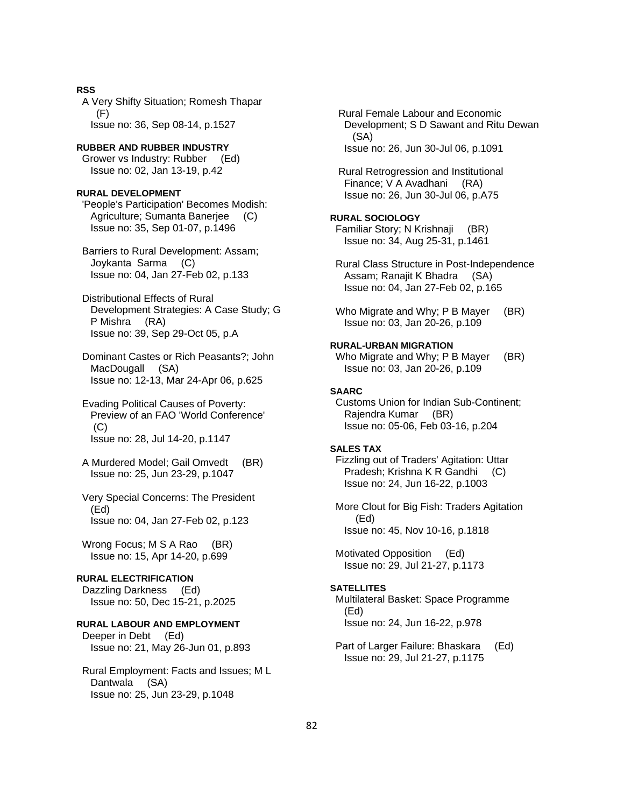### **RSS**

 A Very Shifty Situation; Romesh Thapar (F) Issue no: 36, Sep 08-14, p.1527

### **RUBBER AND RUBBER INDUSTRY**

 Grower vs Industry: Rubber (Ed) Issue no: 02, Jan 13-19, p.42

### **RURAL DEVELOPMENT**

 'People's Participation' Becomes Modish: Agriculture; Sumanta Banerjee (C) Issue no: 35, Sep 01-07, p.1496

 Barriers to Rural Development: Assam; Joykanta Sarma (C) Issue no: 04, Jan 27-Feb 02, p.133

 Distributional Effects of Rural Development Strategies: A Case Study; G P Mishra (RA) Issue no: 39, Sep 29-Oct 05, p.A

 Dominant Castes or Rich Peasants?; John MacDougall (SA) Issue no: 12-13, Mar 24-Apr 06, p.625

 Evading Political Causes of Poverty: Preview of an FAO 'World Conference' (C) Issue no: 28, Jul 14-20, p.1147

- A Murdered Model; Gail Omvedt (BR) Issue no: 25, Jun 23-29, p.1047
- Very Special Concerns: The President (Ed) Issue no: 04, Jan 27-Feb 02, p.123

Wrong Focus; M S A Rao (BR) Issue no: 15, Apr 14-20, p.699

## **RURAL ELECTRIFICATION**

 Dazzling Darkness (Ed) Issue no: 50, Dec 15-21, p.2025

### **RURAL LABOUR AND EMPLOYMENT**

 Deeper in Debt (Ed) Issue no: 21, May 26-Jun 01, p.893

 Rural Employment: Facts and Issues; M L Dantwala (SA) Issue no: 25, Jun 23-29, p.1048

 Rural Female Labour and Economic Development; S D Sawant and Ritu Dewan (SA) Issue no: 26, Jun 30-Jul 06, p.1091

 Rural Retrogression and Institutional Finance; V A Avadhani (RA) Issue no: 26, Jun 30-Jul 06, p.A75

## **RURAL SOCIOLOGY**

 Familiar Story; N Krishnaji (BR) Issue no: 34, Aug 25-31, p.1461

- Rural Class Structure in Post-Independence Assam; Ranajit K Bhadra (SA) Issue no: 04, Jan 27-Feb 02, p.165
- Who Migrate and Why; P B Mayer (BR) Issue no: 03, Jan 20-26, p.109

### **RURAL-URBAN MIGRATION**

Who Migrate and Why; P B Mayer (BR) Issue no: 03, Jan 20-26, p.109

### **SAARC**

 Customs Union for Indian Sub-Continent; Rajendra Kumar (BR) Issue no: 05-06, Feb 03-16, p.204

#### **SALES TAX**

 Fizzling out of Traders' Agitation: Uttar Pradesh; Krishna K R Gandhi (C) Issue no: 24, Jun 16-22, p.1003

 More Clout for Big Fish: Traders Agitation (Ed) Issue no: 45, Nov 10-16, p.1818

 Motivated Opposition (Ed) Issue no: 29, Jul 21-27, p.1173

#### **SATELLITES**

 Multilateral Basket: Space Programme (Ed) Issue no: 24, Jun 16-22, p.978

 Part of Larger Failure: Bhaskara (Ed) Issue no: 29, Jul 21-27, p.1175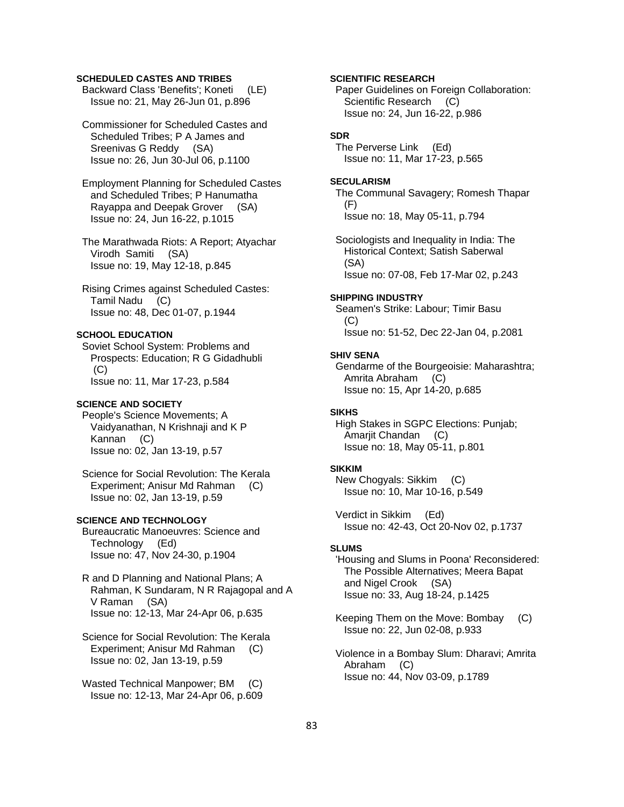## **SCHEDULED CASTES AND TRIBES**

 Backward Class 'Benefits'; Koneti (LE) Issue no: 21, May 26-Jun 01, p.896

 Commissioner for Scheduled Castes and Scheduled Tribes; P A James and Sreenivas G Reddy (SA) Issue no: 26, Jun 30-Jul 06, p.1100

 Employment Planning for Scheduled Castes and Scheduled Tribes; P Hanumatha Rayappa and Deepak Grover (SA) Issue no: 24, Jun 16-22, p.1015

 The Marathwada Riots: A Report; Atyachar Virodh Samiti (SA) Issue no: 19, May 12-18, p.845

 Rising Crimes against Scheduled Castes: Tamil Nadu (C) Issue no: 48, Dec 01-07, p.1944

## **SCHOOL EDUCATION**

 Soviet School System: Problems and Prospects: Education; R G Gidadhubli (C) Issue no: 11, Mar 17-23, p.584

## **SCIENCE AND SOCIETY**

 People's Science Movements; A Vaidyanathan, N Krishnaji and K P Kannan (C) Issue no: 02, Jan 13-19, p.57

 Science for Social Revolution: The Kerala Experiment; Anisur Md Rahman (C) Issue no: 02, Jan 13-19, p.59

## **SCIENCE AND TECHNOLOGY**

 Bureaucratic Manoeuvres: Science and Technology (Ed) Issue no: 47, Nov 24-30, p.1904

 R and D Planning and National Plans; A Rahman, K Sundaram, N R Rajagopal and A V Raman (SA) Issue no: 12-13, Mar 24-Apr 06, p.635

 Science for Social Revolution: The Kerala Experiment; Anisur Md Rahman (C) Issue no: 02, Jan 13-19, p.59

 Wasted Technical Manpower; BM (C) Issue no: 12-13, Mar 24-Apr 06, p.609 **SCIENTIFIC RESEARCH** 

 Paper Guidelines on Foreign Collaboration: Scientific Research (C) Issue no: 24, Jun 16-22, p.986

## **SDR**

 The Perverse Link (Ed) Issue no: 11, Mar 17-23, p.565

#### **SECULARISM**

 The Communal Savagery; Romesh Thapar (F) Issue no: 18, May 05-11, p.794

 Sociologists and Inequality in India: The Historical Context; Satish Saberwal (SA) Issue no: 07-08, Feb 17-Mar 02, p.243

#### **SHIPPING INDUSTRY**

 Seamen's Strike: Labour; Timir Basu (C) Issue no: 51-52, Dec 22-Jan 04, p.2081

#### **SHIV SENA**

 Gendarme of the Bourgeoisie: Maharashtra; Amrita Abraham (C) Issue no: 15, Apr 14-20, p.685

### **SIKHS**

 High Stakes in SGPC Elections: Punjab; Amarjit Chandan (C) Issue no: 18, May 05-11, p.801

#### **SIKKIM**

 New Chogyals: Sikkim (C) Issue no: 10, Mar 10-16, p.549

 Verdict in Sikkim (Ed) Issue no: 42-43, Oct 20-Nov 02, p.1737

#### **SLUMS**

 'Housing and Slums in Poona' Reconsidered: The Possible Alternatives; Meera Bapat and Nigel Crook (SA) Issue no: 33, Aug 18-24, p.1425

 Keeping Them on the Move: Bombay (C) Issue no: 22, Jun 02-08, p.933

 Violence in a Bombay Slum: Dharavi; Amrita Abraham (C) Issue no: 44, Nov 03-09, p.1789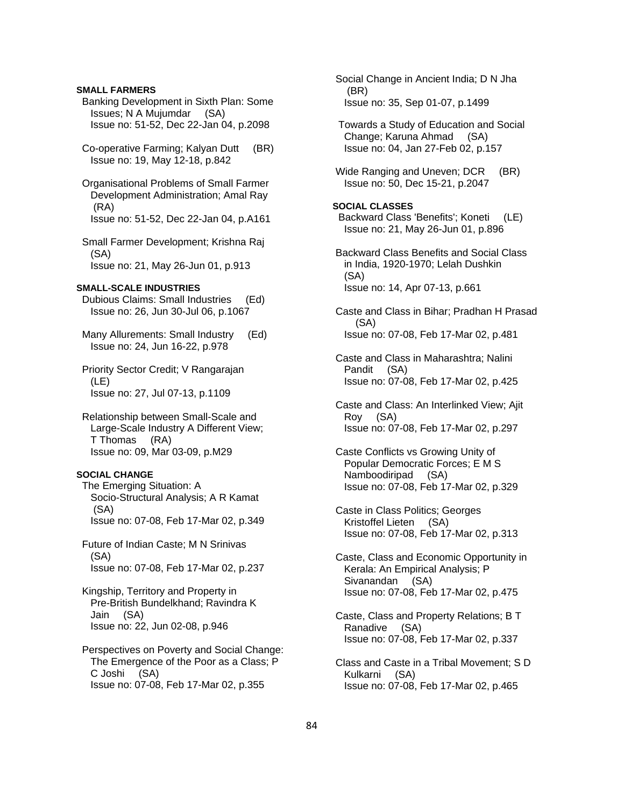### **SMALL FARMERS**

 Banking Development in Sixth Plan: Some Issues; N A Mujumdar (SA) Issue no: 51-52, Dec 22-Jan 04, p.2098

 Co-operative Farming; Kalyan Dutt (BR) Issue no: 19, May 12-18, p.842

 Organisational Problems of Small Farmer Development Administration; Amal Ray (RA) Issue no: 51-52, Dec 22-Jan 04, p.A161

 Small Farmer Development; Krishna Raj (SA) Issue no: 21, May 26-Jun 01, p.913

### **SMALL-SCALE INDUSTRIES**

 Dubious Claims: Small Industries (Ed) Issue no: 26, Jun 30-Jul 06, p.1067

 Many Allurements: Small Industry (Ed) Issue no: 24, Jun 16-22, p.978

 Priority Sector Credit; V Rangarajan (LE) Issue no: 27, Jul 07-13, p.1109

 Relationship between Small-Scale and Large-Scale Industry A Different View; T Thomas (RA) Issue no: 09, Mar 03-09, p.M29

#### **SOCIAL CHANGE**

 The Emerging Situation: A Socio-Structural Analysis; A R Kamat (SA) Issue no: 07-08, Feb 17-Mar 02, p.349

 Future of Indian Caste; M N Srinivas (SA) Issue no: 07-08, Feb 17-Mar 02, p.237

 Kingship, Territory and Property in Pre-British Bundelkhand; Ravindra K Jain (SA) Issue no: 22, Jun 02-08, p.946

 Perspectives on Poverty and Social Change: The Emergence of the Poor as a Class; P C Joshi (SA) Issue no: 07-08, Feb 17-Mar 02, p.355

 Social Change in Ancient India; D N Jha (BR) Issue no: 35, Sep 01-07, p.1499

 Towards a Study of Education and Social Change; Karuna Ahmad (SA) Issue no: 04, Jan 27-Feb 02, p.157

Wide Ranging and Uneven; DCR (BR) Issue no: 50, Dec 15-21, p.2047

## **SOCIAL CLASSES**  Backward Class 'Benefits'; Koneti (LE) Issue no: 21, May 26-Jun 01, p.896

 Backward Class Benefits and Social Class in India, 1920-1970; Lelah Dushkin (SA) Issue no: 14, Apr 07-13, p.661

 Caste and Class in Bihar; Pradhan H Prasad (SA) Issue no: 07-08, Feb 17-Mar 02, p.481

 Caste and Class in Maharashtra; Nalini Pandit (SA) Issue no: 07-08, Feb 17-Mar 02, p.425

 Caste and Class: An Interlinked View; Ajit Roy (SA) Issue no: 07-08, Feb 17-Mar 02, p.297

- Caste Conflicts vs Growing Unity of Popular Democratic Forces; E M S Namboodiripad (SA) Issue no: 07-08, Feb 17-Mar 02, p.329
- Caste in Class Politics; Georges Kristoffel Lieten (SA) Issue no: 07-08, Feb 17-Mar 02, p.313

 Caste, Class and Economic Opportunity in Kerala: An Empirical Analysis; P Sivanandan (SA) Issue no: 07-08, Feb 17-Mar 02, p.475

 Caste, Class and Property Relations; B T Ranadive (SA) Issue no: 07-08, Feb 17-Mar 02, p.337

 Class and Caste in a Tribal Movement; S D Kulkarni (SA) Issue no: 07-08, Feb 17-Mar 02, p.465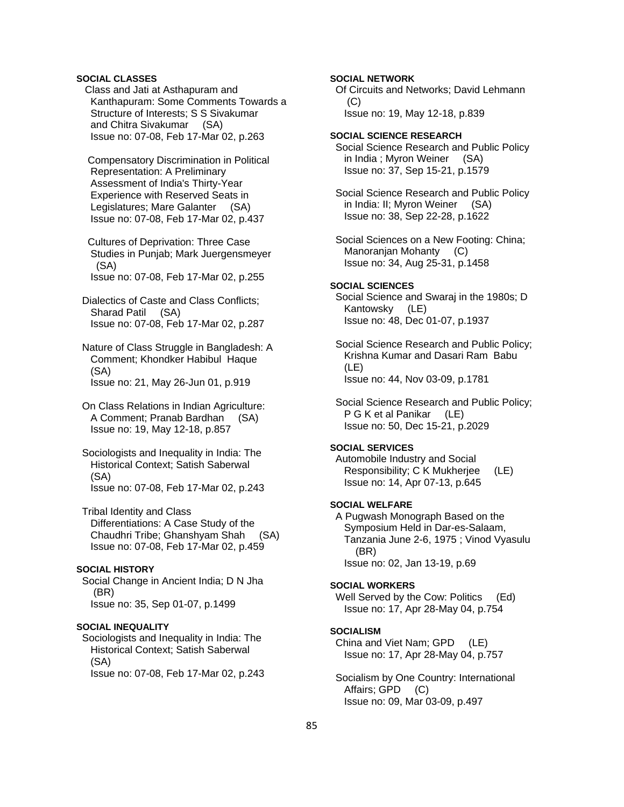## **SOCIAL CLASSES**

 Class and Jati at Asthapuram and Kanthapuram: Some Comments Towards a Structure of Interests; S S Sivakumar and Chitra Sivakumar (SA) Issue no: 07-08, Feb 17-Mar 02, p.263

 Compensatory Discrimination in Political Representation: A Preliminary Assessment of India's Thirty-Year Experience with Reserved Seats in Legislatures; Mare Galanter (SA) Issue no: 07-08, Feb 17-Mar 02, p.437

 Cultures of Deprivation: Three Case Studies in Punjab; Mark Juergensmeyer (SA) Issue no: 07-08, Feb 17-Mar 02, p.255

 Dialectics of Caste and Class Conflicts; Sharad Patil (SA) Issue no: 07-08, Feb 17-Mar 02, p.287

 Nature of Class Struggle in Bangladesh: A Comment; Khondker Habibul Haque (SA) Issue no: 21, May 26-Jun 01, p.919

 On Class Relations in Indian Agriculture: A Comment; Pranab Bardhan (SA) Issue no: 19, May 12-18, p.857

 Sociologists and Inequality in India: The Historical Context; Satish Saberwal (SA) Issue no: 07-08, Feb 17-Mar 02, p.243

 Tribal Identity and Class Differentiations: A Case Study of the Chaudhri Tribe; Ghanshyam Shah (SA) Issue no: 07-08, Feb 17-Mar 02, p.459

## **SOCIAL HISTORY**

 Social Change in Ancient India; D N Jha (BR) Issue no: 35, Sep 01-07, p.1499

## **SOCIAL INEQUALITY**

 Sociologists and Inequality in India: The Historical Context; Satish Saberwal (SA) Issue no: 07-08, Feb 17-Mar 02, p.243

## **SOCIAL NETWORK**

 Of Circuits and Networks; David Lehmann  $(C)$ 

Issue no: 19, May 12-18, p.839

**SOCIAL SCIENCE RESEARCH**  Social Science Research and Public Policy in India ; Myron Weiner (SA) Issue no: 37, Sep 15-21, p.1579

 Social Science Research and Public Policy in India: II; Myron Weiner (SA) Issue no: 38, Sep 22-28, p.1622

 Social Sciences on a New Footing: China; Manoranjan Mohanty (C) Issue no: 34, Aug 25-31, p.1458

## **SOCIAL SCIENCES**

 Social Science and Swaraj in the 1980s; D Kantowsky (LE) Issue no: 48, Dec 01-07, p.1937

 Social Science Research and Public Policy; Krishna Kumar and Dasari Ram Babu (LE) Issue no: 44, Nov 03-09, p.1781

 Social Science Research and Public Policy; P G K et al Panikar (LE) Issue no: 50, Dec 15-21, p.2029

## **SOCIAL SERVICES**

 Automobile Industry and Social Responsibility; C K Mukherjee (LE) Issue no: 14, Apr 07-13, p.645

### **SOCIAL WELFARE**

 A Pugwash Monograph Based on the Symposium Held in Dar-es-Salaam, Tanzania June 2-6, 1975 ; Vinod Vyasulu (BR) Issue no: 02, Jan 13-19, p.69

#### **SOCIAL WORKERS**

Well Served by the Cow: Politics (Ed) Issue no: 17, Apr 28-May 04, p.754

#### **SOCIALISM**

 China and Viet Nam; GPD (LE) Issue no: 17, Apr 28-May 04, p.757

 Socialism by One Country: International Affairs; GPD (C) Issue no: 09, Mar 03-09, p.497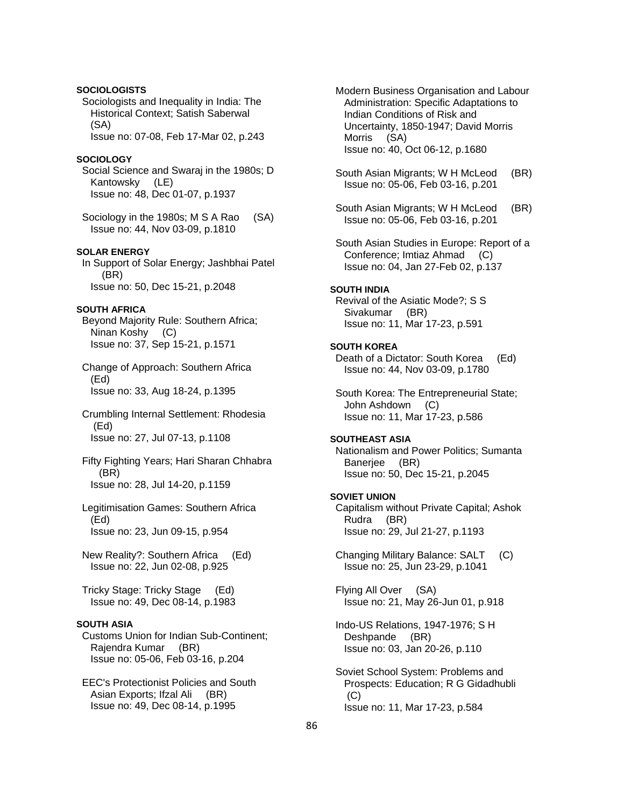## **SOCIOLOGISTS**

 Sociologists and Inequality in India: The Historical Context; Satish Saberwal (SA)

Issue no: 07-08, Feb 17-Mar 02, p.243

## **SOCIOLOGY**

 Social Science and Swaraj in the 1980s; D Kantowsky (LE) Issue no: 48, Dec 01-07, p.1937

Sociology in the 1980s; M S A Rao (SA) Issue no: 44, Nov 03-09, p.1810

### **SOLAR ENERGY**

 In Support of Solar Energy; Jashbhai Patel (BR) Issue no: 50, Dec 15-21, p.2048

## **SOUTH AFRICA**

 Beyond Majority Rule: Southern Africa; Ninan Koshy (C) Issue no: 37, Sep 15-21, p.1571

 Change of Approach: Southern Africa (Ed) Issue no: 33, Aug 18-24, p.1395

 Crumbling Internal Settlement: Rhodesia (Ed) Issue no: 27, Jul 07-13, p.1108

 Fifty Fighting Years; Hari Sharan Chhabra (BR) Issue no: 28, Jul 14-20, p.1159

 Legitimisation Games: Southern Africa (Ed) Issue no: 23, Jun 09-15, p.954

 New Reality?: Southern Africa (Ed) Issue no: 22, Jun 02-08, p.925

 Tricky Stage: Tricky Stage (Ed) Issue no: 49, Dec 08-14, p.1983

### **SOUTH ASIA**

 Customs Union for Indian Sub-Continent; Rajendra Kumar (BR) Issue no: 05-06, Feb 03-16, p.204

 EEC's Protectionist Policies and South Asian Exports; Ifzal Ali (BR) Issue no: 49, Dec 08-14, p.1995

 Modern Business Organisation and Labour Administration: Specific Adaptations to Indian Conditions of Risk and Uncertainty, 1850-1947; David Morris Morris (SA) Issue no: 40, Oct 06-12, p.1680

 South Asian Migrants; W H McLeod (BR) Issue no: 05-06, Feb 03-16, p.201

 South Asian Migrants; W H McLeod (BR) Issue no: 05-06, Feb 03-16, p.201

 South Asian Studies in Europe: Report of a Conference; Imtiaz Ahmad (C) Issue no: 04, Jan 27-Feb 02, p.137

### **SOUTH INDIA**

 Revival of the Asiatic Mode?; S S Sivakumar (BR) Issue no: 11, Mar 17-23, p.591

#### **SOUTH KOREA**

 Death of a Dictator: South Korea (Ed) Issue no: 44, Nov 03-09, p.1780

 South Korea: The Entrepreneurial State; John Ashdown (C) Issue no: 11, Mar 17-23, p.586

### **SOUTHEAST ASIA**

 Nationalism and Power Politics; Sumanta Banerjee (BR) Issue no: 50, Dec 15-21, p.2045

#### **SOVIET UNION**

 Capitalism without Private Capital; Ashok Rudra (BR) Issue no: 29, Jul 21-27, p.1193

 Changing Military Balance: SALT (C) Issue no: 25, Jun 23-29, p.1041

 Flying All Over (SA) Issue no: 21, May 26-Jun 01, p.918

- Indo-US Relations, 1947-1976; S H Deshpande (BR) Issue no: 03, Jan 20-26, p.110
- Soviet School System: Problems and Prospects: Education; R G Gidadhubli (C) Issue no: 11, Mar 17-23, p.584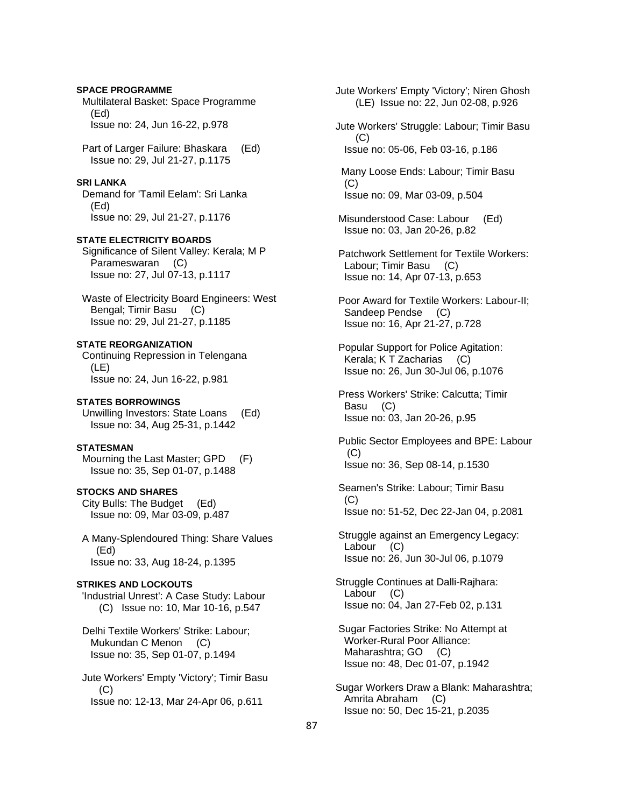**SPACE PROGRAMME**  Multilateral Basket: Space Programme (Ed) Issue no: 24, Jun 16-22, p.978 Part of Larger Failure: Bhaskara (Ed) Issue no: 29, Jul 21-27, p.1175 **SRI LANKA**  Demand for 'Tamil Eelam': Sri Lanka (Ed) Issue no: 29, Jul 21-27, p.1176 **STATE ELECTRICITY BOARDS**  Significance of Silent Valley: Kerala; M P Parameswaran (C) Issue no: 27, Jul 07-13, p.1117 Waste of Electricity Board Engineers: West Bengal; Timir Basu (C) Issue no: 29, Jul 21-27, p.1185 **STATE REORGANIZATION**  Continuing Repression in Telengana (LE) Issue no: 24, Jun 16-22, p.981 **STATES BORROWINGS**  Unwilling Investors: State Loans (Ed) Issue no: 34, Aug 25-31, p.1442 **STATESMAN**  Mourning the Last Master; GPD (F) Issue no: 35, Sep 01-07, p.1488 **STOCKS AND SHARES**  City Bulls: The Budget (Ed) Issue no: 09, Mar 03-09, p.487 A Many-Splendoured Thing: Share Values (Ed) Issue no: 33, Aug 18-24, p.1395 **STRIKES AND LOCKOUTS**  'Industrial Unrest': A Case Study: Labour (C) Issue no: 10, Mar 10-16, p.547 Delhi Textile Workers' Strike: Labour; Mukundan C Menon (C) Issue no: 35, Sep 01-07, p.1494 Jute Workers' Empty 'Victory'; Timir Basu  $(C)$ 

Issue no: 12-13, Mar 24-Apr 06, p.611

 Jute Workers' Empty 'Victory'; Niren Ghosh (LE) Issue no: 22, Jun 02-08, p.926

 Jute Workers' Struggle: Labour; Timir Basu  $(C)$ Issue no: 05-06, Feb 03-16, p.186

 Many Loose Ends: Labour; Timir Basu  $(C)$ Issue no: 09, Mar 03-09, p.504

 Misunderstood Case: Labour (Ed) Issue no: 03, Jan 20-26, p.82

 Patchwork Settlement for Textile Workers: Labour; Timir Basu (C) Issue no: 14, Apr 07-13, p.653

 Poor Award for Textile Workers: Labour-II; Sandeep Pendse (C) Issue no: 16, Apr 21-27, p.728

 Popular Support for Police Agitation: Kerala; K T Zacharias (C) Issue no: 26, Jun 30-Jul 06, p.1076

 Press Workers' Strike: Calcutta; Timir Basu (C) Issue no: 03, Jan 20-26, p.95

 Public Sector Employees and BPE: Labour  $(C)$ Issue no: 36, Sep 08-14, p.1530

 Seamen's Strike: Labour; Timir Basu (C) Issue no: 51-52, Dec 22-Jan 04, p.2081

 Struggle against an Emergency Legacy: Labour (C) Issue no: 26, Jun 30-Jul 06, p.1079

 Struggle Continues at Dalli-Rajhara: Labour (C) Issue no: 04, Jan 27-Feb 02, p.131

 Sugar Factories Strike: No Attempt at Worker-Rural Poor Alliance: Maharashtra; GO (C) Issue no: 48, Dec 01-07, p.1942

 Sugar Workers Draw a Blank: Maharashtra; Amrita Abraham (C) Issue no: 50, Dec 15-21, p.2035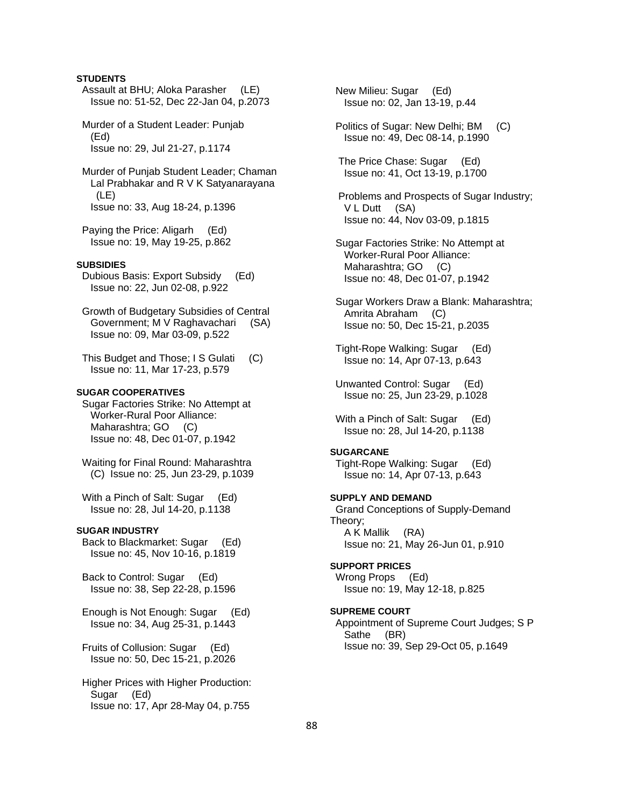## **STUDENTS**

- Assault at BHU; Aloka Parasher (LE) Issue no: 51-52, Dec 22-Jan 04, p.2073
- Murder of a Student Leader: Punjab (Ed) Issue no: 29, Jul 21-27, p.1174
- Murder of Punjab Student Leader; Chaman Lal Prabhakar and R V K Satyanarayana (LE) Issue no: 33, Aug 18-24, p.1396
- Paying the Price: Aligarh (Ed) Issue no: 19, May 19-25, p.862

## **SUBSIDIES**

- Dubious Basis: Export Subsidy (Ed) Issue no: 22, Jun 02-08, p.922
- Growth of Budgetary Subsidies of Central Government; M V Raghavachari (SA) Issue no: 09, Mar 03-09, p.522
- This Budget and Those; I S Gulati (C) Issue no: 11, Mar 17-23, p.579

### **SUGAR COOPERATIVES**

 Sugar Factories Strike: No Attempt at Worker-Rural Poor Alliance: Maharashtra; GO (C) Issue no: 48, Dec 01-07, p.1942

 Waiting for Final Round: Maharashtra (C) Issue no: 25, Jun 23-29, p.1039

With a Pinch of Salt: Sugar (Ed) Issue no: 28, Jul 14-20, p.1138

#### **SUGAR INDUSTRY**

 Back to Blackmarket: Sugar (Ed) Issue no: 45, Nov 10-16, p.1819

 Back to Control: Sugar (Ed) Issue no: 38, Sep 22-28, p.1596

 Enough is Not Enough: Sugar (Ed) Issue no: 34, Aug 25-31, p.1443

 Fruits of Collusion: Sugar (Ed) Issue no: 50, Dec 15-21, p.2026

 Higher Prices with Higher Production: Sugar (Ed) Issue no: 17, Apr 28-May 04, p.755

 New Milieu: Sugar (Ed) Issue no: 02, Jan 13-19, p.44

- Politics of Sugar: New Delhi; BM (C) Issue no: 49, Dec 08-14, p.1990
- The Price Chase: Sugar (Ed) Issue no: 41, Oct 13-19, p.1700
- Problems and Prospects of Sugar Industry; V L Dutt (SA) Issue no: 44, Nov 03-09, p.1815
- Sugar Factories Strike: No Attempt at Worker-Rural Poor Alliance: Maharashtra: GO (C) Issue no: 48, Dec 01-07, p.1942
- Sugar Workers Draw a Blank: Maharashtra; Amrita Abraham (C) Issue no: 50, Dec 15-21, p.2035
- Tight-Rope Walking: Sugar (Ed) Issue no: 14, Apr 07-13, p.643
- Unwanted Control: Sugar (Ed) Issue no: 25, Jun 23-29, p.1028
- With a Pinch of Salt: Sugar (Ed) Issue no: 28, Jul 14-20, p.1138

#### **SUGARCANE**

 Tight-Rope Walking: Sugar (Ed) Issue no: 14, Apr 07-13, p.643

### **SUPPLY AND DEMAND**

 Grand Conceptions of Supply-Demand Theory; A K Mallik (RA) Issue no: 21, May 26-Jun 01, p.910

#### **SUPPORT PRICES**

 Wrong Props (Ed) Issue no: 19, May 12-18, p.825

## **SUPREME COURT**

 Appointment of Supreme Court Judges; S P Sathe (BR) Issue no: 39, Sep 29-Oct 05, p.1649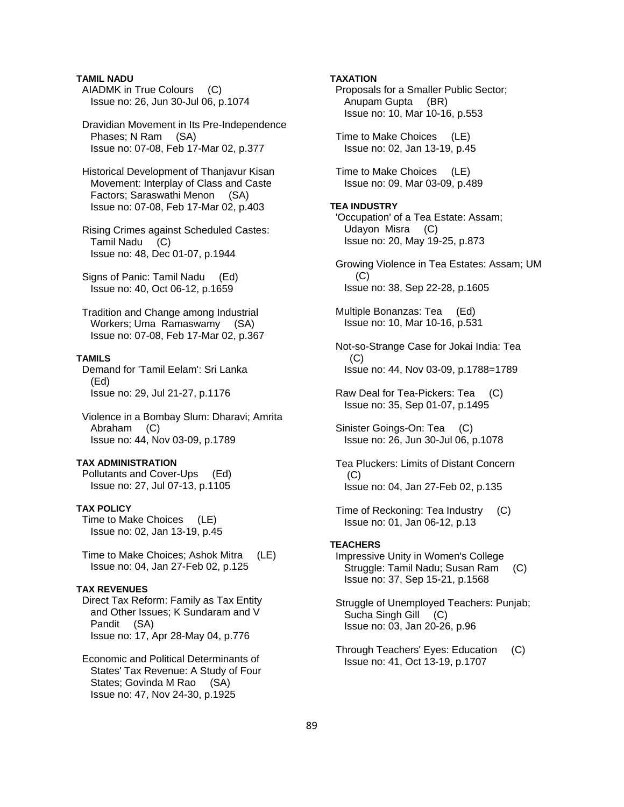## **TAMIL NADU**

 AIADMK in True Colours (C) Issue no: 26, Jun 30-Jul 06, p.1074

 Dravidian Movement in Its Pre-Independence Phases; N Ram (SA) Issue no: 07-08, Feb 17-Mar 02, p.377

 Historical Development of Thanjavur Kisan Movement: Interplay of Class and Caste Factors; Saraswathi Menon (SA) Issue no: 07-08, Feb 17-Mar 02, p.403

 Rising Crimes against Scheduled Castes: Tamil Nadu (C) Issue no: 48, Dec 01-07, p.1944

 Signs of Panic: Tamil Nadu (Ed) Issue no: 40, Oct 06-12, p.1659

 Tradition and Change among Industrial Workers; Uma Ramaswamy (SA) Issue no: 07-08, Feb 17-Mar 02, p.367

## **TAMILS**

 Demand for 'Tamil Eelam': Sri Lanka (Ed) Issue no: 29, Jul 21-27, p.1176

 Violence in a Bombay Slum: Dharavi; Amrita Abraham (C) Issue no: 44, Nov 03-09, p.1789

### **TAX ADMINISTRATION**

 Pollutants and Cover-Ups (Ed) Issue no: 27, Jul 07-13, p.1105

### **TAX POLICY**

 Time to Make Choices (LE) Issue no: 02, Jan 13-19, p.45

 Time to Make Choices; Ashok Mitra (LE) Issue no: 04, Jan 27-Feb 02, p.125

## **TAX REVENUES**

 Direct Tax Reform: Family as Tax Entity and Other Issues; K Sundaram and V Pandit (SA) Issue no: 17, Apr 28-May 04, p.776

 Economic and Political Determinants of States' Tax Revenue: A Study of Four States; Govinda M Rao (SA) Issue no: 47, Nov 24-30, p.1925

### **TAXATION**

 Proposals for a Smaller Public Sector; Anupam Gupta (BR) Issue no: 10, Mar 10-16, p.553 Time to Make Choices (LE) Issue no: 02, Jan 13-19, p.45 Time to Make Choices (LE) Issue no: 09, Mar 03-09, p.489 **TEA INDUSTRY**  'Occupation' of a Tea Estate: Assam; Udayon Misra (C) Issue no: 20, May 19-25, p.873 Growing Violence in Tea Estates: Assam; UM (C) Issue no: 38, Sep 22-28, p.1605 Multiple Bonanzas: Tea (Ed) Issue no: 10, Mar 10-16, p.531 Not-so-Strange Case for Jokai India: Tea (C) Issue no: 44, Nov 03-09, p.1788=1789 Raw Deal for Tea-Pickers: Tea (C) Issue no: 35, Sep 01-07, p.1495 Sinister Goings-On: Tea (C) Issue no: 26, Jun 30-Jul 06, p.1078 Tea Pluckers: Limits of Distant Concern (C) Issue no: 04, Jan 27-Feb 02, p.135 Time of Reckoning: Tea Industry (C) Issue no: 01, Jan 06-12, p.13 **TEACHERS**  Impressive Unity in Women's College Struggle: Tamil Nadu; Susan Ram (C) Issue no: 37, Sep 15-21, p.1568 Struggle of Unemployed Teachers: Punjab; Sucha Singh Gill (C) Issue no: 03, Jan 20-26, p.96 Through Teachers' Eyes: Education (C) Issue no: 41, Oct 13-19, p.1707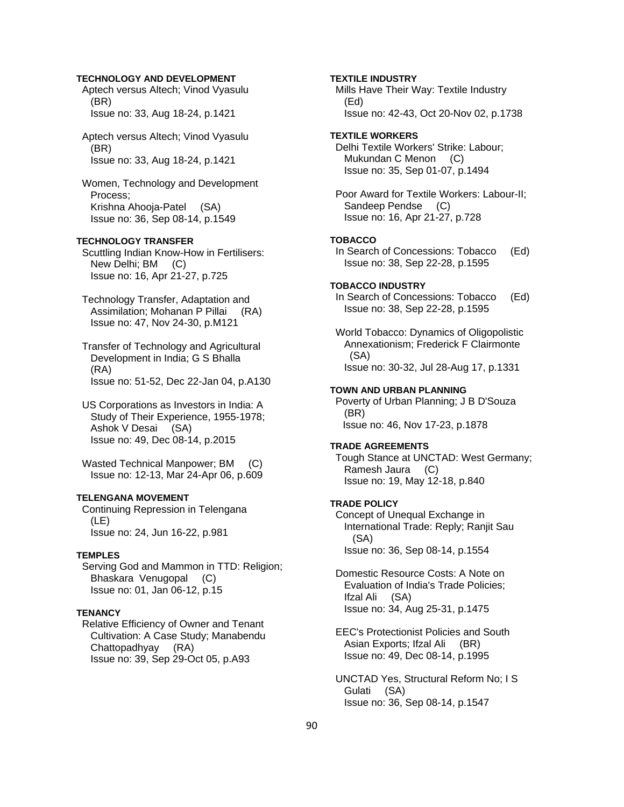## **TECHNOLOGY AND DEVELOPMENT**

 Aptech versus Altech; Vinod Vyasulu (BR) Issue no: 33, Aug 18-24, p.1421

 Aptech versus Altech; Vinod Vyasulu (BR) Issue no: 33, Aug 18-24, p.1421

 Women, Technology and Development Process; Krishna Ahooja-Patel (SA) Issue no: 36, Sep 08-14, p.1549

## **TECHNOLOGY TRANSFER**

 Scuttling Indian Know-How in Fertilisers: New Delhi; BM (C) Issue no: 16, Apr 21-27, p.725

 Technology Transfer, Adaptation and Assimilation; Mohanan P Pillai (RA) Issue no: 47, Nov 24-30, p.M121

 Transfer of Technology and Agricultural Development in India; G S Bhalla (RA) Issue no: 51-52, Dec 22-Jan 04, p.A130

 US Corporations as Investors in India: A Study of Their Experience, 1955-1978; Ashok V Desai (SA) Issue no: 49, Dec 08-14, p.2015

 Wasted Technical Manpower; BM (C) Issue no: 12-13, Mar 24-Apr 06, p.609

### **TELENGANA MOVEMENT**

 Continuing Repression in Telengana (LE) Issue no: 24, Jun 16-22, p.981

#### **TEMPLES**

 Serving God and Mammon in TTD: Religion; Bhaskara Venugopal (C) Issue no: 01, Jan 06-12, p.15

## **TENANCY**

 Relative Efficiency of Owner and Tenant Cultivation: A Case Study; Manabendu Chattopadhyay (RA) Issue no: 39, Sep 29-Oct 05, p.A93

 Mills Have Their Way: Textile Industry (Ed) Issue no: 42-43, Oct 20-Nov 02, p.1738 **TEXTILE WORKERS**  Delhi Textile Workers' Strike: Labour; Mukundan C Menon (C) Issue no: 35, Sep 01-07, p.1494 Poor Award for Textile Workers: Labour-II; Sandeep Pendse (C) Issue no: 16, Apr 21-27, p.728 **TOBACCO**  In Search of Concessions: Tobacco (Ed) Issue no: 38, Sep 22-28, p.1595 **TOBACCO INDUSTRY**  In Search of Concessions: Tobacco (Ed) Issue no: 38, Sep 22-28, p.1595 World Tobacco: Dynamics of Oligopolistic Annexationism; Frederick F Clairmonte (SA) Issue no: 30-32, Jul 28-Aug 17, p.1331 **TOWN AND URBAN PLANNING**  Poverty of Urban Planning; J B D'Souza (BR) Issue no: 46, Nov 17-23, p.1878 **TRADE AGREEMENTS**  Tough Stance at UNCTAD: West Germany; Ramesh Jaura (C) Issue no: 19, May 12-18, p.840 **TRADE POLICY**  Concept of Unequal Exchange in

**TEXTILE INDUSTRY** 

 International Trade: Reply; Ranjit Sau (SA) Issue no: 36, Sep 08-14, p.1554

 Domestic Resource Costs: A Note on Evaluation of India's Trade Policies; Ifzal Ali (SA) Issue no: 34, Aug 25-31, p.1475

 EEC's Protectionist Policies and South Asian Exports; Ifzal Ali (BR) Issue no: 49, Dec 08-14, p.1995

 UNCTAD Yes, Structural Reform No; I S Gulati (SA) Issue no: 36, Sep 08-14, p.1547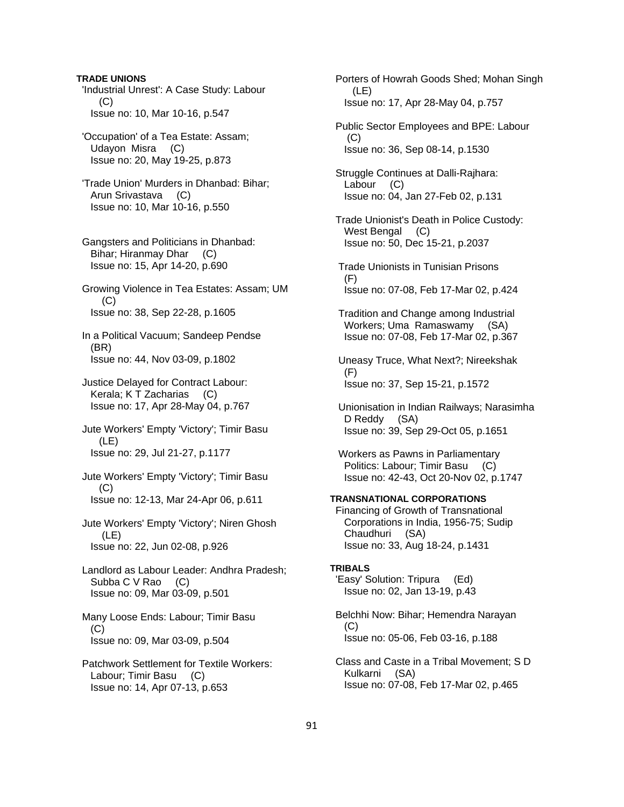**TRADE UNIONS**  'Industrial Unrest': A Case Study: Labour (C) Issue no: 10, Mar 10-16, p.547

 'Occupation' of a Tea Estate: Assam; Udayon Misra (C) Issue no: 20, May 19-25, p.873

 'Trade Union' Murders in Dhanbad: Bihar; Arun Srivastava (C) Issue no: 10, Mar 10-16, p.550

 Gangsters and Politicians in Dhanbad: Bihar; Hiranmay Dhar (C) Issue no: 15, Apr 14-20, p.690

 Growing Violence in Tea Estates: Assam; UM (C) Issue no: 38, Sep 22-28, p.1605

 In a Political Vacuum; Sandeep Pendse (BR) Issue no: 44, Nov 03-09, p.1802

 Justice Delayed for Contract Labour: Kerala; K T Zacharias (C) Issue no: 17, Apr 28-May 04, p.767

 Jute Workers' Empty 'Victory'; Timir Basu (LE) Issue no: 29, Jul 21-27, p.1177

 Jute Workers' Empty 'Victory'; Timir Basu  $(C)$ Issue no: 12-13, Mar 24-Apr 06, p.611

 Jute Workers' Empty 'Victory'; Niren Ghosh (LE) Issue no: 22, Jun 02-08, p.926

 Landlord as Labour Leader: Andhra Pradesh; Subba C V Rao (C) Issue no: 09, Mar 03-09, p.501

 Many Loose Ends: Labour; Timir Basu  $(C)$ Issue no: 09, Mar 03-09, p.504

 Patchwork Settlement for Textile Workers: Labour; Timir Basu (C) Issue no: 14, Apr 07-13, p.653

 Porters of Howrah Goods Shed; Mohan Singh (LE) Issue no: 17, Apr 28-May 04, p.757 Public Sector Employees and BPE: Labour  $(C)$ 

Issue no: 36, Sep 08-14, p.1530

 Struggle Continues at Dalli-Rajhara: Labour (C) Issue no: 04, Jan 27-Feb 02, p.131

 Trade Unionist's Death in Police Custody: West Bengal (C) Issue no: 50, Dec 15-21, p.2037

 Trade Unionists in Tunisian Prisons (F) Issue no: 07-08, Feb 17-Mar 02, p.424

 Tradition and Change among Industrial Workers; Uma Ramaswamy (SA) Issue no: 07-08, Feb 17-Mar 02, p.367

 Uneasy Truce, What Next?; Nireekshak (F) Issue no: 37, Sep 15-21, p.1572

 Unionisation in Indian Railways; Narasimha D Reddy (SA) Issue no: 39, Sep 29-Oct 05, p.1651

 Workers as Pawns in Parliamentary Politics: Labour; Timir Basu (C) Issue no: 42-43, Oct 20-Nov 02, p.1747

## **TRANSNATIONAL CORPORATIONS**

 Financing of Growth of Transnational Corporations in India, 1956-75; Sudip Chaudhuri (SA) Issue no: 33, Aug 18-24, p.1431

#### **TRIBALS**

 'Easy' Solution: Tripura (Ed) Issue no: 02, Jan 13-19, p.43

 Belchhi Now: Bihar; Hemendra Narayan  $(C)$ Issue no: 05-06, Feb 03-16, p.188

 Class and Caste in a Tribal Movement; S D Kulkarni (SA) Issue no: 07-08, Feb 17-Mar 02, p.465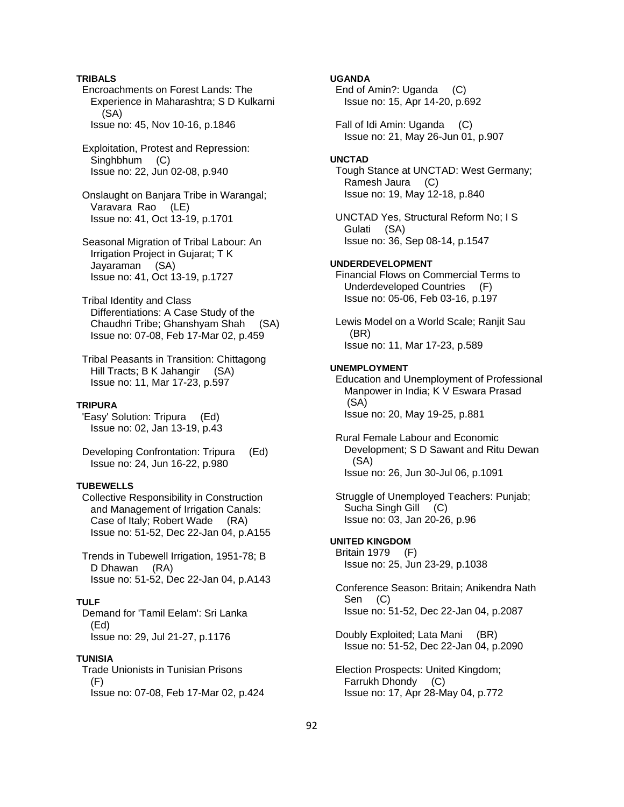## **TRIBALS**

 Encroachments on Forest Lands: The Experience in Maharashtra; S D Kulkarni (SA) Issue no: 45, Nov 10-16, p.1846

 Exploitation, Protest and Repression: Singhbhum (C) Issue no: 22, Jun 02-08, p.940

 Onslaught on Banjara Tribe in Warangal; Varavara Rao (LE) Issue no: 41, Oct 13-19, p.1701

- Seasonal Migration of Tribal Labour: An Irrigation Project in Gujarat; T K Jayaraman (SA) Issue no: 41, Oct 13-19, p.1727
- Tribal Identity and Class Differentiations: A Case Study of the Chaudhri Tribe; Ghanshyam Shah (SA) Issue no: 07-08, Feb 17-Mar 02, p.459
- Tribal Peasants in Transition: Chittagong Hill Tracts; B K Jahangir (SA) Issue no: 11, Mar 17-23, p.597

#### **TRIPURA**

 'Easy' Solution: Tripura (Ed) Issue no: 02, Jan 13-19, p.43

 Developing Confrontation: Tripura (Ed) Issue no: 24, Jun 16-22, p.980

## **TUBEWELLS**

 Collective Responsibility in Construction and Management of Irrigation Canals: Case of Italy; Robert Wade (RA) Issue no: 51-52, Dec 22-Jan 04, p.A155

 Trends in Tubewell Irrigation, 1951-78; B D Dhawan (RA) Issue no: 51-52, Dec 22-Jan 04, p.A143

## **TULF**

 Demand for 'Tamil Eelam': Sri Lanka (Ed) Issue no: 29, Jul 21-27, p.1176

#### **TUNISIA**

 Trade Unionists in Tunisian Prisons  $(F)$ Issue no: 07-08, Feb 17-Mar 02, p.424

# **UGANDA**

 End of Amin?: Uganda (C) Issue no: 15, Apr 14-20, p.692

 Fall of Idi Amin: Uganda (C) Issue no: 21, May 26-Jun 01, p.907

## **UNCTAD**

 Tough Stance at UNCTAD: West Germany; Ramesh Jaura (C) Issue no: 19, May 12-18, p.840

 UNCTAD Yes, Structural Reform No; I S Gulati (SA) Issue no: 36, Sep 08-14, p.1547

### **UNDERDEVELOPMENT**

 Financial Flows on Commercial Terms to Underdeveloped Countries (F) Issue no: 05-06, Feb 03-16, p.197

 Lewis Model on a World Scale; Ranjit Sau (BR) Issue no: 11, Mar 17-23, p.589

#### **UNEMPLOYMENT**

 Education and Unemployment of Professional Manpower in India; K V Eswara Prasad (SA) Issue no: 20, May 19-25, p.881

 Rural Female Labour and Economic Development; S D Sawant and Ritu Dewan (SA) Issue no: 26, Jun 30-Jul 06, p.1091

 Struggle of Unemployed Teachers: Punjab; Sucha Singh Gill (C) Issue no: 03, Jan 20-26, p.96

## **UNITED KINGDOM**

 Britain 1979 (F) Issue no: 25, Jun 23-29, p.1038

 Conference Season: Britain; Anikendra Nath Sen (C) Issue no: 51-52, Dec 22-Jan 04, p.2087

 Doubly Exploited; Lata Mani (BR) Issue no: 51-52, Dec 22-Jan 04, p.2090

 Election Prospects: United Kingdom; Farrukh Dhondy (C) Issue no: 17, Apr 28-May 04, p.772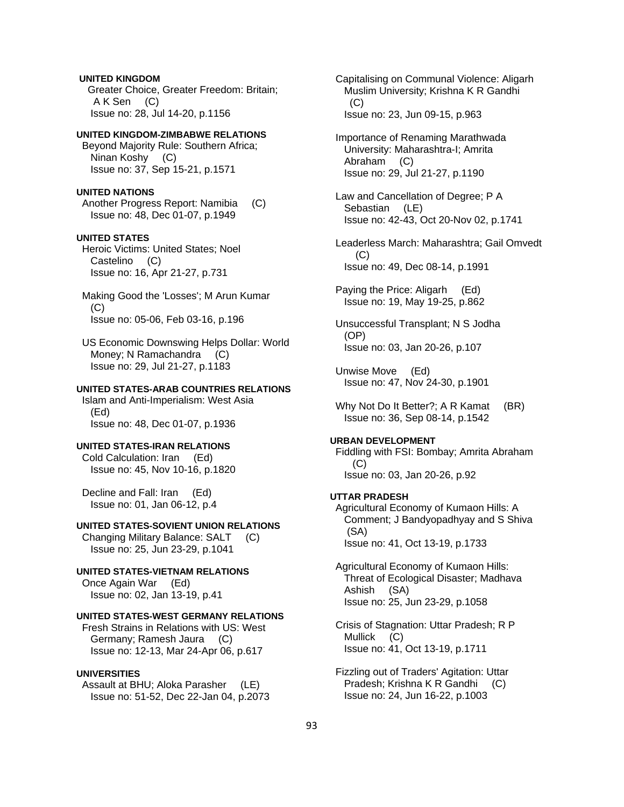## **UNITED KINGDOM**

 Greater Choice, Greater Freedom: Britain; A K Sen (C) Issue no: 28, Jul 14-20, p.1156

### **UNITED KINGDOM-ZIMBABWE RELATIONS**

 Beyond Majority Rule: Southern Africa; Ninan Koshy (C) Issue no: 37, Sep 15-21, p.1571

# **UNITED NATIONS**

 Another Progress Report: Namibia (C) Issue no: 48, Dec 01-07, p.1949

### **UNITED STATES**

 Heroic Victims: United States; Noel Castelino (C) Issue no: 16, Apr 21-27, p.731

 Making Good the 'Losses'; M Arun Kumar  $(C)$ Issue no: 05-06, Feb 03-16, p.196

 US Economic Downswing Helps Dollar: World Money; N Ramachandra (C) Issue no: 29, Jul 21-27, p.1183

## **UNITED STATES-ARAB COUNTRIES RELATIONS**

 Islam and Anti-Imperialism: West Asia (Ed) Issue no: 48, Dec 01-07, p.1936

## **UNITED STATES-IRAN RELATIONS**

 Cold Calculation: Iran (Ed) Issue no: 45, Nov 10-16, p.1820

 Decline and Fall: Iran (Ed) Issue no: 01, Jan 06-12, p.4

## **UNITED STATES-SOVIENT UNION RELATIONS**

 Changing Military Balance: SALT (C) Issue no: 25, Jun 23-29, p.1041

## **UNITED STATES-VIETNAM RELATIONS**

 Once Again War (Ed) Issue no: 02, Jan 13-19, p.41

## **UNITED STATES-WEST GERMANY RELATIONS**

 Fresh Strains in Relations with US: West Germany; Ramesh Jaura (C) Issue no: 12-13, Mar 24-Apr 06, p.617

## **UNIVERSITIES**

 Assault at BHU; Aloka Parasher (LE) Issue no: 51-52, Dec 22-Jan 04, p.2073  Capitalising on Communal Violence: Aligarh Muslim University; Krishna K R Gandhi  $(C)$ Issue no: 23, Jun 09-15, p.963

- Importance of Renaming Marathwada University: Maharashtra-I; Amrita Abraham (C) Issue no: 29, Jul 21-27, p.1190
- Law and Cancellation of Degree; P A Sebastian (LE) Issue no: 42-43, Oct 20-Nov 02, p.1741

 Leaderless March: Maharashtra; Gail Omvedt  $(C)$ Issue no: 49, Dec 08-14, p.1991

 Paying the Price: Aligarh (Ed) Issue no: 19, May 19-25, p.862

 Unsuccessful Transplant; N S Jodha (OP) Issue no: 03, Jan 20-26, p.107

- Unwise Move (Ed) Issue no: 47, Nov 24-30, p.1901
- Why Not Do It Better?: A R Kamat (BR) Issue no: 36, Sep 08-14, p.1542

### **URBAN DEVELOPMENT**

 Fiddling with FSI: Bombay; Amrita Abraham (C) Issue no: 03, Jan 20-26, p.92

#### **UTTAR PRADESH**

 Agricultural Economy of Kumaon Hills: A Comment; J Bandyopadhyay and S Shiva (SA) Issue no: 41, Oct 13-19, p.1733

 Agricultural Economy of Kumaon Hills: Threat of Ecological Disaster; Madhava Ashish (SA) Issue no: 25, Jun 23-29, p.1058

 Crisis of Stagnation: Uttar Pradesh; R P Mullick (C) Issue no: 41, Oct 13-19, p.1711

 Fizzling out of Traders' Agitation: Uttar Pradesh; Krishna K R Gandhi (C) Issue no: 24, Jun 16-22, p.1003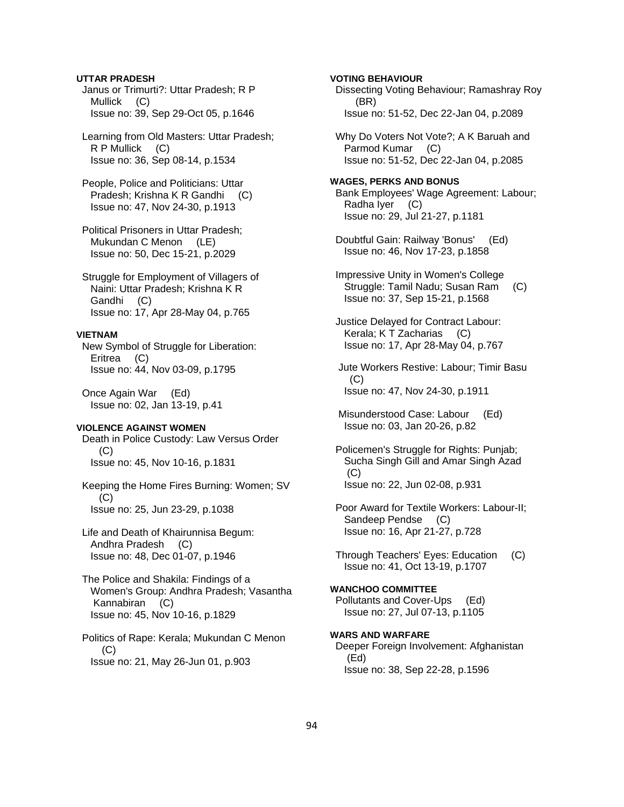## **UTTAR PRADESH**

 Janus or Trimurti?: Uttar Pradesh; R P Mullick (C) Issue no: 39, Sep 29-Oct 05, p.1646

 Learning from Old Masters: Uttar Pradesh; R P Mullick (C) Issue no: 36, Sep 08-14, p.1534

 People, Police and Politicians: Uttar Pradesh; Krishna K R Gandhi (C) Issue no: 47, Nov 24-30, p.1913

 Political Prisoners in Uttar Pradesh; Mukundan C Menon (LE) Issue no: 50, Dec 15-21, p.2029

 Struggle for Employment of Villagers of Naini: Uttar Pradesh; Krishna K R Gandhi (C) Issue no: 17, Apr 28-May 04, p.765

### **VIETNAM**

 New Symbol of Struggle for Liberation: Eritrea (C) Issue no: 44, Nov 03-09, p.1795

 Once Again War (Ed) Issue no: 02, Jan 13-19, p.41

### **VIOLENCE AGAINST WOMEN**

 Death in Police Custody: Law Versus Order  $(C)$ Issue no: 45, Nov 10-16, p.1831

 Keeping the Home Fires Burning: Women; SV  $(C)$ Issue no: 25, Jun 23-29, p.1038

 Life and Death of Khairunnisa Begum: Andhra Pradesh (C) Issue no: 48, Dec 01-07, p.1946

 The Police and Shakila: Findings of a Women's Group: Andhra Pradesh; Vasantha Kannabiran (C) Issue no: 45, Nov 10-16, p.1829

 Politics of Rape: Kerala; Mukundan C Menon (C) Issue no: 21, May 26-Jun 01, p.903

**VOTING BEHAVIOUR**  Dissecting Voting Behaviour; Ramashray Roy (BR) Issue no: 51-52, Dec 22-Jan 04, p.2089

 Why Do Voters Not Vote?; A K Baruah and Parmod Kumar (C) Issue no: 51-52, Dec 22-Jan 04, p.2085

## **WAGES, PERKS AND BONUS**  Bank Employees' Wage Agreement: Labour; Radha Iyer (C) Issue no: 29, Jul 21-27, p.1181

- Doubtful Gain: Railway 'Bonus' (Ed) Issue no: 46, Nov 17-23, p.1858
- Impressive Unity in Women's College Struggle: Tamil Nadu; Susan Ram (C) Issue no: 37, Sep 15-21, p.1568
- Justice Delayed for Contract Labour: Kerala; K T Zacharias (C) Issue no: 17, Apr 28-May 04, p.767
- Jute Workers Restive: Labour; Timir Basu  $(C)$ Issue no: 47, Nov 24-30, p.1911
- Misunderstood Case: Labour (Ed) Issue no: 03, Jan 20-26, p.82
- Policemen's Struggle for Rights: Punjab; Sucha Singh Gill and Amar Singh Azad  $(C)$ Issue no: 22, Jun 02-08, p.931
- Poor Award for Textile Workers: Labour-II; Sandeep Pendse (C) Issue no: 16, Apr 21-27, p.728
- Through Teachers' Eyes: Education (C) Issue no: 41, Oct 13-19, p.1707

### **WANCHOO COMMITTEE**  Pollutants and Cover-Ups (Ed) Issue no: 27, Jul 07-13, p.1105

**WARS AND WARFARE**  Deeper Foreign Involvement: Afghanistan (Ed) Issue no: 38, Sep 22-28, p.1596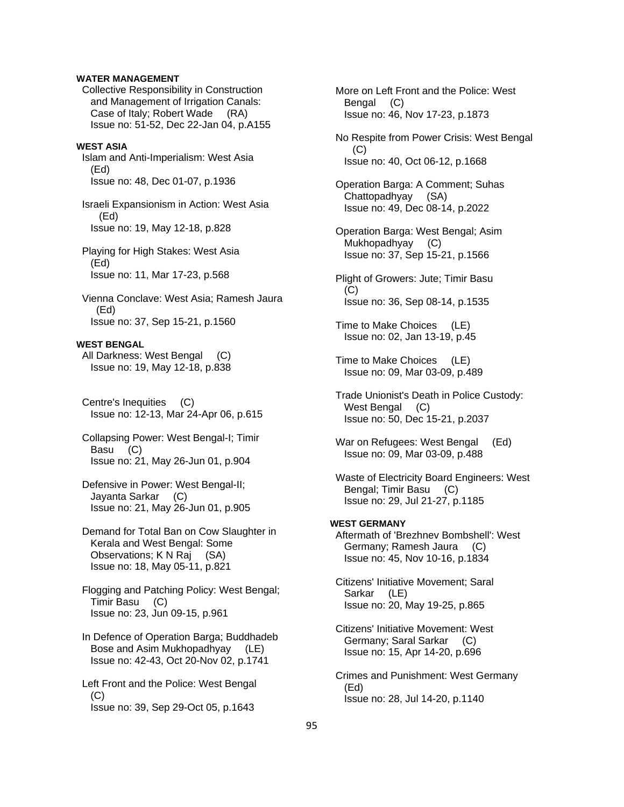## **WATER MANAGEMENT**

 Collective Responsibility in Construction and Management of Irrigation Canals: Case of Italy; Robert Wade (RA) Issue no: 51-52, Dec 22-Jan 04, p.A155

## **WEST ASIA**

 Islam and Anti-Imperialism: West Asia (Ed) Issue no: 48, Dec 01-07, p.1936

 Israeli Expansionism in Action: West Asia (Ed) Issue no: 19, May 12-18, p.828

 Playing for High Stakes: West Asia (Ed) Issue no: 11, Mar 17-23, p.568

 Vienna Conclave: West Asia; Ramesh Jaura (Ed) Issue no: 37, Sep 15-21, p.1560

#### **WEST BENGAL**

 All Darkness: West Bengal (C) Issue no: 19, May 12-18, p.838

 Centre's Inequities (C) Issue no: 12-13, Mar 24-Apr 06, p.615

 Collapsing Power: West Bengal-I; Timir Basu (C) Issue no: 21, May 26-Jun 01, p.904

 Defensive in Power: West Bengal-II; Jayanta Sarkar (C) Issue no: 21, May 26-Jun 01, p.905

 Demand for Total Ban on Cow Slaughter in Kerala and West Bengal: Some Observations; K N Raj (SA) Issue no: 18, May 05-11, p.821

 Flogging and Patching Policy: West Bengal; Timir Basu (C) Issue no: 23, Jun 09-15, p.961

 In Defence of Operation Barga; Buddhadeb Bose and Asim Mukhopadhyay (LE) Issue no: 42-43, Oct 20-Nov 02, p.1741

 Left Front and the Police: West Bengal  $(C)$ Issue no: 39, Sep 29-Oct 05, p.1643

 More on Left Front and the Police: West Bengal (C) Issue no: 46, Nov 17-23, p.1873 No Respite from Power Crisis: West Bengal (C) Issue no: 40, Oct 06-12, p.1668 Operation Barga: A Comment; Suhas Chattopadhyay (SA) Issue no: 49, Dec 08-14, p.2022 Operation Barga: West Bengal; Asim Mukhopadhyay (C) Issue no: 37, Sep 15-21, p.1566 Plight of Growers: Jute; Timir Basu  $(C)$  Issue no: 36, Sep 08-14, p.1535 Time to Make Choices (LE) Issue no: 02, Jan 13-19, p.45 Time to Make Choices (LE) Issue no: 09, Mar 03-09, p.489 Trade Unionist's Death in Police Custody: West Bengal (C) Issue no: 50, Dec 15-21, p.2037 War on Refugees: West Bengal (Ed) Issue no: 09, Mar 03-09, p.488 Waste of Electricity Board Engineers: West Bengal; Timir Basu (C) Issue no: 29, Jul 21-27, p.1185 **WEST GERMANY**  Aftermath of 'Brezhnev Bombshell': West Germany; Ramesh Jaura (C) Issue no: 45, Nov 10-16, p.1834 Citizens' Initiative Movement; Saral Sarkar (LE) Issue no: 20, May 19-25, p.865 Citizens' Initiative Movement: West Germany; Saral Sarkar (C) Issue no: 15, Apr 14-20, p.696 Crimes and Punishment: West Germany (Ed) Issue no: 28, Jul 14-20, p.1140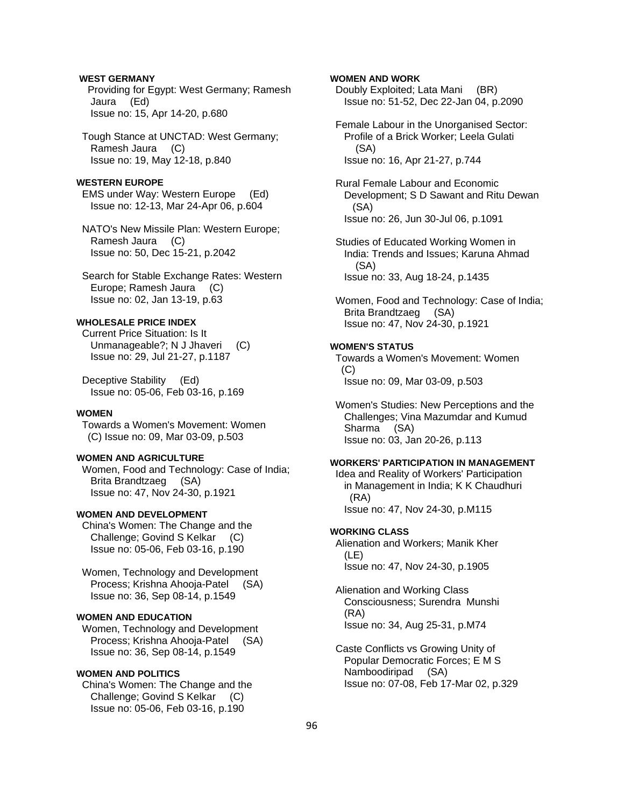## **WEST GERMANY**

 Providing for Egypt: West Germany; Ramesh Jaura (Ed) Issue no: 15, Apr 14-20, p.680

 Tough Stance at UNCTAD: West Germany; Ramesh Jaura (C) Issue no: 19, May 12-18, p.840

### **WESTERN EUROPE**

 EMS under Way: Western Europe (Ed) Issue no: 12-13, Mar 24-Apr 06, p.604

 NATO's New Missile Plan: Western Europe; Ramesh Jaura (C) Issue no: 50, Dec 15-21, p.2042

 Search for Stable Exchange Rates: Western Europe; Ramesh Jaura (C) Issue no: 02, Jan 13-19, p.63

## **WHOLESALE PRICE INDEX**

 Current Price Situation: Is It Unmanageable?; N J Jhaveri (C) Issue no: 29, Jul 21-27, p.1187

 Deceptive Stability (Ed) Issue no: 05-06, Feb 03-16, p.169

### **WOMEN**

 Towards a Women's Movement: Women (C) Issue no: 09, Mar 03-09, p.503

### **WOMEN AND AGRICULTURE**

 Women, Food and Technology: Case of India; Brita Brandtzaeg (SA) Issue no: 47, Nov 24-30, p.1921

### **WOMEN AND DEVELOPMENT**

 China's Women: The Change and the Challenge; Govind S Kelkar (C) Issue no: 05-06, Feb 03-16, p.190

 Women, Technology and Development Process; Krishna Ahooja-Patel (SA) Issue no: 36, Sep 08-14, p.1549

## **WOMEN AND EDUCATION**

 Women, Technology and Development Process; Krishna Ahooja-Patel (SA) Issue no: 36, Sep 08-14, p.1549

## **WOMEN AND POLITICS**

 China's Women: The Change and the Challenge; Govind S Kelkar (C) Issue no: 05-06, Feb 03-16, p.190

### **WOMEN AND WORK**

 Doubly Exploited; Lata Mani (BR) Issue no: 51-52, Dec 22-Jan 04, p.2090

 Female Labour in the Unorganised Sector: Profile of a Brick Worker; Leela Gulati (SA) Issue no: 16, Apr 21-27, p.744

 Rural Female Labour and Economic Development; S D Sawant and Ritu Dewan (SA) Issue no: 26, Jun 30-Jul 06, p.1091

 Studies of Educated Working Women in India: Trends and Issues; Karuna Ahmad (SA) Issue no: 33, Aug 18-24, p.1435

 Women, Food and Technology: Case of India; Brita Brandtzaeg (SA) Issue no: 47, Nov 24-30, p.1921

### **WOMEN'S STATUS**

 Towards a Women's Movement: Women (C) Issue no: 09, Mar 03-09, p.503

 Women's Studies: New Perceptions and the Challenges; Vina Mazumdar and Kumud Sharma (SA) Issue no: 03, Jan 20-26, p.113

### **WORKERS' PARTICIPATION IN MANAGEMENT**

 Idea and Reality of Workers' Participation in Management in India; K K Chaudhuri (RA) Issue no: 47, Nov 24-30, p.M115

### **WORKING CLASS**

 Alienation and Workers; Manik Kher (LE) Issue no: 47, Nov 24-30, p.1905

 Alienation and Working Class Consciousness; Surendra Munshi (RA) Issue no: 34, Aug 25-31, p.M74

 Caste Conflicts vs Growing Unity of Popular Democratic Forces; E M S Namboodiripad (SA) Issue no: 07-08, Feb 17-Mar 02, p.329